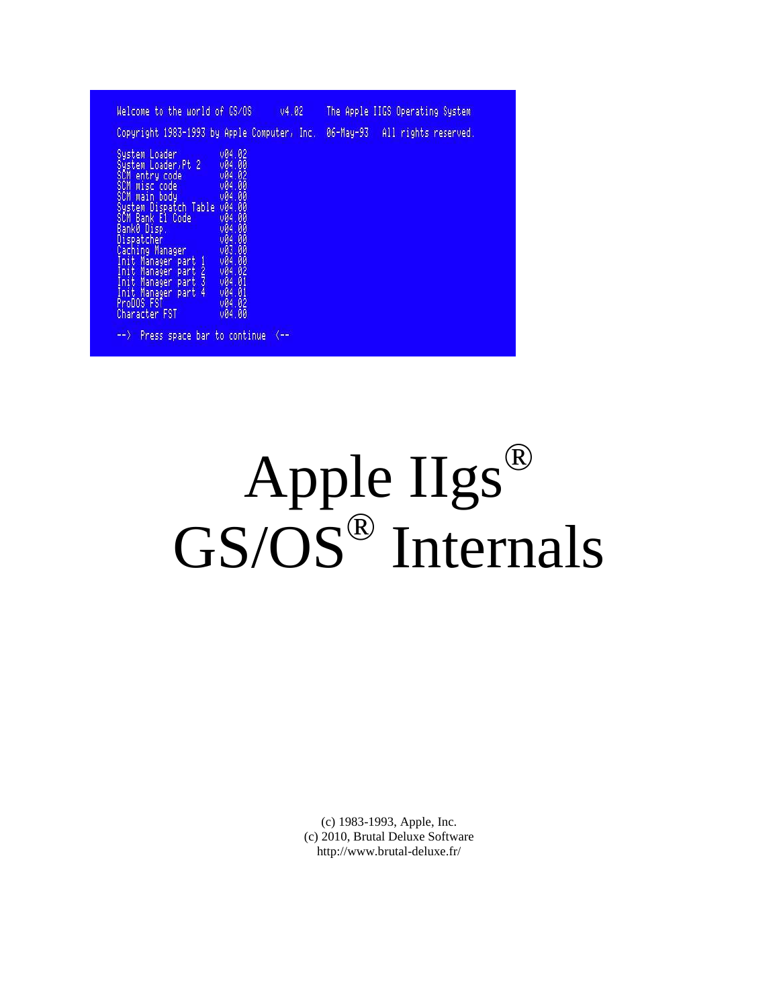| Welcome to the world of GS/0S                                                                                                                                                                                                                                                                                    |                                                                                                                                                                                    | 04.02                | The Apple IIGS Operating System |  |
|------------------------------------------------------------------------------------------------------------------------------------------------------------------------------------------------------------------------------------------------------------------------------------------------------------------|------------------------------------------------------------------------------------------------------------------------------------------------------------------------------------|----------------------|---------------------------------|--|
| Copyright 1983-1993 by Apple Computer, Inc.                                                                                                                                                                                                                                                                      |                                                                                                                                                                                    |                      | 06-May-93 All rights reserved.  |  |
| System Loader<br>System Loader, Pt 2<br>SCM entry code<br>SCM miscloode<br>SCM main body<br>System Dispatch Table<br>SCM Bank E1 Code<br>Bank0 Disp.<br>Dispatcher<br>Caching Manager<br>Init Manager part 1<br>Init Manager part 2<br>Init Manager part 3<br>Init Manager part 4<br>ProDOS FST<br>Character FST | 004.02<br>$\frac{0.04}{0.04}$<br>$\frac{0.04}{0.04}$<br>004.00<br><b>V04.00</b><br>$\frac{0.04199}{0.04199}$<br>$\frac{0.004}{0.003}$<br>$\frac{0.004}{0.004}$<br>084.82<br>v04.00 |                      |                                 |  |
| Press space bar to<br>$ >$                                                                                                                                                                                                                                                                                       | continue                                                                                                                                                                           | $\left( - - \right)$ |                                 |  |

# Apple IIgs® GS/OS<sup>®</sup> Internals

(c) 1983-1993, Apple, Inc. (c) 2010, Brutal Deluxe Software http://www.brutal-deluxe.fr/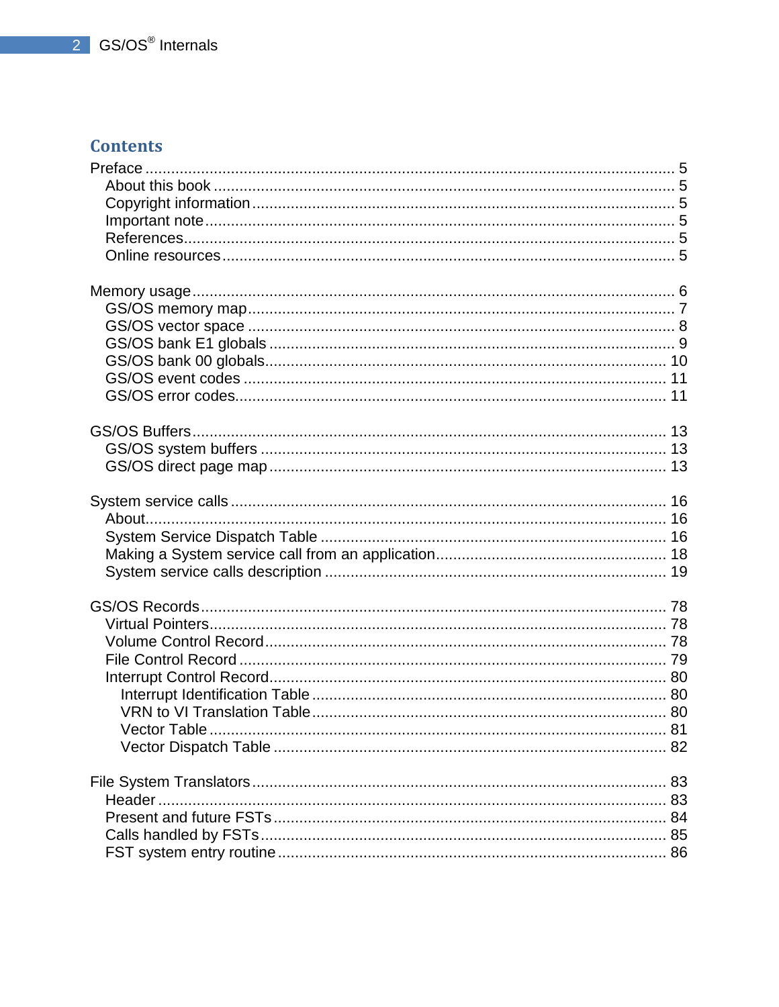## **Contents**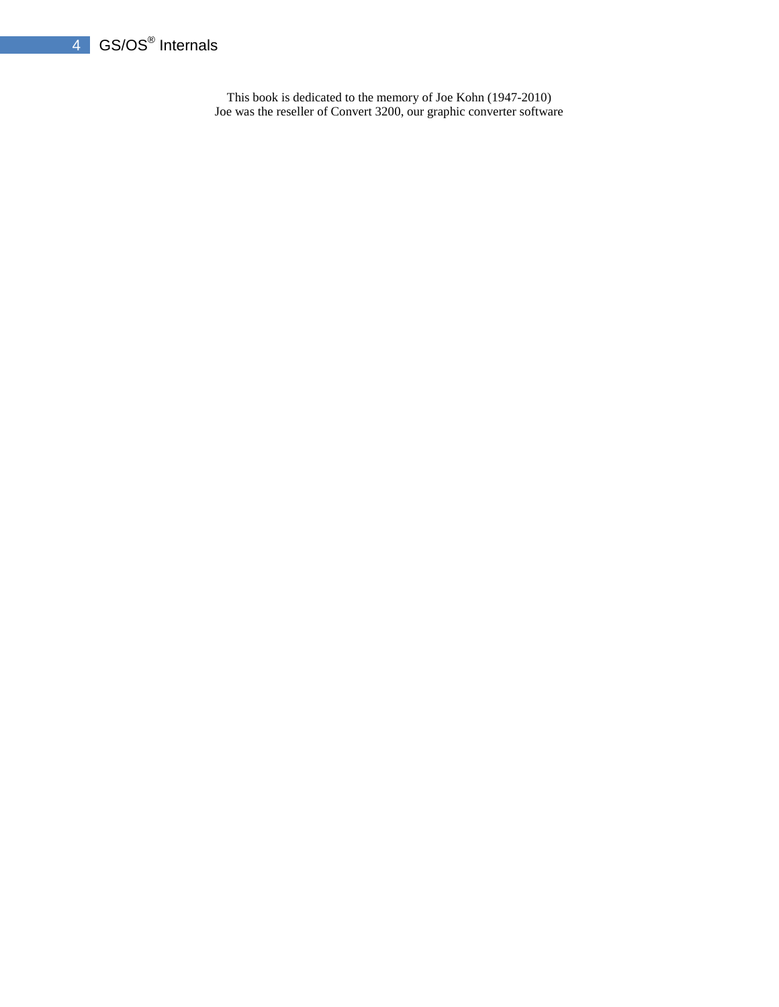## 4 GS/OS<sup>®</sup> Internals

This book is dedicated to the memory of Joe Kohn (1947-2010) Joe was the reseller of Convert 3200, our graphic converter software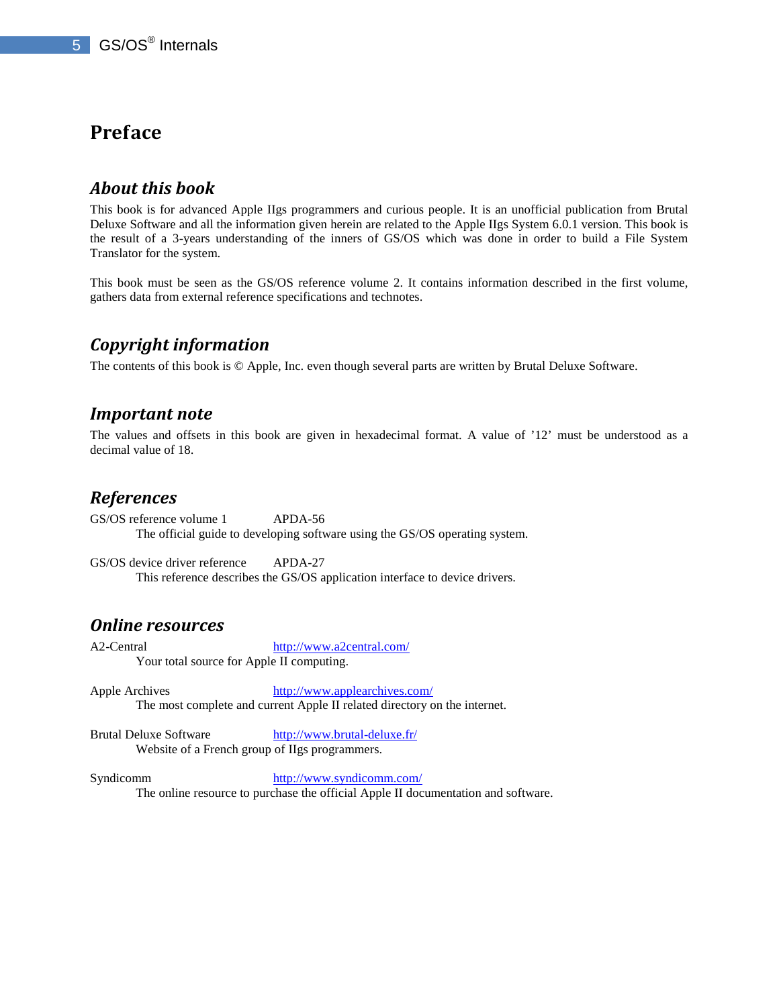## **Preface**

## *About this book*

This book is for advanced Apple IIgs programmers and curious people. It is an unofficial publication from Brutal Deluxe Software and all the information given herein are related to the Apple IIgs System 6.0.1 version. This book is the result of a 3-years understanding of the inners of GS/OS which was done in order to build a File System Translator for the system.

This book must be seen as the GS/OS reference volume 2. It contains information described in the first volume, gathers data from external reference specifications and technotes.

## *Copyright information*

The contents of this book is © Apple, Inc. even though several parts are written by Brutal Deluxe Software.

## *Important note*

The values and offsets in this book are given in hexadecimal format. A value of '12' must be understood as a decimal value of 18.

## *References*

GS/OS reference volume 1 APDA-56 The official guide to developing software using the GS/OS operating system.

GS/OS device driver reference APDA-27 This reference describes the GS/OS application interface to device drivers.

## *Online resources*

A2-Central http://www.a2central.com/ Your total source for Apple II computing.

Apple Archives http://www.applearchives.com/ The most complete and current Apple II related directory on the internet.

Brutal Deluxe Software http://www.brutal-deluxe.fr/ Website of a French group of IIgs programmers.

Syndicomm http://www.syndicomm.com/ The online resource to purchase the official Apple II documentation and software.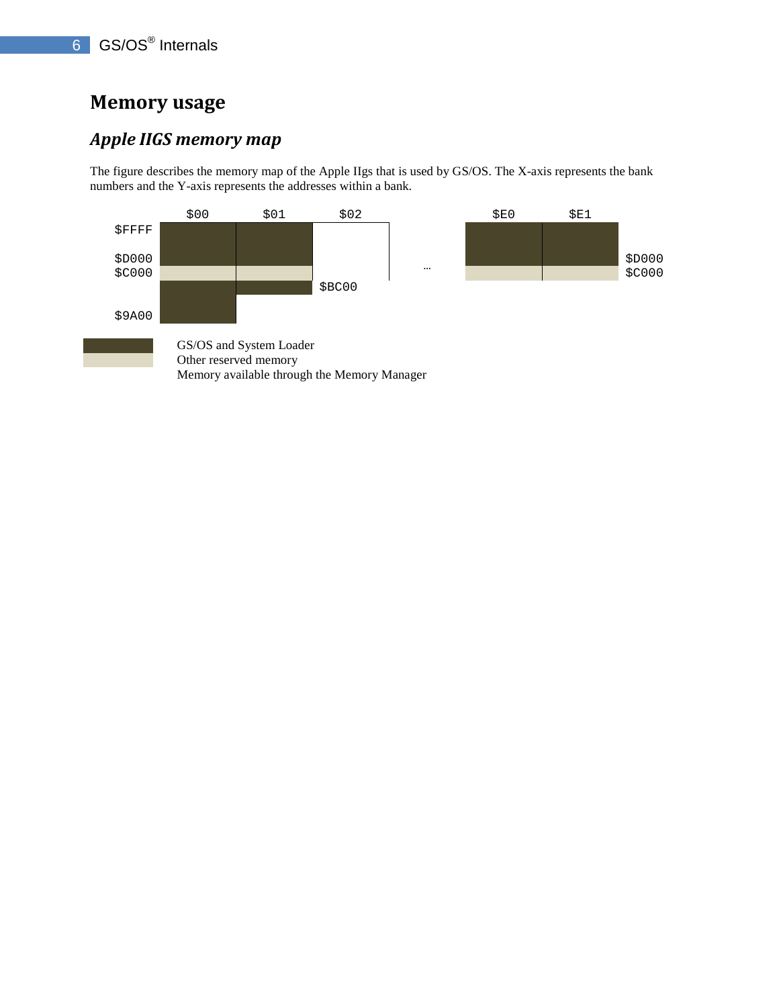## **Memory usage**

## *Apple IIGS memory map*

The figure describes the memory map of the Apple IIgs that is used by GS/OS. The X-axis represents the bank numbers and the Y-axis represents the addresses within a bank.

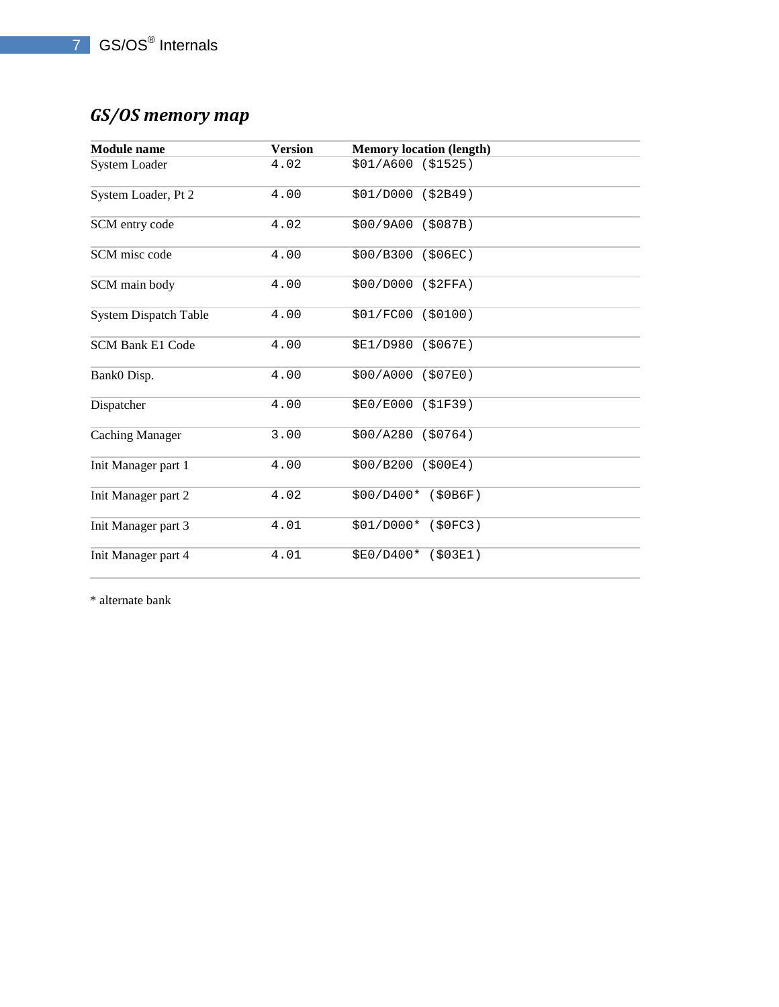# *GS/OS memory map*

| <b>Module</b> name           | <b>Version</b> | <b>Memory location (length)</b> |
|------------------------------|----------------|---------------------------------|
| System Loader                | 4.02           | \$01/A600 (\$1525)              |
| System Loader, Pt 2          | 4.00           | \$01/D000 (\$2B49)              |
| SCM entry code               | 4.02           | \$00/9A00 (\$087B)              |
| SCM misc code                | 4.00           | \$00/B300 (\$06EC)              |
| SCM main body                | 4.00           | \$00/D000 (\$2FFA)              |
| <b>System Dispatch Table</b> | 4.00           | \$01/FC00 (\$0100)              |
| SCM Bank E1 Code             | 4.00           | \$E1/D980 (\$067E)              |
| Bank0 Disp.                  | 4.00           | \$00/A000<br>(\$07E0)           |
| Dispatcher                   | 4.00           | \$E0/E000 (\$1F39)              |
| <b>Caching Manager</b>       | 3.00           | $$00/A280$ (\$0764)             |
| Init Manager part 1          | 4.00           | \$00/B200 (\$00E4)              |
| Init Manager part 2          | 4.02           | $$00/D400*$ (\$0B6F)            |
| Init Manager part 3          | 4.01           | \$01/D000* (\$0FC3)             |
| Init Manager part 4          | 4.01           | \$E0/D400* (\$03E1)             |

\* alternate bank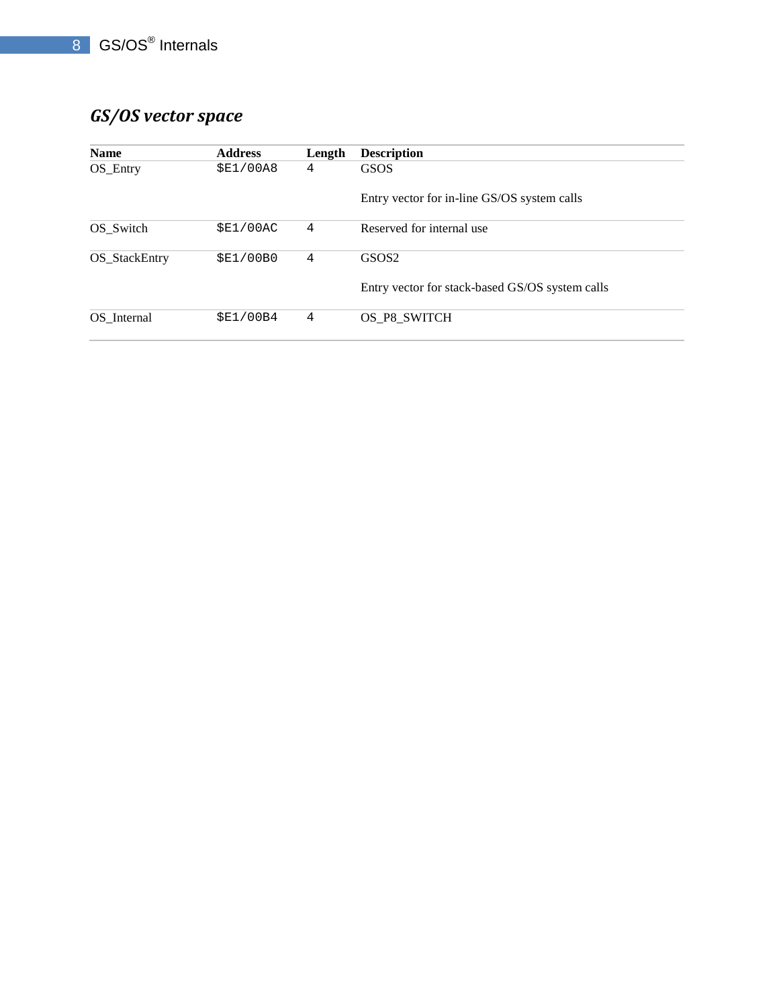# *GS/OS vector space*

| <b>Name</b>   | <b>Address</b> | Length | <b>Description</b>                              |
|---------------|----------------|--------|-------------------------------------------------|
| $OS$ _Entry   | \$E1/00A8      | 4      | <b>GSOS</b>                                     |
|               |                |        | Entry vector for in-line GS/OS system calls     |
| OS Switch     | \$E1/00AC      | 4      | Reserved for internal use                       |
| OS_StackEntry | \$E1/00B0      | 4      | GSOS <sub>2</sub>                               |
|               |                |        | Entry vector for stack-based GS/OS system calls |
| OS Internal   | \$E1/00B4      | 4      | OS_P8_SWITCH                                    |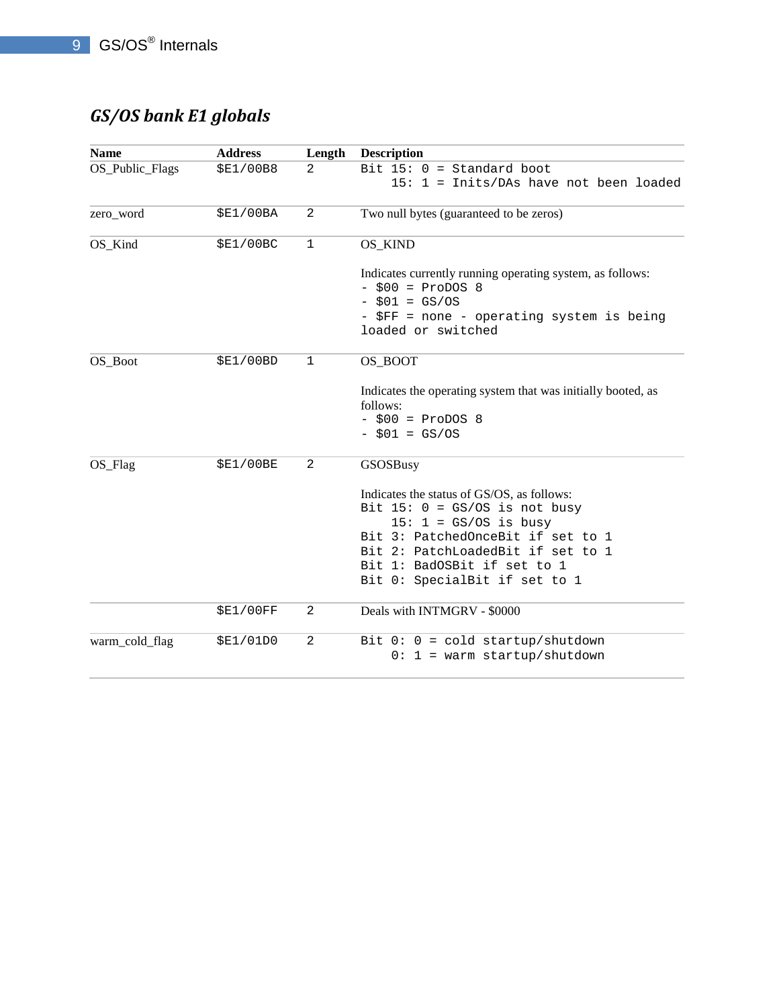# *GS/OS bank E1 globals*

| <b>Name</b>           | <b>Address</b>   | Length         | <b>Description</b>                                                                                                                                                                                                                                 |
|-----------------------|------------------|----------------|----------------------------------------------------------------------------------------------------------------------------------------------------------------------------------------------------------------------------------------------------|
| OS_Public_Flags       | \$E1/00B8        | $\mathfrak{D}$ | Bit $15: 0 = Standard boot$<br>15: 1 = Inits/DAs have not been loaded                                                                                                                                                                              |
| zero_word             | <b>\$E1/00BA</b> | 2              | Two null bytes (guaranteed to be zeros)                                                                                                                                                                                                            |
| OS_Kind               | \$E1/00BC        | $\mathbf{1}$   | OS_KIND                                                                                                                                                                                                                                            |
|                       |                  |                | Indicates currently running operating system, as follows:<br>$-$ \$00 = ProDOS 8<br>$-$ \$01 = GS/OS<br>- \$FF = none - operating system is being<br>loaded or switched                                                                            |
| OS_Boot               | \$E1/00BD        | $\mathbf{1}$   | OS_BOOT                                                                                                                                                                                                                                            |
|                       |                  |                | Indicates the operating system that was initially booted, as<br>follows:<br>$-$ \$00 = ProDOS 8<br>$- $01 = GS/OS$                                                                                                                                 |
| $OS$ <sub>_Flag</sub> | <b>\$E1/00BE</b> | 2              | GSOSBusy                                                                                                                                                                                                                                           |
|                       |                  |                | Indicates the status of GS/OS, as follows:<br>Bit $15: 0 = GS/OS$ is not busy<br>$15: 1 = GS/OS$ is busy<br>Bit 3: PatchedOnceBit if set to 1<br>Bit 2: PatchLoadedBit if set to 1<br>Bit 1: BadOSBit if set to 1<br>Bit 0: SpecialBit if set to 1 |
|                       | \$E1/00FF        | 2              | Deals with INTMGRV - \$0000                                                                                                                                                                                                                        |
| warm_cold_flag        | \$E1/01D0        | $\mathbf{2}$   | Bit $0: 0 = cold startup/shutdown$<br>$0: 1 = warm startup/shutdown$                                                                                                                                                                               |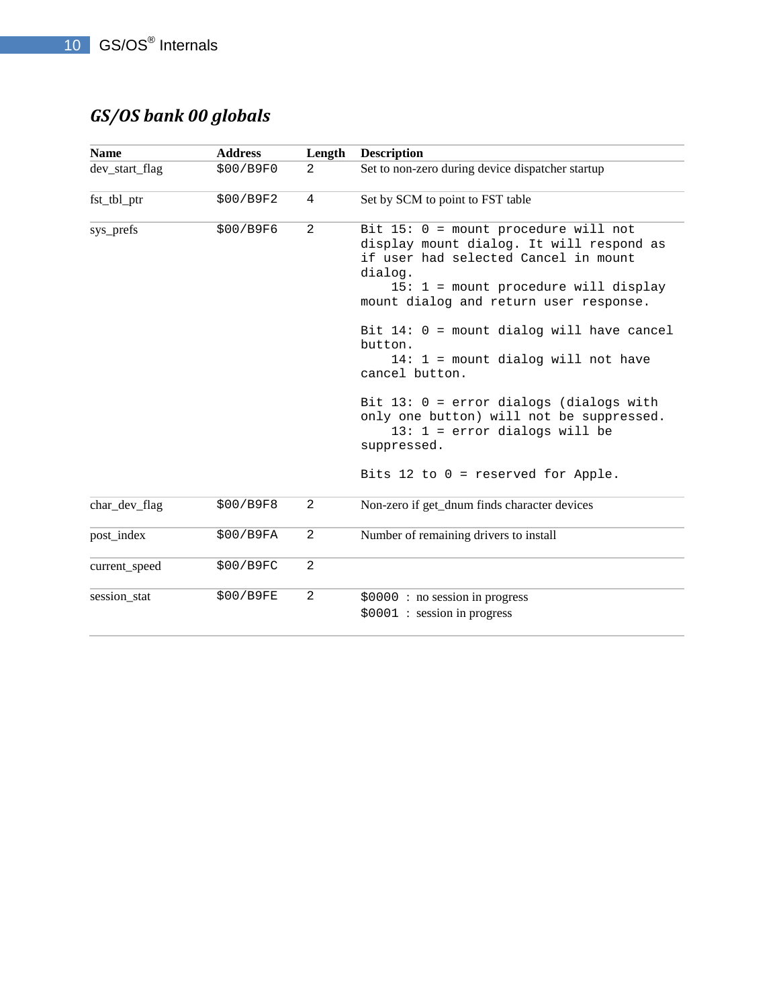# *GS/OS bank 00 globals*

| <b>Name</b>    | <b>Address</b> | Length       | <b>Description</b>                                                                                                                                                                                                                                                                                                                                                                                                                                                                                                             |
|----------------|----------------|--------------|--------------------------------------------------------------------------------------------------------------------------------------------------------------------------------------------------------------------------------------------------------------------------------------------------------------------------------------------------------------------------------------------------------------------------------------------------------------------------------------------------------------------------------|
| dev_start_flag | \$00/B9F0      | 2            | Set to non-zero during device dispatcher startup                                                                                                                                                                                                                                                                                                                                                                                                                                                                               |
| fst_tbl_ptr    | \$00/B9F2      | 4            | Set by SCM to point to FST table                                                                                                                                                                                                                                                                                                                                                                                                                                                                                               |
| sys_prefs      | \$00/B9F6      | 2            | Bit $15: 0 =$ mount procedure will not<br>display mount dialog. It will respond as<br>if user had selected Cancel in mount<br>dialog.<br>$15: 1 =$ mount procedure will display<br>mount dialog and return user response.<br>Bit 14: 0 = mount dialog will have cancel<br>button.<br>$14: 1 =$ mount dialog will not have<br>cancel button.<br>Bit $13: 0 = error$ dialogs (dialogs with<br>only one button) will not be suppressed.<br>$13: 1 = error dialogs will be$<br>suppressed.<br>Bits 12 to $0$ = reserved for Apple. |
| char_dev_flag  | \$00/B9F8      | 2            | Non-zero if get_dnum finds character devices                                                                                                                                                                                                                                                                                                                                                                                                                                                                                   |
| post_index     | \$00/B9FA      | $\mathbf{2}$ | Number of remaining drivers to install                                                                                                                                                                                                                                                                                                                                                                                                                                                                                         |
| current_speed  | \$00/B9FC      | 2            |                                                                                                                                                                                                                                                                                                                                                                                                                                                                                                                                |
| session stat   | \$00/B9FE      | 2            | \$0000: no session in progress<br>$$0001$ : session in progress                                                                                                                                                                                                                                                                                                                                                                                                                                                                |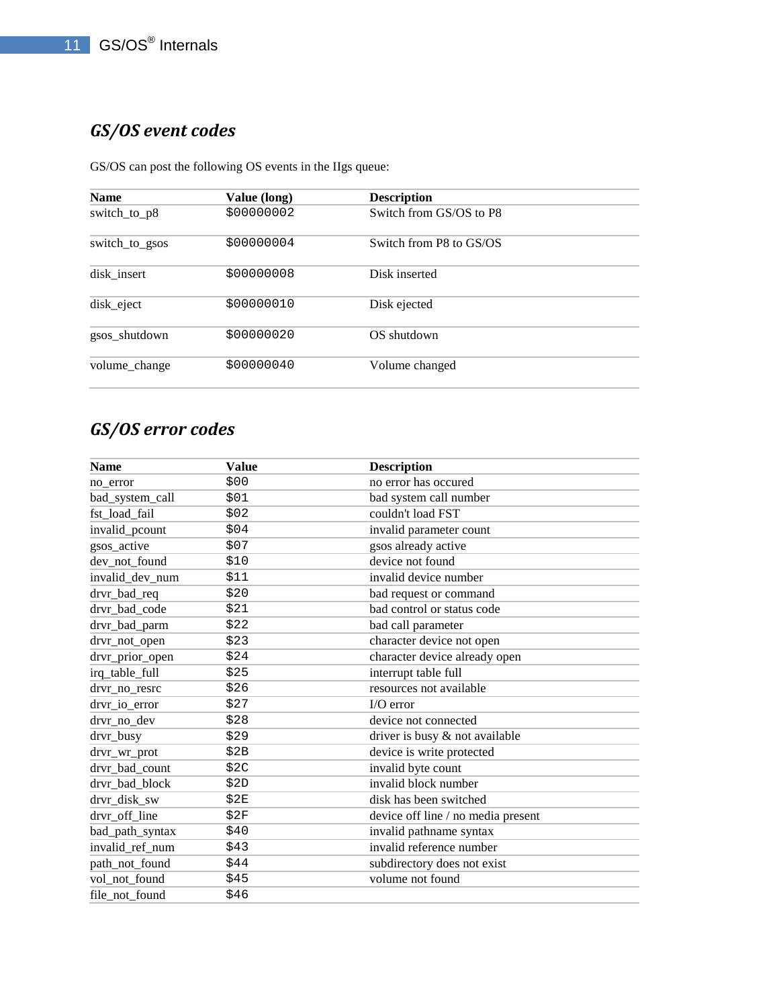# *GS/OS event codes*

GS/OS can post the following OS events in the IIgs queue:

| <b>Name</b>    | Value (long) | <b>Description</b>      |  |
|----------------|--------------|-------------------------|--|
| switch_to_p8   | \$00000002   | Switch from GS/OS to P8 |  |
| switch_to_gsos | \$00000004   | Switch from P8 to GS/OS |  |
| disk insert    | \$00000008   | Disk inserted           |  |
| disk_eject     | \$00000010   | Disk ejected            |  |
| gsos_shutdown  | \$00000020   | OS shutdown             |  |
| volume_change  | \$00000040   | Volume changed          |  |

# *GS/OS error codes*

| <b>Name</b>     | <b>Value</b> | <b>Description</b>                 |
|-----------------|--------------|------------------------------------|
| no error        | \$00         | no error has occured               |
| bad_system_call | \$01         | bad system call number             |
| fst_load_fail   | \$02         | couldn't load FST                  |
| invalid_pcount  | \$04         | invalid parameter count            |
| gsos_active     | \$07         | gsos already active                |
| dev not found   | \$10         | device not found                   |
| invalid_dev_num | \$11         | invalid device number              |
| drvr_bad_req    | \$20         | bad request or command             |
| drvr_bad_code   | \$21         | bad control or status code         |
| drvr_bad_parm   | \$22         | bad call parameter                 |
| drvr_not_open   | \$23         | character device not open          |
| drvr_prior_open | \$24         | character device already open      |
| irq_table_full  | \$25         | interrupt table full               |
| drvr_no_resrc   | \$26         | resources not available            |
| drvr_io_error   | \$27         | $I/O$ error                        |
| drvr_no_dev     | \$28         | device not connected               |
| drvr_busy       | \$29         | driver is busy & not available     |
| drvr_wr_prot    | \$2B         | device is write protected          |
| drvr_bad_count  | \$2C         | invalid byte count                 |
| drvr_bad_block  | \$2D         | invalid block number               |
| drvr disk sw    | \$2E         | disk has been switched             |
| drvr off line   | \$2F         | device off line / no media present |
| bad_path_syntax | \$40         | invalid pathname syntax            |
| invalid_ref_num | \$43         | invalid reference number           |
| path_not_found  | \$44         | subdirectory does not exist        |
| vol_not_found   | \$45         | volume not found                   |
| file not found  | \$46         |                                    |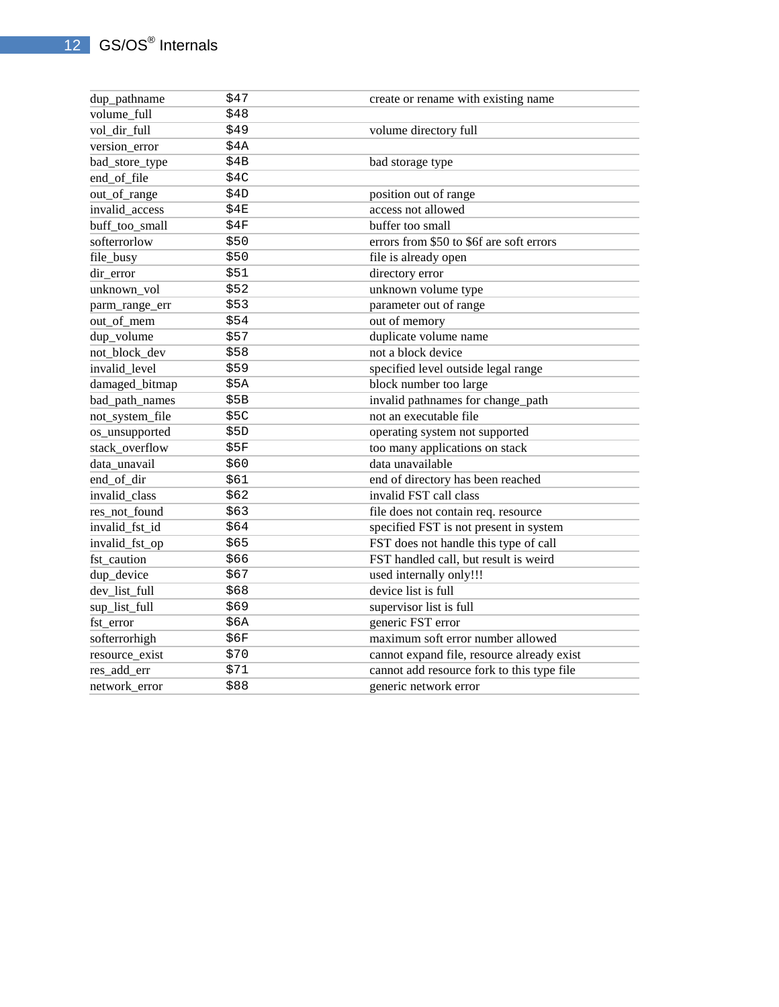| dup_pathname                  | \$47 | create or rename with existing name         |
|-------------------------------|------|---------------------------------------------|
| volume_full                   | \$48 |                                             |
| vol_dir_full                  | \$49 | volume directory full                       |
|                               | \$4A |                                             |
| version_error                 | \$4B |                                             |
| bad_store_type<br>end_of_file | \$4C | bad storage type                            |
|                               | \$4D |                                             |
| out_of_range                  | \$4E | position out of range<br>access not allowed |
| invalid_access                |      |                                             |
| buff_too_small                | \$4F | buffer too small                            |
| softerrorlow                  | \$50 | errors from \$50 to \$6f are soft errors    |
| file_busy                     | \$50 | file is already open                        |
| dir error                     | \$51 | directory error                             |
| unknown vol                   | \$52 | unknown volume type                         |
| parm_range_err                | \$53 | parameter out of range                      |
| out_of_mem                    | \$54 | out of memory                               |
| dup_volume                    | \$57 | duplicate volume name                       |
| not_block_dev                 | \$58 | not a block device                          |
| invalid level                 | \$59 | specified level outside legal range         |
| damaged_bitmap                | \$5A | block number too large                      |
| bad_path_names                | \$5B | invalid pathnames for change_path           |
| not_system_file               | \$5C | not an executable file                      |
| os_unsupported                | \$5D | operating system not supported              |
| stack_overflow                | \$5F | too many applications on stack              |
| data_unavail                  | \$60 | data unavailable                            |
| end_of_dir                    | \$61 | end of directory has been reached           |
| invalid_class                 | \$62 | invalid FST call class                      |
| res_not_found                 | \$63 | file does not contain req. resource         |
| invalid_fst_id                | \$64 | specified FST is not present in system      |
| invalid_fst_op                | \$65 | FST does not handle this type of call       |
| fst caution                   | \$66 | FST handled call, but result is weird       |
| dup_device                    | \$67 | used internally only!!!                     |
| dev_list_full                 | \$68 | device list is full                         |
| sup_list_full                 | \$69 | supervisor list is full                     |
| fst_error                     | \$6A | generic FST error                           |
| softerrorhigh                 | \$6F | maximum soft error number allowed           |
| resource_exist                | \$70 | cannot expand file, resource already exist  |
| res_add_err                   | \$71 | cannot add resource fork to this type file  |
| network_error                 | \$88 | generic network error                       |
|                               |      |                                             |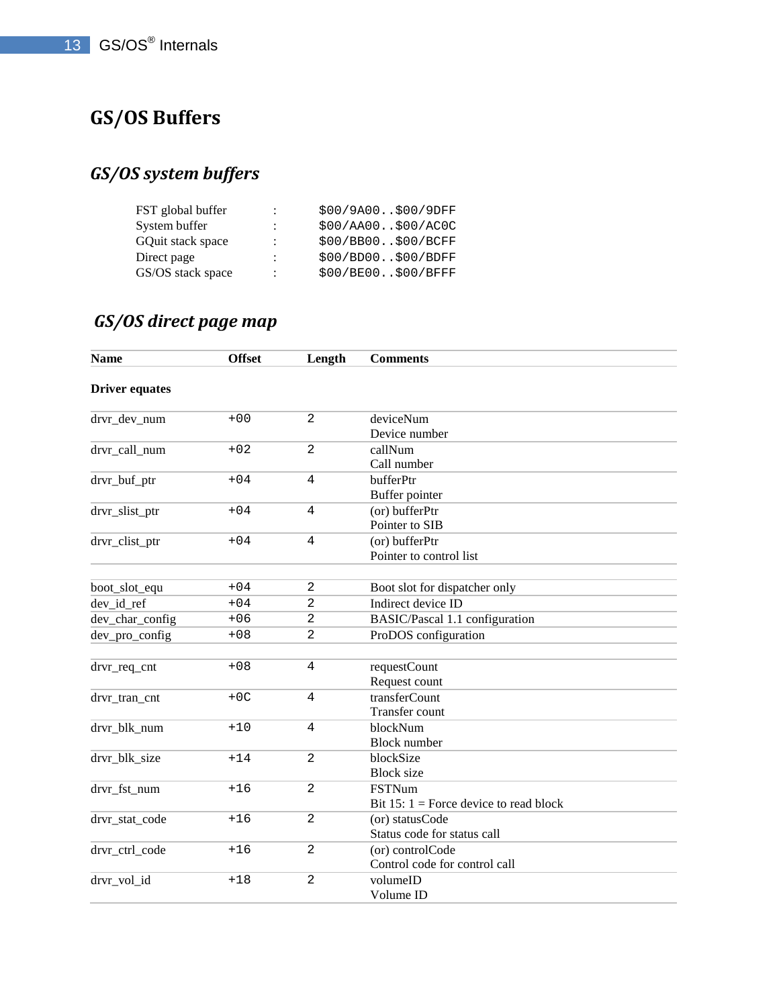# **GS/OS Buffers**

# *GS/OS system buffers*

| FST global buffer | $\ddot{\phantom{a}}$ | \$00/9A00\$00/9DFF |
|-------------------|----------------------|--------------------|
| System buffer     | $\ddot{\cdot}$       | \$00/AA00\$00/AC0C |
| GOuit stack space | $\ddot{\phantom{a}}$ | \$00/BB00\$00/BCFF |
| Direct page       | ÷                    | \$00/BD00\$00/BDFF |
| GS/OS stack space | $\ddot{\phantom{a}}$ | \$00/BE00\$00/BFFF |

# *GS/OS direct page map*

| <b>Name</b>           | <b>Offset</b> | Length         | <b>Comments</b>                          |
|-----------------------|---------------|----------------|------------------------------------------|
| <b>Driver equates</b> |               |                |                                          |
| drvr_dev_num          | $+00$         | $\overline{2}$ | deviceNum                                |
|                       |               |                | Device number                            |
| drvr_call_num         | $+02$         | $\overline{a}$ | callNum                                  |
|                       |               |                | Call number                              |
| drvr_buf_ptr          | $+04$         | $\overline{4}$ | bufferPtr                                |
|                       |               |                | Buffer pointer                           |
| drvr_slist_ptr        | $+04$         | $\overline{4}$ | (or) bufferPtr                           |
|                       |               |                | Pointer to SIB                           |
| drvr_clist_ptr        | $+04$         | $\overline{4}$ | (or) bufferPtr                           |
|                       |               |                | Pointer to control list                  |
|                       |               |                |                                          |
| boot_slot_equ         | $+04$         | $\overline{a}$ | Boot slot for dispatcher only            |
| dev_id_ref            | $+04$         | $\overline{a}$ | Indirect device ID                       |
| dev_char_config       | $+06$         | $\overline{a}$ | BASIC/Pascal 1.1 configuration           |
| dev_pro_config        | $+08$         | $\overline{2}$ | ProDOS configuration                     |
|                       |               |                |                                          |
| drvr_req_cnt          | $+08$         | $\overline{4}$ | requestCount                             |
|                       |               |                | Request count                            |
| drvr tran cnt         | $+OC$         | $\overline{4}$ | transferCount                            |
|                       |               |                | <b>Transfer count</b>                    |
| drvr blk num          | $+10$         | $\overline{4}$ | blockNum                                 |
|                       |               |                | <b>Block</b> number                      |
| drvr_blk_size         | $+14$         | $\overline{2}$ | blockSize                                |
|                       |               |                | <b>Block</b> size                        |
| drvr fst num          | $+16$         | $\overline{2}$ | <b>FSTNum</b>                            |
|                       |               |                | Bit 15: $1 =$ Force device to read block |
| drvr_stat_code        | $+16$         | $\overline{2}$ | (or) statusCode                          |
|                       |               |                | Status code for status call              |
| drvr_ctrl_code        | $+16$         | $\overline{a}$ | (or) controlCode                         |
|                       |               |                | Control code for control call            |
| drvr_vol_id           | $+18$         | $\overline{2}$ | volumeID                                 |
|                       |               |                | Volume ID                                |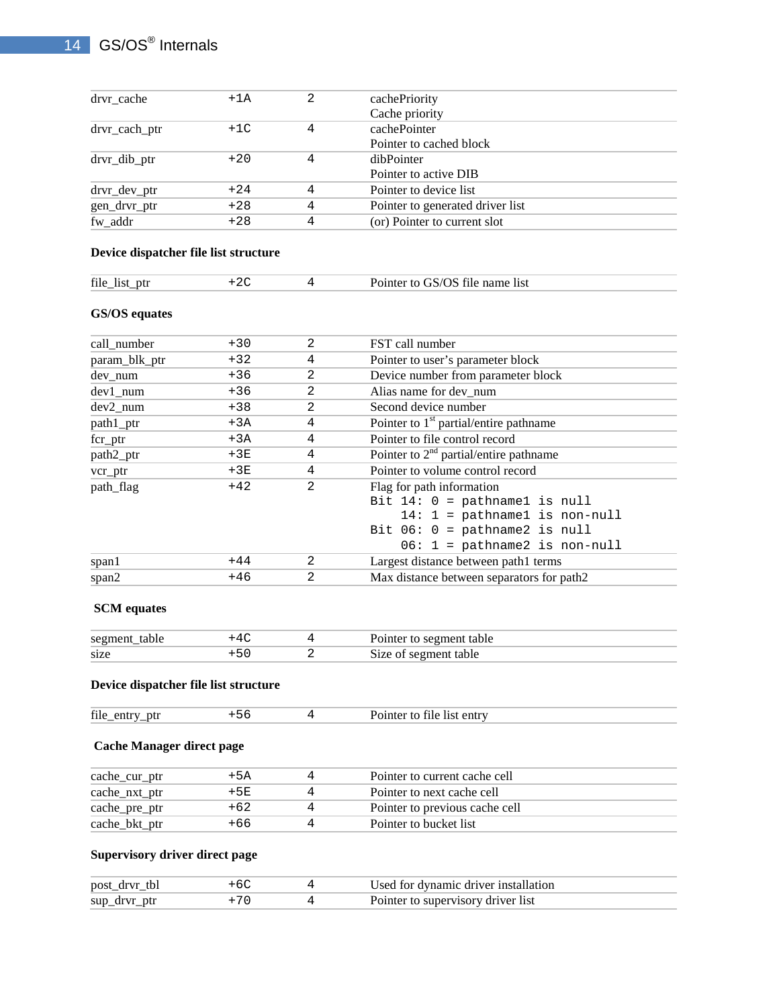| drvr cache     | $+1A$ |   | cachePriority                    |  |
|----------------|-------|---|----------------------------------|--|
|                |       |   | Cache priority                   |  |
| drvr_cach_ptr  | $+1C$ |   | cachePointer                     |  |
|                |       |   | Pointer to cached block          |  |
| $drvr_dib_ptr$ | $+20$ |   | dibPointer                       |  |
|                |       |   | Pointer to active DIB            |  |
| drvr_dev_ptr   | $+24$ | 4 | Pointer to device list           |  |
| gen_drvr_ptr   | $+28$ | 4 | Pointer to generated driver list |  |
| fw addr        | $+28$ | 4 | (or) Pointer to current slot     |  |

#### **Device dispatcher file list structure**

| file<br>ntr<br>11 C<br>____ | $\sim$ | -list<br>-name<br>не |  |
|-----------------------------|--------|----------------------|--|
|                             |        |                      |  |

## **GS/OS equates**

| call number   | $+30$ | 2              | FST call number                           |
|---------------|-------|----------------|-------------------------------------------|
| param_blk_ptr | $+32$ | 4              | Pointer to user's parameter block         |
| dev_num       | $+36$ | 2              | Device number from parameter block        |
| $dev1$ _num   | $+36$ | 2              | Alias name for dev num                    |
| $dev2$ _num   | $+38$ | 2              | Second device number                      |
| path1_ptr     | $+3A$ | 4              | Pointer to $1st$ partial/entire pathname  |
| $fcr\_ptr$    | $+3A$ | 4              | Pointer to file control record            |
| path2_ptr     | $+3E$ | 4              | Pointer to $2nd$ partial/entire pathname  |
| vcr_ptr       | $+3E$ | 4              | Pointer to volume control record          |
| path_flag     | $+42$ | $\overline{2}$ | Flag for path information                 |
|               |       |                | Bit $14: 0 =$ pathnamel is null           |
|               |       |                | $14: 1 = \text{pathname1}$ is non-null    |
|               |       |                | Bit $06: 0 =$ pathname2 is null           |
|               |       |                | $06: 1 = \text{pathname2}$ is non-null    |
| span1         | $+44$ | 2              | Largest distance between path1 terms      |
| span2         | $+46$ | 2              | Max distance between separators for path2 |
|               |       |                |                                           |

#### **SCM equates**

| segment_table |  | Pointer to segment table |
|---------------|--|--------------------------|
| size          |  | Size of segment table    |

#### **Device dispatcher file list structure**

| file<br>ptr<br>en<br>$\overline{\phantom{0}}$ |  |  | list entry<br>tile |  |
|-----------------------------------------------|--|--|--------------------|--|
|-----------------------------------------------|--|--|--------------------|--|

## **Cache Manager direct page**

| cache_cur_ptr | +5A    | Pointer to current cache cell  |  |
|---------------|--------|--------------------------------|--|
| cache_nxt_ptr | $+5E$  | Pointer to next cache cell     |  |
| cache_pre_ptr | $+62.$ | Pointer to previous cache cell |  |
| cache_bkt_ptr | +66    | Pointer to bucket list         |  |

## **Supervisory driver direct page**

| post_drvr_tbl |  | Used for dynamic driver installation |
|---------------|--|--------------------------------------|
| sup_drvr_ptr  |  | Pointer to supervisory driver list   |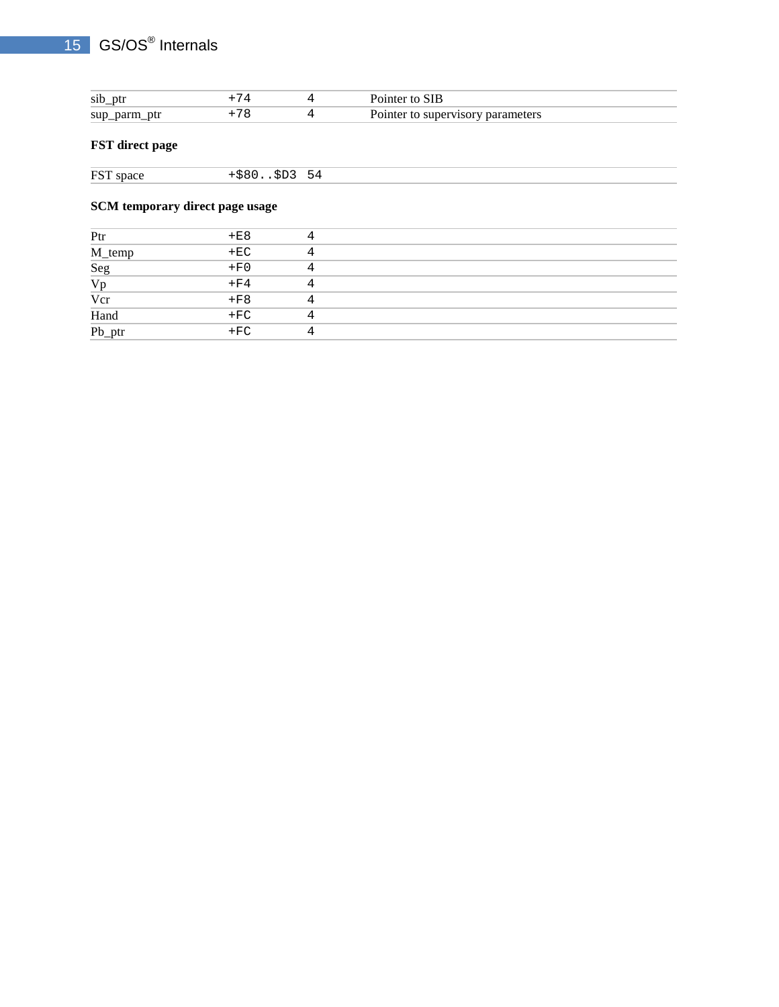## 15 GS/OS<sup>®</sup> Internals

| sib ptr      |  | Pointer to SIB                    |  |
|--------------|--|-----------------------------------|--|
| sup_parm_ptr |  | Pointer to supervisory parameters |  |

## **FST direct page**

| <b>FST</b><br>snace<br>54<br>- 511 |
|------------------------------------|
| $\sim$ $\sim$ $\sim$               |

## **SCM temporary direct page usage**

| Ptr                    | $+E8$  |  |
|------------------------|--------|--|
|                        | $+EC$  |  |
|                        | $+ F0$ |  |
| M_temp<br>Seg<br>Vp    | $+F4$  |  |
| $\frac{Vcr}{\sqrt{2}}$ | $+F8$  |  |
|                        | $+FC$  |  |
| Hand<br>Pb_ptr         | $+FC$  |  |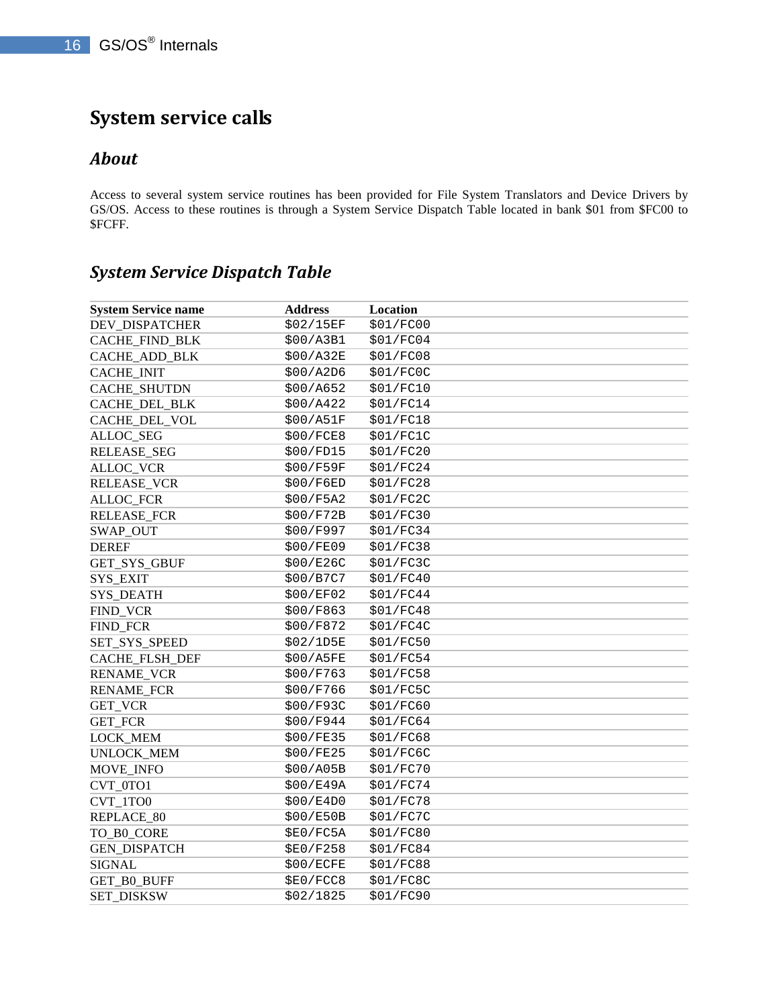# **System service calls**

## *About*

Access to several system service routines has been provided for File System Translators and Device Drivers by GS/OS. Access to these routines is through a System Service Dispatch Table located in bank \$01 from \$FC00 to \$FCFF.

## *System Service Dispatch Table*

| <b>System Service name</b> | <b>Address</b> | Location  |
|----------------------------|----------------|-----------|
| DEV_DISPATCHER             | \$02/15EF      | \$01/FC00 |
| CACHE_FIND_BLK             | \$00/A3B1      | \$01/FC04 |
| CACHE_ADD_BLK              | \$00/A32E      | \$01/FC08 |
| <b>CACHE_INIT</b>          | \$00/A2D6      | \$01/FC0C |
| CACHE_SHUTDN               | \$00/A652      | \$01/FC10 |
| CACHE_DEL_BLK              | \$00/A422      | \$01/FC14 |
| CACHE_DEL_VOL              | \$00/A51F      | \$01/FC18 |
| ALLOC_SEG                  | \$00/FCE8      | \$01/FC1C |
| <b>RELEASE_SEG</b>         | \$00/FD15      | \$01/FC20 |
| <b>ALLOC_VCR</b>           | \$00/F59F      | \$01/FC24 |
| RELEASE_VCR                | \$00/F6ED      | \$01/FC28 |
| <b>ALLOC_FCR</b>           | \$00/F5A2      | \$01/FC2C |
| <b>RELEASE_FCR</b>         | \$00/F72B      | \$01/FC30 |
| SWAP_OUT                   | \$00/F997      | \$01/FC34 |
| <b>DEREF</b>               | \$00/FE09      | \$01/FC38 |
| GET_SYS_GBUF               | \$00/E26C      | \$01/FC3C |
| SYS_EXIT                   | \$00/B7C7      | \$01/FC40 |
| <b>SYS_DEATH</b>           | \$00/EF02      | \$01/FC44 |
| FIND_VCR                   | \$00/F863      | \$01/FC48 |
| FIND_FCR                   | \$00/F872      | \$01/FC4C |
| SET_SYS_SPEED              | \$02/1D5E      | \$01/FC50 |
| CACHE_FLSH_DEF             | \$00/A5FE      | \$01/FC54 |
| <b>RENAME_VCR</b>          | \$00/F763      | \$01/FC58 |
| <b>RENAME_FCR</b>          | \$00/F766      | \$01/FC5C |
| GET_VCR                    | \$00/F93C      | \$01/FC60 |
| GET_FCR                    | \$00/F944      | \$01/FC64 |
| LOCK_MEM                   | \$00/FE35      | \$01/FC68 |
| UNLOCK_MEM                 | \$00/FE25      | \$01/FC6C |
| MOVE_INFO                  | \$00/A05B      | \$01/FC70 |
| CVT_0TO1                   | \$00/EB49A     | \$01/FC74 |
| CVT_1TO0                   | \$00/E4D0      | \$01/FC78 |
| REPLACE_80                 | \$00/E50B      | \$01/FC7C |
| TO_B0_CORE                 | \$E0/FC5A      | \$01/FC80 |
| <b>GEN_DISPATCH</b>        | \$E0/F258      | \$01/FC84 |
| <b>SIGNAL</b>              | \$00/ECFE      | \$01/FC88 |
| GET_B0_BUFF                | \$E0/FCC8      | \$01/FC8C |
| <b>SET_DISKSW</b>          | \$02/1825      | \$01/FC90 |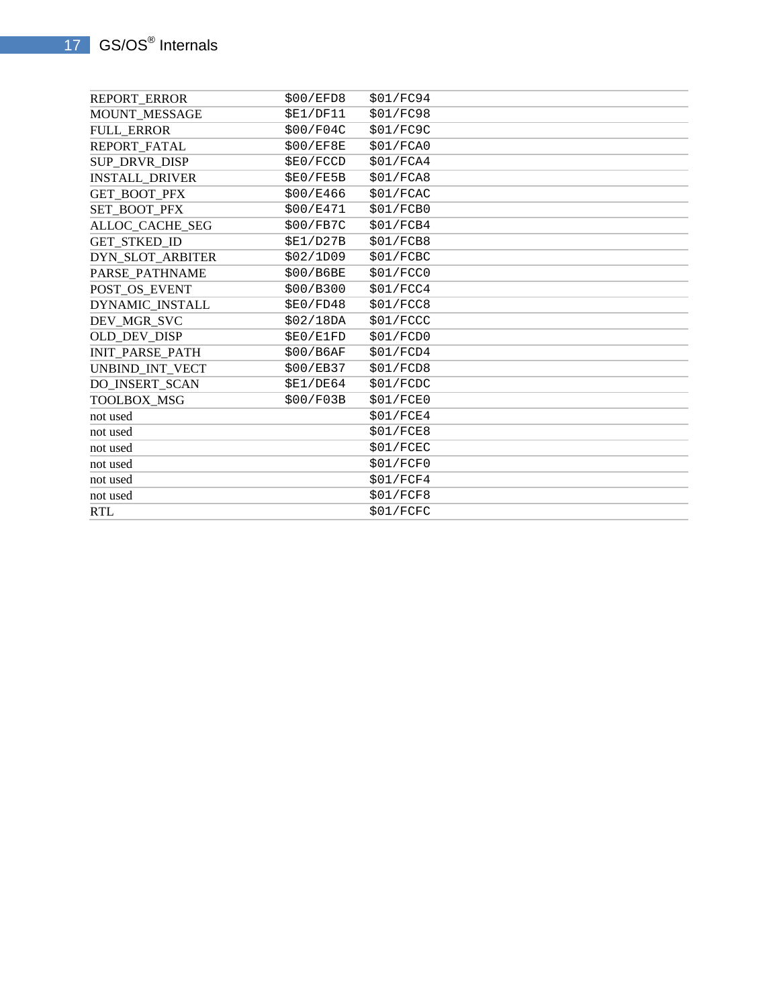| REPORT_ERROR           | \$00/EFD8 | \$01/FC94 |
|------------------------|-----------|-----------|
| MOUNT_MESSAGE          | \$E1/DF11 | \$01/FC98 |
| <b>FULL_ERROR</b>      | \$00/F04C | \$01/FC9C |
| REPORT_FATAL           | \$00/EF8E | \$01/FCAO |
| SUP_DRVR_DISP          | \$E0/FCCD | \$01/FCA4 |
| <b>INSTALL_DRIVER</b>  | \$E0/FE5B | \$01/FCAB |
| <b>GET BOOT PFX</b>    | \$00/E466 | \$01/FCAC |
| SET_BOOT_PFX           | \$00/E471 | \$01/FCB0 |
| ALLOC_CACHE_SEG        | \$00/FB7C | \$01/FCB4 |
| GET_STKED_ID           | \$E1/D27B | \$01/FCB8 |
| DYN SLOT ARBITER       | \$02/1D09 | \$01/FCBC |
| PARSE_PATHNAME         | \$00/B6BE | \$01/FCC0 |
| POST_OS_EVENT          | \$00/B300 | \$01/FCC4 |
| DYNAMIC_INSTALL        | \$E0/FD48 | \$01/FCC8 |
| DEV_MGR_SVC            | \$02/18DA | \$01/FCCC |
| OLD DEV DISP           | \$E0/E1FD | \$01/FCDO |
| <b>INIT_PARSE_PATH</b> | \$00/B6AF | \$01/FCD4 |
| UNBIND_INT_VECT        | \$00/EB37 | \$01/FCD8 |
| DO_INSERT_SCAN         | \$E1/DE64 | \$01/FCDC |
| TOOLBOX_MSG            | \$00/F03B | \$01/FCE0 |
| not used               |           | \$01/FCE4 |
| not used               |           | \$01/FCE8 |
| not used               |           | \$01/FCEC |
| not used               |           | \$01/FCF0 |
| not used               |           | \$01/FCF4 |
| not used               |           | \$01/FCF8 |
| <b>RTL</b>             |           | \$01/FCFC |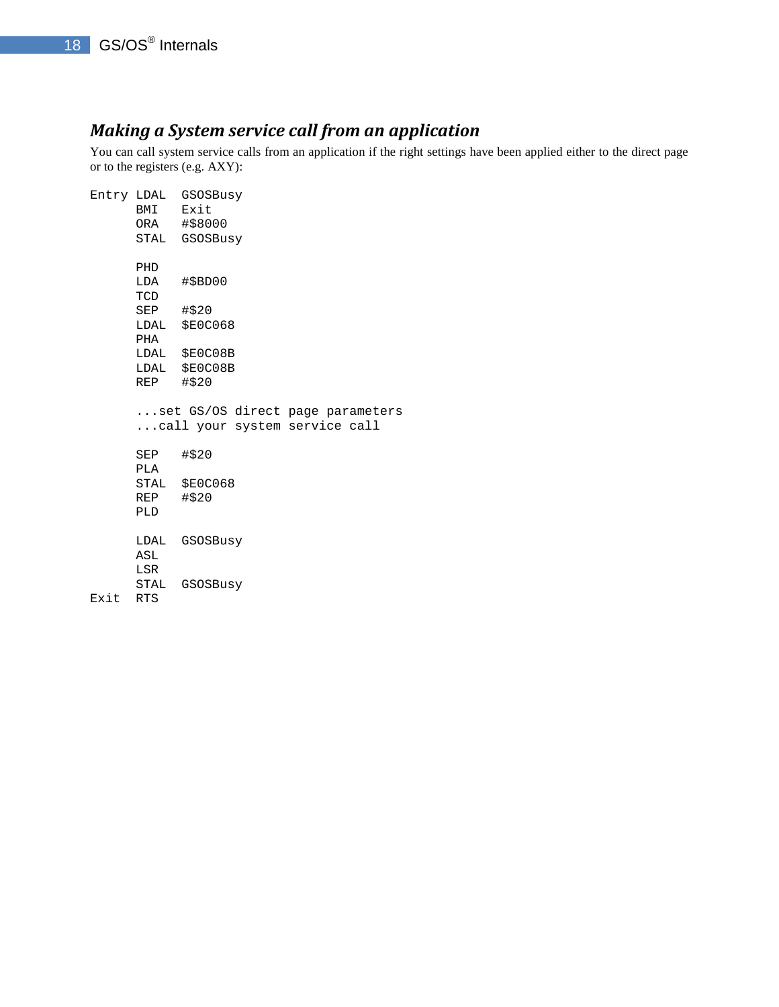## *Making a System service call from an application*

You can call system service calls from an application if the right settings have been applied either to the direct page or to the registers (e.g. AXY):

|      |             | Entry LDAL GSOSBusy              |
|------|-------------|----------------------------------|
|      | BMI Exit    |                                  |
|      |             | ORA #\$8000                      |
|      |             | STAL GSOSBusy                    |
|      | PHD         |                                  |
|      |             | LDA #\$BD00                      |
|      | TCD         |                                  |
|      | $SEP$ #\$20 |                                  |
|      |             | LDAL \$E0C068                    |
|      | PHA         |                                  |
|      |             | LDAL \$E0C08B                    |
|      |             | LDAL \$E0C08B                    |
|      | REP #\$20   |                                  |
|      |             | set GS/OS direct page parameters |
|      |             | call your system service call    |
|      | SEP #\$20   |                                  |
|      | PLA         |                                  |
|      |             | STAL \$E0C068                    |
|      | REP #\$20   |                                  |
|      | PLD         |                                  |
|      |             | LDAL GSOSBusy                    |
|      | ASL         |                                  |
|      | LSR         |                                  |
|      |             | STAL GSOSBusy                    |
| Exit | <b>RTS</b>  |                                  |
|      |             |                                  |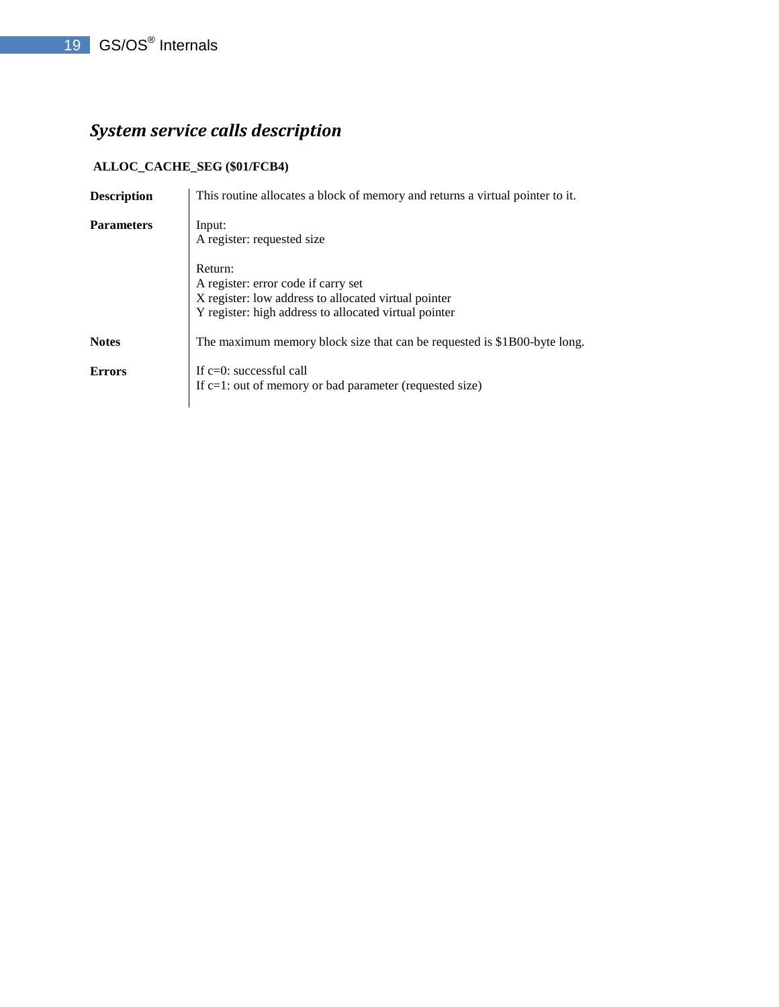# *System service calls description*

## **ALLOC\_CACHE\_SEG (\$01/FCB4)**

| <b>Description</b> | This routine allocates a block of memory and returns a virtual pointer to it.                                                                                   |
|--------------------|-----------------------------------------------------------------------------------------------------------------------------------------------------------------|
| <b>Parameters</b>  | Input:<br>A register: requested size                                                                                                                            |
|                    | Return:<br>A register: error code if carry set<br>X register: low address to allocated virtual pointer<br>Y register: high address to allocated virtual pointer |
| <b>Notes</b>       | The maximum memory block size that can be requested is \$1B00-byte long.                                                                                        |
| <b>Errors</b>      | If $c=0$ : successful call<br>If $c=1$ : out of memory or bad parameter (requested size)                                                                        |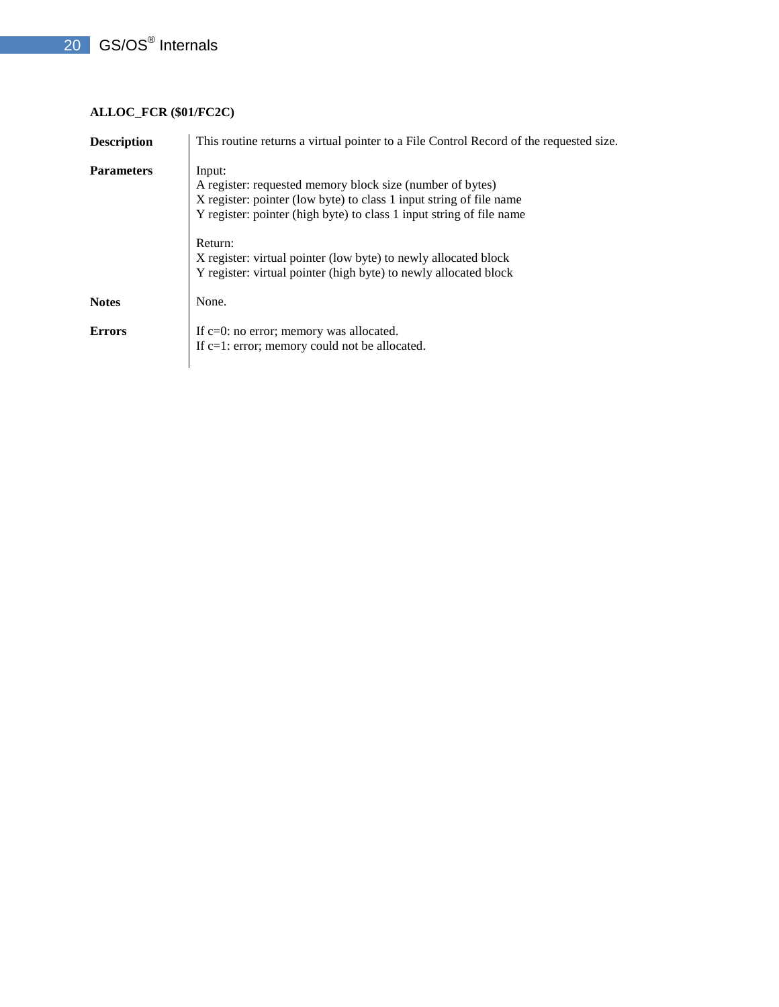## **ALLOC\_FCR (\$01/FC2C)**

| <b>Description</b> | This routine returns a virtual pointer to a File Control Record of the requested size.                                                                                                                                                                                                                                                                               |  |
|--------------------|----------------------------------------------------------------------------------------------------------------------------------------------------------------------------------------------------------------------------------------------------------------------------------------------------------------------------------------------------------------------|--|
| <b>Parameters</b>  | Input:<br>A register: requested memory block size (number of bytes)<br>X register: pointer (low byte) to class 1 input string of file name<br>Y register: pointer (high byte) to class 1 input string of file name<br>Return:<br>X register: virtual pointer (low byte) to newly allocated block<br>Y register: virtual pointer (high byte) to newly allocated block |  |
| <b>Notes</b>       | None.                                                                                                                                                                                                                                                                                                                                                                |  |
| <b>Errors</b>      | If $c=0$ : no error; memory was allocated.<br>If $c=1$ : error; memory could not be allocated.                                                                                                                                                                                                                                                                       |  |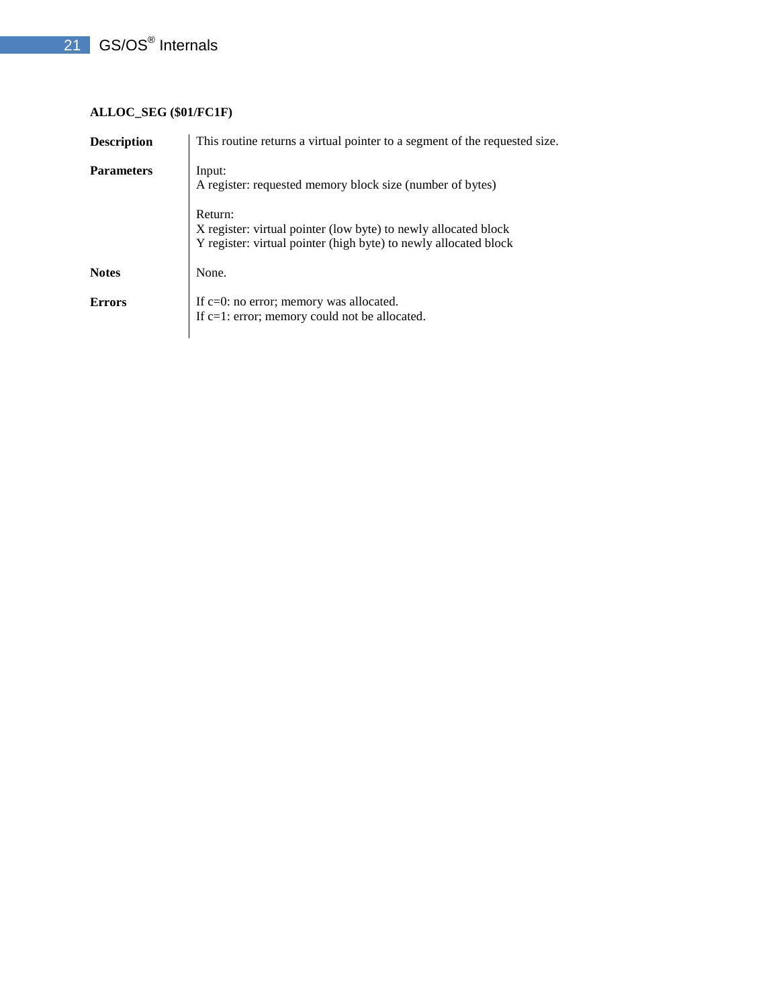## **ALLOC\_SEG (\$01/FC1F)**

| <b>Description</b> | This routine returns a virtual pointer to a segment of the requested size.                                                                     |
|--------------------|------------------------------------------------------------------------------------------------------------------------------------------------|
| <b>Parameters</b>  | Input:<br>A register: requested memory block size (number of bytes)                                                                            |
|                    | Return:<br>X register: virtual pointer (low byte) to newly allocated block<br>Y register: virtual pointer (high byte) to newly allocated block |
| <b>Notes</b>       | None.                                                                                                                                          |
| <b>Errors</b>      | If $c=0$ : no error; memory was allocated.<br>If $c=1$ : error; memory could not be allocated.                                                 |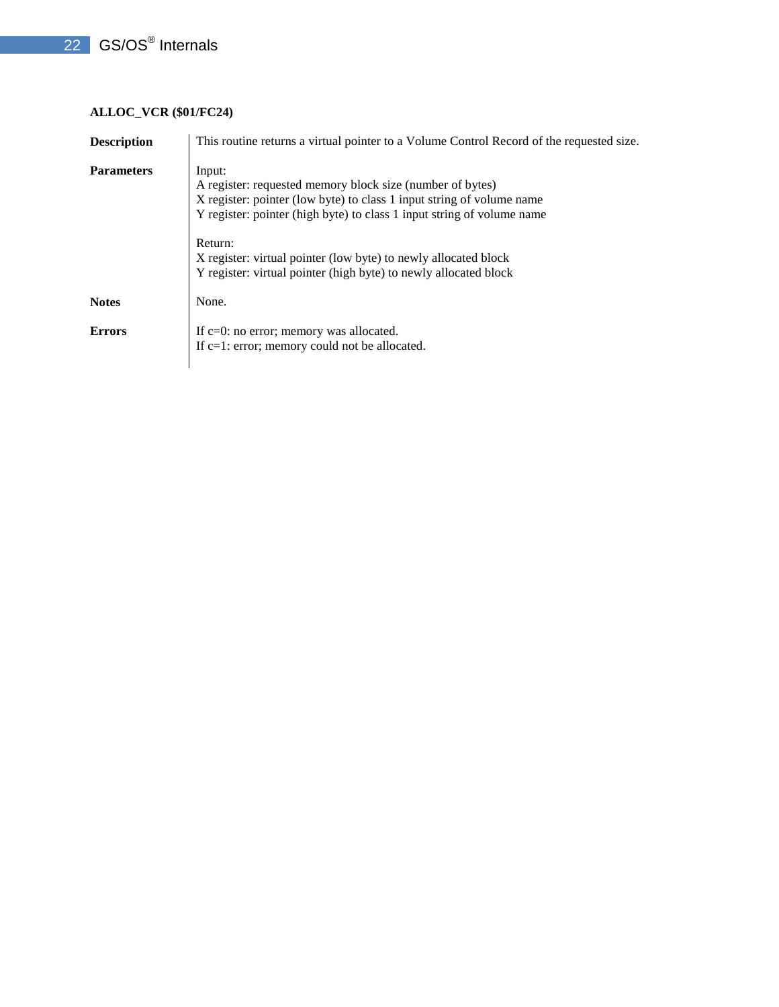## **ALLOC\_VCR (\$01/FC24)**

| <b>Description</b> | This routine returns a virtual pointer to a Volume Control Record of the requested size.                                                                                                                                                                                                                                                                                 |  |
|--------------------|--------------------------------------------------------------------------------------------------------------------------------------------------------------------------------------------------------------------------------------------------------------------------------------------------------------------------------------------------------------------------|--|
| <b>Parameters</b>  | Input:<br>A register: requested memory block size (number of bytes)<br>X register: pointer (low byte) to class 1 input string of volume name<br>Y register: pointer (high byte) to class 1 input string of volume name<br>Return:<br>X register: virtual pointer (low byte) to newly allocated block<br>Y register: virtual pointer (high byte) to newly allocated block |  |
| <b>Notes</b>       | None.                                                                                                                                                                                                                                                                                                                                                                    |  |
| <b>Errors</b>      | If $c=0$ : no error; memory was allocated.<br>If $c=1$ : error; memory could not be allocated.                                                                                                                                                                                                                                                                           |  |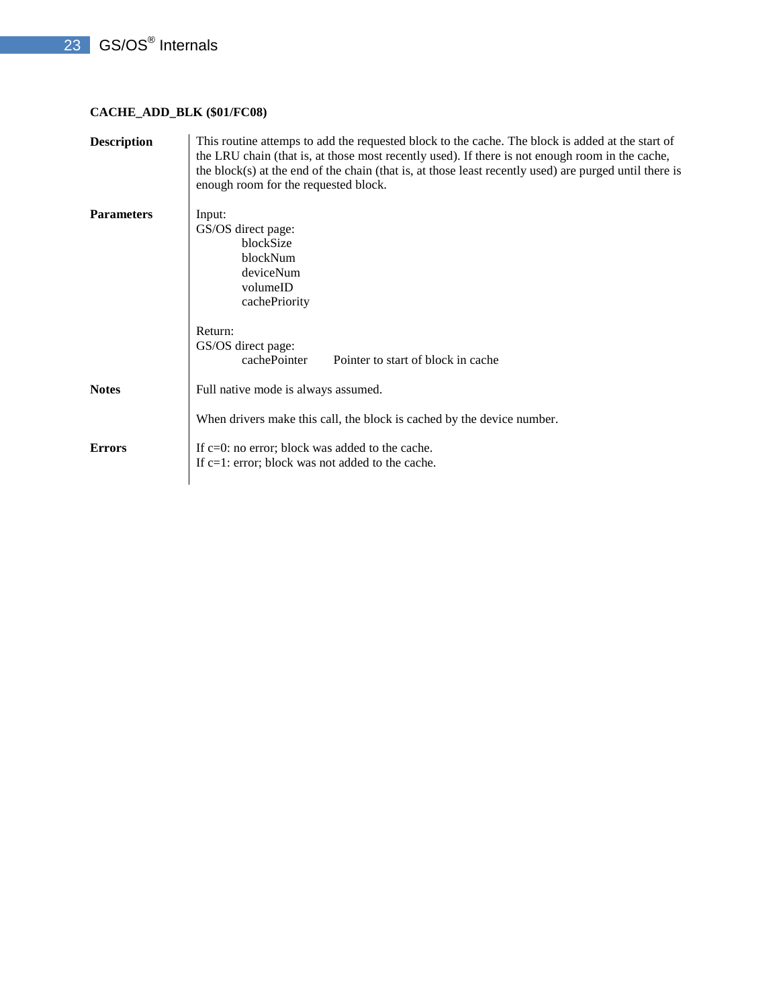## **CACHE\_ADD\_BLK (\$01/FC08)**

| <b>Description</b> | This routine attemps to add the requested block to the cache. The block is added at the start of<br>the LRU chain (that is, at those most recently used). If there is not enough room in the cache,<br>the block(s) at the end of the chain (that is, at those least recently used) are purged until there is<br>enough room for the requested block. |
|--------------------|-------------------------------------------------------------------------------------------------------------------------------------------------------------------------------------------------------------------------------------------------------------------------------------------------------------------------------------------------------|
| <b>Parameters</b>  | Input:<br>GS/OS direct page:<br>blockSize<br>blockNum<br>deviceNum<br>volumeID<br>cachePriority                                                                                                                                                                                                                                                       |
|                    | Return:<br>GS/OS direct page:<br>cachePointer<br>Pointer to start of block in cache                                                                                                                                                                                                                                                                   |
| <b>Notes</b>       | Full native mode is always assumed.<br>When drivers make this call, the block is cached by the device number.                                                                                                                                                                                                                                         |
| <b>Errors</b>      | If $c=0$ : no error; block was added to the cache.<br>If $c=1$ : error; block was not added to the cache.                                                                                                                                                                                                                                             |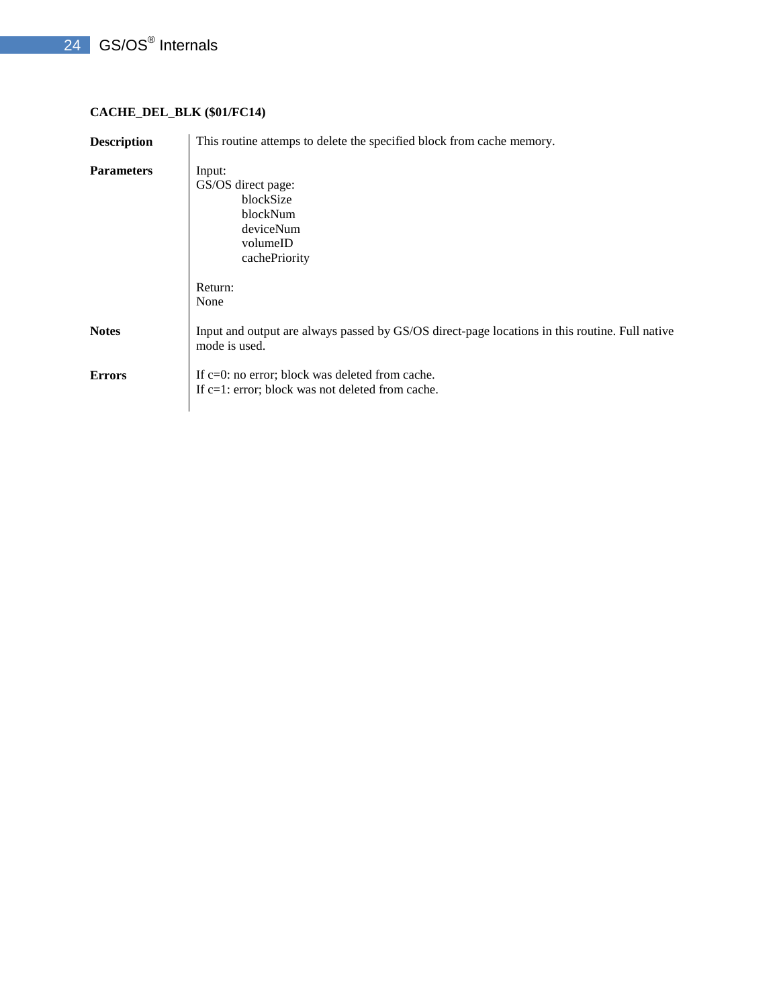## 24 GS/OS<sup>®</sup> Internals

## **CACHE\_DEL\_BLK (\$01/FC14)**

| <b>Description</b> | This routine attemps to delete the specified block from cache memory.                                           |  |
|--------------------|-----------------------------------------------------------------------------------------------------------------|--|
| <b>Parameters</b>  | Input:<br>GS/OS direct page:<br>blockSize<br>blockNum<br>deviceNum<br>volumeID<br>cachePriority                 |  |
|                    | Return:<br>None                                                                                                 |  |
| <b>Notes</b>       | Input and output are always passed by GS/OS direct-page locations in this routine. Full native<br>mode is used. |  |
| <b>Errors</b>      | If c=0: no error; block was deleted from cache.<br>If c=1: error; block was not deleted from cache.             |  |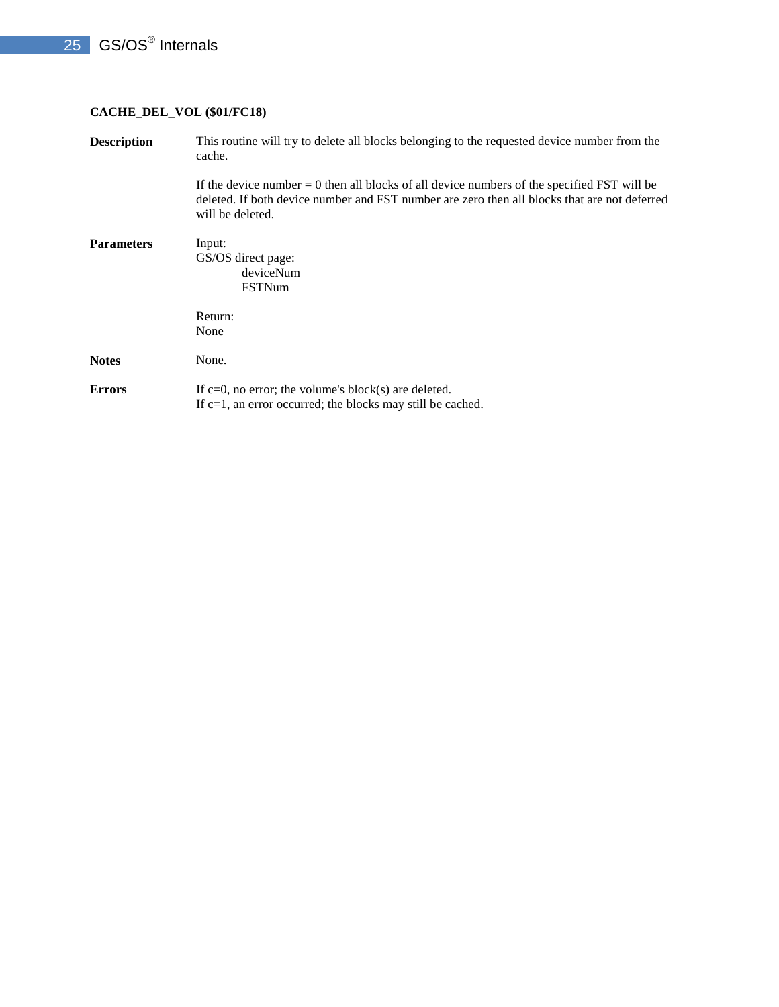## **CACHE\_DEL\_VOL (\$01/FC18)**

| <b>Description</b> | This routine will try to delete all blocks belonging to the requested device number from the<br>cache.                                                                                                            |
|--------------------|-------------------------------------------------------------------------------------------------------------------------------------------------------------------------------------------------------------------|
|                    | If the device number $= 0$ then all blocks of all device numbers of the specified FST will be<br>deleted. If both device number and FST number are zero then all blocks that are not deferred<br>will be deleted. |
| <b>Parameters</b>  | Input:<br>GS/OS direct page:<br>deviceNum<br>FSTNum                                                                                                                                                               |
|                    | Return:<br>None                                                                                                                                                                                                   |
| <b>Notes</b>       | None.                                                                                                                                                                                                             |
| <b>Errors</b>      | If $c=0$ , no error; the volume's block(s) are deleted.<br>If $c=1$ , an error occurred; the blocks may still be cached.                                                                                          |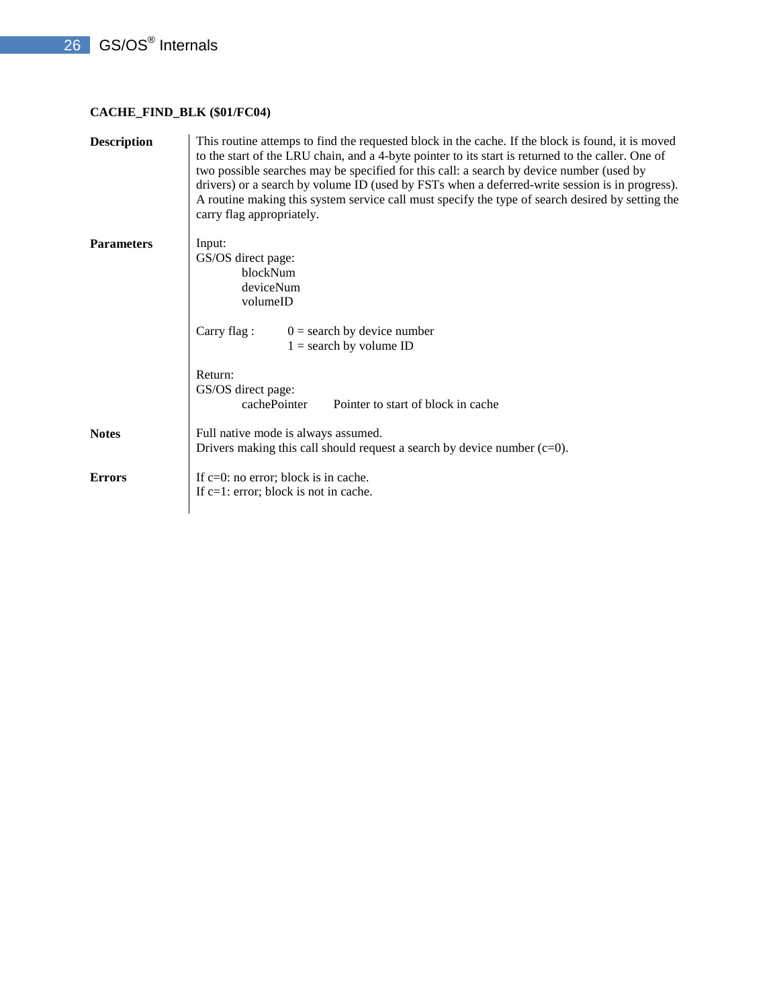## **CACHE\_FIND\_BLK (\$01/FC04)**

| <b>Description</b> | This routine attemps to find the requested block in the cache. If the block is found, it is moved<br>to the start of the LRU chain, and a 4-byte pointer to its start is returned to the caller. One of<br>two possible searches may be specified for this call: a search by device number (used by<br>drivers) or a search by volume ID (used by FSTs when a deferred-write session is in progress).<br>A routine making this system service call must specify the type of search desired by setting the<br>carry flag appropriately. |
|--------------------|----------------------------------------------------------------------------------------------------------------------------------------------------------------------------------------------------------------------------------------------------------------------------------------------------------------------------------------------------------------------------------------------------------------------------------------------------------------------------------------------------------------------------------------|
| <b>Parameters</b>  | Input:<br>GS/OS direct page:<br>blockNum<br>deviceNum<br>volumeID                                                                                                                                                                                                                                                                                                                                                                                                                                                                      |
|                    | $0 =$ search by device number<br>Carry flag:<br>$1 =$ search by volume ID                                                                                                                                                                                                                                                                                                                                                                                                                                                              |
|                    | Return:<br>GS/OS direct page:<br>cachePointer<br>Pointer to start of block in cache                                                                                                                                                                                                                                                                                                                                                                                                                                                    |
| <b>Notes</b>       | Full native mode is always assumed.<br>Drivers making this call should request a search by device number $(c=0)$ .                                                                                                                                                                                                                                                                                                                                                                                                                     |
| <b>Errors</b>      | If $c=0$ : no error; block is in cache.<br>If $c=1$ : error; block is not in cache.                                                                                                                                                                                                                                                                                                                                                                                                                                                    |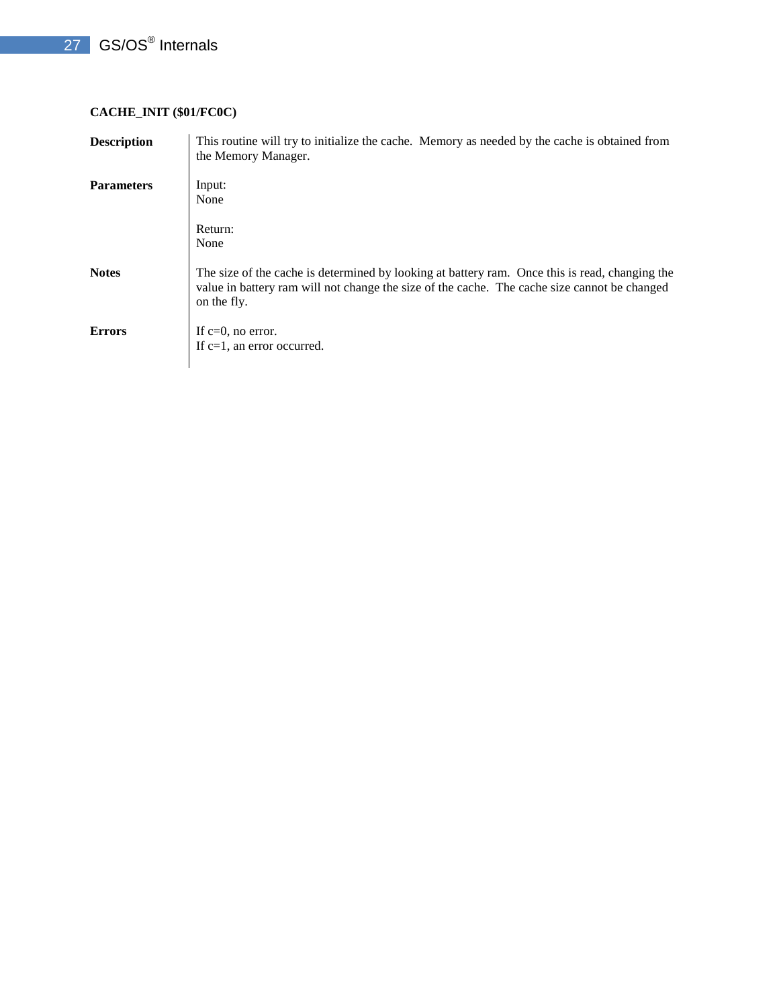## 27 GS/OS<sup>®</sup> Internals

## **CACHE\_INIT (\$01/FC0C)**

| <b>Description</b> | This routine will try to initialize the cache. Memory as needed by the cache is obtained from<br>the Memory Manager.                                                                                          |
|--------------------|---------------------------------------------------------------------------------------------------------------------------------------------------------------------------------------------------------------|
| <b>Parameters</b>  | Input:<br>None                                                                                                                                                                                                |
|                    | Return:<br>None                                                                                                                                                                                               |
| <b>Notes</b>       | The size of the cache is determined by looking at battery ram. Once this is read, changing the<br>value in battery ram will not change the size of the cache. The cache size cannot be changed<br>on the fly. |
| <b>Errors</b>      | If $c=0$ , no error.<br>If $c=1$ , an error occurred.                                                                                                                                                         |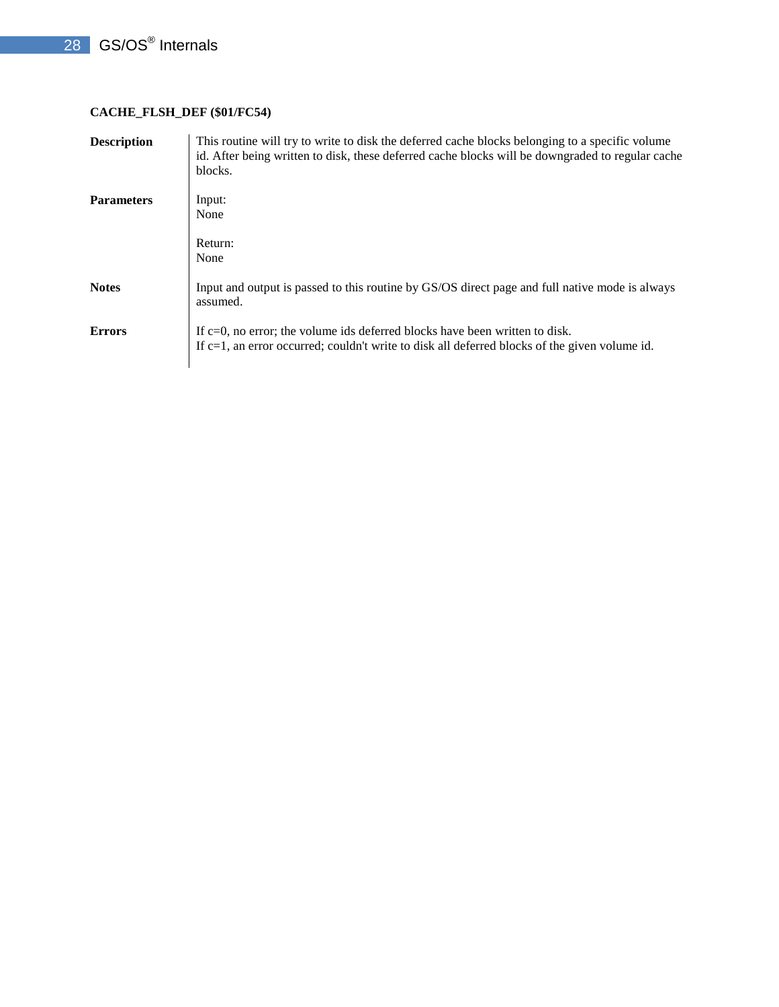## **CACHE\_FLSH\_DEF (\$01/FC54)**

| <b>Description</b> | This routine will try to write to disk the deferred cache blocks belonging to a specific volume<br>id. After being written to disk, these deferred cache blocks will be downgraded to regular cache<br>blocks. |
|--------------------|----------------------------------------------------------------------------------------------------------------------------------------------------------------------------------------------------------------|
| <b>Parameters</b>  | Input:<br>None                                                                                                                                                                                                 |
|                    | Return:<br>None                                                                                                                                                                                                |
| <b>Notes</b>       | Input and output is passed to this routine by GS/OS direct page and full native mode is always<br>assumed.                                                                                                     |
| <b>Errors</b>      | If $c=0$ , no error; the volume ids deferred blocks have been written to disk.<br>If $c=1$ , an error occurred; couldn't write to disk all deferred blocks of the given volume id.                             |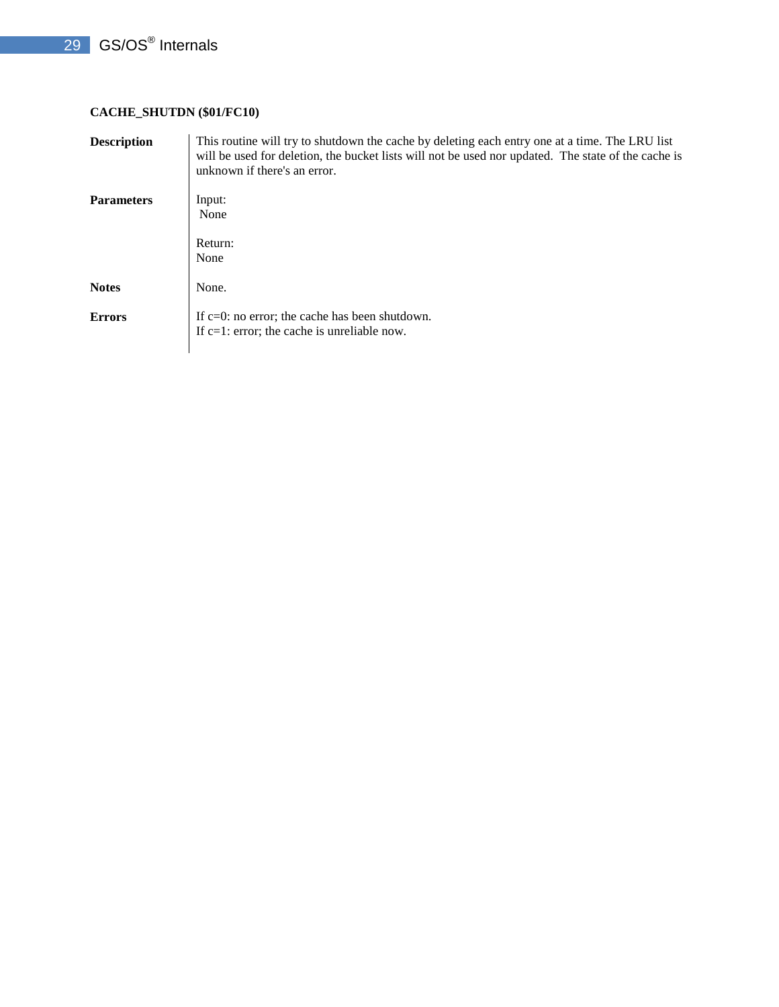## **CACHE\_SHUTDN (\$01/FC10)**

| <b>Description</b> | This routine will try to shutdown the cache by deleting each entry one at a time. The LRU list<br>will be used for deletion, the bucket lists will not be used nor updated. The state of the cache is<br>unknown if there's an error. |
|--------------------|---------------------------------------------------------------------------------------------------------------------------------------------------------------------------------------------------------------------------------------|
| <b>Parameters</b>  | Input:<br>None                                                                                                                                                                                                                        |
|                    | Return:<br>None                                                                                                                                                                                                                       |
| <b>Notes</b>       | None.                                                                                                                                                                                                                                 |
| <b>Errors</b>      | If $c=0$ : no error; the cache has been shutdown.<br>If $c=1$ : error; the cache is unreliable now.                                                                                                                                   |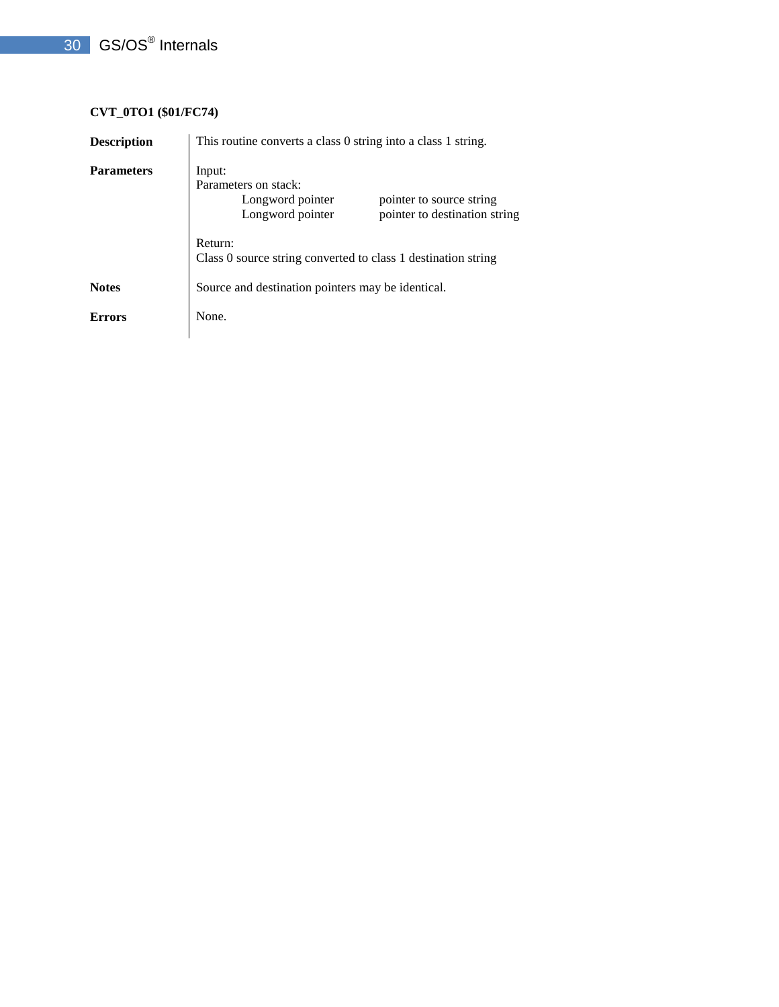## **CVT\_0TO1 (\$01/FC74)**

| <b>Description</b> | This routine converts a class 0 string into a class 1 string.                                                                       |
|--------------------|-------------------------------------------------------------------------------------------------------------------------------------|
| <b>Parameters</b>  | Input:<br>Parameters on stack:<br>Longword pointer<br>pointer to source string<br>Longword pointer<br>pointer to destination string |
|                    | Return:<br>Class 0 source string converted to class 1 destination string                                                            |
| <b>Notes</b>       | Source and destination pointers may be identical.                                                                                   |
| Errors             | None.                                                                                                                               |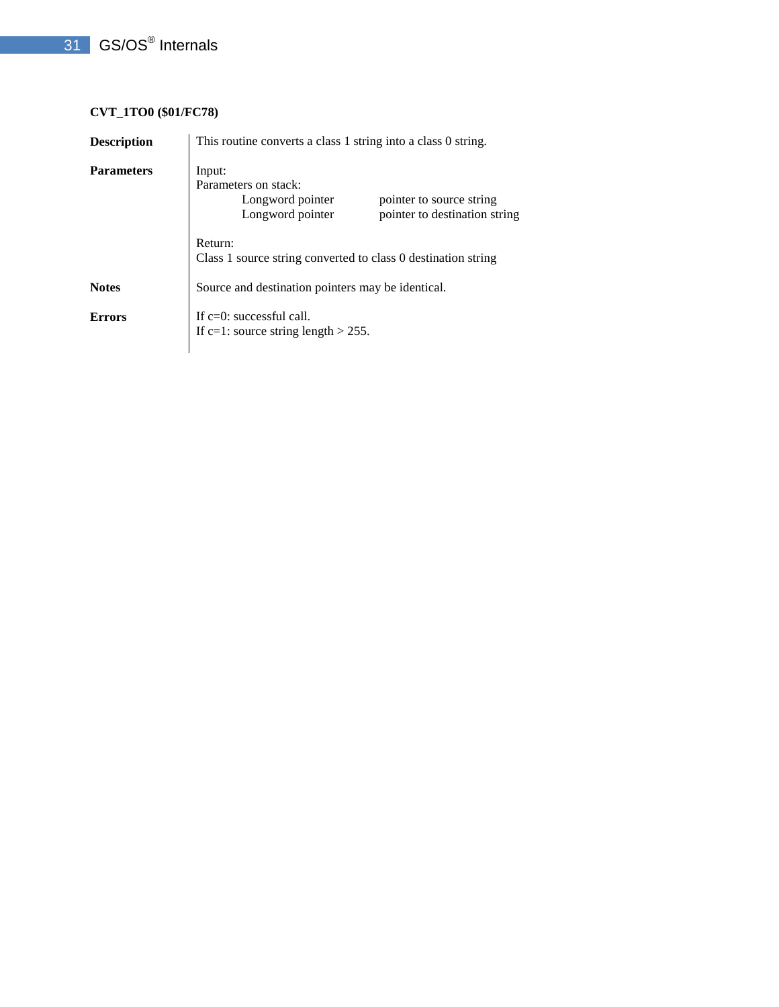## **CVT\_1TO0 (\$01/FC78)**

| <b>Description</b> | This routine converts a class 1 string into a class 0 string.                                                                       |
|--------------------|-------------------------------------------------------------------------------------------------------------------------------------|
| <b>Parameters</b>  | Input:<br>Parameters on stack:<br>Longword pointer<br>pointer to source string<br>Longword pointer<br>pointer to destination string |
|                    | Return:<br>Class 1 source string converted to class 0 destination string                                                            |
| <b>Notes</b>       | Source and destination pointers may be identical.                                                                                   |
| <b>Errors</b>      | If $c=0$ : successful call.<br>If c=1: source string length $> 255$ .                                                               |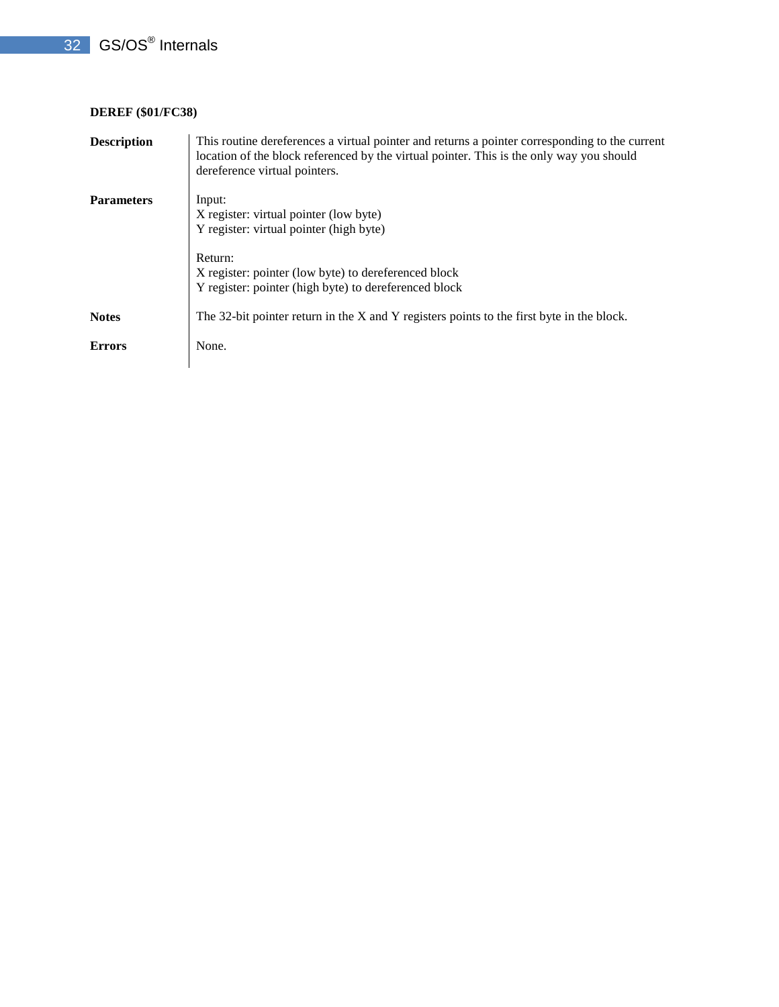#### **DEREF (\$01/FC38)**

| <b>Description</b> | This routine dereferences a virtual pointer and returns a pointer corresponding to the current<br>location of the block referenced by the virtual pointer. This is the only way you should<br>dereference virtual pointers. |
|--------------------|-----------------------------------------------------------------------------------------------------------------------------------------------------------------------------------------------------------------------------|
| <b>Parameters</b>  | Input:<br>X register: virtual pointer (low byte)<br>Y register: virtual pointer (high byte)                                                                                                                                 |
|                    | Return:<br>X register: pointer (low byte) to dereferenced block<br>Y register: pointer (high byte) to dereferenced block                                                                                                    |
| <b>Notes</b>       | The 32-bit pointer return in the X and Y registers points to the first byte in the block.                                                                                                                                   |
| <b>Errors</b>      | None.                                                                                                                                                                                                                       |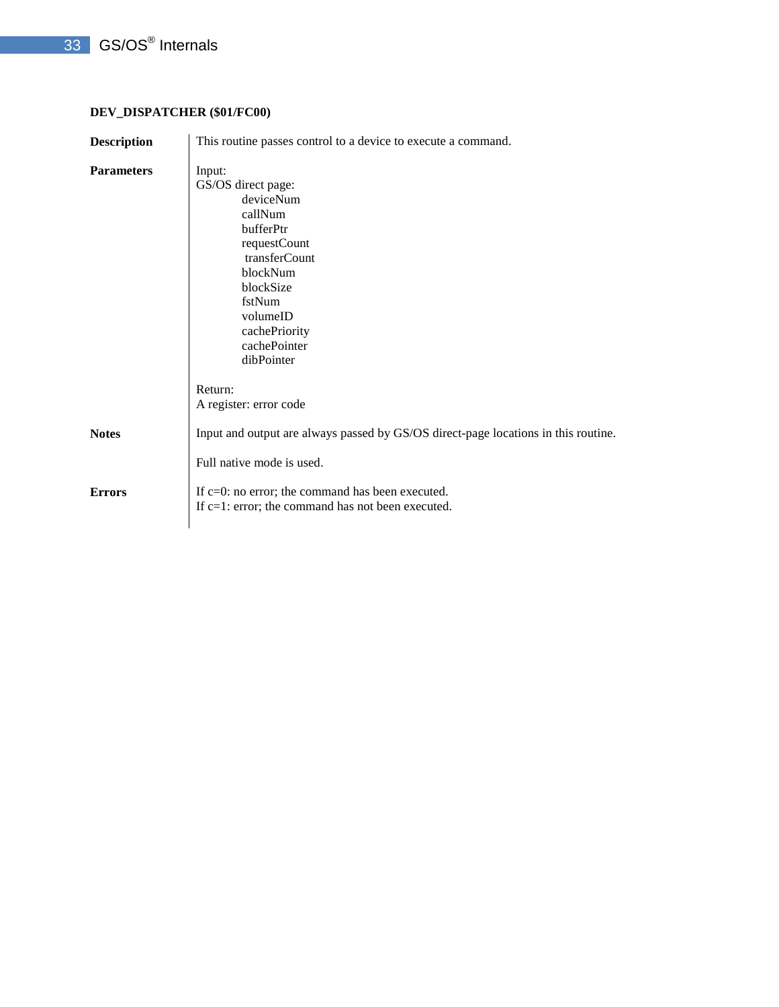## **DEV\_DISPATCHER (\$01/FC00)**

| This routine passes control to a device to execute a command.                                                                                                                                    |
|--------------------------------------------------------------------------------------------------------------------------------------------------------------------------------------------------|
| Input:<br>GS/OS direct page:<br>deviceNum<br>callNum<br>bufferPtr<br>requestCount<br>transferCount<br>blockNum<br>blockSize<br>fstNum<br>volumeID<br>cachePriority<br>cachePointer<br>dibPointer |
| Return:<br>A register: error code                                                                                                                                                                |
| Input and output are always passed by GS/OS direct-page locations in this routine.                                                                                                               |
| Full native mode is used.<br>If $c=0$ : no error; the command has been executed.<br>If $c=1$ : error; the command has not been executed.                                                         |
|                                                                                                                                                                                                  |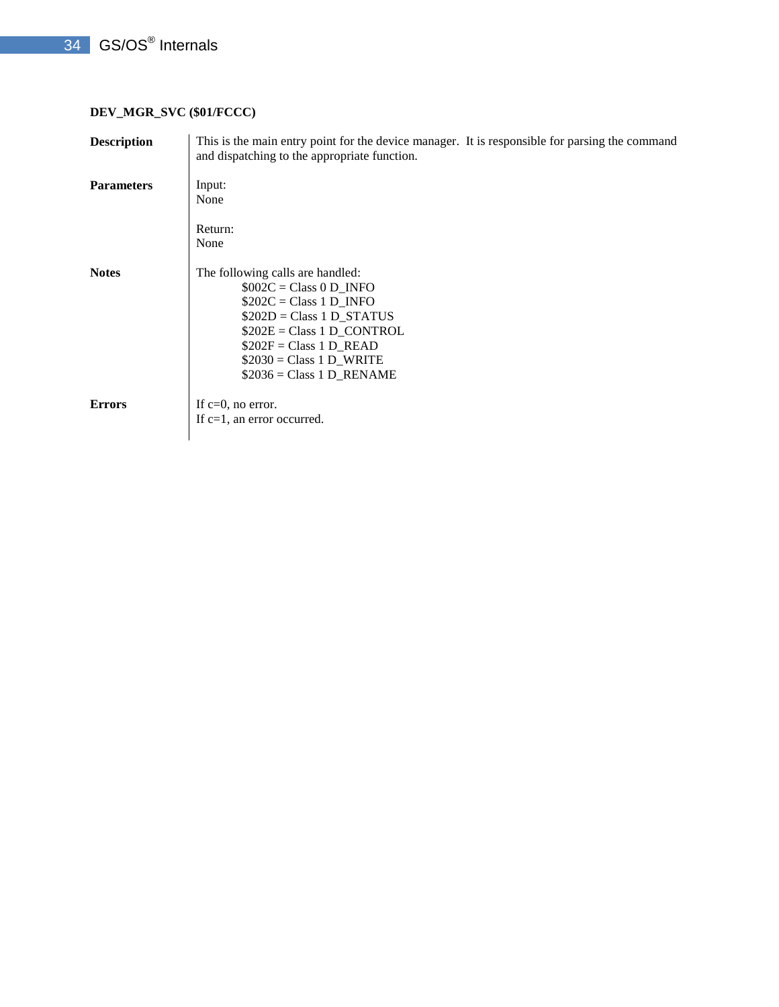## **DEV\_MGR\_SVC (\$01/FCCC)**

| <b>Description</b> | This is the main entry point for the device manager. It is responsible for parsing the command<br>and dispatching to the appropriate function.                                                                                               |
|--------------------|----------------------------------------------------------------------------------------------------------------------------------------------------------------------------------------------------------------------------------------------|
| <b>Parameters</b>  | Input:<br>None<br>Return:                                                                                                                                                                                                                    |
|                    | None                                                                                                                                                                                                                                         |
| <b>Notes</b>       | The following calls are handled:<br>$$002C = Class 0 D$ INFO<br>$$202C = Class 1 D$ INFO<br>$$202D = Class 1 D STATUS$<br>$$202E = Class 1 D$ CONTROL<br>$$202F = Class 1 D$ READ<br>$$2030 = Class 1 D_WRITE$<br>$$2036 = Class 1 D$ RENAME |
| <b>Errors</b>      | If $c=0$ , no error.<br>If $c=1$ , an error occurred.                                                                                                                                                                                        |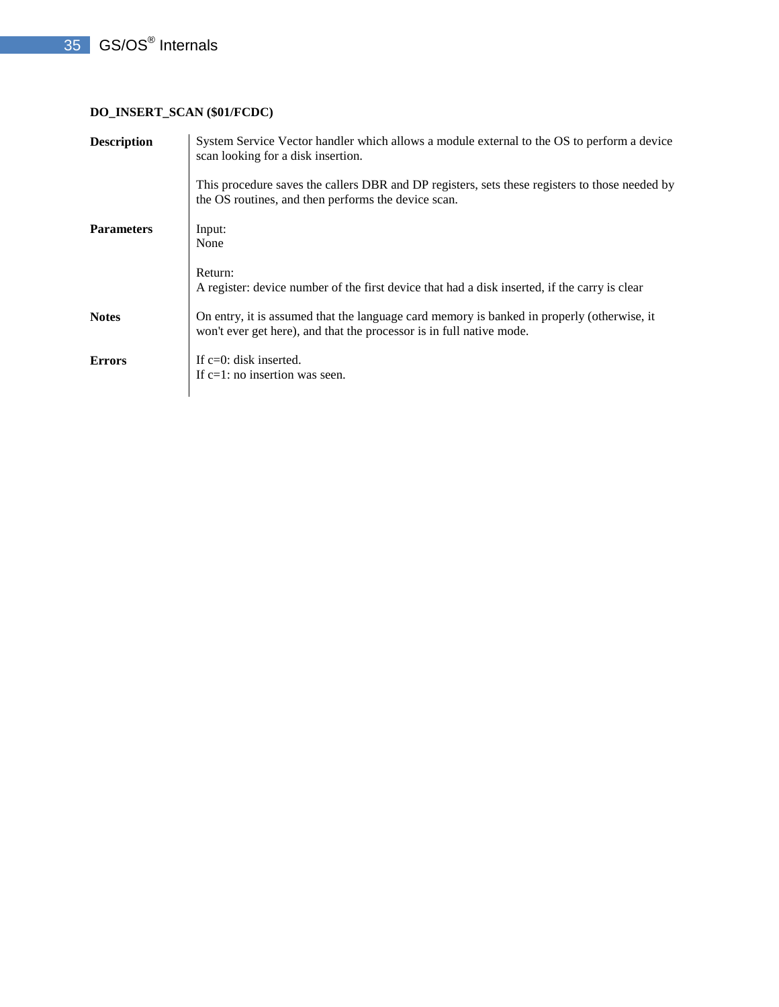## **DO\_INSERT\_SCAN (\$01/FCDC)**

| <b>Description</b> | System Service Vector handler which allows a module external to the OS to perform a device<br>scan looking for a disk insertion.                                   |
|--------------------|--------------------------------------------------------------------------------------------------------------------------------------------------------------------|
|                    | This procedure saves the callers DBR and DP registers, sets these registers to those needed by<br>the OS routines, and then performs the device scan.              |
| <b>Parameters</b>  | Input:<br>None                                                                                                                                                     |
|                    | Return:<br>A register: device number of the first device that had a disk inserted, if the carry is clear                                                           |
| <b>Notes</b>       | On entry, it is assumed that the language card memory is banked in properly (otherwise, it<br>won't ever get here), and that the processor is in full native mode. |
| <b>Errors</b>      | If $c=0$ : disk inserted.<br>If $c=1$ : no insertion was seen.                                                                                                     |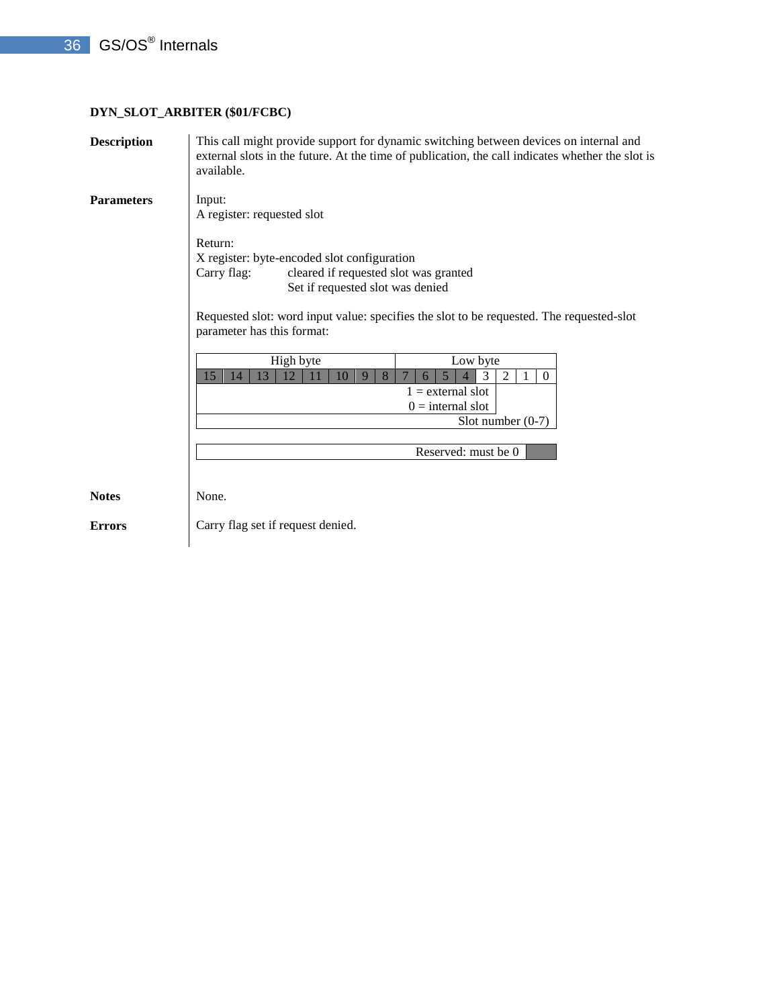## **DYN\_SLOT\_ARBITER (\$01/FCBC)**

| <b>Description</b> | This call might provide support for dynamic switching between devices on internal and<br>external slots in the future. At the time of publication, the call indicates whether the slot is<br>available.                                                                                                                                                                                                                                                                                                                  |
|--------------------|--------------------------------------------------------------------------------------------------------------------------------------------------------------------------------------------------------------------------------------------------------------------------------------------------------------------------------------------------------------------------------------------------------------------------------------------------------------------------------------------------------------------------|
| <b>Parameters</b>  | Input:<br>A register: requested slot<br>Return:<br>X register: byte-encoded slot configuration<br>cleared if requested slot was granted<br>Carry flag:<br>Set if requested slot was denied<br>Requested slot: word input value: specifies the slot to be requested. The requested-slot<br>parameter has this format:<br>High byte<br>Low byte<br>13<br>8<br>3<br>15<br>12<br>2<br>$\overline{0}$<br>14<br>11<br>10<br>9<br>6<br>$1$ = external slot<br>$0 =$ internal slot<br>Slot number $(0-7)$<br>Reserved: must be 0 |
| <b>Notes</b>       | None.                                                                                                                                                                                                                                                                                                                                                                                                                                                                                                                    |
| <b>Errors</b>      | Carry flag set if request denied.                                                                                                                                                                                                                                                                                                                                                                                                                                                                                        |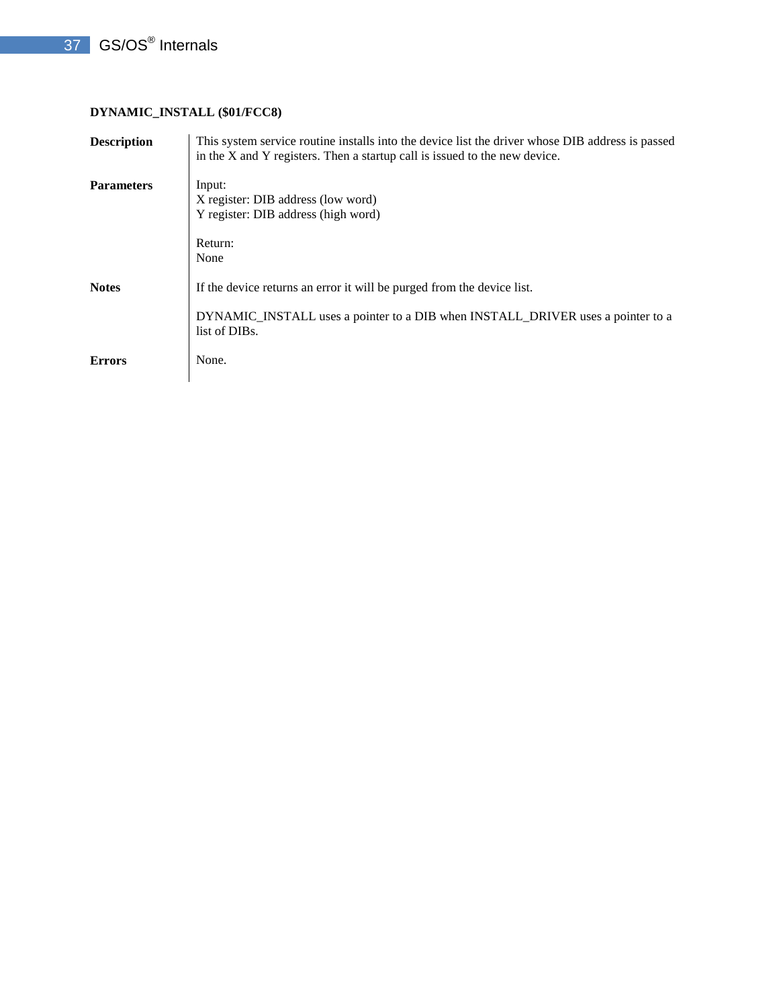## **DYNAMIC\_INSTALL (\$01/FCC8)**

| <b>Description</b> | This system service routine installs into the device list the driver whose DIB address is passed<br>in the X and Y registers. Then a startup call is issued to the new device. |
|--------------------|--------------------------------------------------------------------------------------------------------------------------------------------------------------------------------|
| <b>Parameters</b>  | Input:<br>X register: DIB address (low word)<br>Y register: DIB address (high word)                                                                                            |
|                    | Return:<br>None                                                                                                                                                                |
| <b>Notes</b>       | If the device returns an error it will be purged from the device list.                                                                                                         |
|                    | DYNAMIC_INSTALL uses a pointer to a DIB when INSTALL_DRIVER uses a pointer to a<br>list of DIBs.                                                                               |
| <b>Errors</b>      | None.                                                                                                                                                                          |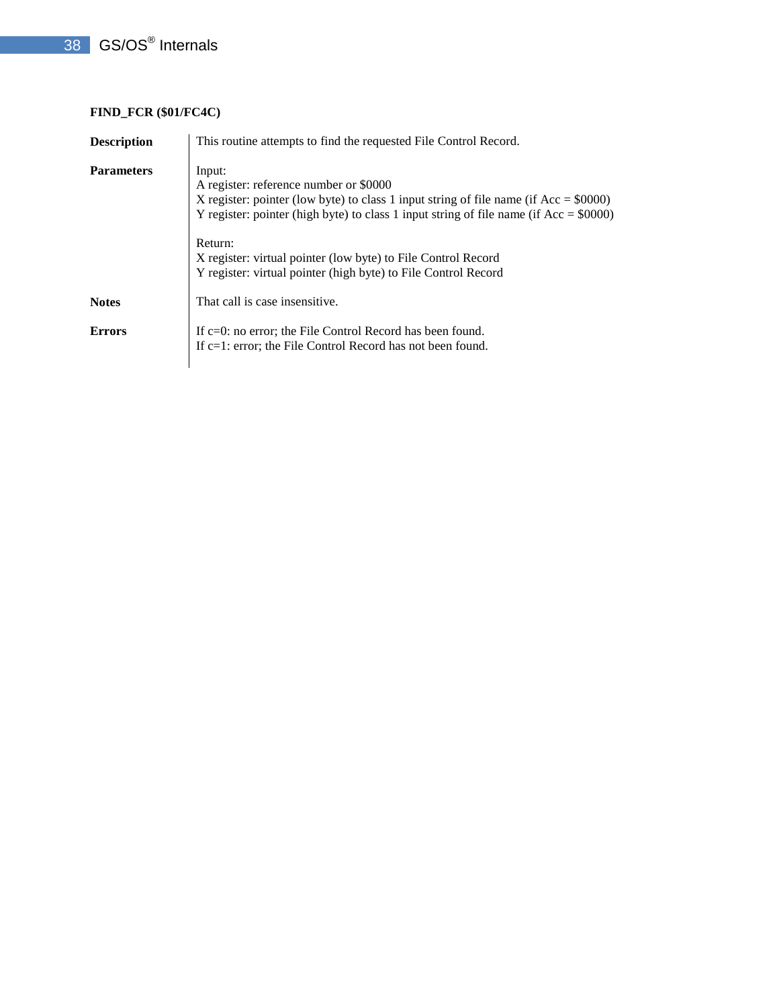# **FIND\_FCR (\$01/FC4C)**

| <b>Description</b> | This routine attempts to find the requested File Control Record.                                                                                                                                                                                                                                                                                                                      |
|--------------------|---------------------------------------------------------------------------------------------------------------------------------------------------------------------------------------------------------------------------------------------------------------------------------------------------------------------------------------------------------------------------------------|
| <b>Parameters</b>  | Input:<br>A register: reference number or \$0000<br>X register: pointer (low byte) to class 1 input string of file name (if $Acc = $0000$ )<br>Y register: pointer (high byte) to class 1 input string of file name (if $Acc = $0000$ )<br>Return:<br>X register: virtual pointer (low byte) to File Control Record<br>Y register: virtual pointer (high byte) to File Control Record |
| <b>Notes</b>       | That call is case insensitive.                                                                                                                                                                                                                                                                                                                                                        |
| <b>Errors</b>      | If $c=0$ : no error; the File Control Record has been found.<br>If $c=1$ : error; the File Control Record has not been found.                                                                                                                                                                                                                                                         |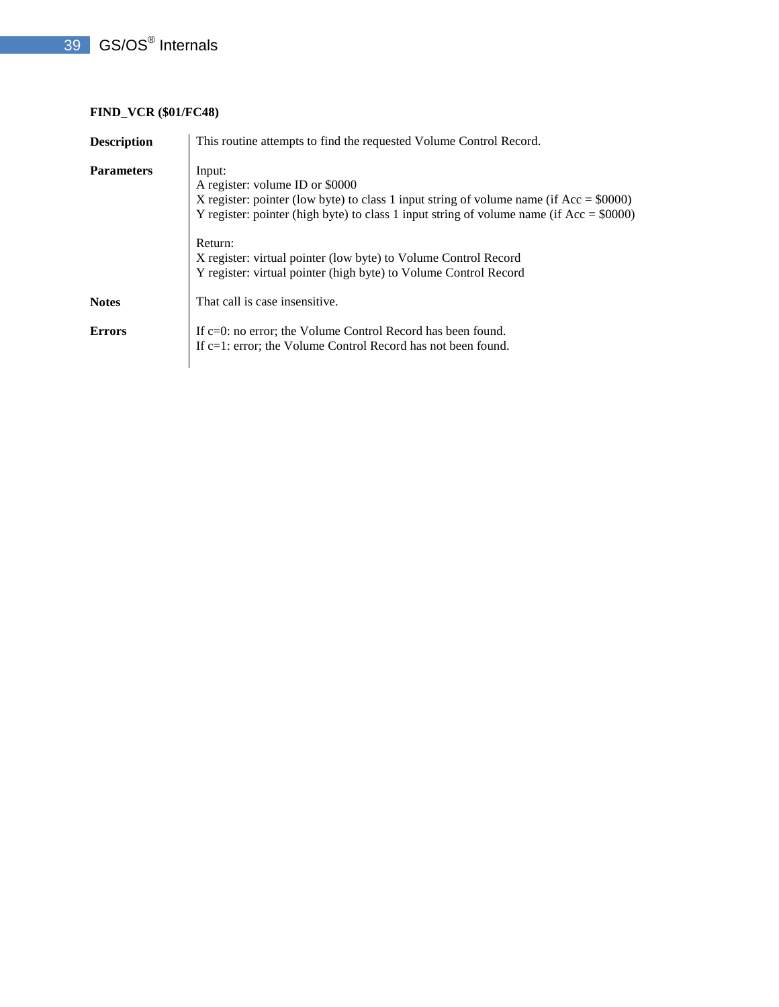# **FIND\_VCR (\$01/FC48)**

| <b>Description</b> | This routine attempts to find the requested Volume Control Record.                                                                                                                                                                                                                                                                                                                     |
|--------------------|----------------------------------------------------------------------------------------------------------------------------------------------------------------------------------------------------------------------------------------------------------------------------------------------------------------------------------------------------------------------------------------|
| <b>Parameters</b>  | Input:<br>A register: volume ID or \$0000<br>X register: pointer (low byte) to class 1 input string of volume name (if $Acc = $0000$ )<br>Y register: pointer (high byte) to class 1 input string of volume name (if $Acc = $0000$ )<br>Return:<br>X register: virtual pointer (low byte) to Volume Control Record<br>Y register: virtual pointer (high byte) to Volume Control Record |
| <b>Notes</b>       | That call is case insensitive.                                                                                                                                                                                                                                                                                                                                                         |
| <b>Errors</b>      | If $c=0$ : no error; the Volume Control Record has been found.<br>If c=1: error; the Volume Control Record has not been found.                                                                                                                                                                                                                                                         |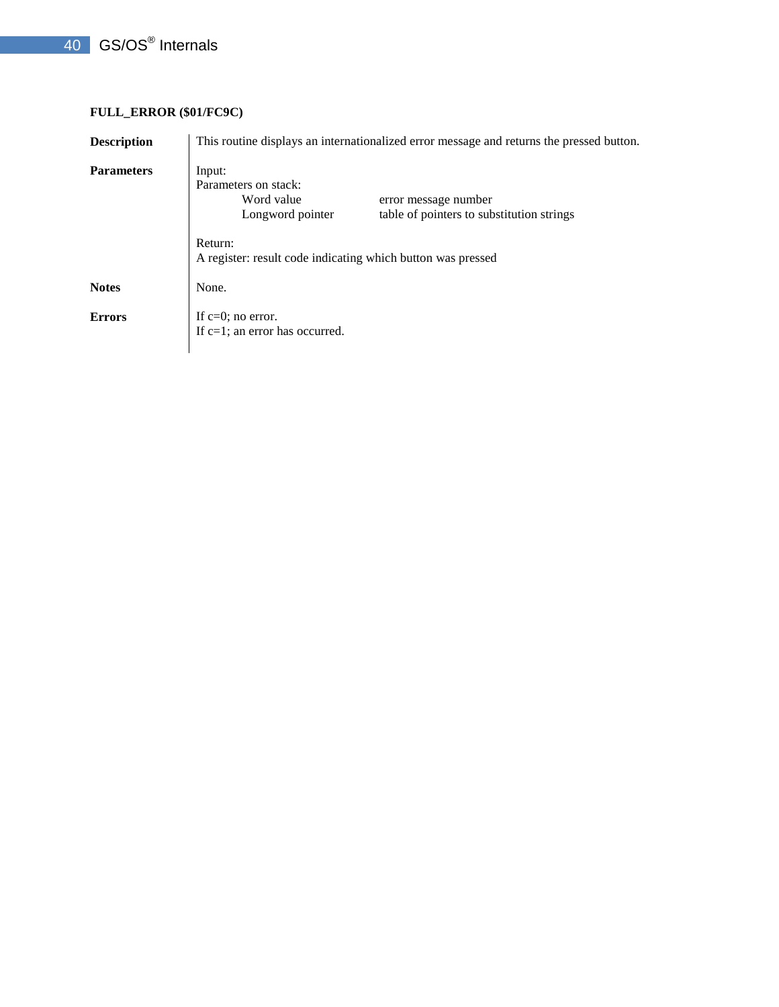## **FULL\_ERROR (\$01/FC9C)**

| <b>Description</b> | This routine displays an internationalized error message and returns the pressed button.                                              |
|--------------------|---------------------------------------------------------------------------------------------------------------------------------------|
| <b>Parameters</b>  | Input:<br>Parameters on stack:<br>Word value<br>error message number<br>table of pointers to substitution strings<br>Longword pointer |
|                    | Return:<br>A register: result code indicating which button was pressed                                                                |
| <b>Notes</b>       | None.                                                                                                                                 |
| <b>Errors</b>      | If $c=0$ ; no error.<br>If $c=1$ ; an error has occurred.                                                                             |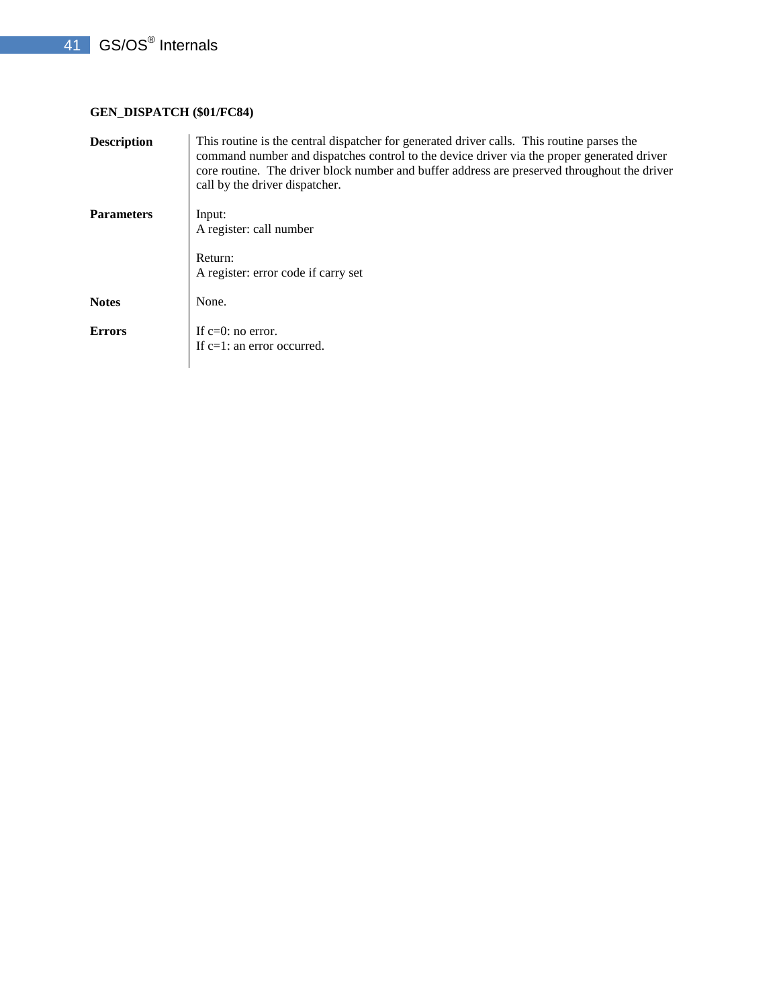## **GEN\_DISPATCH (\$01/FC84)**

| <b>Description</b> | This routine is the central dispatcher for generated driver calls. This routine parses the<br>command number and dispatches control to the device driver via the proper generated driver<br>core routine. The driver block number and buffer address are preserved throughout the driver<br>call by the driver dispatcher. |
|--------------------|----------------------------------------------------------------------------------------------------------------------------------------------------------------------------------------------------------------------------------------------------------------------------------------------------------------------------|
| <b>Parameters</b>  | Input:<br>A register: call number<br>Return:<br>A register: error code if carry set                                                                                                                                                                                                                                        |
| <b>Notes</b>       | None.                                                                                                                                                                                                                                                                                                                      |
| <b>Errors</b>      | If $c=0$ : no error.<br>If $c=1$ : an error occurred.                                                                                                                                                                                                                                                                      |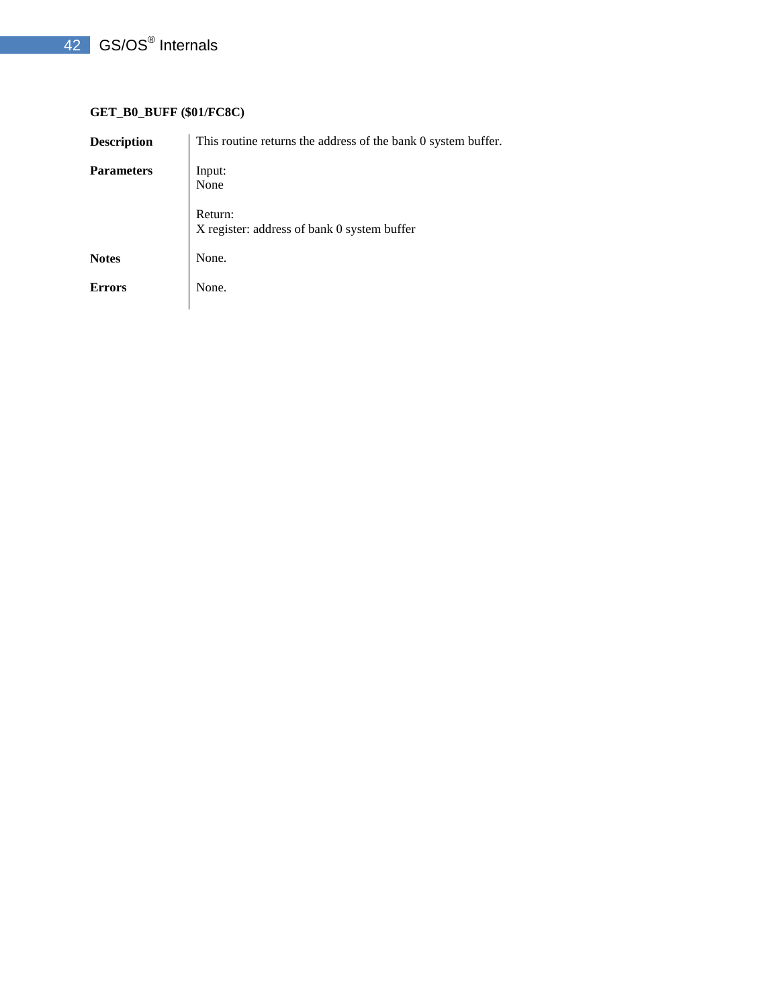# 42 GS/OS<sup>®</sup> Internals

## **GET\_B0\_BUFF (\$01/FC8C)**

| <b>Description</b> | This routine returns the address of the bank 0 system buffer. |
|--------------------|---------------------------------------------------------------|
| <b>Parameters</b>  | Input:<br>None                                                |
|                    | Return:<br>X register: address of bank 0 system buffer        |
| <b>Notes</b>       | None.                                                         |
| <b>Errors</b>      | None.                                                         |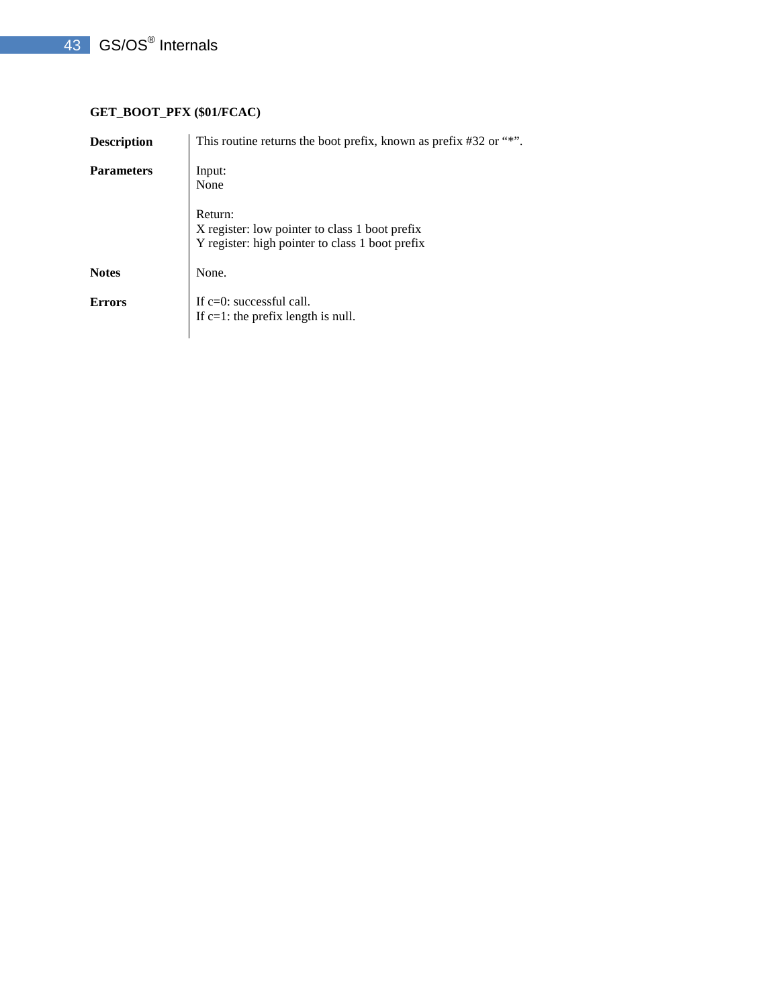# **GET\_BOOT\_PFX (\$01/FCAC)**

| <b>Description</b> | This routine returns the boot prefix, known as prefix #32 or "*".                                            |
|--------------------|--------------------------------------------------------------------------------------------------------------|
| <b>Parameters</b>  | Input:<br>None                                                                                               |
|                    | Return:<br>X register: low pointer to class 1 boot prefix<br>Y register: high pointer to class 1 boot prefix |
| <b>Notes</b>       | None.                                                                                                        |
| <b>Errors</b>      | If $c=0$ : successful call.<br>If $c=1$ : the prefix length is null.                                         |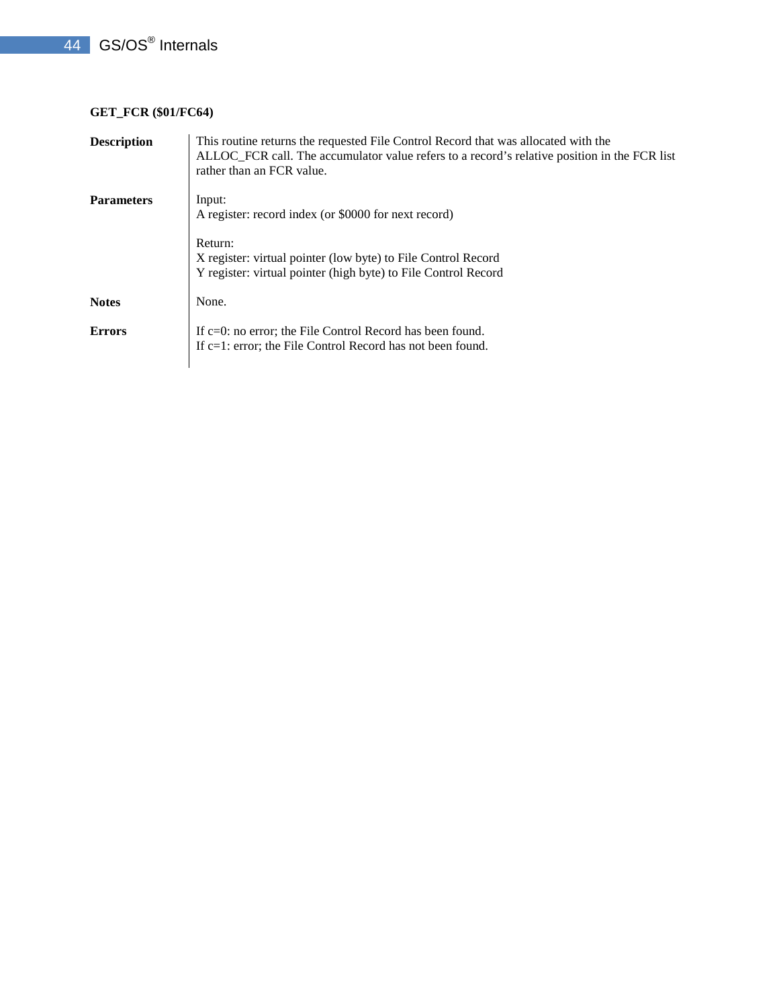# **GET\_FCR (\$01/FC64)**

| <b>Description</b> | This routine returns the requested File Control Record that was allocated with the<br>ALLOC_FCR call. The accumulator value refers to a record's relative position in the FCR list<br>rather than an FCR value. |
|--------------------|-----------------------------------------------------------------------------------------------------------------------------------------------------------------------------------------------------------------|
| <b>Parameters</b>  | Input:<br>A register: record index (or \$0000 for next record)                                                                                                                                                  |
|                    | Return:<br>X register: virtual pointer (low byte) to File Control Record<br>Y register: virtual pointer (high byte) to File Control Record                                                                      |
| <b>Notes</b>       | None.                                                                                                                                                                                                           |
| <b>Errors</b>      | If $c=0$ : no error; the File Control Record has been found.<br>If c=1: error; the File Control Record has not been found.                                                                                      |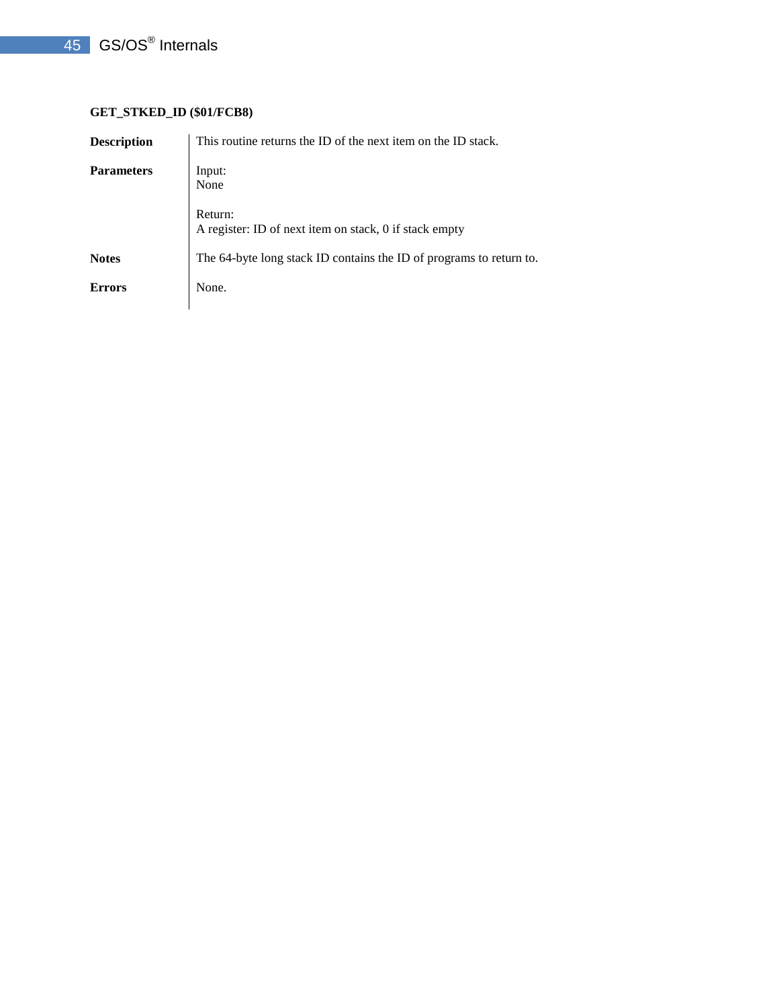## **GET\_STKED\_ID (\$01/FCB8)**

| <b>Description</b> | This routine returns the ID of the next item on the ID stack.       |
|--------------------|---------------------------------------------------------------------|
| <b>Parameters</b>  | Input:<br>None                                                      |
|                    | Return:<br>A register: ID of next item on stack, 0 if stack empty   |
| <b>Notes</b>       | The 64-byte long stack ID contains the ID of programs to return to. |
| <b>Errors</b>      | None.                                                               |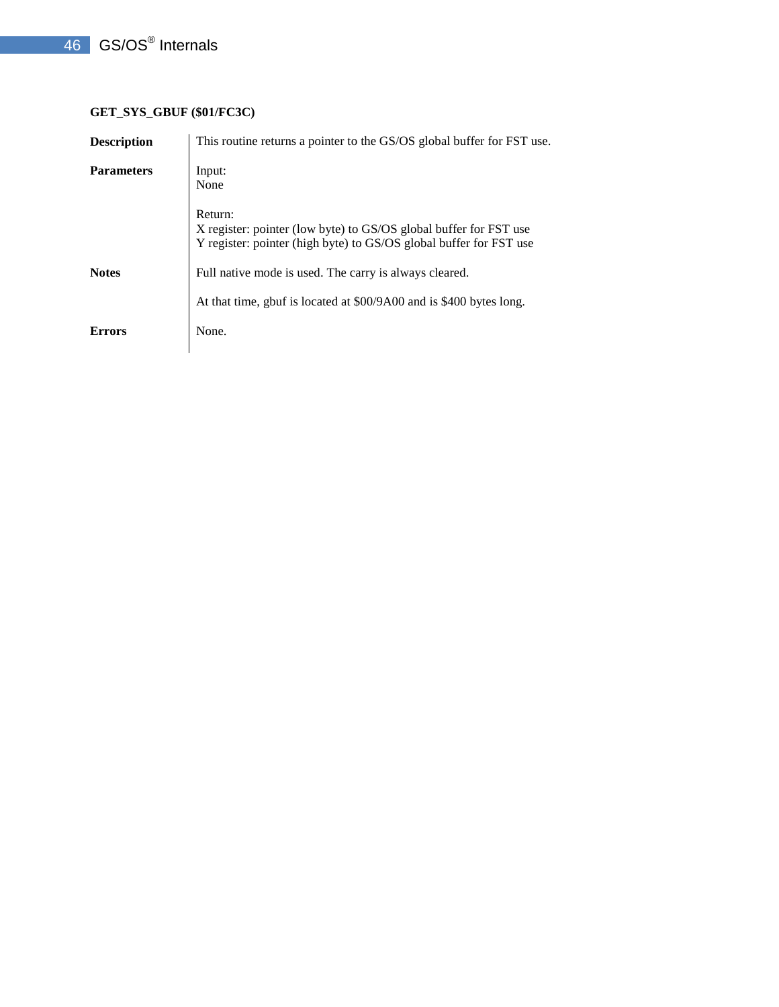# **GET\_SYS\_GBUF (\$01/FC3C)**

| <b>Description</b> | This routine returns a pointer to the GS/OS global buffer for FST use.                                                                             |
|--------------------|----------------------------------------------------------------------------------------------------------------------------------------------------|
| <b>Parameters</b>  | Input:<br>None                                                                                                                                     |
|                    | Return:<br>X register: pointer (low byte) to GS/OS global buffer for FST use<br>Y register: pointer (high byte) to GS/OS global buffer for FST use |
| <b>Notes</b>       | Full native mode is used. The carry is always cleared.                                                                                             |
|                    | At that time, gbuf is located at \$00/9A00 and is \$400 bytes long.                                                                                |
| <b>Errors</b>      | None.                                                                                                                                              |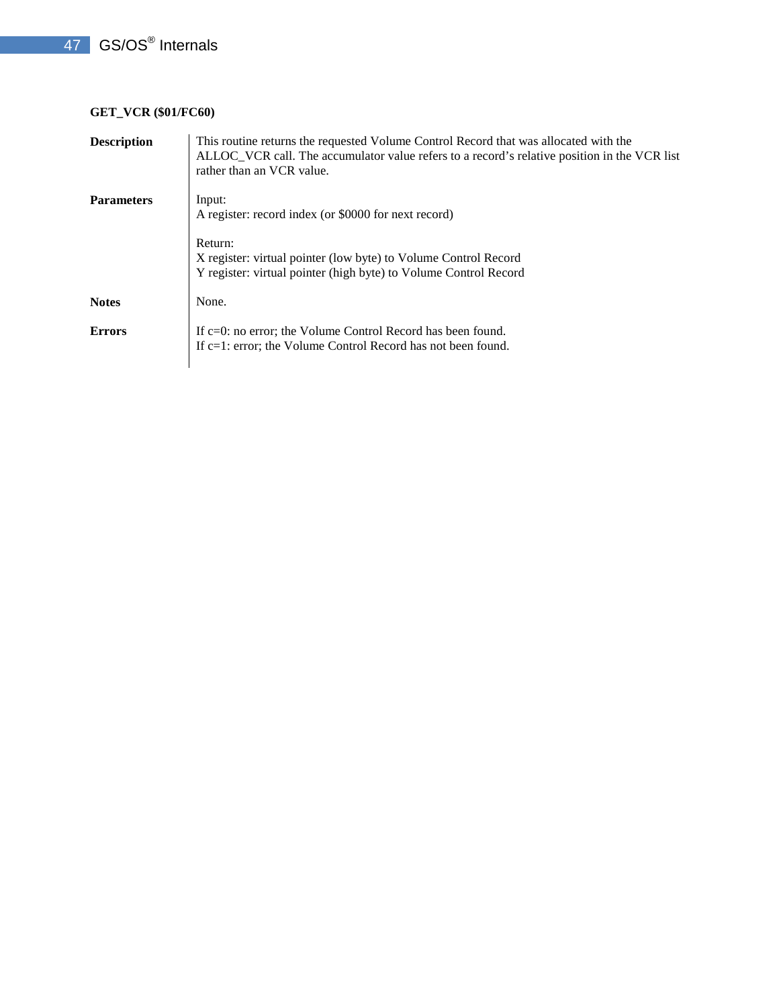# **GET\_VCR (\$01/FC60)**

| <b>Description</b> | This routine returns the requested Volume Control Record that was allocated with the<br>ALLOC_VCR call. The accumulator value refers to a record's relative position in the VCR list<br>rather than an VCR value. |
|--------------------|-------------------------------------------------------------------------------------------------------------------------------------------------------------------------------------------------------------------|
| <b>Parameters</b>  | Input:<br>A register: record index (or \$0000 for next record)                                                                                                                                                    |
|                    | Return:<br>X register: virtual pointer (low byte) to Volume Control Record<br>Y register: virtual pointer (high byte) to Volume Control Record                                                                    |
| <b>Notes</b>       | None.                                                                                                                                                                                                             |
| <b>Errors</b>      | If c=0: no error; the Volume Control Record has been found.<br>If c=1: error; the Volume Control Record has not been found.                                                                                       |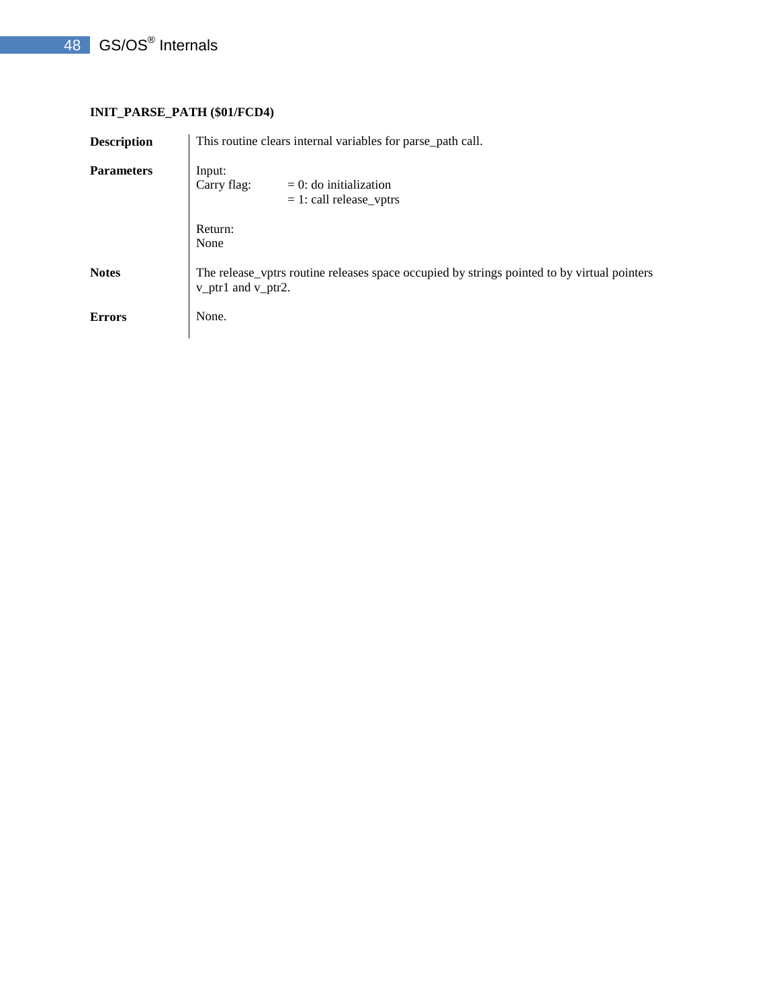## **INIT\_PARSE\_PATH (\$01/FCD4)**

| <b>Description</b> | This routine clears internal variables for parse_path call.                                                       |
|--------------------|-------------------------------------------------------------------------------------------------------------------|
| <b>Parameters</b>  | Input:<br>Carry flag:<br>$= 0$ : do initialization<br>$= 1$ : call release_vptrs                                  |
|                    | Return:<br>None                                                                                                   |
| <b>Notes</b>       | The release_vptrs routine releases space occupied by strings pointed to by virtual pointers<br>v_ptr1 and v_ptr2. |
| <b>Errors</b>      | None.                                                                                                             |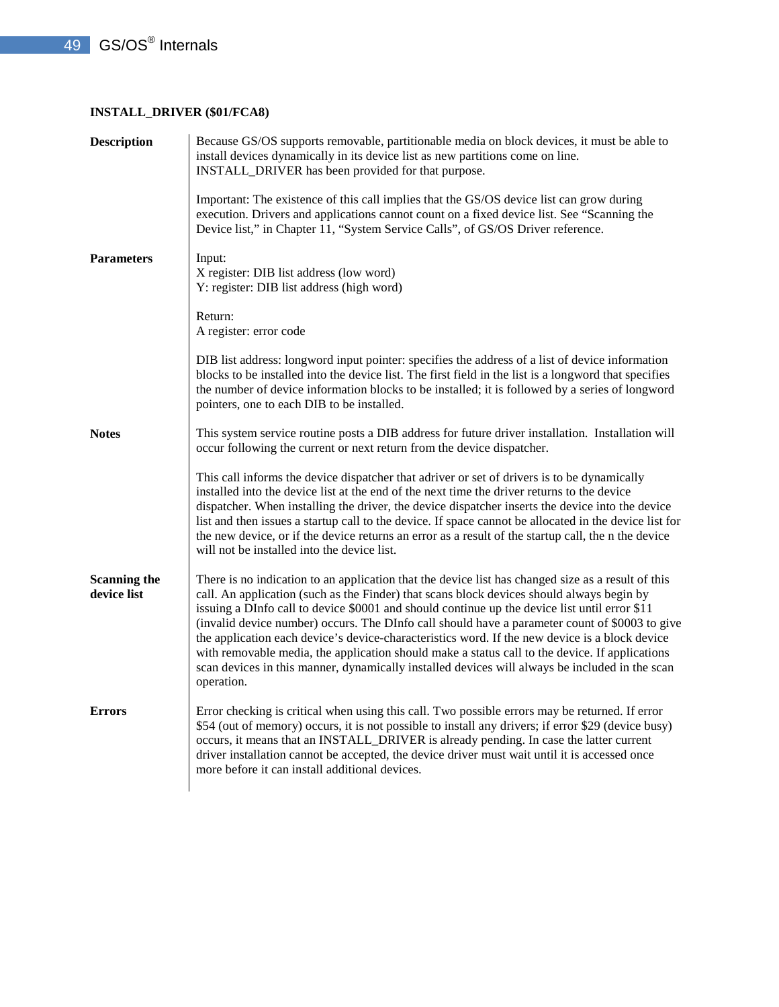## **INSTALL\_DRIVER (\$01/FCA8)**

| <b>Description</b>                 | Because GS/OS supports removable, partitionable media on block devices, it must be able to<br>install devices dynamically in its device list as new partitions come on line.<br>INSTALL_DRIVER has been provided for that purpose.                                                                                                                                                                                                                                                                                                                                                                                                                                                                                     |
|------------------------------------|------------------------------------------------------------------------------------------------------------------------------------------------------------------------------------------------------------------------------------------------------------------------------------------------------------------------------------------------------------------------------------------------------------------------------------------------------------------------------------------------------------------------------------------------------------------------------------------------------------------------------------------------------------------------------------------------------------------------|
|                                    | Important: The existence of this call implies that the GS/OS device list can grow during<br>execution. Drivers and applications cannot count on a fixed device list. See "Scanning the<br>Device list," in Chapter 11, "System Service Calls", of GS/OS Driver reference.                                                                                                                                                                                                                                                                                                                                                                                                                                              |
| <b>Parameters</b>                  | Input:<br>X register: DIB list address (low word)<br>Y: register: DIB list address (high word)                                                                                                                                                                                                                                                                                                                                                                                                                                                                                                                                                                                                                         |
|                                    | Return:<br>A register: error code                                                                                                                                                                                                                                                                                                                                                                                                                                                                                                                                                                                                                                                                                      |
|                                    | DIB list address: longword input pointer: specifies the address of a list of device information<br>blocks to be installed into the device list. The first field in the list is a longword that specifies<br>the number of device information blocks to be installed; it is followed by a series of longword<br>pointers, one to each DIB to be installed.                                                                                                                                                                                                                                                                                                                                                              |
| <b>Notes</b>                       | This system service routine posts a DIB address for future driver installation. Installation will<br>occur following the current or next return from the device dispatcher.                                                                                                                                                                                                                                                                                                                                                                                                                                                                                                                                            |
|                                    | This call informs the device dispatcher that adriver or set of drivers is to be dynamically<br>installed into the device list at the end of the next time the driver returns to the device<br>dispatcher. When installing the driver, the device dispatcher inserts the device into the device<br>list and then issues a startup call to the device. If space cannot be allocated in the device list for<br>the new device, or if the device returns an error as a result of the startup call, the n the device<br>will not be installed into the device list.                                                                                                                                                         |
| <b>Scanning the</b><br>device list | There is no indication to an application that the device list has changed size as a result of this<br>call. An application (such as the Finder) that scans block devices should always begin by<br>issuing a DInfo call to device \$0001 and should continue up the device list until error \$11<br>(invalid device number) occurs. The DInfo call should have a parameter count of \$0003 to give<br>the application each device's device-characteristics word. If the new device is a block device<br>with removable media, the application should make a status call to the device. If applications<br>scan devices in this manner, dynamically installed devices will always be included in the scan<br>operation. |
| <b>Errors</b>                      | Error checking is critical when using this call. Two possible errors may be returned. If error<br>\$54 (out of memory) occurs, it is not possible to install any drivers; if error \$29 (device busy)<br>occurs, it means that an INSTALL_DRIVER is already pending. In case the latter current<br>driver installation cannot be accepted, the device driver must wait until it is accessed once<br>more before it can install additional devices.                                                                                                                                                                                                                                                                     |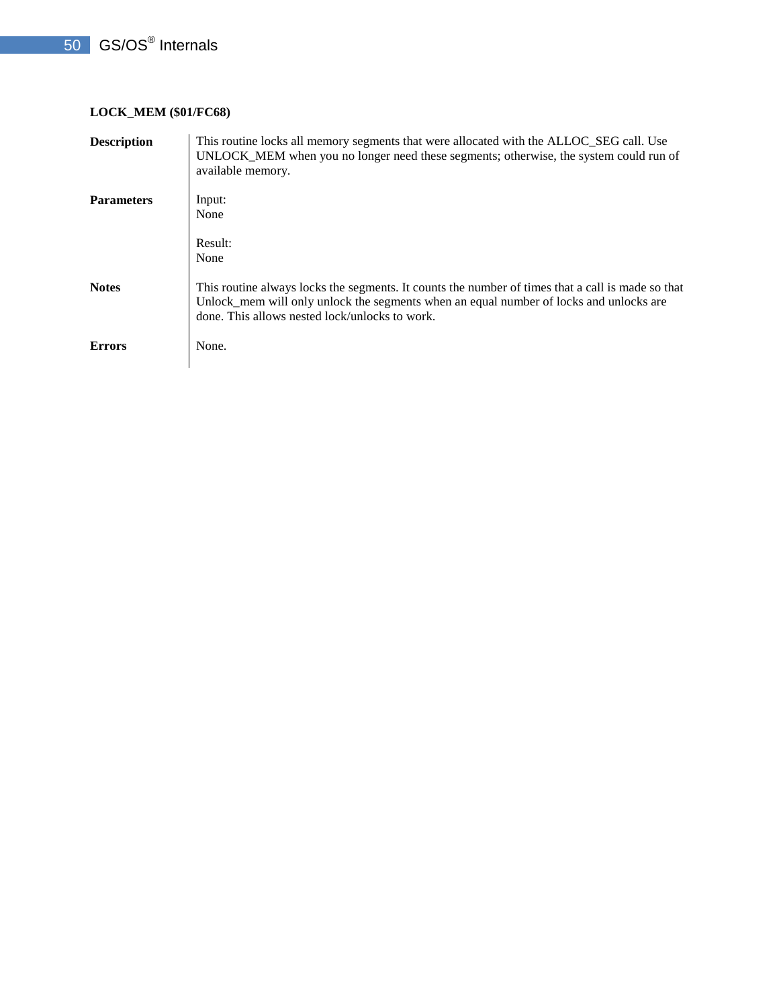## **LOCK\_MEM (\$01/FC68)**

| <b>Description</b> | This routine locks all memory segments that were allocated with the ALLOC_SEG call. Use<br>UNLOCK_MEM when you no longer need these segments; otherwise, the system could run of<br>available memory.                                         |
|--------------------|-----------------------------------------------------------------------------------------------------------------------------------------------------------------------------------------------------------------------------------------------|
| <b>Parameters</b>  | Input:<br>None                                                                                                                                                                                                                                |
|                    | Result:<br>None                                                                                                                                                                                                                               |
| <b>Notes</b>       | This routine always locks the segments. It counts the number of times that a call is made so that<br>Unlock_mem will only unlock the segments when an equal number of locks and unlocks are<br>done. This allows nested lock/unlocks to work. |
| <b>Errors</b>      | None.                                                                                                                                                                                                                                         |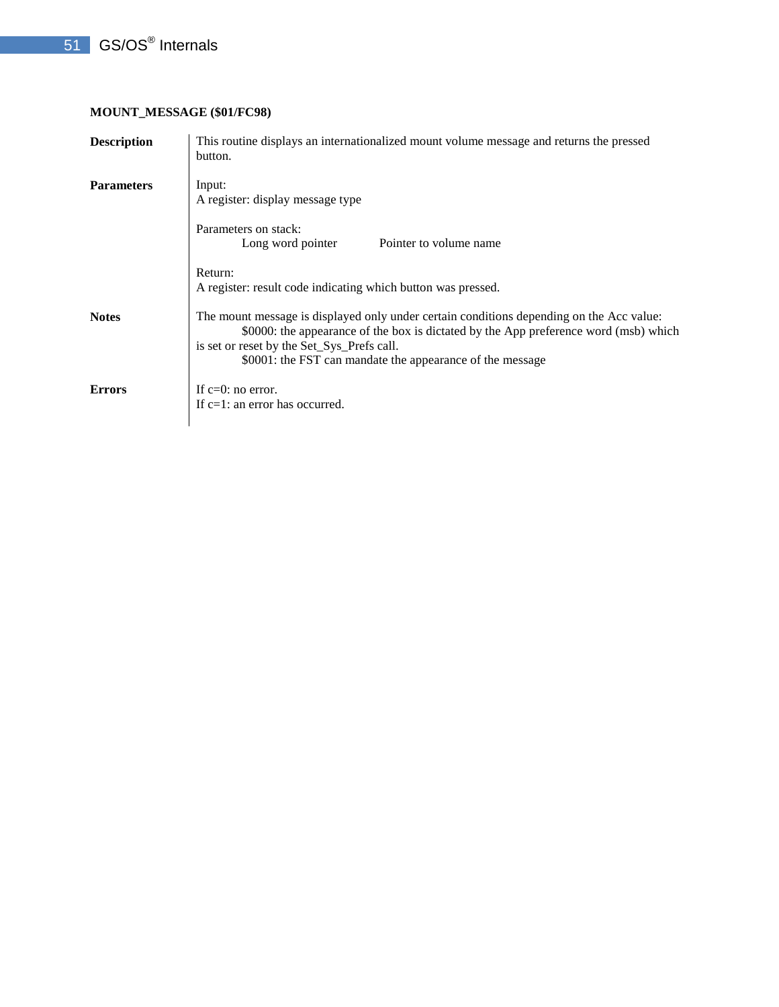## **MOUNT\_MESSAGE (\$01/FC98)**

| <b>Description</b> | This routine displays an internationalized mount volume message and returns the pressed<br>button.                                                                                                                                                                                          |
|--------------------|---------------------------------------------------------------------------------------------------------------------------------------------------------------------------------------------------------------------------------------------------------------------------------------------|
| <b>Parameters</b>  | Input:<br>A register: display message type                                                                                                                                                                                                                                                  |
|                    | Parameters on stack:<br>Long word pointer<br>Pointer to volume name                                                                                                                                                                                                                         |
|                    | Return:<br>A register: result code indicating which button was pressed.                                                                                                                                                                                                                     |
| <b>Notes</b>       | The mount message is displayed only under certain conditions depending on the Acc value:<br>\$0000: the appearance of the box is dictated by the App preference word (msb) which<br>is set or reset by the Set_Sys_Prefs call.<br>\$0001: the FST can mandate the appearance of the message |
| <b>Errors</b>      | If $c=0$ : no error.<br>If c=1: an error has occurred.                                                                                                                                                                                                                                      |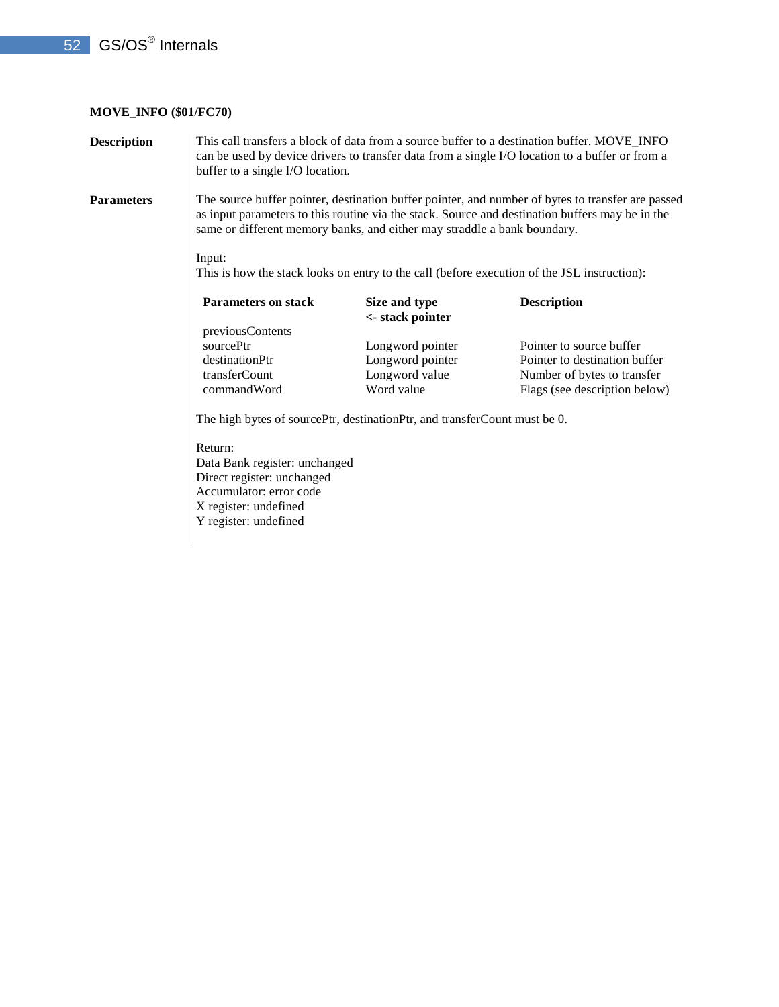## **MOVE\_INFO (\$01/FC70)**

| <b>Description</b> | This call transfers a block of data from a source buffer to a destination buffer. MOVE_INFO<br>can be used by device drivers to transfer data from a single I/O location to a buffer or from a<br>buffer to a single I/O location. |                                                                                                                                                                                                                                                                                  |                               |  |  |  |  |  |
|--------------------|------------------------------------------------------------------------------------------------------------------------------------------------------------------------------------------------------------------------------------|----------------------------------------------------------------------------------------------------------------------------------------------------------------------------------------------------------------------------------------------------------------------------------|-------------------------------|--|--|--|--|--|
| Parameters         |                                                                                                                                                                                                                                    | The source buffer pointer, destination buffer pointer, and number of bytes to transfer are passed<br>as input parameters to this routine via the stack. Source and destination buffers may be in the<br>same or different memory banks, and either may straddle a bank boundary. |                               |  |  |  |  |  |
|                    | Input:                                                                                                                                                                                                                             | This is how the stack looks on entry to the call (before execution of the JSL instruction):                                                                                                                                                                                      |                               |  |  |  |  |  |
|                    | <b>Parameters on stack</b>                                                                                                                                                                                                         | Size and type                                                                                                                                                                                                                                                                    | <b>Description</b>            |  |  |  |  |  |
|                    |                                                                                                                                                                                                                                    | <- stack pointer                                                                                                                                                                                                                                                                 |                               |  |  |  |  |  |
|                    | previousContents                                                                                                                                                                                                                   |                                                                                                                                                                                                                                                                                  |                               |  |  |  |  |  |
|                    | sourcePtr                                                                                                                                                                                                                          | Longword pointer                                                                                                                                                                                                                                                                 | Pointer to source buffer      |  |  |  |  |  |
|                    | destinationPtr                                                                                                                                                                                                                     | Longword pointer                                                                                                                                                                                                                                                                 | Pointer to destination buffer |  |  |  |  |  |
|                    | transferCount                                                                                                                                                                                                                      | Longword value                                                                                                                                                                                                                                                                   | Number of bytes to transfer   |  |  |  |  |  |
|                    | commandWord                                                                                                                                                                                                                        | Word value                                                                                                                                                                                                                                                                       | Flags (see description below) |  |  |  |  |  |
|                    | The high bytes of sourcePtr, destinationPtr, and transferCount must be 0.                                                                                                                                                          |                                                                                                                                                                                                                                                                                  |                               |  |  |  |  |  |
|                    | Return:                                                                                                                                                                                                                            |                                                                                                                                                                                                                                                                                  |                               |  |  |  |  |  |
|                    | Data Bank register: unchanged                                                                                                                                                                                                      |                                                                                                                                                                                                                                                                                  |                               |  |  |  |  |  |
|                    | Direct register: unchanged                                                                                                                                                                                                         |                                                                                                                                                                                                                                                                                  |                               |  |  |  |  |  |
|                    | Accumulator: error code                                                                                                                                                                                                            |                                                                                                                                                                                                                                                                                  |                               |  |  |  |  |  |
|                    | X register: undefined                                                                                                                                                                                                              |                                                                                                                                                                                                                                                                                  |                               |  |  |  |  |  |
|                    | Y register: undefined                                                                                                                                                                                                              |                                                                                                                                                                                                                                                                                  |                               |  |  |  |  |  |
|                    |                                                                                                                                                                                                                                    |                                                                                                                                                                                                                                                                                  |                               |  |  |  |  |  |
|                    |                                                                                                                                                                                                                                    |                                                                                                                                                                                                                                                                                  |                               |  |  |  |  |  |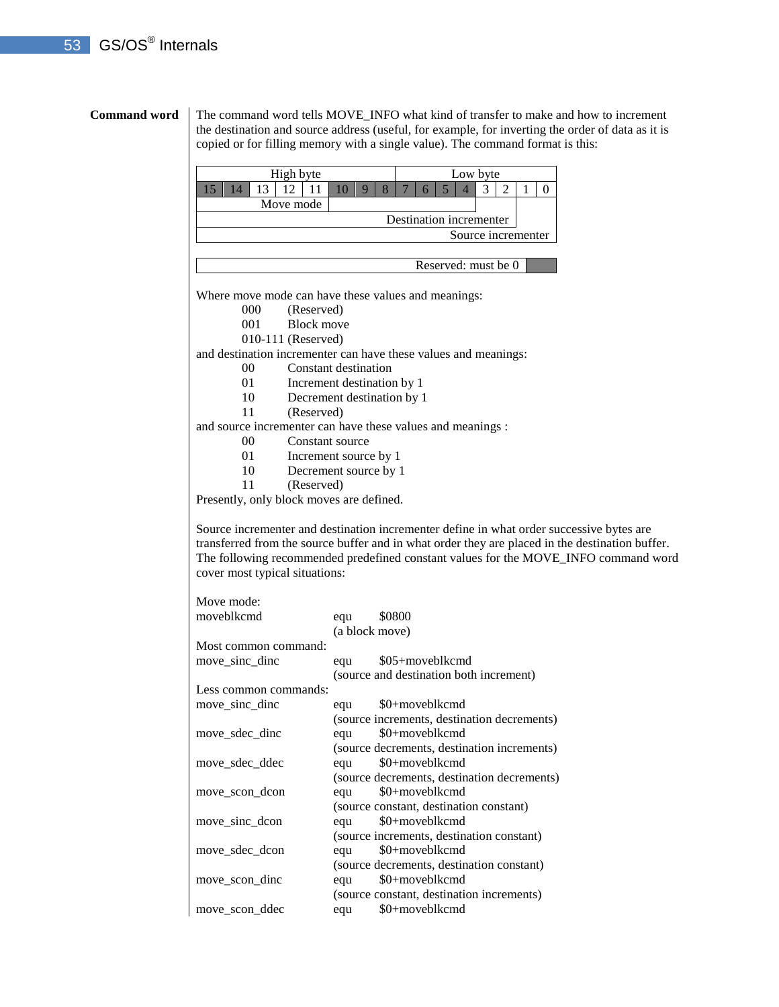**Command word** The command word tells MOVE\_INFO what kind of transfer to make and how to increment the destination and source address (useful, for example, for inverting the order of data as it is copied or for filling memory with a single value). The command format is this:

| High byte |                         |  | Low byte |  |  |  |  |  |  |  |  |  |                    |  |  |
|-----------|-------------------------|--|----------|--|--|--|--|--|--|--|--|--|--------------------|--|--|
|           |                         |  |          |  |  |  |  |  |  |  |  |  |                    |  |  |
| Move mode |                         |  |          |  |  |  |  |  |  |  |  |  |                    |  |  |
|           | Destination incrementer |  |          |  |  |  |  |  |  |  |  |  |                    |  |  |
|           |                         |  |          |  |  |  |  |  |  |  |  |  | Source incrementer |  |  |
|           |                         |  |          |  |  |  |  |  |  |  |  |  |                    |  |  |

Reserved: must be 0

Where move mode can have these values and meanings:

- 000 (Reserved)
- 001 Block move
- 010-111 (Reserved)

and destination incrementer can have these values and meanings:

- 00 Constant destination
- 01 Increment destination by 1
- 10 Decrement destination by 1
- 11 (Reserved)

and source incrementer can have these values and meanings :

- 00 Constant source
- 01 Increment source by 1
- 10 Decrement source by 1
- 11 (Reserved)

Presently, only block moves are defined.

Source incrementer and destination incrementer define in what order successive bytes are transferred from the source buffer and in what order they are placed in the destination buffer. The following recommended predefined constant values for the MOVE\_INFO command word cover most typical situations:

| moveblkcmd            | equ            | \$0800                                      |
|-----------------------|----------------|---------------------------------------------|
|                       | (a block move) |                                             |
| Most common command:  |                |                                             |
| move sinc dinc        | equ            | \$05+moveblkcmd                             |
|                       |                | (source and destination both increment)     |
| Less common commands: |                |                                             |
| move sinc dinc        | equ            | \$0+moveblkcmd                              |
|                       |                | (source increments, destination decrements) |
| move sdec dinc        | equ            | \$0+moveblkcmd                              |
|                       |                | (source decrements, destination increments) |
| move sdec ddec        | equ            | \$0+moveblkcmd                              |
|                       |                | (source decrements, destination decrements) |
| move scon dcon        | equ            | \$0+moveblkcmd                              |
|                       |                | (source constant, destination constant)     |
| move sinc dcon        | equ            | \$0+moveblkcmd                              |
|                       |                | (source increments, destination constant)   |
| move sdec dcon        | equ            | \$0+moveblkcmd                              |
|                       |                | (source decrements, destination constant)   |
| move scon dinc        | equ            | \$0+moveblkcmd                              |
|                       |                | (source constant, destination increments)   |
| move scon ddec        | equ            | \$0+moveblkcmd                              |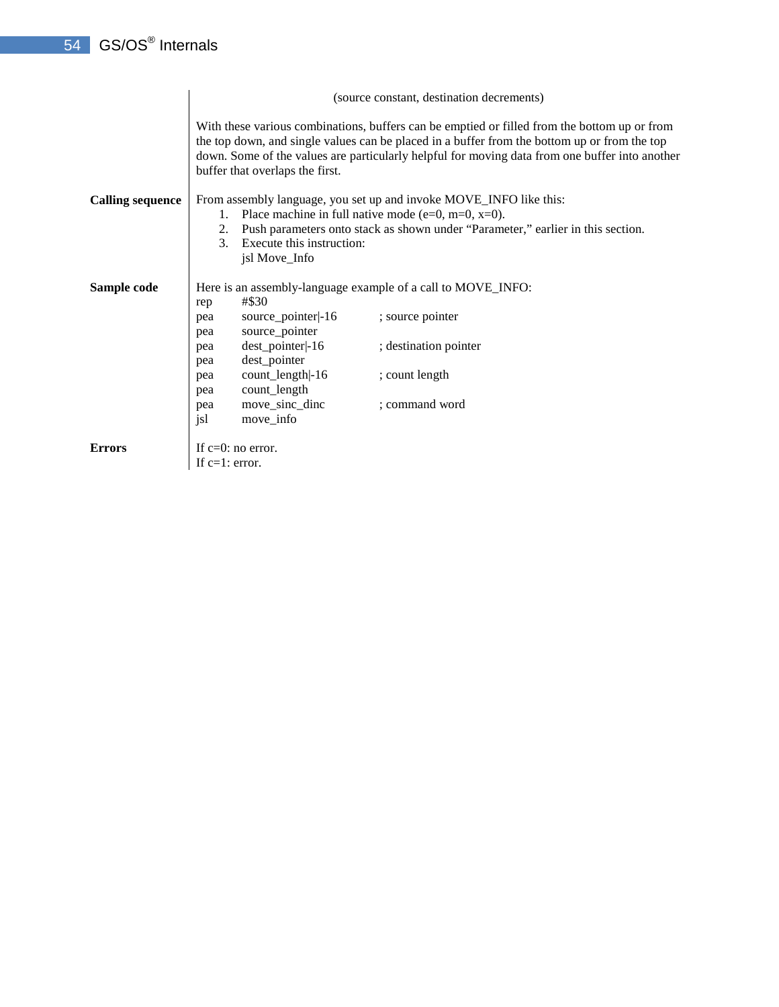|                         | (source constant, destination decrements) |                                               |                                                                                                                                                                                                                                                                                                |  |  |
|-------------------------|-------------------------------------------|-----------------------------------------------|------------------------------------------------------------------------------------------------------------------------------------------------------------------------------------------------------------------------------------------------------------------------------------------------|--|--|
|                         |                                           | buffer that overlaps the first.               | With these various combinations, buffers can be emptied or filled from the bottom up or from<br>the top down, and single values can be placed in a buffer from the bottom up or from the top<br>down. Some of the values are particularly helpful for moving data from one buffer into another |  |  |
| <b>Calling sequence</b> | 1.<br>2.<br>3.                            | Execute this instruction:<br>jsl Move_Info    | From assembly language, you set up and invoke MOVE_INFO like this:<br>Place machine in full native mode (e=0, m=0, $x=0$ ).<br>Push parameters onto stack as shown under "Parameter," earlier in this section.                                                                                 |  |  |
| Sample code             |                                           |                                               | Here is an assembly-language example of a call to MOVE_INFO:                                                                                                                                                                                                                                   |  |  |
|                         | rep<br>pea                                | #\$30<br>source_pointer -16<br>source_pointer | ; source pointer                                                                                                                                                                                                                                                                               |  |  |
|                         | pea<br>pea                                | dest_pointer -16                              | ; destination pointer                                                                                                                                                                                                                                                                          |  |  |
|                         | pea<br>pea                                | dest_pointer<br>count_length -16              | ; count length                                                                                                                                                                                                                                                                                 |  |  |
|                         | pea<br>pea<br>jsl                         | count_length<br>move_sinc_dinc<br>move_info   | ; command word                                                                                                                                                                                                                                                                                 |  |  |
| <b>Errors</b>           | If $c=1$ : error.                         | If $c=0$ : no error.                          |                                                                                                                                                                                                                                                                                                |  |  |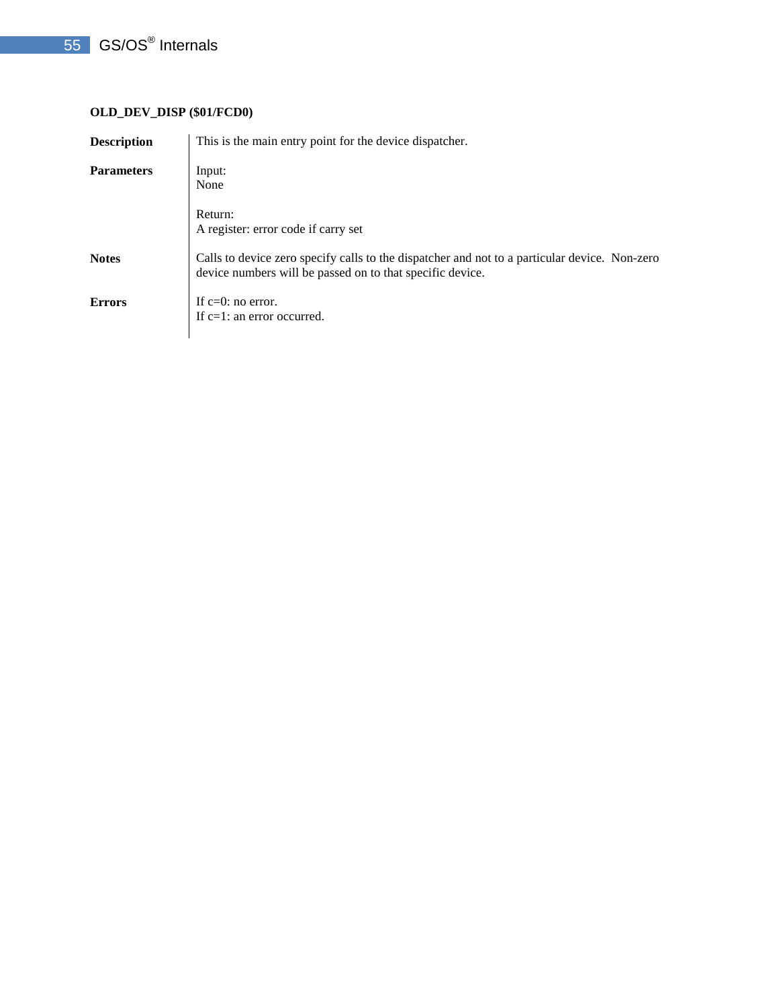# **OLD\_DEV\_DISP (\$01/FCD0)**

| <b>Description</b> | This is the main entry point for the device dispatcher.                                                                                                    |
|--------------------|------------------------------------------------------------------------------------------------------------------------------------------------------------|
| <b>Parameters</b>  | Input:<br>None                                                                                                                                             |
|                    | Return:<br>A register: error code if carry set                                                                                                             |
| <b>Notes</b>       | Calls to device zero specify calls to the dispatcher and not to a particular device. Non-zero<br>device numbers will be passed on to that specific device. |
| <b>Errors</b>      | If $c=0$ : no error.<br>If $c=1$ : an error occurred.                                                                                                      |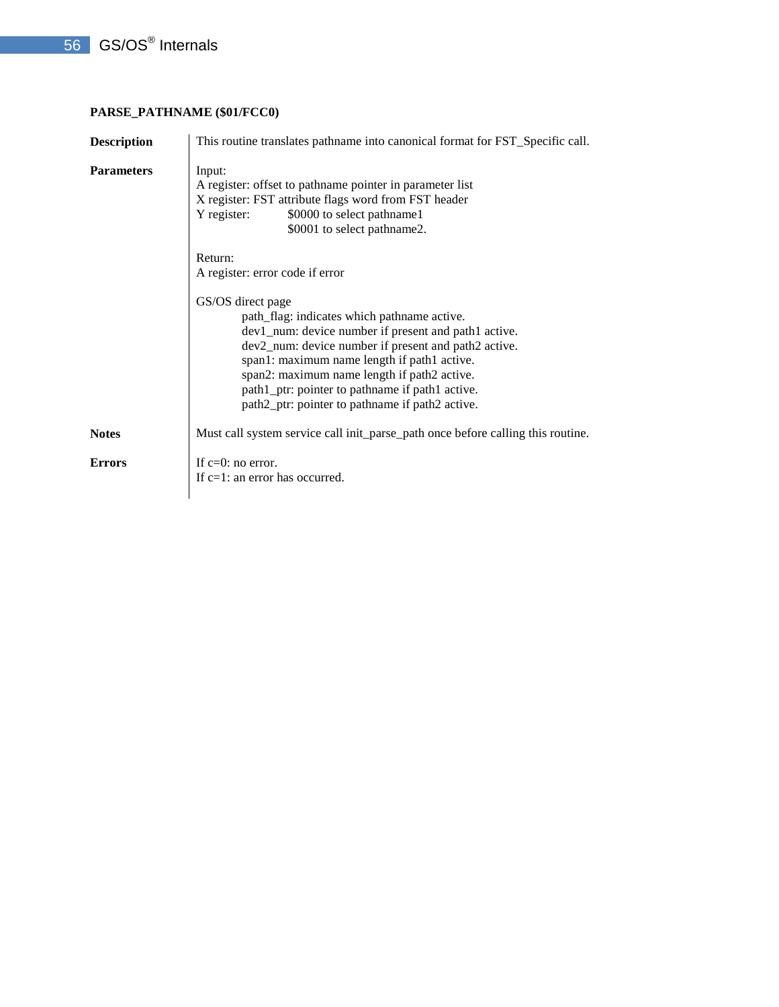## **PARSE\_PATHNAME (\$01/FCC0)**

| <b>Description</b> | This routine translates pathname into canonical format for FST_Specific call.                                                                                                                                                                                                                                                                                                        |
|--------------------|--------------------------------------------------------------------------------------------------------------------------------------------------------------------------------------------------------------------------------------------------------------------------------------------------------------------------------------------------------------------------------------|
| <b>Parameters</b>  | Input:<br>A register: offset to pathname pointer in parameter list<br>X register: FST attribute flags word from FST header<br>\$0000 to select pathname1<br>Y register:<br>\$0001 to select pathname2.                                                                                                                                                                               |
|                    | Return:<br>A register: error code if error                                                                                                                                                                                                                                                                                                                                           |
|                    | GS/OS direct page<br>path_flag: indicates which pathname active.<br>dev1_num: device number if present and path1 active.<br>dev2_num: device number if present and path2 active.<br>span1: maximum name length if path1 active.<br>span2: maximum name length if path2 active.<br>path1_ptr: pointer to pathname if path1 active.<br>path2_ptr: pointer to pathname if path2 active. |
| <b>Notes</b>       | Must call system service call init_parse_path once before calling this routine.                                                                                                                                                                                                                                                                                                      |
| <b>Errors</b>      | If $c=0$ : no error.<br>If c=1: an error has occurred.                                                                                                                                                                                                                                                                                                                               |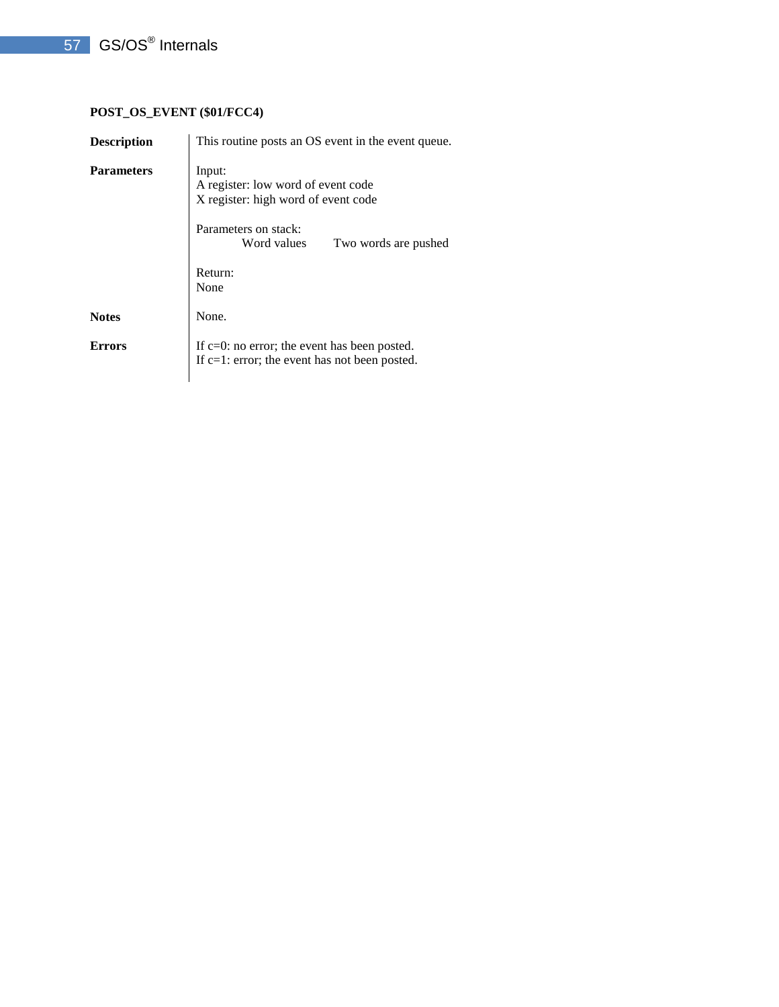# **POST\_OS\_EVENT (\$01/FCC4)**

| <b>Description</b> | This routine posts an OS event in the event queue.                                                                                                 |  |  |  |  |
|--------------------|----------------------------------------------------------------------------------------------------------------------------------------------------|--|--|--|--|
| <b>Parameters</b>  | Input:<br>A register: low word of event code<br>X register: high word of event code<br>Parameters on stack:<br>Word values<br>Two words are pushed |  |  |  |  |
|                    | Return:<br>None                                                                                                                                    |  |  |  |  |
| <b>Notes</b>       | None.                                                                                                                                              |  |  |  |  |
| <b>Errors</b>      | If $c=0$ : no error; the event has been posted.<br>If $c=1$ : error; the event has not been posted.                                                |  |  |  |  |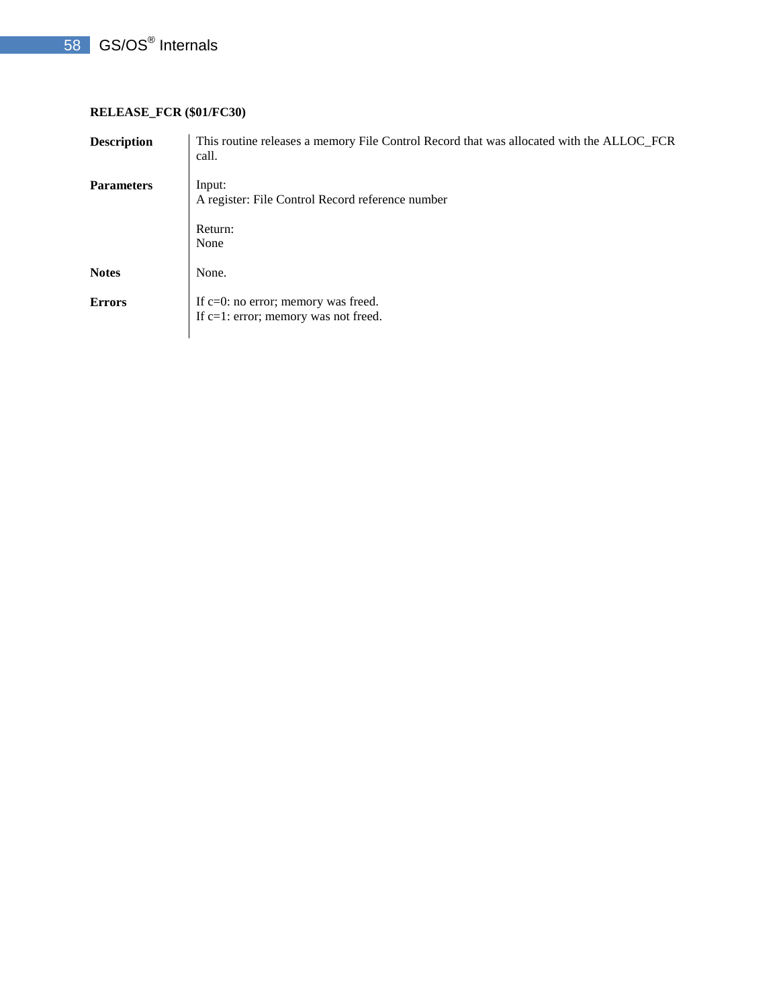# 58 GS/OS<sup>®</sup> Internals

## **RELEASE\_FCR (\$01/FC30)**

| <b>Description</b> | This routine releases a memory File Control Record that was allocated with the ALLOC_FCR<br>call. |
|--------------------|---------------------------------------------------------------------------------------------------|
| <b>Parameters</b>  | Input:<br>A register: File Control Record reference number                                        |
|                    | Return:<br>None                                                                                   |
| <b>Notes</b>       | None.                                                                                             |
| <b>Errors</b>      | If c=0: no error; memory was freed.<br>If c=1: error; memory was not freed.                       |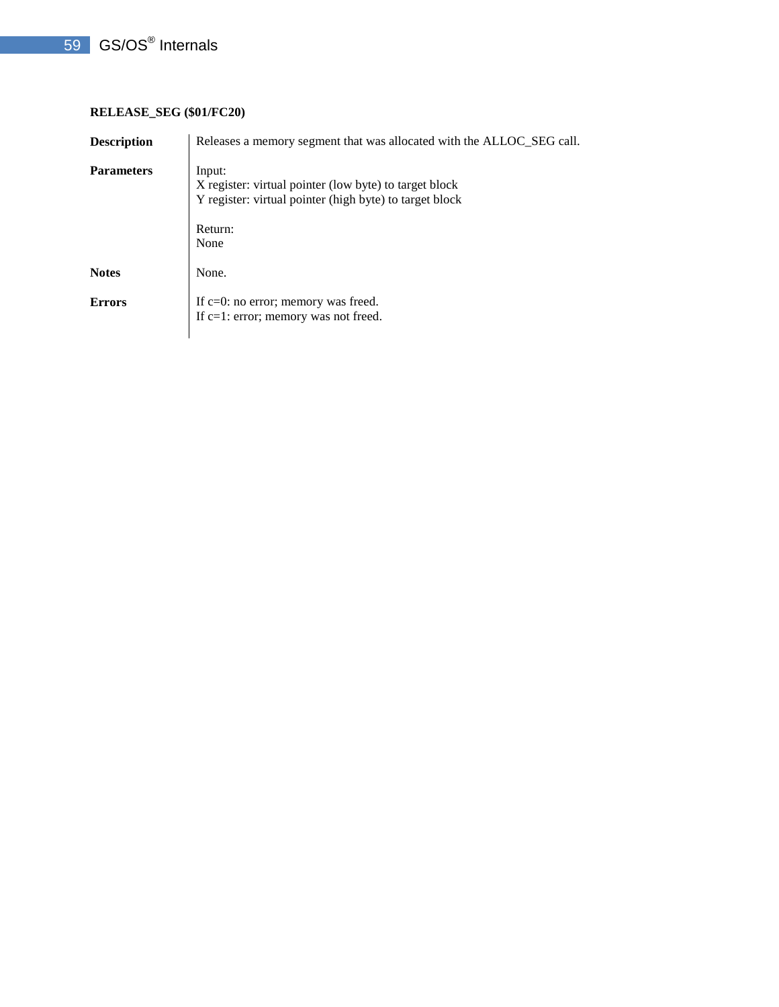## **RELEASE\_SEG (\$01/FC20)**

| <b>Description</b> | Releases a memory segment that was allocated with the ALLOC SEG call.                                                                          |
|--------------------|------------------------------------------------------------------------------------------------------------------------------------------------|
| <b>Parameters</b>  | Input:<br>X register: virtual pointer (low byte) to target block<br>Y register: virtual pointer (high byte) to target block<br>Return:<br>None |
| <b>Notes</b>       | None.                                                                                                                                          |
| <b>Errors</b>      | If $c=0$ : no error; memory was freed.<br>If $c=1$ : error; memory was not freed.                                                              |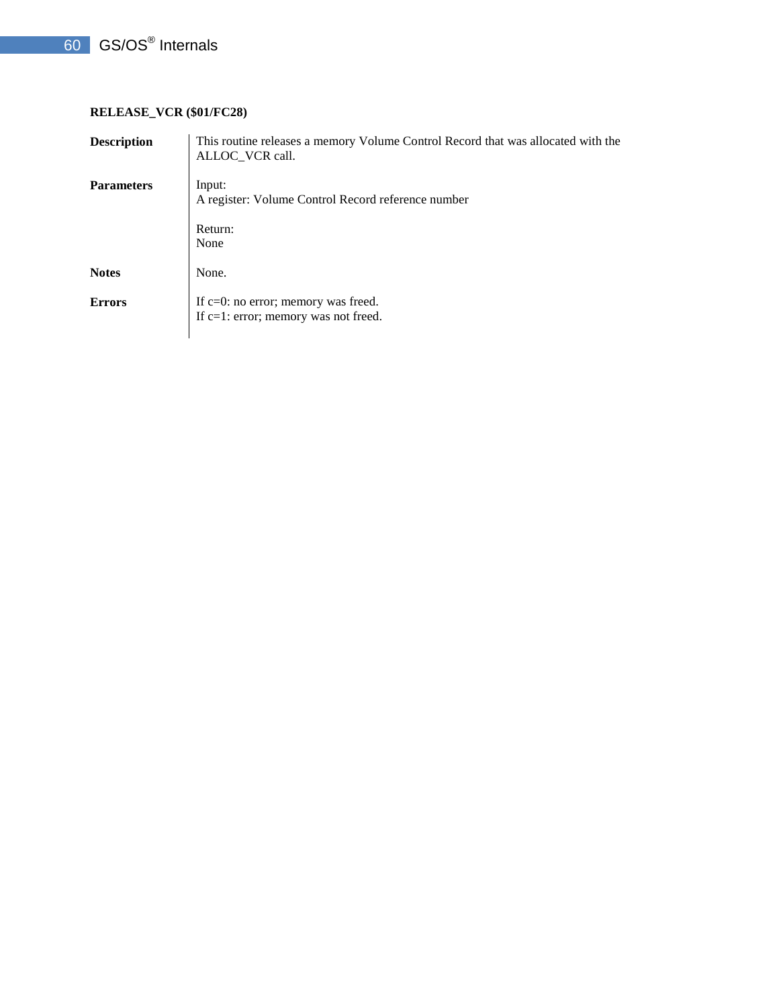## **RELEASE\_VCR (\$01/FC28)**

| <b>Description</b> | This routine releases a memory Volume Control Record that was allocated with the<br>ALLOC VCR call. |
|--------------------|-----------------------------------------------------------------------------------------------------|
| <b>Parameters</b>  | Input:<br>A register: Volume Control Record reference number                                        |
|                    | Return:<br>None                                                                                     |
| <b>Notes</b>       | None.                                                                                               |
| <b>Errors</b>      | If $c=0$ : no error; memory was freed.<br>If c=1: error; memory was not freed.                      |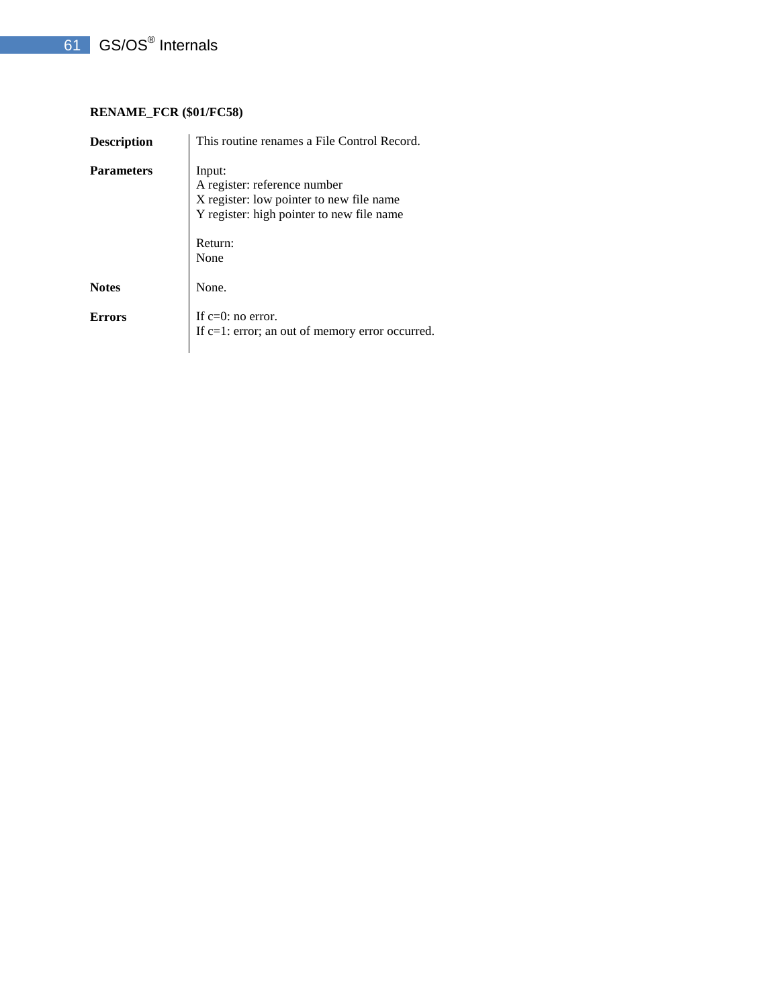## **RENAME\_FCR (\$01/FC58)**

| <b>Description</b> | This routine renames a File Control Record.                                                                                                        |  |  |
|--------------------|----------------------------------------------------------------------------------------------------------------------------------------------------|--|--|
| <b>Parameters</b>  | Input:<br>A register: reference number<br>X register: low pointer to new file name<br>Y register: high pointer to new file name<br>Return:<br>None |  |  |
| <b>Notes</b>       | None.                                                                                                                                              |  |  |
| Errors             | If $c=0$ : no error.<br>If $c=1$ : error; an out of memory error occurred.                                                                         |  |  |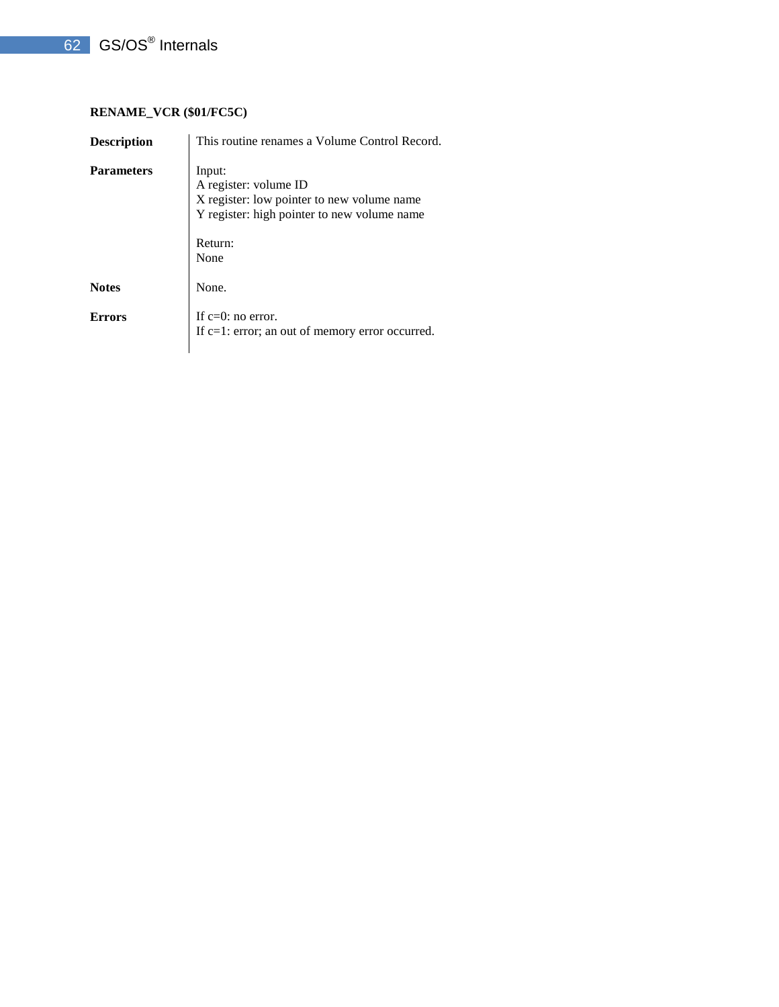## **RENAME\_VCR (\$01/FC5C)**

| <b>Description</b> | This routine renames a Volume Control Record.                                                                                                   |  |  |
|--------------------|-------------------------------------------------------------------------------------------------------------------------------------------------|--|--|
| <b>Parameters</b>  | Input:<br>A register: volume ID<br>X register: low pointer to new volume name<br>Y register: high pointer to new volume name<br>Return:<br>None |  |  |
| <b>Notes</b>       | None.                                                                                                                                           |  |  |
| Errors             | If $c=0$ : no error.<br>If $c=1$ : error; an out of memory error occurred.                                                                      |  |  |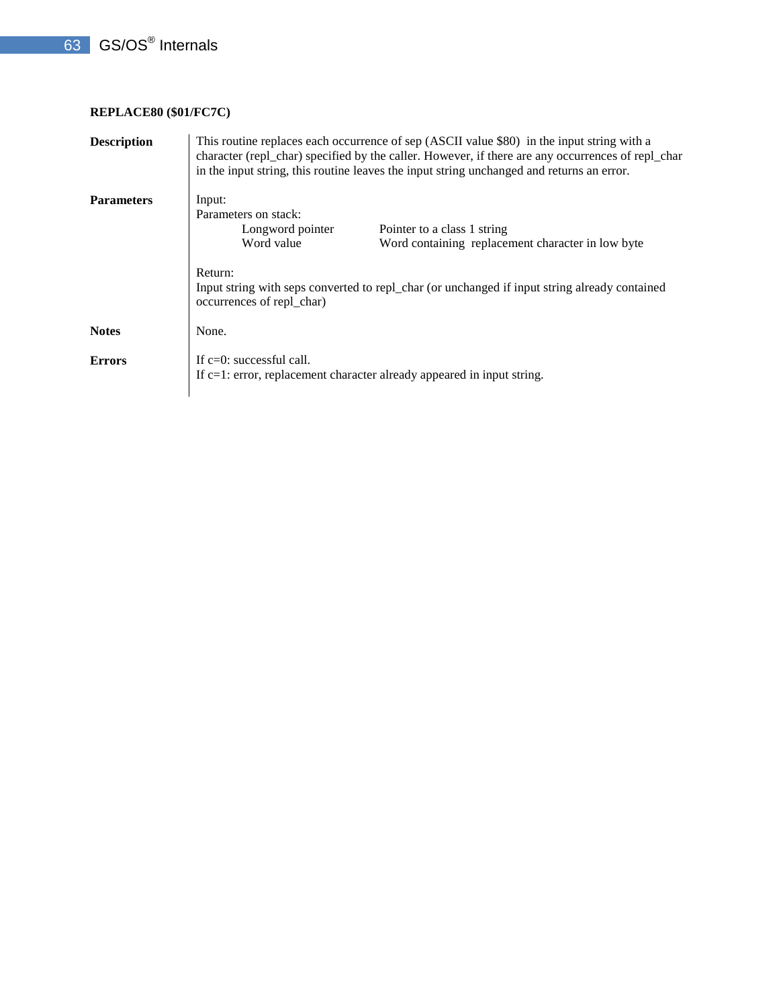## **REPLACE80 (\$01/FC7C)**

| <b>Description</b> | This routine replaces each occurrence of sep (ASCII value \$80) in the input string with a<br>character (repl_char) specified by the caller. However, if there are any occurrences of repl_char<br>in the input string, this routine leaves the input string unchanged and returns an error. |  |  |
|--------------------|----------------------------------------------------------------------------------------------------------------------------------------------------------------------------------------------------------------------------------------------------------------------------------------------|--|--|
| <b>Parameters</b>  | Input:<br>Parameters on stack:<br>Longword pointer<br>Pointer to a class 1 string<br>Word value<br>Word containing replacement character in low byte                                                                                                                                         |  |  |
|                    | Return:<br>Input string with seps converted to repl_char (or unchanged if input string already contained<br>occurrences of repl_char)                                                                                                                                                        |  |  |
| <b>Notes</b>       | None.                                                                                                                                                                                                                                                                                        |  |  |
| <b>Errors</b>      | If $c=0$ : successful call.<br>If $c=1$ : error, replacement character already appeared in input string.                                                                                                                                                                                     |  |  |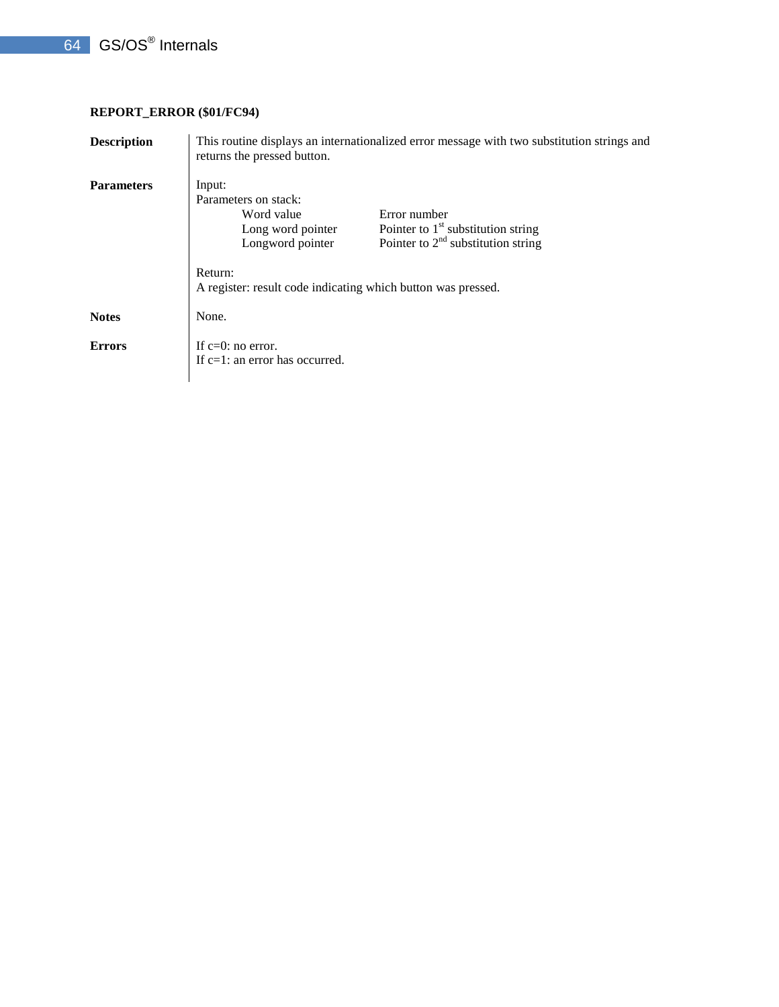## **REPORT\_ERROR (\$01/FC94)**

| <b>Description</b> | This routine displays an internationalized error message with two substitution strings and<br>returns the pressed button. |                                                                                              |  |
|--------------------|---------------------------------------------------------------------------------------------------------------------------|----------------------------------------------------------------------------------------------|--|
| <b>Parameters</b>  | Input:<br>Parameters on stack:<br>Word value<br>Long word pointer<br>Longword pointer                                     | Error number<br>Pointer to $1st$ substitution string<br>Pointer to $2nd$ substitution string |  |
|                    | Return:<br>A register: result code indicating which button was pressed.                                                   |                                                                                              |  |
| <b>Notes</b>       | None.                                                                                                                     |                                                                                              |  |
| <b>Errors</b>      | If $c=0$ : no error.<br>If $c=1$ : an error has occurred.                                                                 |                                                                                              |  |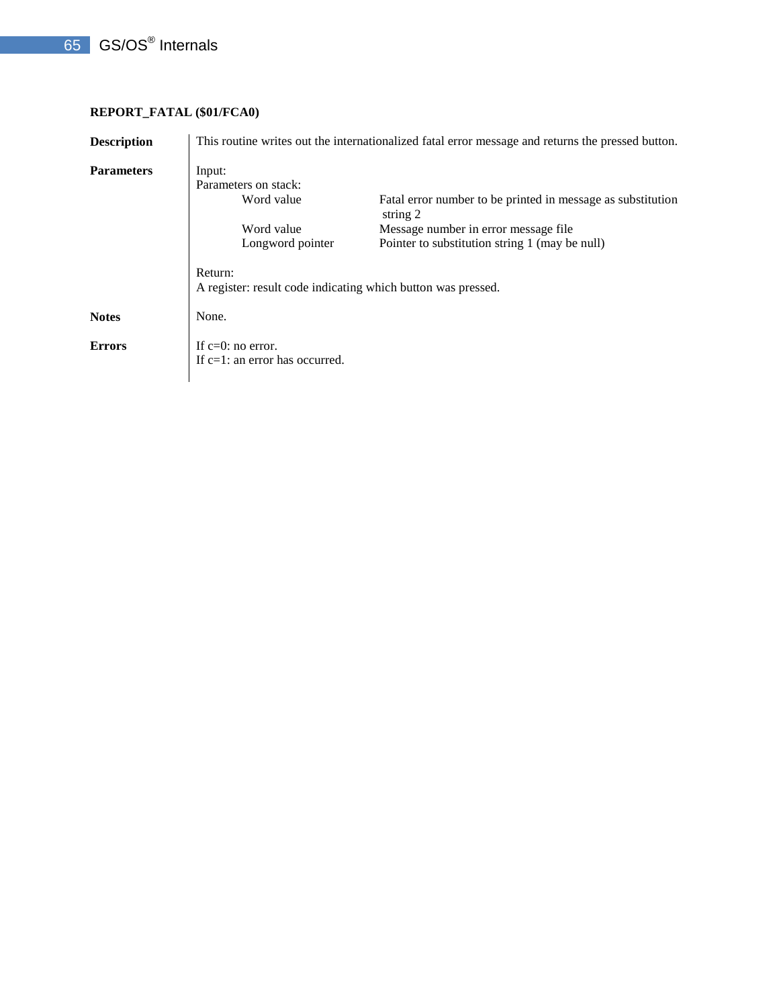# 65 GS/OS<sup>®</sup> Internals

# **REPORT\_FATAL (\$01/FCA0)**

| <b>Description</b> | This routine writes out the internationalized fatal error message and returns the pressed button. |                                                                         |  |  |
|--------------------|---------------------------------------------------------------------------------------------------|-------------------------------------------------------------------------|--|--|
| <b>Parameters</b>  | Input:<br>Parameters on stack:                                                                    |                                                                         |  |  |
|                    | Word value                                                                                        | Fatal error number to be printed in message as substitution<br>string 2 |  |  |
|                    | Word value                                                                                        | Message number in error message file.                                   |  |  |
|                    | Longword pointer                                                                                  | Pointer to substitution string 1 (may be null)                          |  |  |
|                    | Return:<br>A register: result code indicating which button was pressed.                           |                                                                         |  |  |
| <b>Notes</b>       | None.                                                                                             |                                                                         |  |  |
| <b>Errors</b>      | If $c=0$ : no error.<br>If c=1: an error has occurred.                                            |                                                                         |  |  |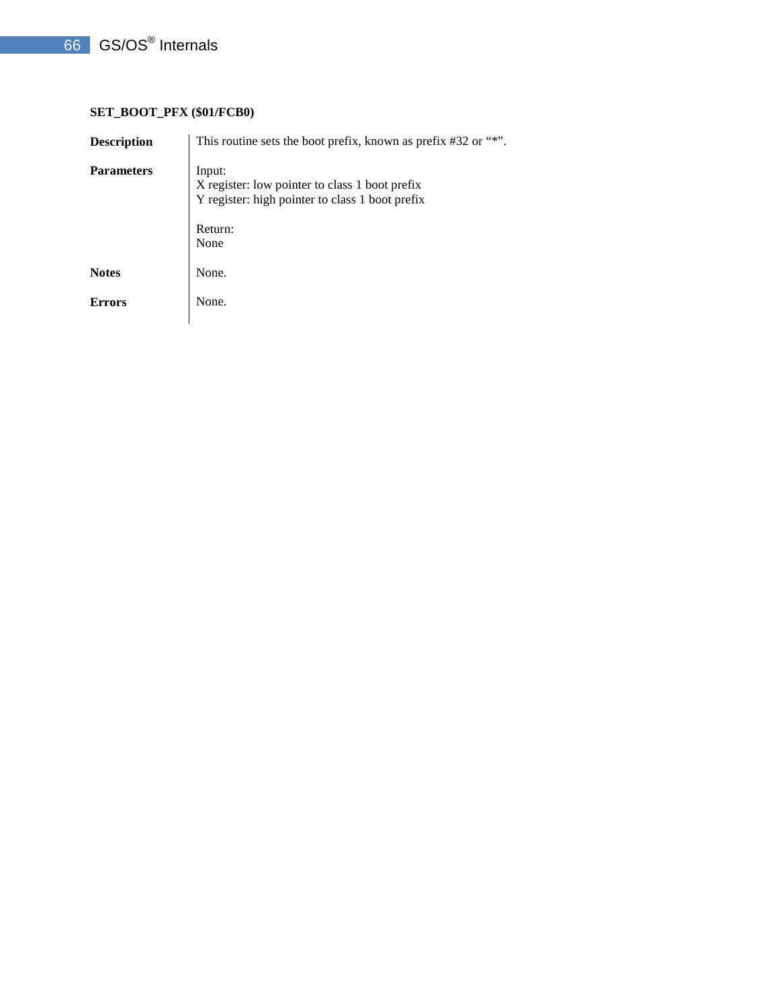# 66 GS/OS<sup>®</sup> Internals

# **SET\_BOOT\_PFX (\$01/FCB0)**

| <b>Description</b> | This routine sets the boot prefix, known as prefix #32 or "*".                                                                 |
|--------------------|--------------------------------------------------------------------------------------------------------------------------------|
| <b>Parameters</b>  | Input:<br>X register: low pointer to class 1 boot prefix<br>Y register: high pointer to class 1 boot prefix<br>Return:<br>None |
| <b>Notes</b>       | None.                                                                                                                          |
| <b>Errors</b>      | None.                                                                                                                          |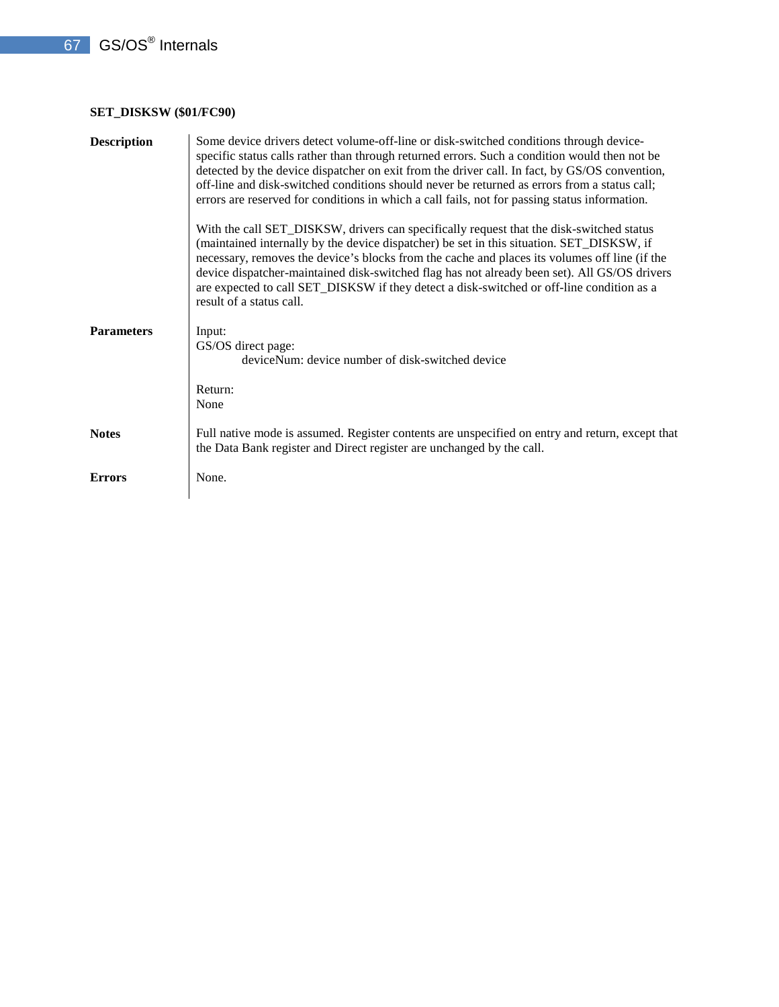# **SET\_DISKSW (\$01/FC90)**

| <b>Description</b> | Some device drivers detect volume-off-line or disk-switched conditions through device-<br>specific status calls rather than through returned errors. Such a condition would then not be<br>detected by the device dispatcher on exit from the driver call. In fact, by GS/OS convention,<br>off-line and disk-switched conditions should never be returned as errors from a status call;<br>errors are reserved for conditions in which a call fails, not for passing status information.                       |
|--------------------|-----------------------------------------------------------------------------------------------------------------------------------------------------------------------------------------------------------------------------------------------------------------------------------------------------------------------------------------------------------------------------------------------------------------------------------------------------------------------------------------------------------------|
|                    | With the call SET_DISKSW, drivers can specifically request that the disk-switched status<br>(maintained internally by the device dispatcher) be set in this situation. SET_DISKSW, if<br>necessary, removes the device's blocks from the cache and places its volumes off line (if the<br>device dispatcher-maintained disk-switched flag has not already been set). All GS/OS drivers<br>are expected to call SET_DISKSW if they detect a disk-switched or off-line condition as a<br>result of a status call. |
| <b>Parameters</b>  | Input:<br>GS/OS direct page:<br>deviceNum: device number of disk-switched device<br>Return:                                                                                                                                                                                                                                                                                                                                                                                                                     |
|                    | None                                                                                                                                                                                                                                                                                                                                                                                                                                                                                                            |
| <b>Notes</b>       | Full native mode is assumed. Register contents are unspecified on entry and return, except that<br>the Data Bank register and Direct register are unchanged by the call.                                                                                                                                                                                                                                                                                                                                        |
| <b>Errors</b>      | None.                                                                                                                                                                                                                                                                                                                                                                                                                                                                                                           |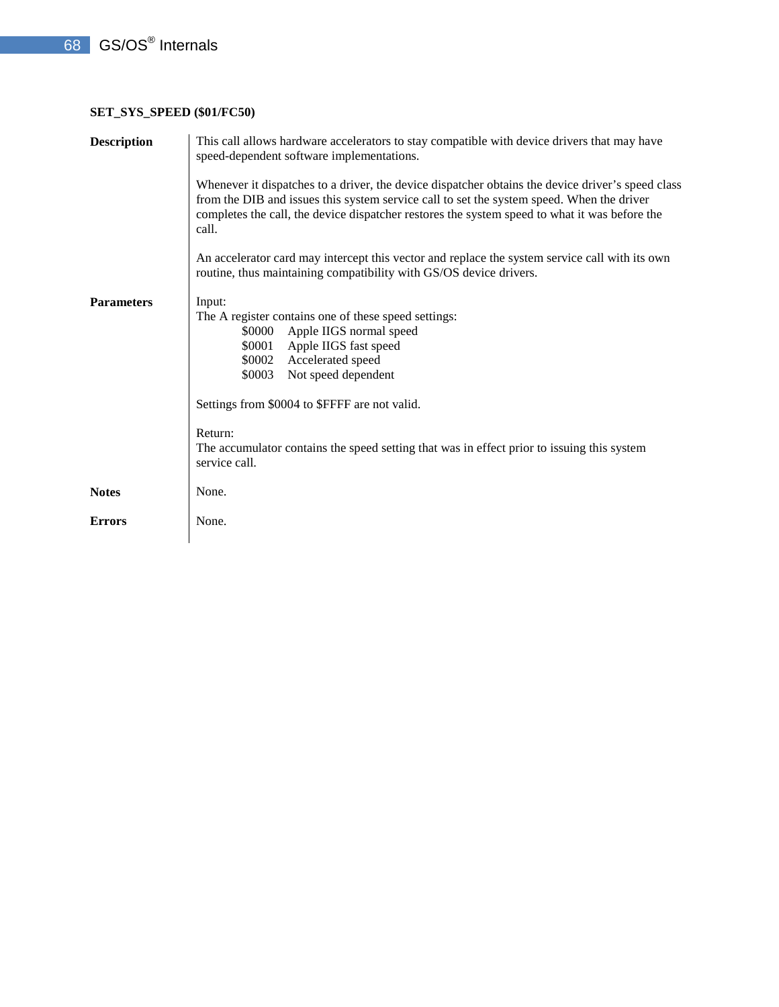## **SET\_SYS\_SPEED (\$01/FC50)**

| <b>Description</b> | This call allows hardware accelerators to stay compatible with device drivers that may have<br>speed-dependent software implementations.<br>Whenever it dispatches to a driver, the device dispatcher obtains the device driver's speed class<br>from the DIB and issues this system service call to set the system speed. When the driver<br>completes the call, the device dispatcher restores the system speed to what it was before the<br>call.<br>An accelerator card may intercept this vector and replace the system service call with its own<br>routine, thus maintaining compatibility with GS/OS device drivers. |  |  |
|--------------------|------------------------------------------------------------------------------------------------------------------------------------------------------------------------------------------------------------------------------------------------------------------------------------------------------------------------------------------------------------------------------------------------------------------------------------------------------------------------------------------------------------------------------------------------------------------------------------------------------------------------------|--|--|
|                    |                                                                                                                                                                                                                                                                                                                                                                                                                                                                                                                                                                                                                              |  |  |
| <b>Parameters</b>  | Input:<br>The A register contains one of these speed settings:<br>Apple IIGS normal speed<br>\$0000<br>Apple IIGS fast speed<br>\$0001<br>Accelerated speed<br>\$0002<br>Not speed dependent<br>\$0003                                                                                                                                                                                                                                                                                                                                                                                                                       |  |  |
|                    | Settings from \$0004 to \$FFFF are not valid.<br>Return:<br>The accumulator contains the speed setting that was in effect prior to issuing this system<br>service call.                                                                                                                                                                                                                                                                                                                                                                                                                                                      |  |  |
| <b>Notes</b>       | None.                                                                                                                                                                                                                                                                                                                                                                                                                                                                                                                                                                                                                        |  |  |
| <b>Errors</b>      | None.                                                                                                                                                                                                                                                                                                                                                                                                                                                                                                                                                                                                                        |  |  |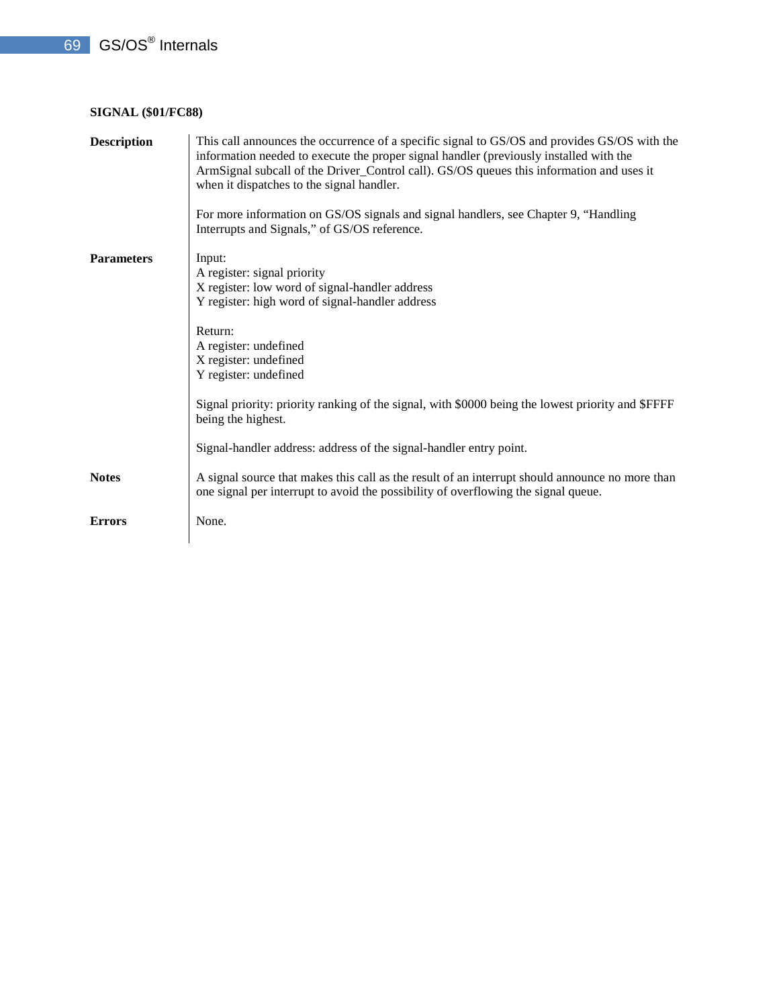## **SIGNAL (\$01/FC88)**

| <b>Description</b> | This call announces the occurrence of a specific signal to GS/OS and provides GS/OS with the<br>information needed to execute the proper signal handler (previously installed with the<br>ArmSignal subcall of the Driver_Control call). GS/OS queues this information and uses it<br>when it dispatches to the signal handler.<br>For more information on GS/OS signals and signal handlers, see Chapter 9, "Handling |
|--------------------|------------------------------------------------------------------------------------------------------------------------------------------------------------------------------------------------------------------------------------------------------------------------------------------------------------------------------------------------------------------------------------------------------------------------|
|                    | Interrupts and Signals," of GS/OS reference.                                                                                                                                                                                                                                                                                                                                                                           |
| <b>Parameters</b>  | Input:<br>A register: signal priority<br>X register: low word of signal-handler address<br>Y register: high word of signal-handler address                                                                                                                                                                                                                                                                             |
|                    | Return:<br>A register: undefined<br>X register: undefined<br>Y register: undefined                                                                                                                                                                                                                                                                                                                                     |
|                    | Signal priority: priority ranking of the signal, with \$0000 being the lowest priority and \$FFFF<br>being the highest.                                                                                                                                                                                                                                                                                                |
|                    | Signal-handler address: address of the signal-handler entry point.                                                                                                                                                                                                                                                                                                                                                     |
| <b>Notes</b>       | A signal source that makes this call as the result of an interrupt should announce no more than<br>one signal per interrupt to avoid the possibility of overflowing the signal queue.                                                                                                                                                                                                                                  |
| <b>Errors</b>      | None.                                                                                                                                                                                                                                                                                                                                                                                                                  |
|                    |                                                                                                                                                                                                                                                                                                                                                                                                                        |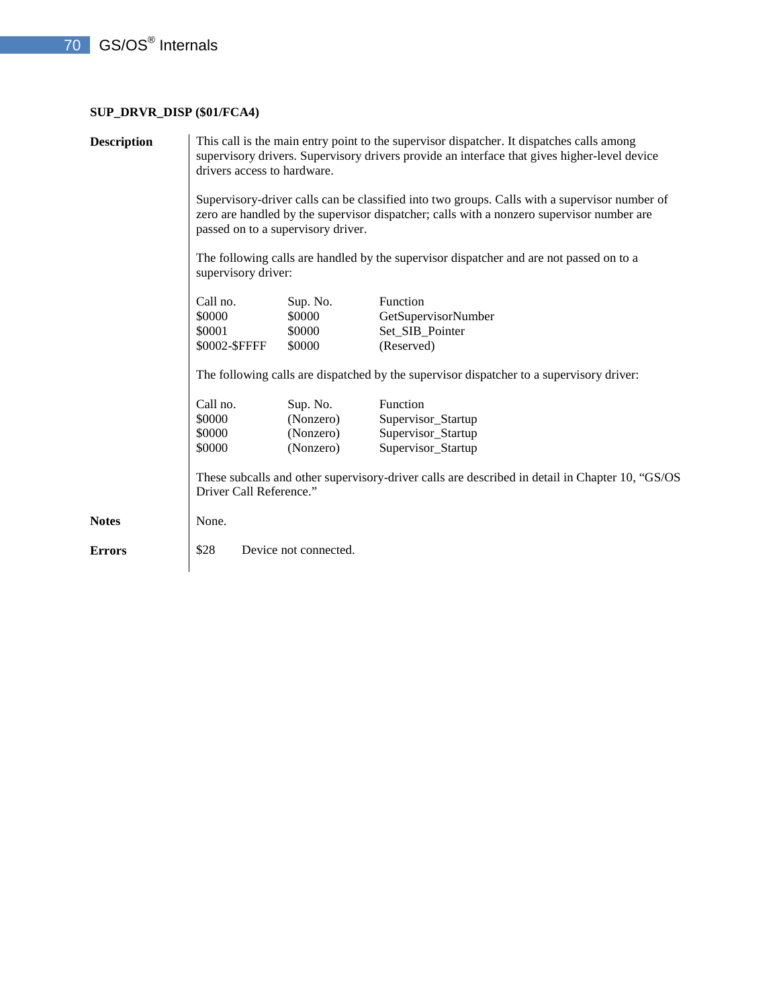# **SUP\_DRVR\_DISP (\$01/FCA4)**

| <b>Description</b> | This call is the main entry point to the supervisor dispatcher. It dispatches calls among<br>supervisory drivers. Supervisory drivers provide an interface that gives higher-level device<br>drivers access to hardware.<br>Supervisory-driver calls can be classified into two groups. Calls with a supervisor number of<br>zero are handled by the supervisor dispatcher; calls with a nonzero supervisor number are<br>passed on to a supervisory driver.<br>The following calls are handled by the supervisor dispatcher and are not passed on to a<br>supervisory driver: |                                                 |                                                                                                                                                                               |
|--------------------|--------------------------------------------------------------------------------------------------------------------------------------------------------------------------------------------------------------------------------------------------------------------------------------------------------------------------------------------------------------------------------------------------------------------------------------------------------------------------------------------------------------------------------------------------------------------------------|-------------------------------------------------|-------------------------------------------------------------------------------------------------------------------------------------------------------------------------------|
|                    | Call no.<br>\$0000<br>\$0001<br>\$0002-\$FFFF                                                                                                                                                                                                                                                                                                                                                                                                                                                                                                                                  | Sup. No.<br>\$0000<br>\$0000<br>\$0000          | Function<br>GetSupervisorNumber<br>Set_SIB_Pointer<br>(Reserved)<br>The following calls are dispatched by the supervisor dispatcher to a supervisory driver:                  |
|                    | Call no.<br>\$0000<br>\$0000<br>\$0000<br>Driver Call Reference."                                                                                                                                                                                                                                                                                                                                                                                                                                                                                                              | Sup. No.<br>(Nonzero)<br>(Nonzero)<br>(Nonzero) | Function<br>Supervisor_Startup<br>Supervisor_Startup<br>Supervisor_Startup<br>These subcalls and other supervisory-driver calls are described in detail in Chapter 10, "GS/OS |
| <b>Notes</b>       | None.                                                                                                                                                                                                                                                                                                                                                                                                                                                                                                                                                                          |                                                 |                                                                                                                                                                               |
| <b>Errors</b>      | \$28                                                                                                                                                                                                                                                                                                                                                                                                                                                                                                                                                                           | Device not connected.                           |                                                                                                                                                                               |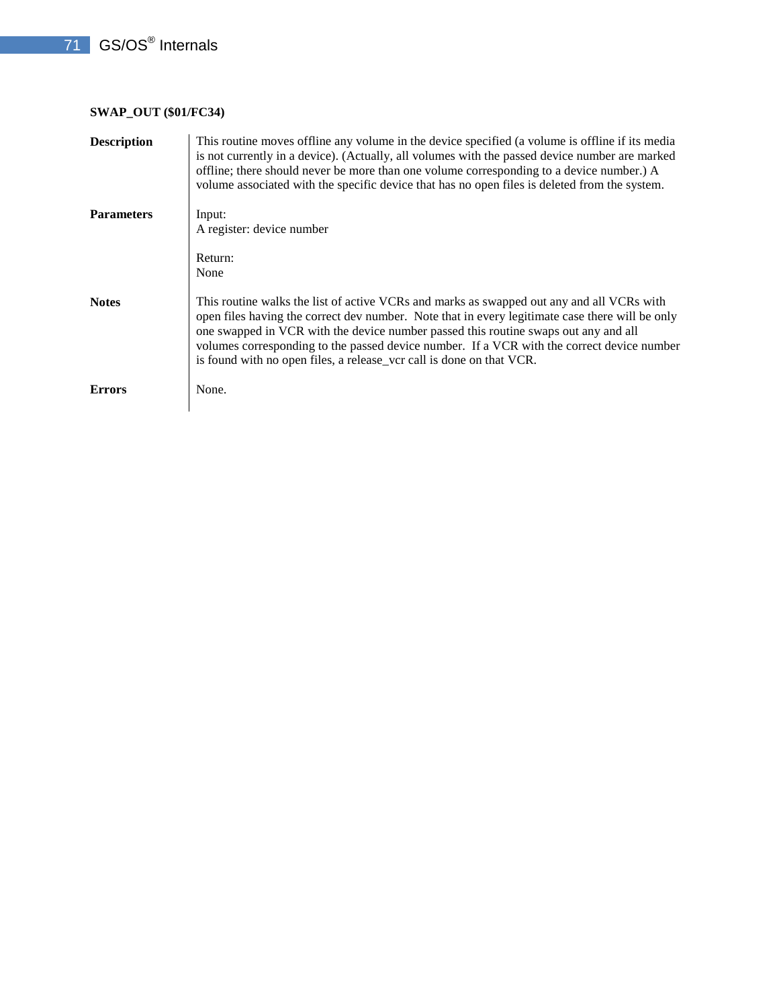# **SWAP\_OUT (\$01/FC34)**

| <b>Description</b> | This routine moves offline any volume in the device specified (a volume is offline if its media<br>is not currently in a device). (Actually, all volumes with the passed device number are marked<br>offline; there should never be more than one volume corresponding to a device number.) A<br>volume associated with the specific device that has no open files is deleted from the system.                                                            |
|--------------------|-----------------------------------------------------------------------------------------------------------------------------------------------------------------------------------------------------------------------------------------------------------------------------------------------------------------------------------------------------------------------------------------------------------------------------------------------------------|
| <b>Parameters</b>  | Input:<br>A register: device number                                                                                                                                                                                                                                                                                                                                                                                                                       |
|                    | Return:<br>None                                                                                                                                                                                                                                                                                                                                                                                                                                           |
| <b>Notes</b>       | This routine walks the list of active VCRs and marks as swapped out any and all VCRs with<br>open files having the correct dev number. Note that in every legitimate case there will be only<br>one swapped in VCR with the device number passed this routine swaps out any and all<br>volumes corresponding to the passed device number. If a VCR with the correct device number<br>is found with no open files, a release_vcr call is done on that VCR. |
| <b>Errors</b>      | None.                                                                                                                                                                                                                                                                                                                                                                                                                                                     |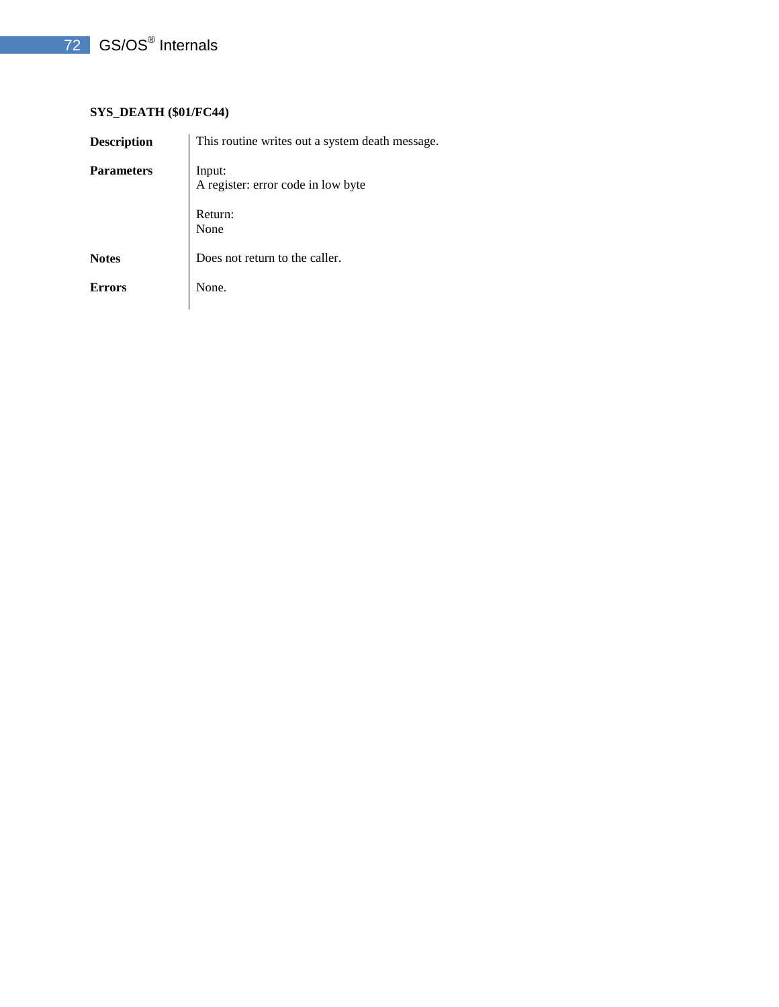# 72 GS/OS<sup>®</sup> Internals

## **SYS\_DEATH (\$01/FC44)**

| <b>Description</b> | This routine writes out a system death message. |
|--------------------|-------------------------------------------------|
| <b>Parameters</b>  | Input:<br>A register: error code in low byte    |
|                    | Return:<br>None                                 |
| <b>Notes</b>       | Does not return to the caller.                  |
| <b>Errors</b>      | None.                                           |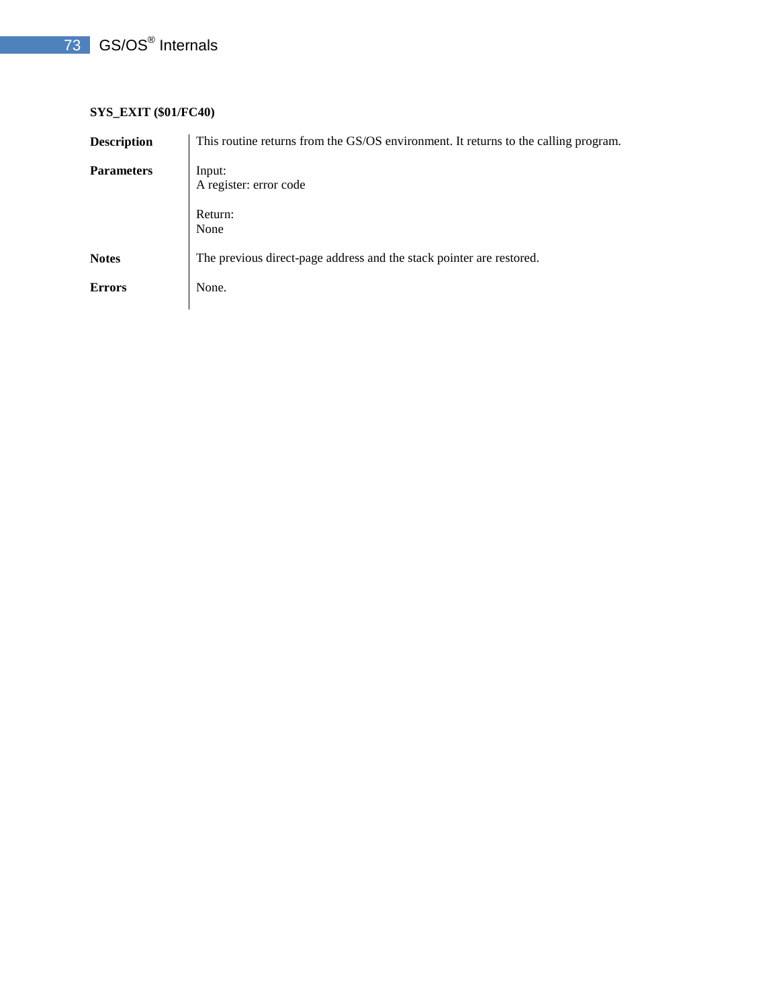## 73 GS/OS<sup>®</sup> Internals

#### **SYS\_EXIT (\$01/FC40)**

| <b>Description</b> | This routine returns from the GS/OS environment. It returns to the calling program. |
|--------------------|-------------------------------------------------------------------------------------|
| <b>Parameters</b>  | Input:<br>A register: error code                                                    |
|                    | Return:<br>None                                                                     |
| <b>Notes</b>       | The previous direct-page address and the stack pointer are restored.                |
| <b>Errors</b>      | None.                                                                               |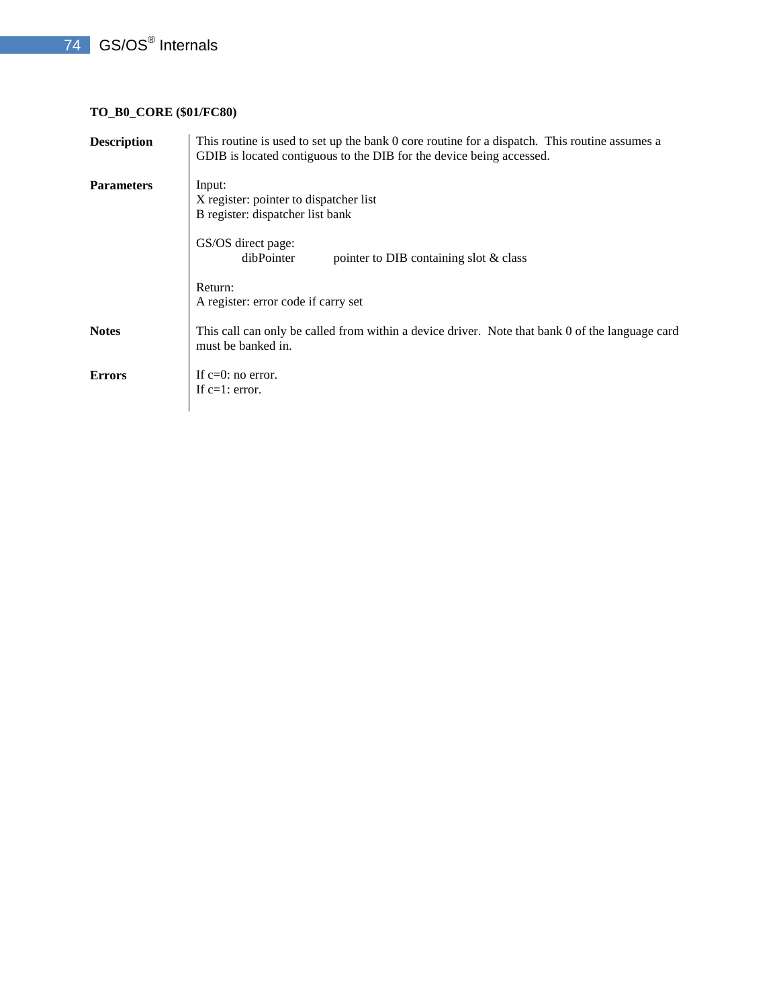## 74 GS/OS<sup>®</sup> Internals

#### **TO\_B0\_CORE (\$01/FC80)**

| <b>Description</b> | This routine is used to set up the bank 0 core routine for a dispatch. This routine assumes a<br>GDIB is located contiguous to the DIB for the device being accessed. |
|--------------------|-----------------------------------------------------------------------------------------------------------------------------------------------------------------------|
| <b>Parameters</b>  | Input:<br>X register: pointer to dispatcher list<br>B register: dispatcher list bank                                                                                  |
|                    | GS/OS direct page:<br>dibPointer<br>pointer to DIB containing slot & class                                                                                            |
|                    | Return:<br>A register: error code if carry set                                                                                                                        |
| <b>Notes</b>       | This call can only be called from within a device driver. Note that bank 0 of the language card<br>must be banked in.                                                 |
| <b>Errors</b>      | If $c=0$ : no error.<br>If $c=1$ : error.                                                                                                                             |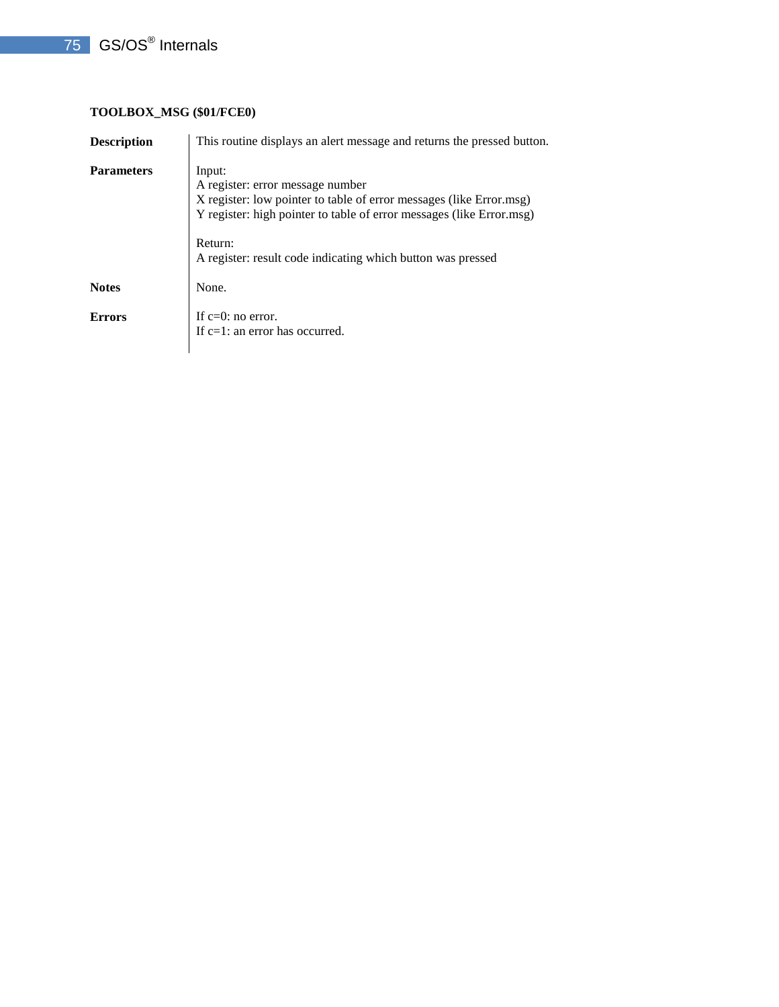#### **TOOLBOX\_MSG (\$01/FCE0)**

| <b>Description</b> | This routine displays an alert message and returns the pressed button.                                                                                                                                                                                              |
|--------------------|---------------------------------------------------------------------------------------------------------------------------------------------------------------------------------------------------------------------------------------------------------------------|
| <b>Parameters</b>  | Input:<br>A register: error message number<br>X register: low pointer to table of error messages (like Error.msg)<br>Y register: high pointer to table of error messages (like Error.msg)<br>Return:<br>A register: result code indicating which button was pressed |
| <b>Notes</b>       | None.                                                                                                                                                                                                                                                               |
| <b>Errors</b>      | If $c=0$ : no error.<br>If c=1: an error has occurred.                                                                                                                                                                                                              |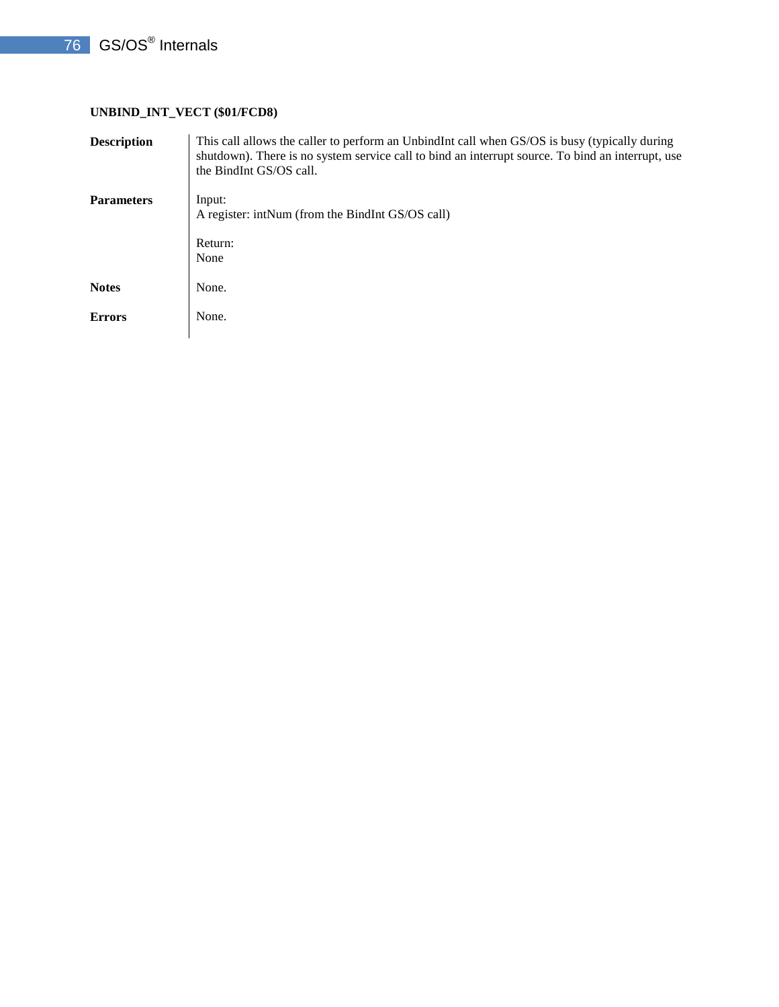#### **UNBIND\_INT\_VECT (\$01/FCD8)**

| <b>Description</b> | This call allows the caller to perform an UnbindInt call when GS/OS is busy (typically during<br>shutdown). There is no system service call to bind an interrupt source. To bind an interrupt, use<br>the BindInt GS/OS call. |
|--------------------|-------------------------------------------------------------------------------------------------------------------------------------------------------------------------------------------------------------------------------|
| <b>Parameters</b>  | Input:<br>A register: intNum (from the BindInt GS/OS call)<br>Return:                                                                                                                                                         |
| <b>Notes</b>       | None<br>None.                                                                                                                                                                                                                 |
| <b>Errors</b>      | None.                                                                                                                                                                                                                         |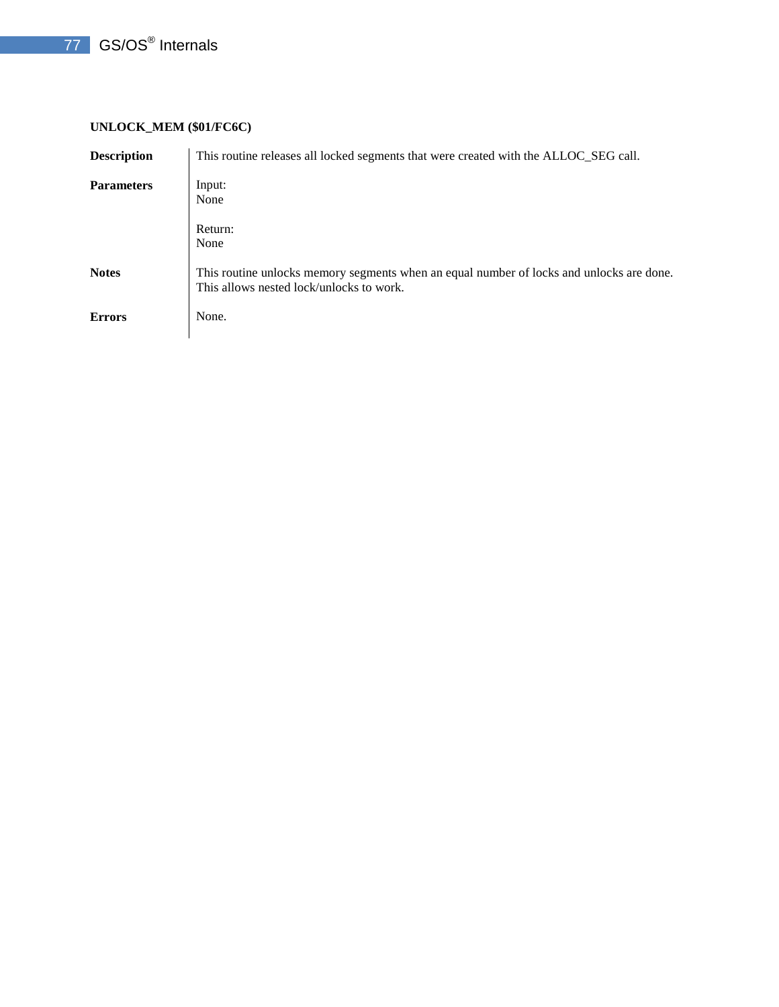#### **UNLOCK\_MEM (\$01/FC6C)**

| <b>Description</b> | This routine releases all locked segments that were created with the ALLOC_SEG call.                                                 |
|--------------------|--------------------------------------------------------------------------------------------------------------------------------------|
| <b>Parameters</b>  | Input:<br>None                                                                                                                       |
|                    | Return:<br>None                                                                                                                      |
| <b>Notes</b>       | This routine unlocks memory segments when an equal number of locks and unlocks are done.<br>This allows nested lock/unlocks to work. |
| <b>Errors</b>      | None.                                                                                                                                |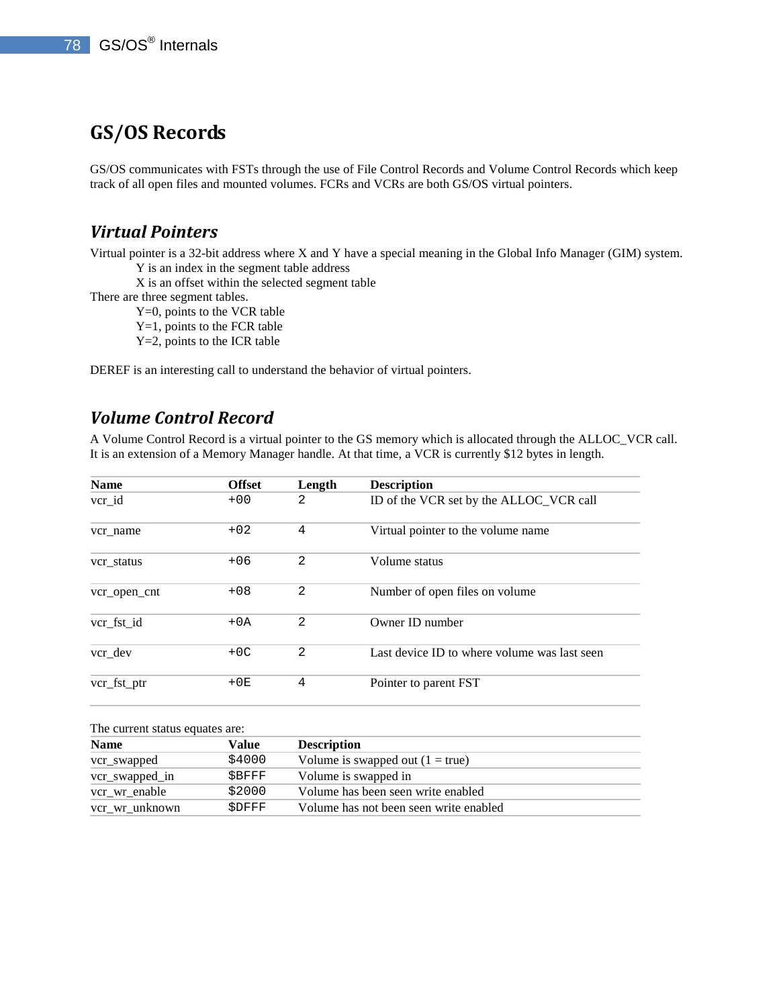## **GS/OS Records**

GS/OS communicates with FSTs through the use of File Control Records and Volume Control Records which keep track of all open files and mounted volumes. FCRs and VCRs are both GS/OS virtual pointers.

### *Virtual Pointers*

Virtual pointer is a 32-bit address where X and Y have a special meaning in the Global Info Manager (GIM) system. Y is an index in the segment table address

X is an offset within the selected segment table

There are three segment tables.

Y=0, points to the VCR table

Y=1, points to the FCR table

Y=2, points to the ICR table

DEREF is an interesting call to understand the behavior of virtual pointers.

### *Volume Control Record*

A Volume Control Record is a virtual pointer to the GS memory which is allocated through the ALLOC\_VCR call. It is an extension of a Memory Manager handle. At that time, a VCR is currently \$12 bytes in length.

| <b>Name</b>  | <b>Offset</b> | Length        | <b>Description</b>                           |
|--------------|---------------|---------------|----------------------------------------------|
| $ver_id$     | $+00$         | 2             | ID of the VCR set by the ALLOC_VCR call      |
| vcr name     | $+02$         | 4             | Virtual pointer to the volume name           |
| vcr status   | $+06$         | 2             | Volume status                                |
| vcr_open_cnt | $+08$         | 2             | Number of open files on volume               |
| vcr fst id   | $+0A$         | $\mathcal{L}$ | Owner ID number                              |
| vcr dev      | $+OC$         | 2             | Last device ID to where volume was last seen |
| vcr_fst_ptr  | $+0E$         | 4             | Pointer to parent FST                        |

#### The current status equates are:

| <b>Name</b>    | Value  | <b>Description</b>                     |
|----------------|--------|----------------------------------------|
| vcr_swapped    | \$4000 | Volume is swapped out $(1 = true)$     |
| vcr_swapped_in | SBFFF  | Volume is swapped in                   |
| vcr_wr_enable  | \$2000 | Volume has been seen write enabled     |
| vcr_wr_unknown | SDFFF  | Volume has not been seen write enabled |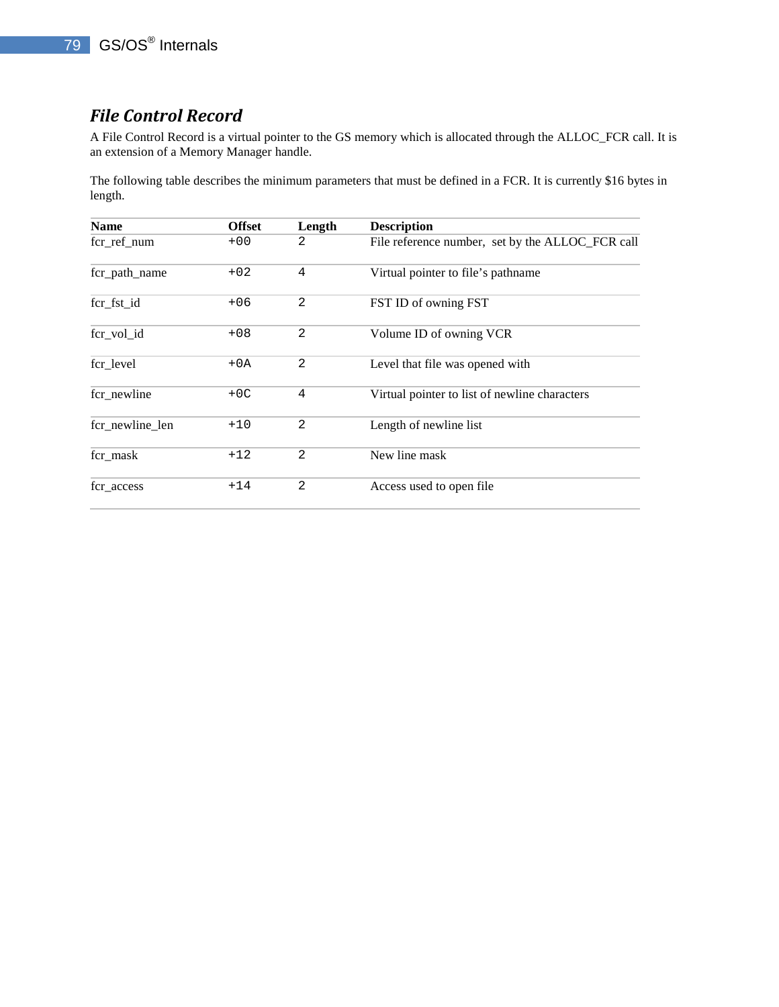## *File Control Record*

A File Control Record is a virtual pointer to the GS memory which is allocated through the ALLOC\_FCR call. It is an extension of a Memory Manager handle.

The following table describes the minimum parameters that must be defined in a FCR. It is currently \$16 bytes in length.

| <b>Name</b>     | <b>Offset</b> | Length         | <b>Description</b>                               |
|-----------------|---------------|----------------|--------------------------------------------------|
| fcr_ref_num     | $+00$         | 2              | File reference number, set by the ALLOC_FCR call |
| fcr_path_name   | $+02$         | 4              | Virtual pointer to file's pathname               |
| fcr_fst_id      | $+06$         | 2              | FST ID of owning FST                             |
| fcr_vol_id      | $+08$         | 2              | Volume ID of owning VCR                          |
| fcr_level       | $+0A$         | 2              | Level that file was opened with                  |
| fcr_newline     | $+OC$         | 4              | Virtual pointer to list of newline characters    |
| fcr newline len | $+10$         | 2              | Length of newline list                           |
| fcr_mask        | $+12$         | $\overline{2}$ | New line mask                                    |
| fcr_access      | $+14$         | 2              | Access used to open file                         |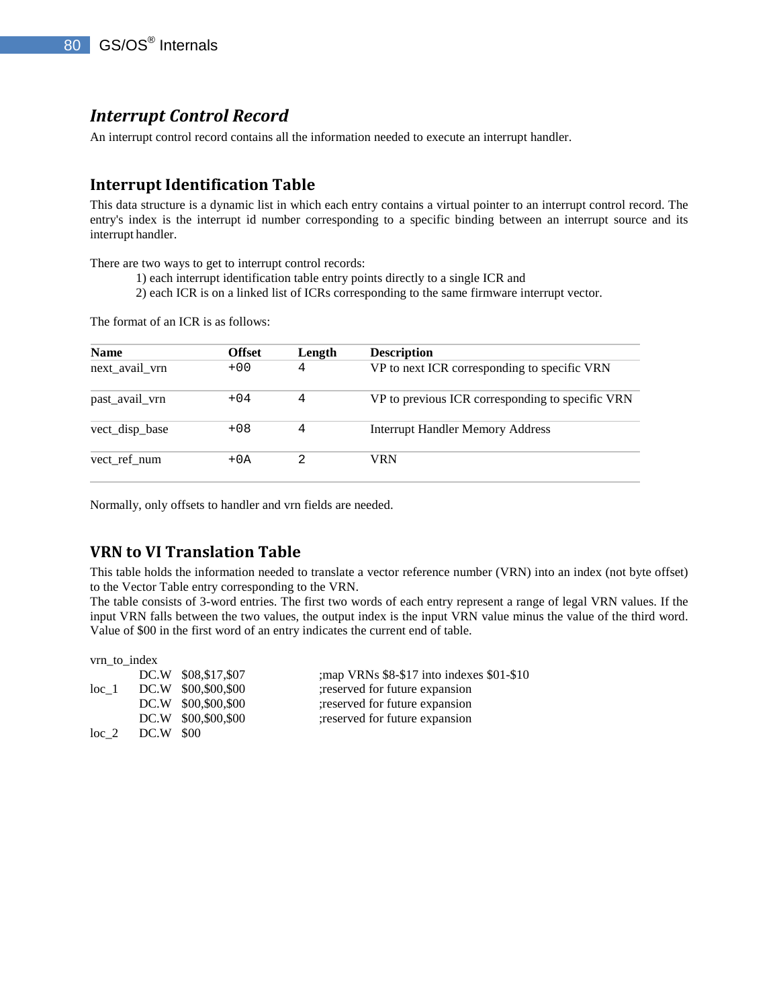### *Interrupt Control Record*

An interrupt control record contains all the information needed to execute an interrupt handler.

#### **Interrupt Identification Table**

This data structure is a dynamic list in which each entry contains a virtual pointer to an interrupt control record. The entry's index is the interrupt id number corresponding to a specific binding between an interrupt source and its interrupt handler.

There are two ways to get to interrupt control records:

1) each interrupt identification table entry points directly to a single ICR and

2) each ICR is on a linked list of ICRs corresponding to the same firmware interrupt vector.

The format of an ICR is as follows:

| <b>Name</b>    | <b>Offset</b> | Length | <b>Description</b>                               |
|----------------|---------------|--------|--------------------------------------------------|
| next_avail_vrn | $+00$         | 4      | VP to next ICR corresponding to specific VRN     |
| past avail vrn | $+04$         | 4      | VP to previous ICR corresponding to specific VRN |
| vect_disp_base | $+08$         | 4      | <b>Interrupt Handler Memory Address</b>          |
| vect ref num   | $+0A$         |        | VRN                                              |

Normally, only offsets to handler and vrn fields are needed.

#### **VRN to VI Translation Table**

 $\cdots$ 

This table holds the information needed to translate a vector reference number (VRN) into an index (not byte offset) to the Vector Table entry corresponding to the VRN.

The table consists of 3-word entries. The first two words of each entry represent a range of legal VRN values. If the input VRN falls between the two values, the output index is the input VRN value minus the value of the third word. Value of \$00 in the first word of an entry indicates the current end of table.

| vrn to index |                                                                                                       |
|--------------|-------------------------------------------------------------------------------------------------------|
|              | ; map VRNs \$8-\$17 into indexes \$01-\$10                                                            |
|              | ; reserved for future expansion                                                                       |
|              | ; reserved for future expansion                                                                       |
|              | ; reserved for future expansion                                                                       |
|              |                                                                                                       |
|              | DC.W \$08,\$17,\$07<br>DC.W \$00,\$00,\$00<br>DC.W \$00,\$00,\$00<br>DC.W \$00,\$00,\$00<br>DC.W \$00 |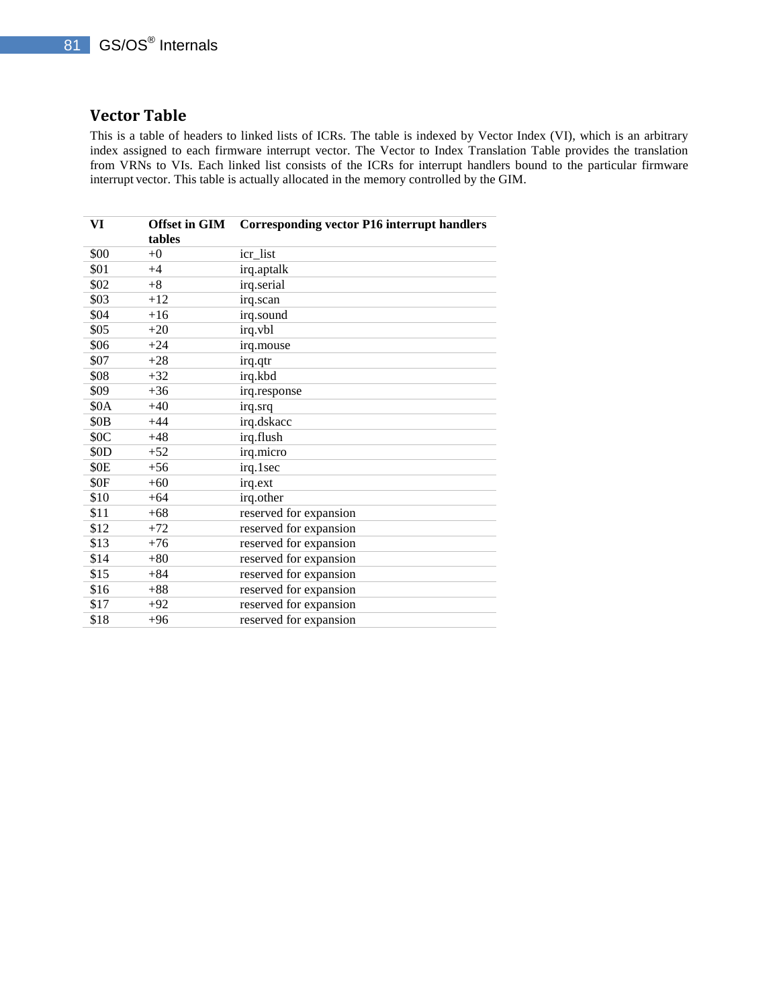#### **Vector Table**

This is a table of headers to linked lists of ICRs. The table is indexed by Vector Index (VI), which is an arbitrary index assigned to each firmware interrupt vector. The Vector to Index Translation Table provides the translation from VRNs to VIs. Each linked list consists of the ICRs for interrupt handlers bound to the particular firmware interrupt vector. This table is actually allocated in the memory controlled by the GIM.

| VI               | <b>Offset in GIM</b><br>tables | <b>Corresponding vector P16 interrupt handlers</b> |
|------------------|--------------------------------|----------------------------------------------------|
| \$00             | $+0$                           | icr_list                                           |
| \$01             | $+4$                           | irq.aptalk                                         |
| \$02             | $+8$                           | irq.serial                                         |
| \$03             | $+12$                          | irq.scan                                           |
| \$04             | $+16$                          | irq.sound                                          |
| \$05             | $+20$                          | irq.vbl                                            |
| \$06             | $+24$                          | irq.mouse                                          |
| \$07             | $+28$                          | irq.qtr                                            |
| \$08             | $+32$                          | irq.kbd                                            |
| \$09             | $+36$                          | irq.response                                       |
| \$0A             | $+40$                          | irq.srq                                            |
| \$0 <sub>B</sub> | $+44$                          | irq.dskacc                                         |
| \$0C             | $+48$                          | irq.flush                                          |
| \$0D             | $+52$                          | irq.micro                                          |
| \$0E             | $+56$                          | irq.1sec                                           |
| \$0F             | $+60$                          | irq.ext                                            |
| \$10             | $+64$                          | irq.other                                          |
| \$11             | $+68$                          | reserved for expansion                             |
| \$12             | $+72$                          | reserved for expansion                             |
| \$13             | $+76$                          | reserved for expansion                             |
| \$14             | $+80$                          | reserved for expansion                             |
| \$15             | $+84$                          | reserved for expansion                             |
| \$16             | $+88$                          | reserved for expansion                             |
| \$17             | $+92$                          | reserved for expansion                             |
| \$18             | $+96$                          | reserved for expansion                             |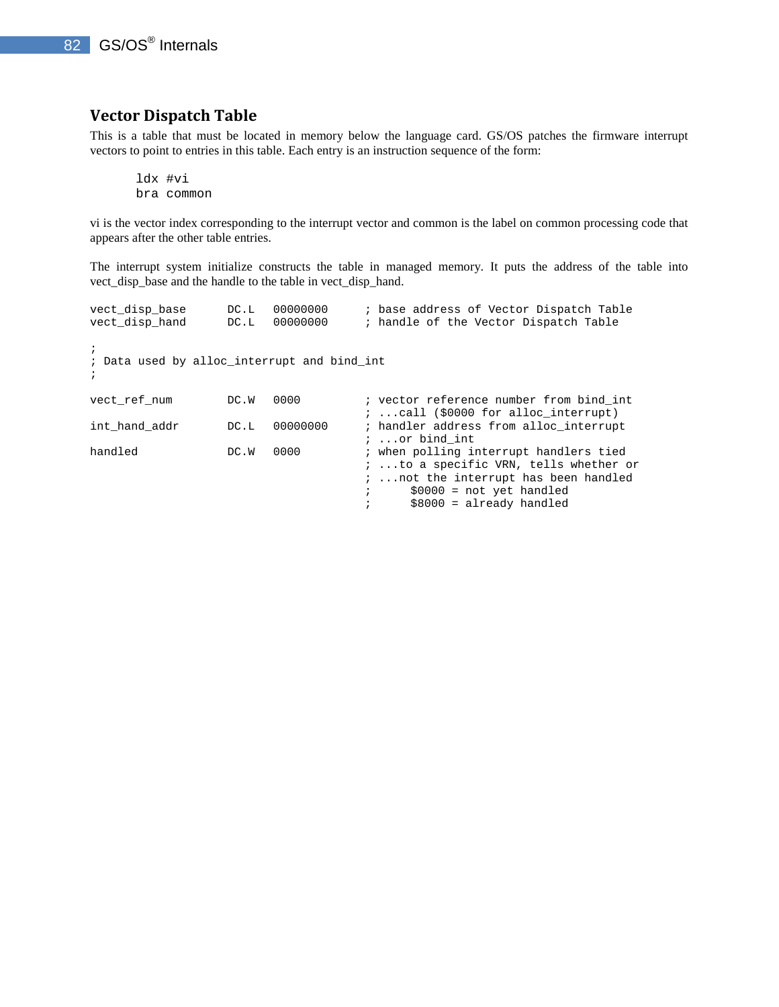### **Vector Dispatch Table**

This is a table that must be located in memory below the language card. GS/OS patches the firmware interrupt vectors to point to entries in this table. Each entry is an instruction sequence of the form:

ldx #vi bra common

vi is the vector index corresponding to the interrupt vector and common is the label on common processing code that appears after the other table entries.

The interrupt system initialize constructs the table in managed memory. It puts the address of the table into vect\_disp\_base and the handle to the table in vect\_disp\_hand.

| vect disp base<br>vect disp hand                                        | DC.L<br>DC.L | 00000000<br>00000000 | ; base address of Vector Dispatch Table<br>; handle of the Vector Dispatch Table                                                                                                   |
|-------------------------------------------------------------------------|--------------|----------------------|------------------------------------------------------------------------------------------------------------------------------------------------------------------------------------|
| $\ddot{i}$<br>; Data used by alloc interrupt and bind int<br>$\ddot{i}$ |              |                      |                                                                                                                                                                                    |
| vect ref num                                                            | DC.W         | 0000                 | ; vector reference number from bind int<br>$i$ call (\$0000 for alloc interrupt)                                                                                                   |
| int hand addr                                                           | DC.L         | 00000000             | ; handler address from alloc interrupt<br>$i$ or bind int                                                                                                                          |
| handled                                                                 | DC.W         | 0000                 | ; when polling interrupt handlers tied<br>; to a specific VRN, tells whether or<br>;  not the interrupt has been handled<br>$$0000 = not yet handled$<br>$$8000 = already handled$ |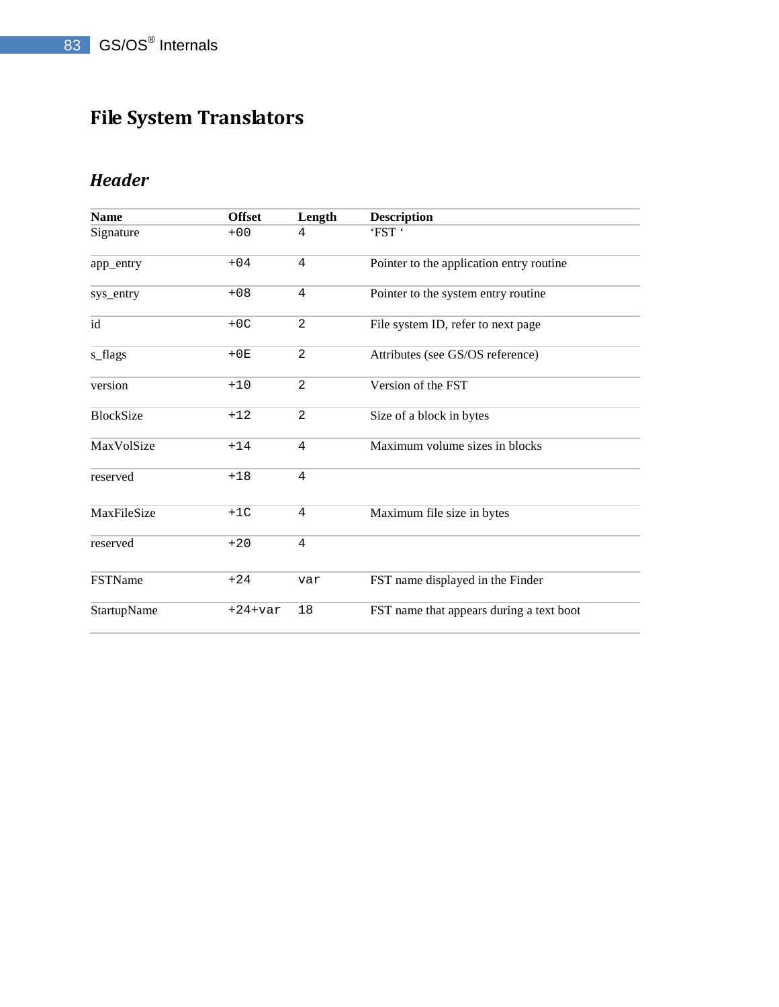# **File System Translators**

## *Header*

| <b>Name</b>      | <b>Offset</b> | Length         | <b>Description</b>                       |
|------------------|---------------|----------------|------------------------------------------|
| Signature        | $+00$         | 4              | 'FST'                                    |
| app_entry        | $+04$         | 4              | Pointer to the application entry routine |
| sys_entry        | $+08$         | 4              | Pointer to the system entry routine      |
| id               | $+OC$         | $\overline{2}$ | File system ID, refer to next page       |
| s_flags          | $+0E$         | 2              | Attributes (see GS/OS reference)         |
| version          | $+10$         | $\overline{2}$ | Version of the FST                       |
| <b>BlockSize</b> | $+12$         | $\overline{2}$ | Size of a block in bytes                 |
| MaxVolSize       | $+14$         | 4              | Maximum volume sizes in blocks           |
| reserved         | $+18$         | 4              |                                          |
| MaxFileSize      | $+1C$         | 4              | Maximum file size in bytes               |
| reserved         | $+20$         | 4              |                                          |
| <b>FSTName</b>   | $+24$         | var            | FST name displayed in the Finder         |
| StartupName      | $+24+var$     | 18             | FST name that appears during a text boot |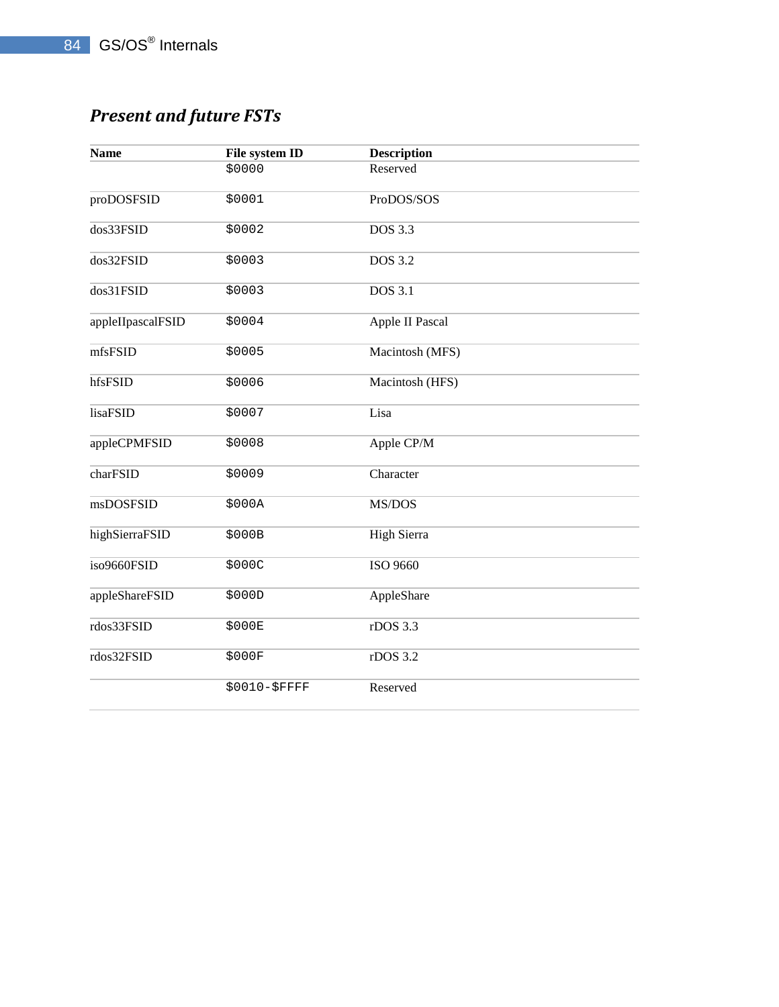## *Present and future FSTs*

| <b>Name</b>       | File system ID | <b>Description</b> |
|-------------------|----------------|--------------------|
|                   | \$0000         | Reserved           |
| proDOSFSID        | \$0001         | ProDOS/SOS         |
| dos33FSID         | \$0002         | <b>DOS 3.3</b>     |
| dos32FSID         | \$0003         | <b>DOS</b> 3.2     |
| dos31FSID         | \$0003         | DOS 3.1            |
| appleIIpascalFSID | \$0004         | Apple II Pascal    |
| mfsFSID           | \$0005         | Macintosh (MFS)    |
| hfsFSID           | \$0006         | Macintosh (HFS)    |
| lisaFSID          | \$0007         | Lisa               |
| appleCPMFSID      | \$0008         | Apple CP/M         |
| charFSID          | \$0009         | Character          |
| msDOSFSID         | \$000A         | MS/DOS             |
| highSierraFSID    | \$000B         | <b>High Sierra</b> |
| iso9660FSID       | \$000C         | ISO 9660           |
| appleShareFSID    | \$000D         | AppleShare         |
| rdos33FSID        | \$000E         | rDOS 3.3           |
| rdos32FSID        | \$000F         | rDOS 3.2           |
|                   | \$0010-\$FFFF  | Reserved           |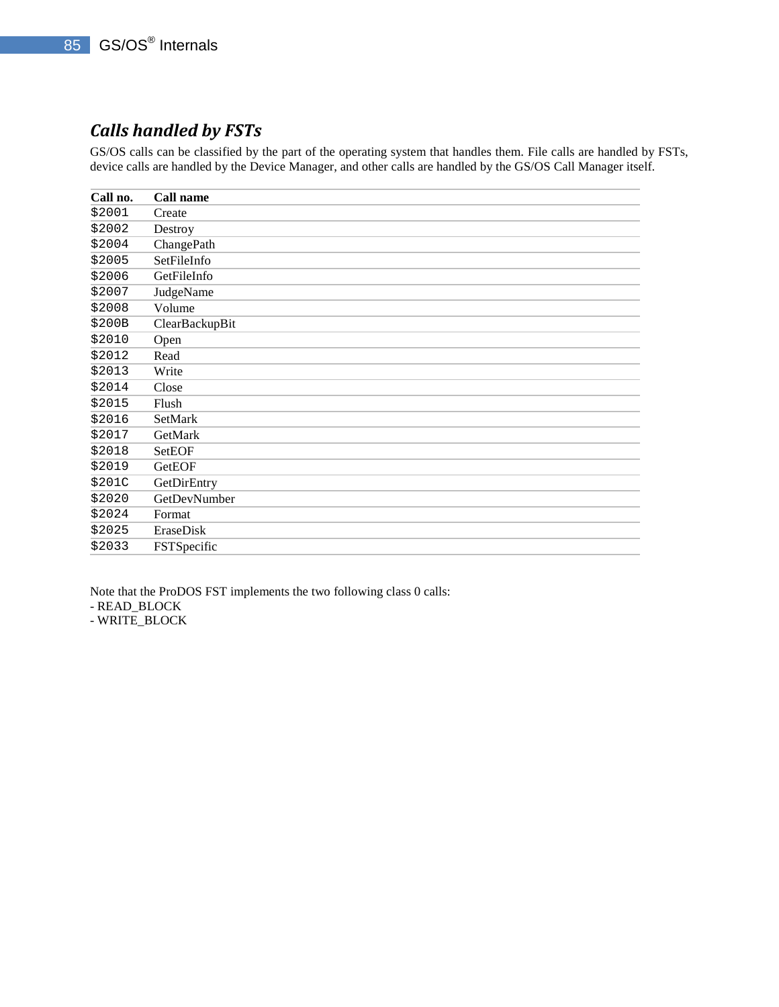## *Calls handled by FSTs*

GS/OS calls can be classified by the part of the operating system that handles them. File calls are handled by FSTs, device calls are handled by the Device Manager, and other calls are handled by the GS/OS Call Manager itself.

| Call no. | Call name      |
|----------|----------------|
| \$2001   | Create         |
| \$2002   | Destroy        |
| \$2004   | ChangePath     |
| \$2005   | SetFileInfo    |
| \$2006   | GetFileInfo    |
| \$2007   | JudgeName      |
| \$2008   | Volume         |
| \$200B   | ClearBackupBit |
| \$2010   | Open           |
| \$2012   | Read           |
| \$2013   | Write          |
| \$2014   | Close          |
| \$2015   | Flush          |
| \$2016   | SetMark        |
| \$2017   | GetMark        |
| \$2018   | SetEOF         |
| \$2019   | GetEOF         |
| \$201C   | GetDirEntry    |
| \$2020   | GetDevNumber   |
| \$2024   | Format         |
| \$2025   | EraseDisk      |
| \$2033   | FSTSpecific    |
|          |                |

Note that the ProDOS FST implements the two following class 0 calls:

- READ\_BLOCK

- WRITE\_BLOCK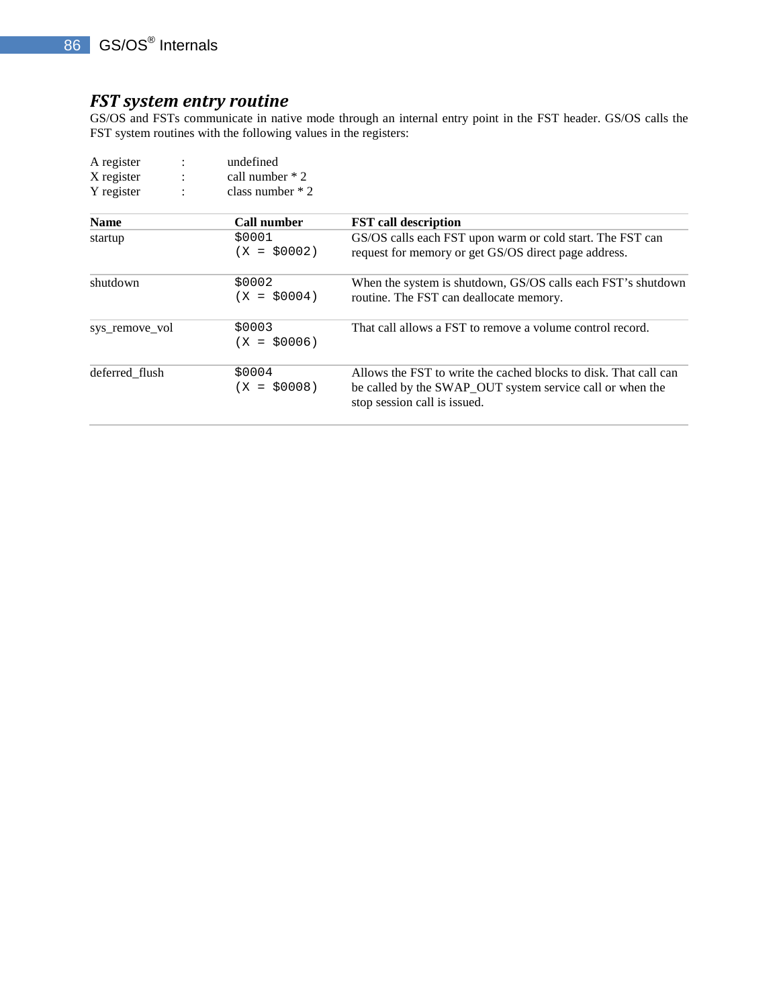### *FST system entry routine*

GS/OS and FSTs communicate in native mode through an internal entry point in the FST header. GS/OS calls the FST system routines with the following values in the registers:

| A register     |                | undefined               |                                                                                                                                                               |
|----------------|----------------|-------------------------|---------------------------------------------------------------------------------------------------------------------------------------------------------------|
| X register     | $\ddot{\cdot}$ | call number $*2$        |                                                                                                                                                               |
| Y register     | $\ddot{\cdot}$ | class number $*2$       |                                                                                                                                                               |
| <b>Name</b>    |                | <b>Call number</b>      | <b>FST</b> call description                                                                                                                                   |
| startup        |                | \$0001<br>$(X = $0002)$ | GS/OS calls each FST upon warm or cold start. The FST can<br>request for memory or get GS/OS direct page address.                                             |
| shutdown       |                | \$0002<br>$(X = $0004)$ | When the system is shutdown, GS/OS calls each FST's shutdown<br>routine. The FST can deallocate memory.                                                       |
| sys remove vol |                | \$0003<br>$(X = $0006)$ | That call allows a FST to remove a volume control record.                                                                                                     |
| deferred flush |                | \$0004<br>$(X = $0008)$ | Allows the FST to write the cached blocks to disk. That call can<br>be called by the SWAP_OUT system service call or when the<br>stop session call is issued. |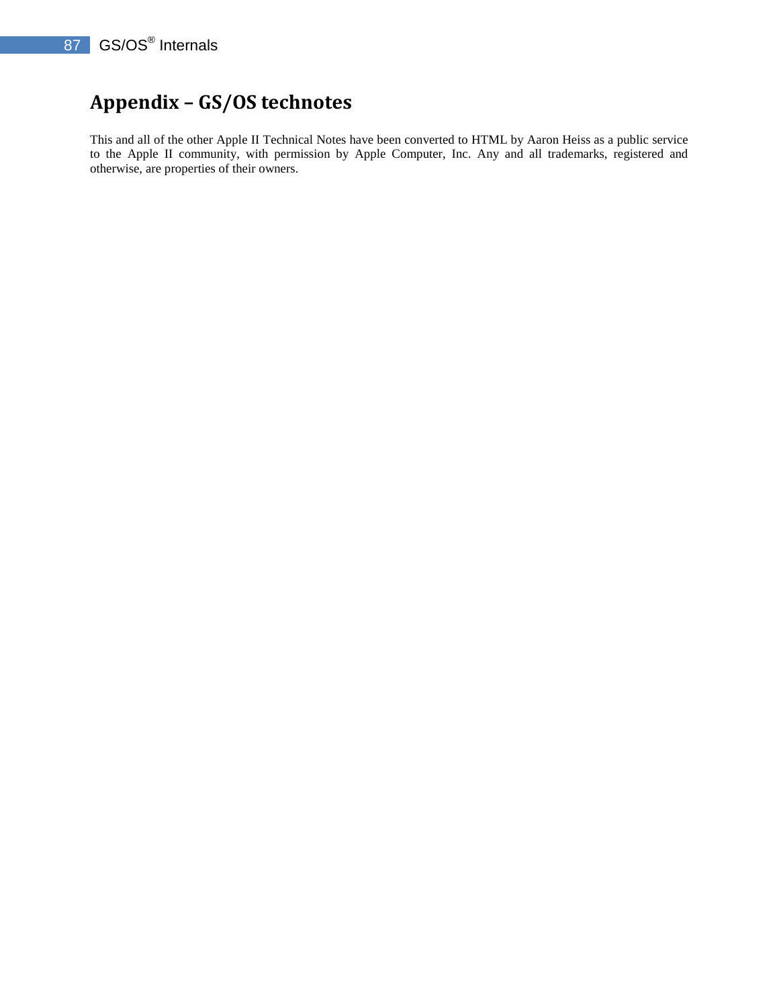## **Appendix – GS/OS technotes**

This and all of the other Apple II Technical Notes have been converted to HTML by Aaron Heiss as a public service to the Apple II community, with permission by Apple Computer, Inc. Any and all trademarks, registered and otherwise, are properties of their owners.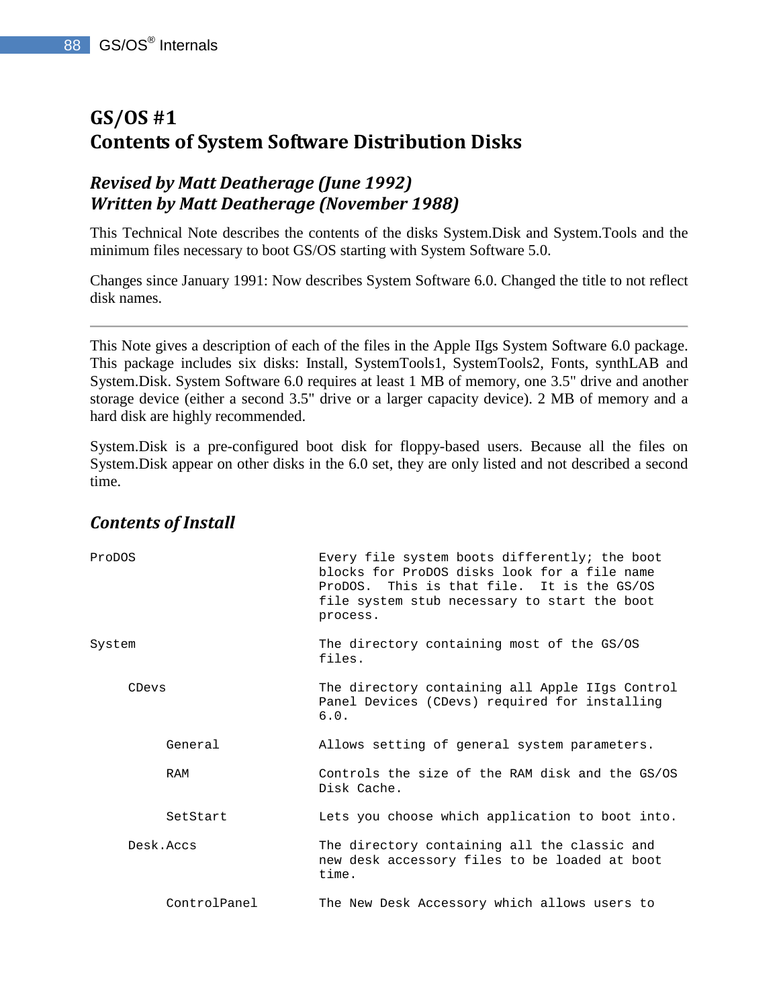## **GS/OS #1 Contents of System Software Distribution Disks**

## *Revised by Matt Deatherage (June 1992) Written by Matt Deatherage (November 1988)*

This Technical Note describes the contents of the disks System.Disk and System.Tools and the minimum files necessary to boot GS/OS starting with System Software 5.0.

Changes since January 1991: Now describes System Software 6.0. Changed the title to not reflect disk names.

This Note gives a description of each of the files in the Apple IIgs System Software 6.0 package. This package includes six disks: Install, SystemTools1, SystemTools2, Fonts, synthLAB and System.Disk. System Software 6.0 requires at least 1 MB of memory, one 3.5" drive and another storage device (either a second 3.5" drive or a larger capacity device). 2 MB of memory and a hard disk are highly recommended.

System.Disk is a pre-configured boot disk for floppy-based users. Because all the files on System.Disk appear on other disks in the 6.0 set, they are only listed and not described a second time.

| ProDOS |              | Every file system boots differently; the boot<br>blocks for ProDOS disks look for a file name<br>ProDOS. This is that file. It is the GS/OS<br>file system stub necessary to start the boot<br>process. |
|--------|--------------|---------------------------------------------------------------------------------------------------------------------------------------------------------------------------------------------------------|
| System |              | The directory containing most of the GS/OS<br>files.                                                                                                                                                    |
| CDevs  |              | The directory containing all Apple IIgs Control<br>Panel Devices (CDevs) required for installing<br>6.0.                                                                                                |
|        | General      | Allows setting of general system parameters.                                                                                                                                                            |
|        | RAM          | Controls the size of the RAM disk and the GS/OS<br>Disk Cache.                                                                                                                                          |
|        | SetStart     | Lets you choose which application to boot into.                                                                                                                                                         |
|        | Desk.Accs    | The directory containing all the classic and<br>new desk accessory files to be loaded at boot<br>time.                                                                                                  |
|        | ControlPanel | The New Desk Accessory which allows users to                                                                                                                                                            |

### *Contents of Install*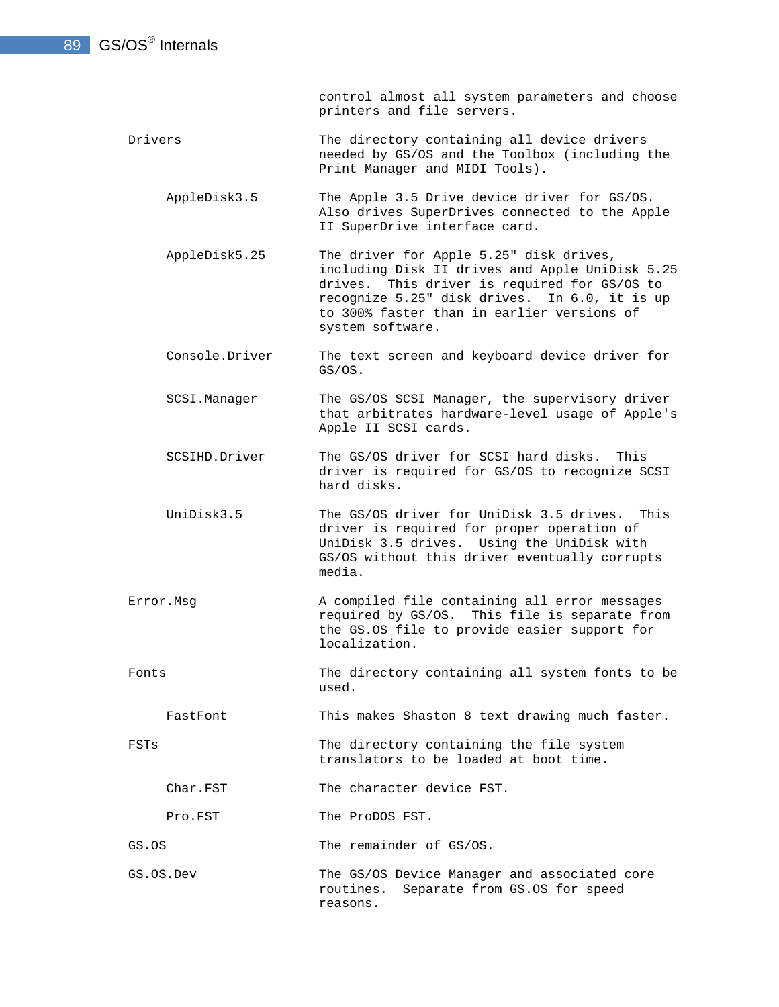control almost all system parameters and choose printers and file servers.

- Drivers The directory containing all device drivers needed by GS/OS and the Toolbox (including the Print Manager and MIDI Tools).
	- AppleDisk3.5 The Apple 3.5 Drive device driver for GS/OS. Also drives SuperDrives connected to the Apple II SuperDrive interface card.
	- AppleDisk5.25 The driver for Apple 5.25" disk drives, including Disk II drives and Apple UniDisk 5.25 drives. This driver is required for GS/OS to recognize 5.25" disk drives. In 6.0, it is up to 300% faster than in earlier versions of system software.
	- Console.Driver The text screen and keyboard device driver for GS/OS.
	- SCSI.Manager The GS/OS SCSI Manager, the supervisory driver that arbitrates hardware-level usage of Apple's Apple II SCSI cards.
	- SCSIHD.Driver The GS/OS driver for SCSI hard disks. This driver is required for GS/OS to recognize SCSI hard disks.
	- UniDisk3.5 The GS/OS driver for UniDisk 3.5 drives. This driver is required for proper operation of UniDisk 3.5 drives. Using the UniDisk with GS/OS without this driver eventually corrupts media.
- Error.Msg A compiled file containing all error messages required by GS/OS. This file is separate from the GS.OS file to provide easier support for localization.
- Fonts The directory containing all system fonts to be used.

FastFont This makes Shaston 8 text drawing much faster.

FSTs The directory containing the file system translators to be loaded at boot time.

Char.FST The character device FST.

Pro.FST The ProDOS FST.

- GS.OS The remainder of GS/OS.
- GS.OS.Dev The GS/OS Device Manager and associated core routines. Separate from GS.OS for speed reasons.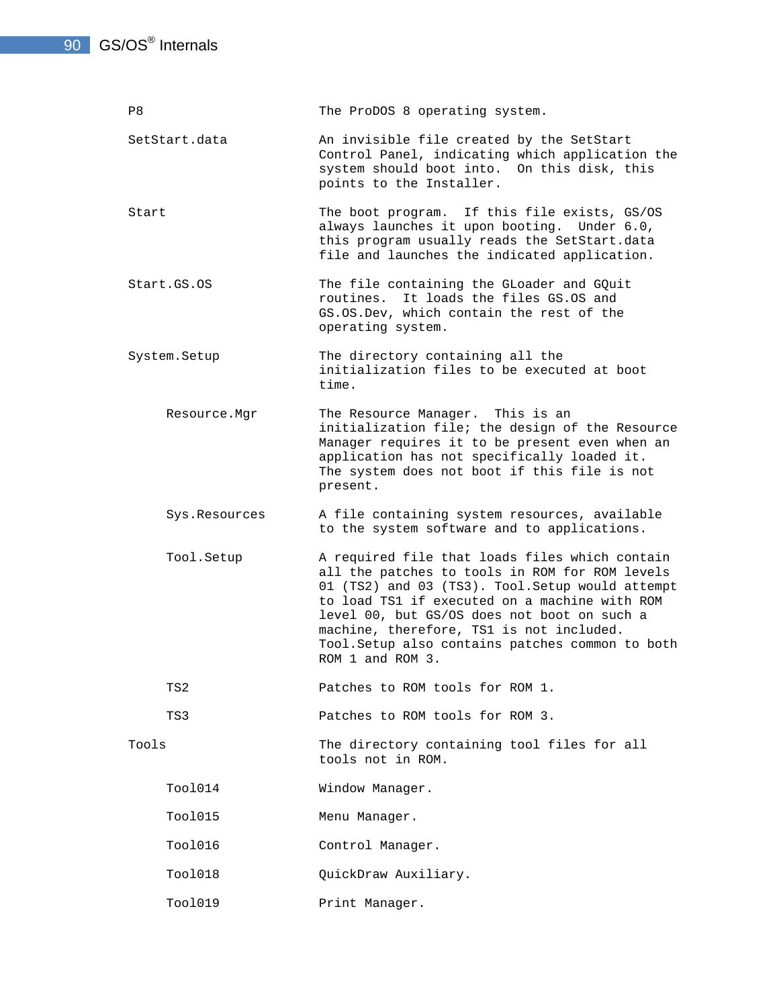P8 The ProDOS 8 operating system. SetStart.data An invisible file created by the SetStart Control Panel, indicating which application the system should boot into. On this disk, this points to the Installer. Start The boot program. If this file exists, GS/OS always launches it upon booting. Under 6.0, this program usually reads the SetStart.data file and launches the indicated application. Start.GS.OS The file containing the GLoader and GQuit routines. It loads the files GS.OS and GS.OS.Dev, which contain the rest of the operating system. System. Setup The directory containing all the initialization files to be executed at boot time. Resource.Mgr The Resource Manager. This is an initialization file; the design of the Resource Manager requires it to be present even when an application has not specifically loaded it. The system does not boot if this file is not present. Sys.Resources A file containing system resources, available to the system software and to applications. Tool.Setup A required file that loads files which contain all the patches to tools in ROM for ROM levels 01 (TS2) and 03 (TS3). Tool.Setup would attempt to load TS1 if executed on a machine with ROM level 00, but GS/OS does not boot on such a machine, therefore, TS1 is not included. Tool.Setup also contains patches common to both ROM 1 and ROM 3. TS2 **Patches to ROM tools for ROM 1.**  TS3 Patches to ROM tools for ROM 3. Tools The directory containing tool files for all tools not in ROM. Tool014 Window Manager. Tool015 Menu Manager. Tool016 Control Manager. Tool018 QuickDraw Auxiliary. Tool019 Print Manager.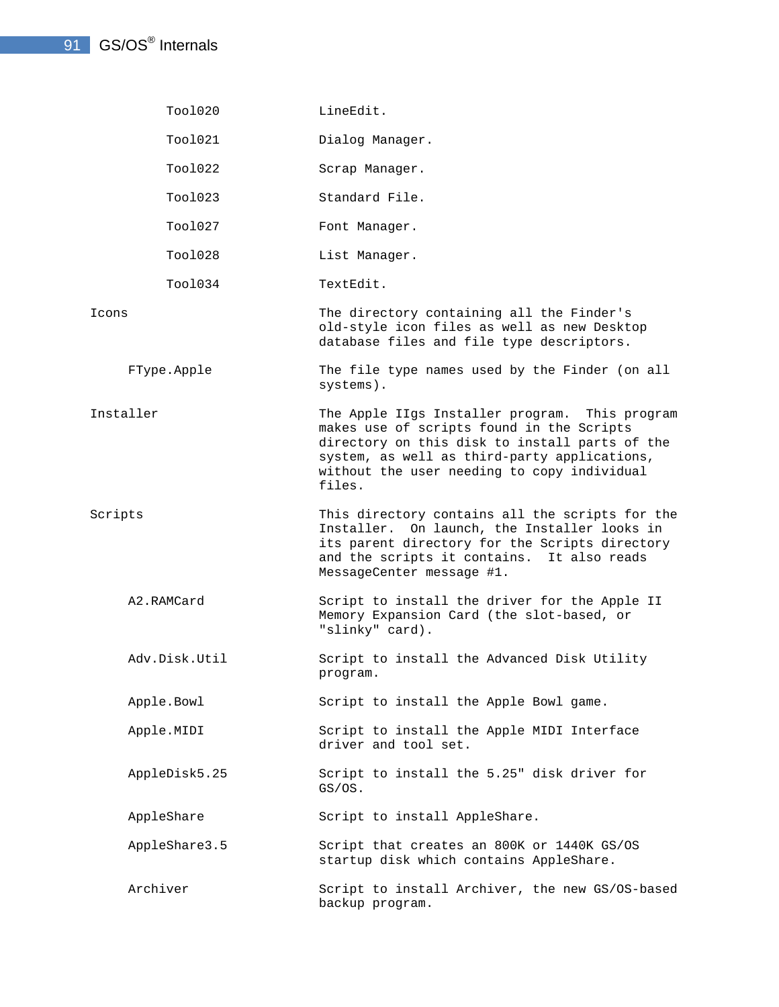| Tool020       | LineEdit.                                                                                                                                                                                                                                              |
|---------------|--------------------------------------------------------------------------------------------------------------------------------------------------------------------------------------------------------------------------------------------------------|
| Tool021       | Dialog Manager.                                                                                                                                                                                                                                        |
| Tool022       | Scrap Manager.                                                                                                                                                                                                                                         |
| Tool023       | Standard File.                                                                                                                                                                                                                                         |
| Tool027       | Font Manager.                                                                                                                                                                                                                                          |
| Tool028       | List Manager.                                                                                                                                                                                                                                          |
| Tool034       | TextEdit.                                                                                                                                                                                                                                              |
| Icons         | The directory containing all the Finder's<br>old-style icon files as well as new Desktop<br>database files and file type descriptors.                                                                                                                  |
| FType.Apple   | The file type names used by the Finder (on all<br>systems).                                                                                                                                                                                            |
| Installer     | The Apple IIgs Installer program. This program<br>makes use of scripts found in the Scripts<br>directory on this disk to install parts of the<br>system, as well as third-party applications,<br>without the user needing to copy individual<br>files. |
| Scripts       | This directory contains all the scripts for the<br>Installer. On launch, the Installer looks in<br>its parent directory for the Scripts directory<br>and the scripts it contains. It also reads<br>MessageCenter message #1.                           |
| A2.RAMCard    | Script to install the driver for the Apple II<br>Memory Expansion Card (the slot-based, or<br>"slinky" card).                                                                                                                                          |
| Adv.Disk.Util | Script to install the Advanced Disk Utility<br>program.                                                                                                                                                                                                |
| Apple.Bowl    | Script to install the Apple Bowl game.                                                                                                                                                                                                                 |
| Apple.MIDI    | Script to install the Apple MIDI Interface<br>driver and tool set.                                                                                                                                                                                     |
| AppleDisk5.25 | Script to install the 5.25" disk driver for<br>GS/OS.                                                                                                                                                                                                  |
| AppleShare    | Script to install AppleShare.                                                                                                                                                                                                                          |
| AppleShare3.5 | Script that creates an 800K or 1440K GS/OS<br>startup disk which contains AppleShare.                                                                                                                                                                  |
| Archiver      | Script to install Archiver, the new GS/OS-based<br>backup program.                                                                                                                                                                                     |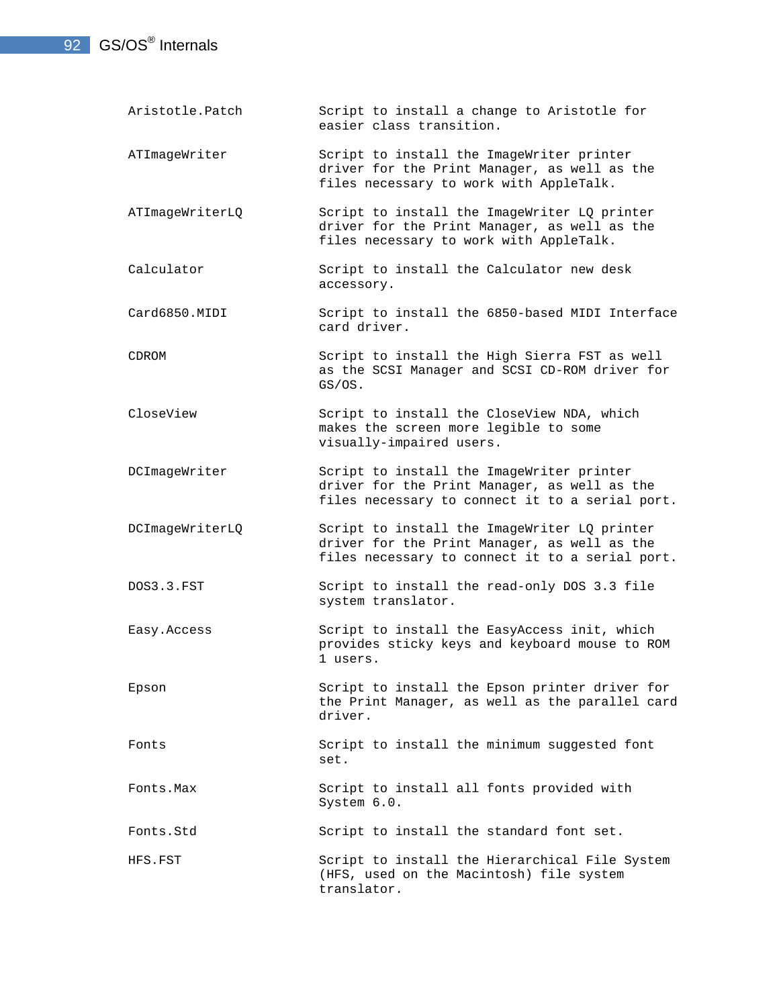- 92 GS/OS<sup>®</sup> Internals
	- Aristotle.Patch Script to install a change to Aristotle for easier class transition.
	- ATImageWriter Script to install the ImageWriter printer driver for the Print Manager, as well as the files necessary to work with AppleTalk.
	- ATImageWriterLQ Script to install the ImageWriter LQ printer driver for the Print Manager, as well as the files necessary to work with AppleTalk.
	- Calculator Script to install the Calculator new desk accessory.
	- Card6850.MIDI Script to install the 6850-based MIDI Interface card driver.
	- CDROM Script to install the High Sierra FST as well as the SCSI Manager and SCSI CD-ROM driver for GS/OS.
	- CloseView Script to install the CloseView NDA, which makes the screen more legible to some visually-impaired users.
	- DCImageWriter Script to install the ImageWriter printer driver for the Print Manager, as well as the files necessary to connect it to a serial port.
	- DCImageWriterLQ Script to install the ImageWriter LQ printer driver for the Print Manager, as well as the files necessary to connect it to a serial port.
	- DOS3.3.FST Script to install the read-only DOS 3.3 file system translator.
	- Easy.Access Script to install the EasyAccess init, which provides sticky keys and keyboard mouse to ROM 1 users.
	- Epson Script to install the Epson printer driver for the Print Manager, as well as the parallel card driver.
	- Fonts **Script** to install the minimum suggested font set.
	- Fonts. Max Script to install all fonts provided with System 6.0.

Fonts.Std Script to install the standard font set.

HFS.FST Script to install the Hierarchical File System (HFS, used on the Macintosh) file system translator.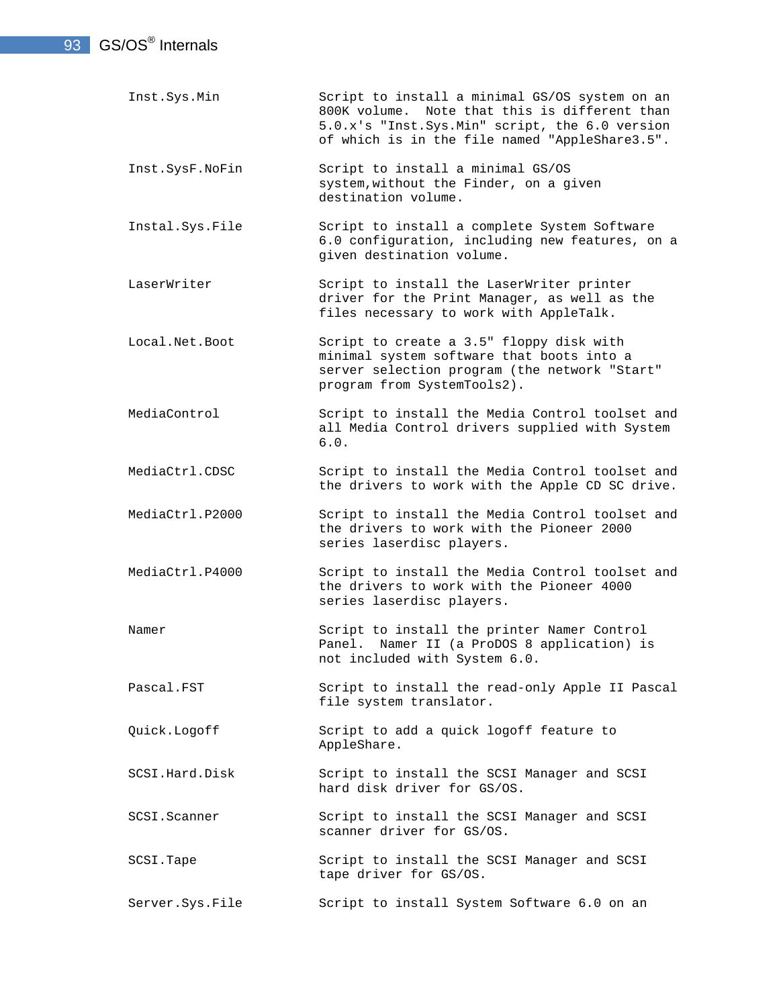| Inst. Sys. Min    | Script to install a minimal GS/OS system on an<br>Note that this is different than<br>800K volume.<br>5.0.x's "Inst.Sys.Min" script, the 6.0 version<br>of which is in the file named "AppleShare3.5". |
|-------------------|--------------------------------------------------------------------------------------------------------------------------------------------------------------------------------------------------------|
| Inst.SysF.NoFin   | Script to install a minimal GS/OS<br>system, without the Finder, on a given<br>destination volume.                                                                                                     |
| Instal.Sys.File   | Script to install a complete System Software<br>6.0 configuration, including new features, on a<br>given destination volume.                                                                           |
| LaserWriter       | Script to install the LaserWriter printer<br>driver for the Print Manager, as well as the<br>files necessary to work with AppleTalk.                                                                   |
| Local.Net.Boot    | Script to create a 3.5" floppy disk with<br>minimal system software that boots into a<br>server selection program (the network "Start"<br>program from SystemTools2).                                  |
| MediaControl      | Script to install the Media Control toolset and<br>all Media Control drivers supplied with System<br>6.0.                                                                                              |
| MediaCtrl.CDSC    | Script to install the Media Control toolset and<br>the drivers to work with the Apple CD SC drive.                                                                                                     |
| MediaCtrl.P2000   | Script to install the Media Control toolset and<br>the drivers to work with the Pioneer 2000<br>series laserdisc players.                                                                              |
| MediaCtrl.P4000   | Script to install the Media Control toolset and<br>the drivers to work with the Pioneer 4000<br>series laserdisc players.                                                                              |
| Namer             | Script to install the printer Namer Control<br>Panel. Namer II (a ProDOS 8 application) is<br>not included with System 6.0.                                                                            |
| Pascal.FST        | Script to install the read-only Apple II Pascal<br>file system translator.                                                                                                                             |
| Quick.Logoff      | Script to add a quick logoff feature to<br>AppleShare.                                                                                                                                                 |
| SCSI.Hard.Disk    | Script to install the SCSI Manager and SCSI<br>hard disk driver for GS/OS.                                                                                                                             |
| SCSI.Scanner      | Script to install the SCSI Manager and SCSI<br>scanner driver for GS/OS.                                                                                                                               |
| SCSI.Tape         | Script to install the SCSI Manager and SCSI<br>tape driver for GS/OS.                                                                                                                                  |
| Server. Sys. File | Script to install System Software 6.0 on an                                                                                                                                                            |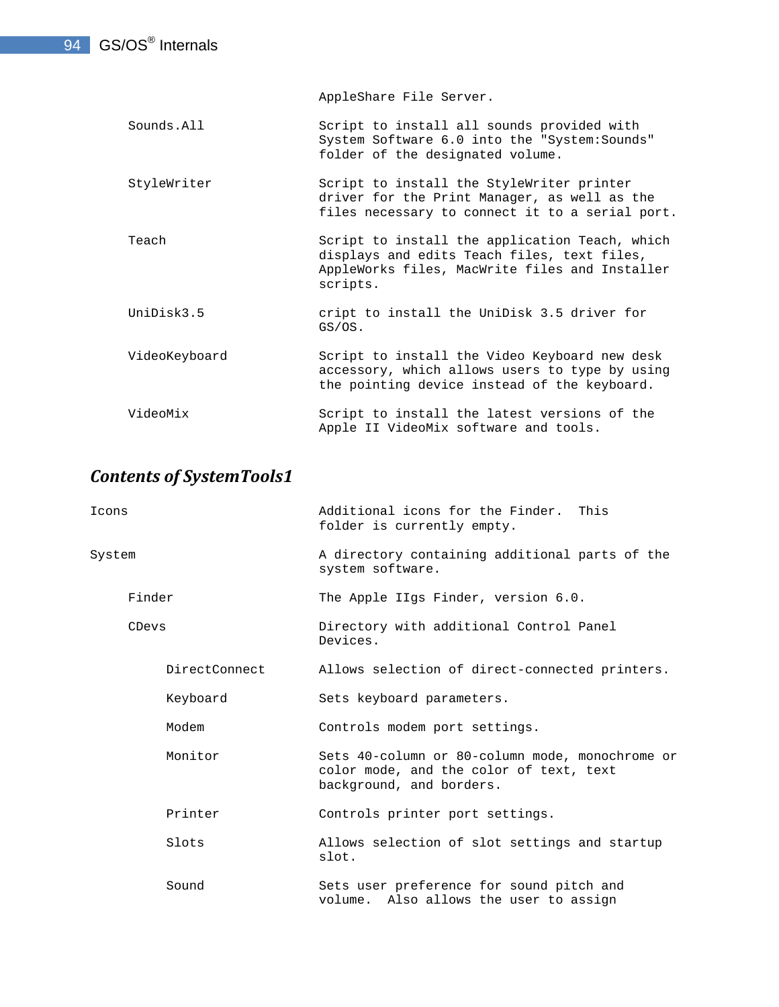AppleShare File Server.

- Sounds.All Script to install all sounds provided with System Software 6.0 into the "System:Sounds" folder of the designated volume.
- StyleWriter Script to install the StyleWriter printer driver for the Print Manager, as well as the files necessary to connect it to a serial port.
- Teach Script to install the application Teach, which displays and edits Teach files, text files, AppleWorks files, MacWrite files and Installer scripts.
- UniDisk3.5 cript to install the UniDisk 3.5 driver for GS/OS.
- VideoKeyboard Script to install the Video Keyboard new desk accessory, which allows users to type by using the pointing device instead of the keyboard.
- VideoMix Script to install the latest versions of the Apple II VideoMix software and tools.

### *Contents of SystemTools1*

| Icons  |               | Additional icons for the Finder. This<br>folder is currently empty.                                                    |  |
|--------|---------------|------------------------------------------------------------------------------------------------------------------------|--|
| System |               | A directory containing additional parts of the<br>system software.                                                     |  |
|        | Finder        | The Apple IIgs Finder, version 6.0.                                                                                    |  |
|        | CDevs         | Directory with additional Control Panel<br>Devices.                                                                    |  |
|        | DirectConnect | Allows selection of direct-connected printers.                                                                         |  |
|        | Keyboard      | Sets keyboard parameters.                                                                                              |  |
|        | Modem         | Controls modem port settings.                                                                                          |  |
|        | Monitor       | Sets 40-column or 80-column mode, monochrome or<br>color mode, and the color of text, text<br>background, and borders. |  |
|        | Printer       | Controls printer port settings.                                                                                        |  |
|        | Slots         | Allows selection of slot settings and startup<br>slot.                                                                 |  |
|        | Sound         | Sets user preference for sound pitch and<br>volume. Also allows the user to assign                                     |  |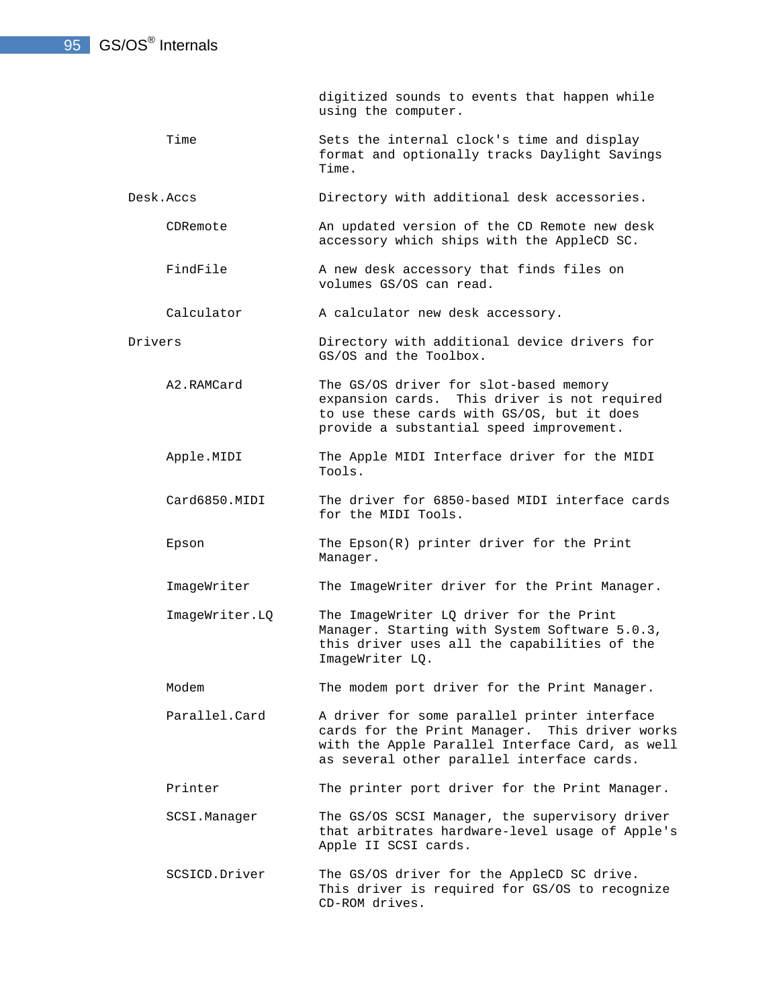#### 95 GS/OS<sup>®</sup> Internals

 digitized sounds to events that happen while using the computer.

Time Sets the internal clock's time and display format and optionally tracks Daylight Savings Time.

Desk.Accs Directory with additional desk accessories.

- CDRemote An updated version of the CD Remote new desk accessory which ships with the AppleCD SC.
- FindFile A new desk accessory that finds files on volumes GS/OS can read.

Calculator A calculator new desk accessory.

- Drivers Directory with additional device drivers for GS/OS and the Toolbox.
	- A2.RAMCard The GS/OS driver for slot-based memory expansion cards. This driver is not required to use these cards with GS/OS, but it does provide a substantial speed improvement.
	- Apple.MIDI The Apple MIDI Interface driver for the MIDI Tools.
	- Card6850.MIDI The driver for 6850-based MIDI interface cards for the MIDI Tools.
	- Epson The Epson(R) printer driver for the Print Manager.
	- ImageWriter The ImageWriter driver for the Print Manager.
	- ImageWriter.LQ The ImageWriter LQ driver for the Print Manager. Starting with System Software 5.0.3, this driver uses all the capabilities of the ImageWriter LQ.
	- Modem The modem port driver for the Print Manager.
	- Parallel.Card A driver for some parallel printer interface cards for the Print Manager. This driver works with the Apple Parallel Interface Card, as well as several other parallel interface cards.
	- Printer The printer port driver for the Print Manager.
	- SCSI.Manager The GS/OS SCSI Manager, the supervisory driver that arbitrates hardware-level usage of Apple's Apple II SCSI cards.
	- SCSICD.Driver The GS/OS driver for the AppleCD SC drive. This driver is required for GS/OS to recognize CD-ROM drives.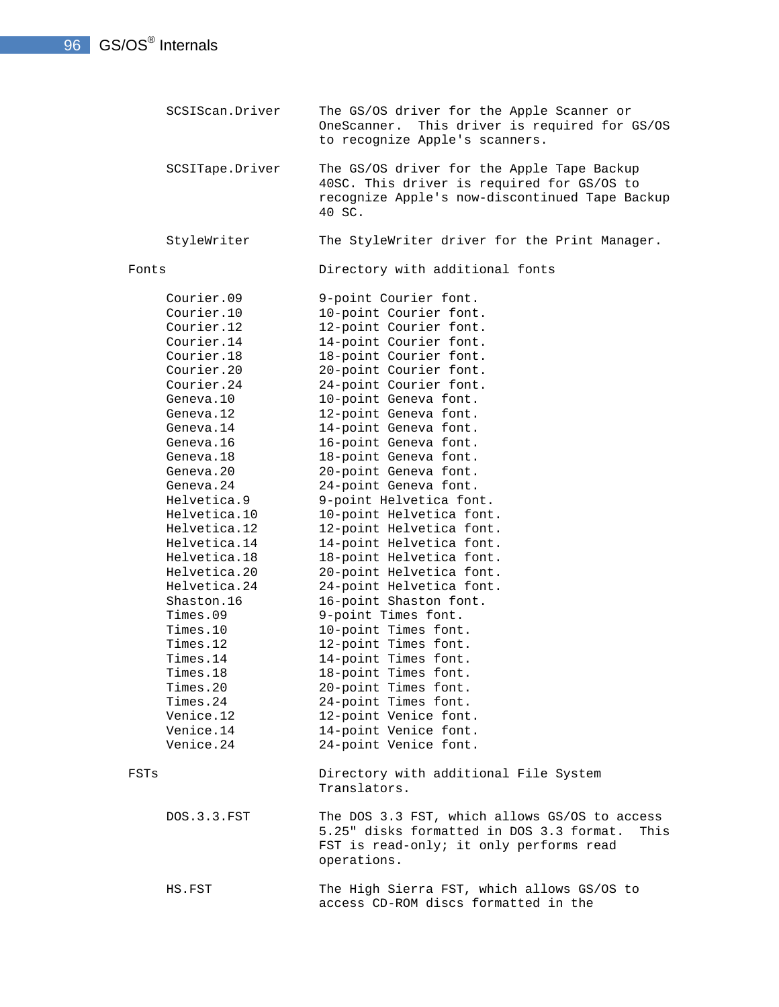SCSIScan.Driver The GS/OS driver for the Apple Scanner or OneScanner. This driver is required for GS/OS to recognize Apple's scanners. SCSITape.Driver The GS/OS driver for the Apple Tape Backup 40SC. This driver is required for GS/OS to recognize Apple's now-discontinued Tape Backup 40 SC. StyleWriter The StyleWriter driver for the Print Manager. Fonts Directory with additional fonts Courier.09 9-point Courier font. Courier.10 10-point Courier font. Courier.12 12-point Courier font. Courier.14 14-point Courier font. Courier.18 18-point Courier font. Courier.20 20-point Courier font. Courier.24 24-point Courier font. Geneva.10 10-point Geneva font. Geneva.12 12-point Geneva font. Geneva.14 14-point Geneva font. Geneva.16 16-point Geneva font. Geneva.18 18-point Geneva font. Geneva.20 20-point Geneva font. Geneva.24 24-point Geneva font. Helvetica.9 9-point Helvetica font. Helvetica.10 10-point Helvetica font. Helvetica.12 12-point Helvetica font. Helvetica.14 14-point Helvetica font. Helvetica.18 18-point Helvetica font. Helvetica.20 20-point Helvetica font. Helvetica.24 24-point Helvetica font. Shaston.16 16-point Shaston font. Times.09 9-point Times font. Times.10 10-point Times font. Times.12 12-point Times font. Times.14 14-point Times font. Times.18 18-point Times font. Times.20 20-point Times font. Times.24 24-point Times font. Venice.12 12-point Venice font. Venice.14 14-point Venice font. Venice.24 24-point Venice font. FSTs Directory with additional File System Translators. DOS.3.3.FST The DOS 3.3 FST, which allows GS/OS to access 5.25" disks formatted in DOS 3.3 format. This FST is read-only; it only performs read operations. HS.FST The High Sierra FST, which allows GS/OS to access CD-ROM discs formatted in the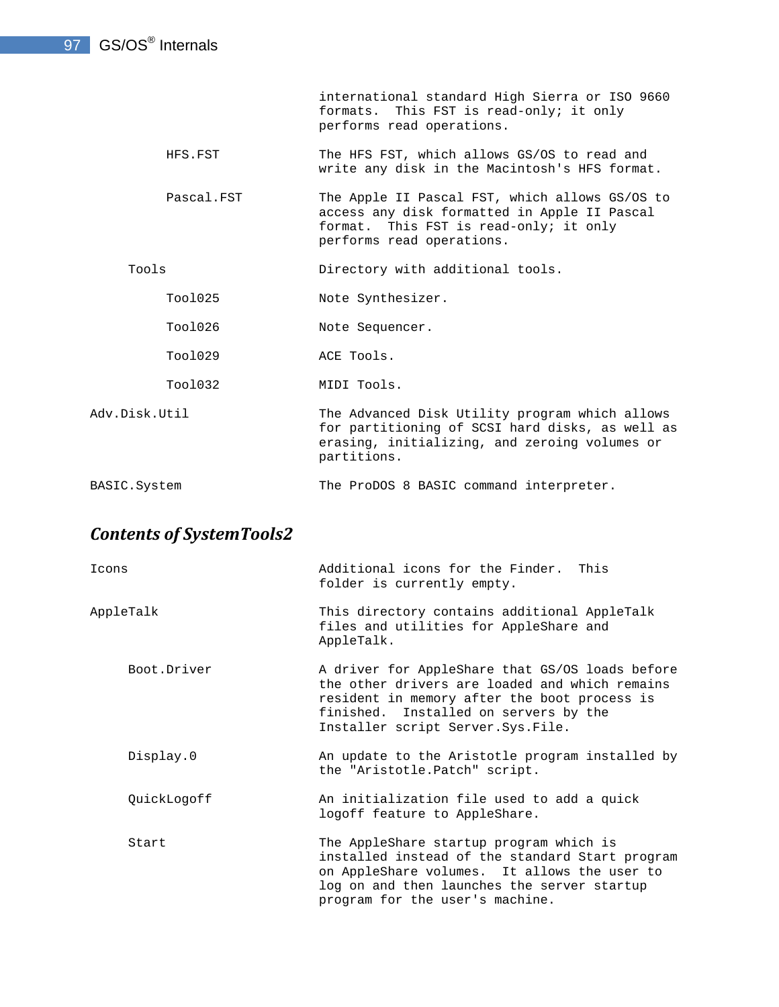international standard High Sierra or ISO 9660 formats. This FST is read-only; it only performs read operations.

- HFS.FST The HFS FST, which allows GS/OS to read and write any disk in the Macintosh's HFS format.
	- Pascal.FST The Apple II Pascal FST, which allows GS/OS to access any disk formatted in Apple II Pascal format. This FST is read-only; it only performs read operations.

Tools **Directory** with additional tools.

Tool025 Note Synthesizer.

- Tool026 Note Sequencer.
- Tool029 ACE Tools.
- Tool032 MIDI Tools.
- Adv.Disk.Util The Advanced Disk Utility program which allows for partitioning of SCSI hard disks, as well as erasing, initializing, and zeroing volumes or partitions.
- BASIC.System The ProDOS 8 BASIC command interpreter.

### *Contents of SystemTools2*

| Icons       | Additional icons for the Finder. This<br>folder is currently empty.                                                                                                                                                               |
|-------------|-----------------------------------------------------------------------------------------------------------------------------------------------------------------------------------------------------------------------------------|
| AppleTalk   | This directory contains additional AppleTalk<br>files and utilities for AppleShare and<br>AppleTalk.                                                                                                                              |
| Boot.Driver | A driver for AppleShare that GS/OS loads before<br>the other drivers are loaded and which remains<br>resident in memory after the boot process is<br>finished. Installed on servers by the<br>Installer script Server. Sys. File. |
| Display.0   | An update to the Aristotle program installed by<br>the "Aristotle. Patch" script.                                                                                                                                                 |
| QuickLogoff | An initialization file used to add a quick<br>logoff feature to AppleShare.                                                                                                                                                       |
| Start       | The AppleShare startup program which is<br>installed instead of the standard Start program<br>on AppleShare volumes. It allows the user to<br>log on and then launches the server startup<br>program for the user's machine.      |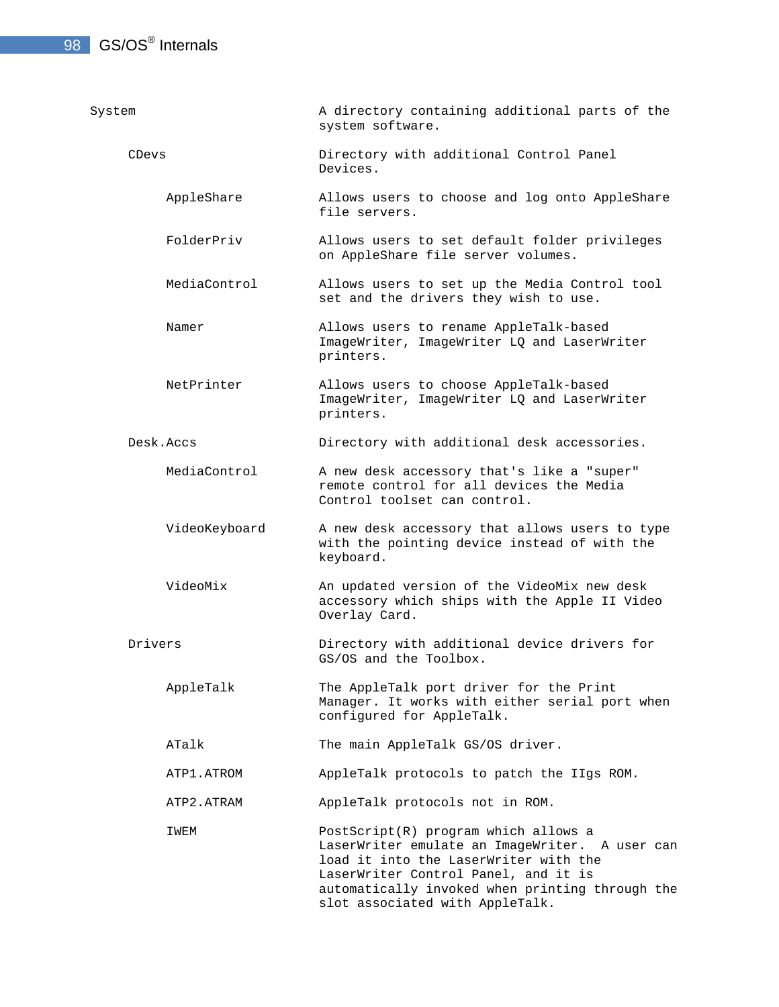### 98 GS/OS<sup>®</sup> Internals

| System        | A directory containing additional parts of the<br>system software.                                                                                                                                                                                            |  |
|---------------|---------------------------------------------------------------------------------------------------------------------------------------------------------------------------------------------------------------------------------------------------------------|--|
| CDevs         | Directory with additional Control Panel<br>Devices.                                                                                                                                                                                                           |  |
| AppleShare    | Allows users to choose and log onto AppleShare<br>file servers.                                                                                                                                                                                               |  |
| FolderPriv    | Allows users to set default folder privileges<br>on AppleShare file server volumes.                                                                                                                                                                           |  |
| MediaControl  | Allows users to set up the Media Control tool<br>set and the drivers they wish to use.                                                                                                                                                                        |  |
| Namer         | Allows users to rename AppleTalk-based<br>ImageWriter, ImageWriter LQ and LaserWriter<br>printers.                                                                                                                                                            |  |
| NetPrinter    | Allows users to choose AppleTalk-based<br>ImageWriter, ImageWriter LQ and LaserWriter<br>printers.                                                                                                                                                            |  |
| Desk Accs     | Directory with additional desk accessories.                                                                                                                                                                                                                   |  |
| MediaControl  | A new desk accessory that's like a "super"<br>remote control for all devices the Media<br>Control toolset can control.                                                                                                                                        |  |
| VideoKeyboard | A new desk accessory that allows users to type<br>with the pointing device instead of with the<br>keyboard.                                                                                                                                                   |  |
| VideoMix      | An updated version of the VideoMix new desk<br>accessory which ships with the Apple II Video<br>Overlay Card.                                                                                                                                                 |  |
| Drivers       | Directory with additional device drivers for<br>GS/OS and the Toolbox.                                                                                                                                                                                        |  |
| AppleTalk     | The AppleTalk port driver for the Print<br>Manager. It works with either serial port when<br>configured for AppleTalk.                                                                                                                                        |  |
| ATalk         | The main AppleTalk GS/OS driver.                                                                                                                                                                                                                              |  |
| ATP1.ATROM    | AppleTalk protocols to patch the IIgs ROM.                                                                                                                                                                                                                    |  |
| ATP2.ATRAM    | AppleTalk protocols not in ROM.                                                                                                                                                                                                                               |  |
| IWEM          | PostScript(R) program which allows a<br>LaserWriter emulate an ImageWriter. A user can<br>load it into the LaserWriter with the<br>LaserWriter Control Panel, and it is<br>automatically invoked when printing through the<br>slot associated with AppleTalk. |  |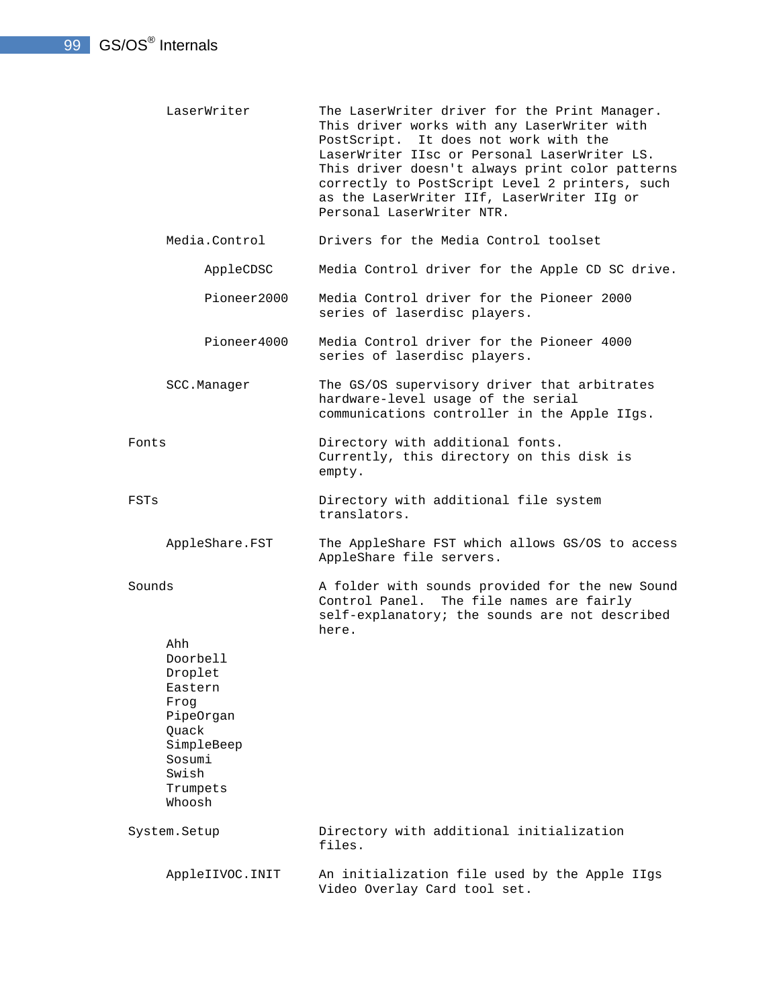- LaserWriter The LaserWriter driver for the Print Manager. This driver works with any LaserWriter with PostScript. It does not work with the LaserWriter IIsc or Personal LaserWriter LS. This driver doesn't always print color patterns correctly to PostScript Level 2 printers, such as the LaserWriter IIf, LaserWriter IIg or Personal LaserWriter NTR.
	- Media.Control Drivers for the Media Control toolset
		- AppleCDSC Media Control driver for the Apple CD SC drive.
			- Pioneer2000 Media Control driver for the Pioneer 2000 series of laserdisc players.
		- Pioneer4000 Media Control driver for the Pioneer 4000 series of laserdisc players.
- SCC.Manager The GS/OS supervisory driver that arbitrates hardware-level usage of the serial communications controller in the Apple IIgs.
- Fonts **Directory** with additional fonts. Currently, this directory on this disk is empty.
- FSTs Directory with additional file system translators.
	- AppleShare.FST The AppleShare FST which allows GS/OS to access AppleShare file servers.
- Sounds The A folder with sounds provided for the new Sound Control Panel. The file names are fairly self-explanatory; the sounds are not described here. Ahh
	- Doorbell Droplet Eastern Frog PipeOrgan **Ouack**  SimpleBeep Sosumi Swish Trumpets

Whoosh

 System.Setup Directory with additional initialization files. AppleIIVOC.INIT An initialization file used by the Apple IIgs Video Overlay Card tool set.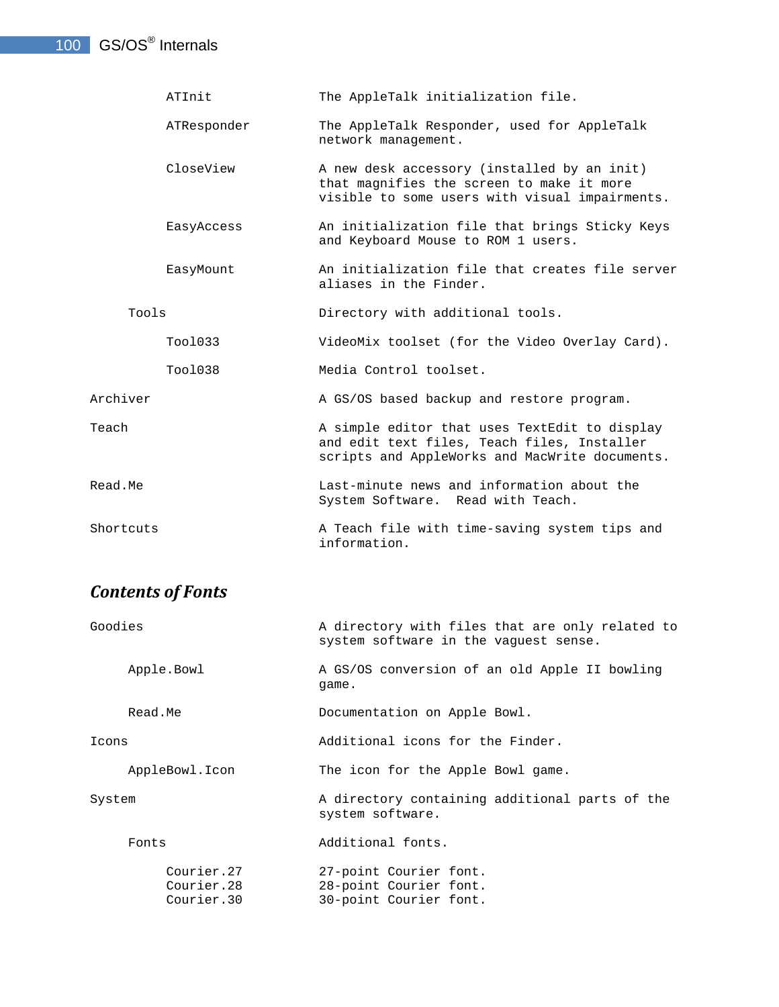#### 100 GS/OS<sup>®</sup> Internals

|           | ATInit      | The AppleTalk initialization file.                                                                                                             |
|-----------|-------------|------------------------------------------------------------------------------------------------------------------------------------------------|
|           | ATResponder | The AppleTalk Responder, used for AppleTalk<br>network management.                                                                             |
|           | CloseView   | A new desk accessory (installed by an init)<br>that magnifies the screen to make it more<br>visible to some users with visual impairments.     |
|           | EasyAccess  | An initialization file that brings Sticky Keys<br>and Keyboard Mouse to ROM 1 users.                                                           |
|           | EasyMount   | An initialization file that creates file server<br>aliases in the Finder.                                                                      |
| Tools     |             | Directory with additional tools.                                                                                                               |
|           | T001033     | VideoMix toolset (for the Video Overlay Card).                                                                                                 |
|           | Too1038     | Media Control toolset.                                                                                                                         |
| Archiver  |             | A GS/OS based backup and restore program.                                                                                                      |
| Teach     |             | A simple editor that uses TextEdit to display<br>and edit text files, Teach files, Installer<br>scripts and AppleWorks and MacWrite documents. |
| Read.Me   |             | Last-minute news and information about the<br>System Software. Read with Teach.                                                                |
| Shortcuts |             | A Teach file with time-saving system tips and<br>information.                                                                                  |

## *Contents of Fonts*

| Goodies |                                        | A directory with files that are only related to                            |
|---------|----------------------------------------|----------------------------------------------------------------------------|
|         |                                        | system software in the vaquest sense.                                      |
|         | Apple.Bowl                             | A GS/OS conversion of an old Apple II bowling<br>qame.                     |
|         | Read.Me                                | Documentation on Apple Bowl.                                               |
| Icons   |                                        | Additional icons for the Finder.                                           |
|         | AppleBowl.Icon                         | The icon for the Apple Bowl game.                                          |
| System  |                                        | A directory containing additional parts of the<br>system software.         |
|         | Fonts                                  | Additional fonts.                                                          |
|         | Courier.27<br>Courier.28<br>Courier.30 | 27-point Courier font.<br>28-point Courier font.<br>30-point Courier font. |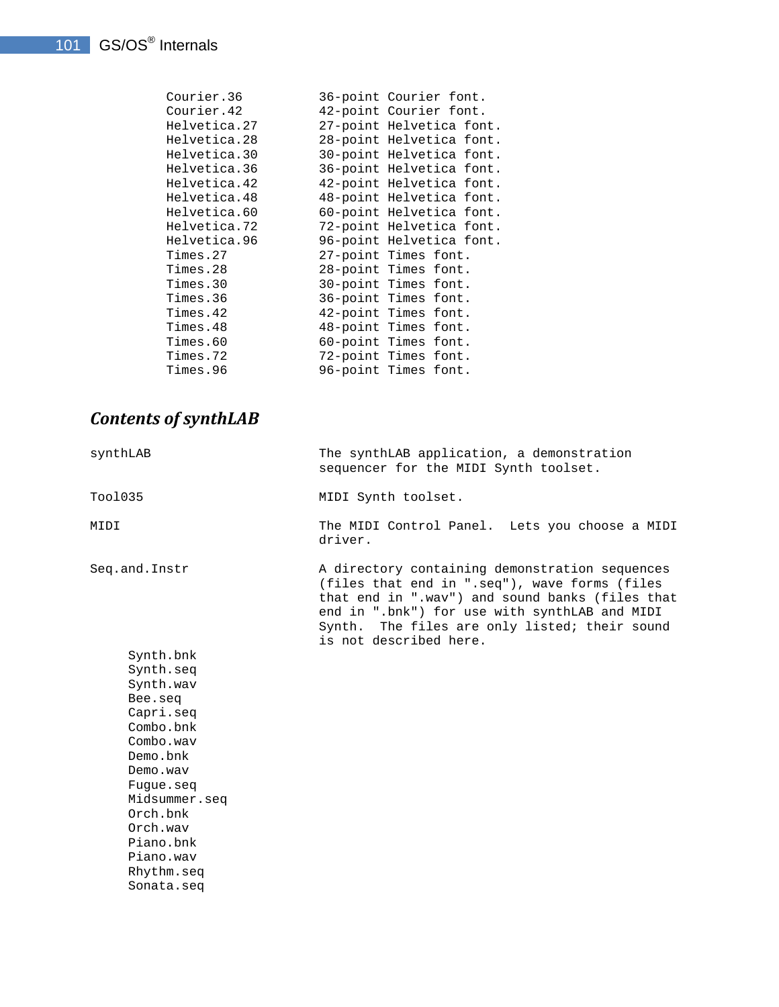|          | Courier.36   | 36-point Courier font. |                          |
|----------|--------------|------------------------|--------------------------|
|          | Courier.42   | 42-point Courier font. |                          |
|          | Helvetica.27 |                        | 27-point Helvetica font. |
|          | Helvetica.28 |                        | 28-point Helvetica font. |
|          | Helvetica.30 |                        | 30-point Helvetica font. |
|          | Helvetica.36 |                        | 36-point Helvetica font. |
|          | Helvetica.42 |                        | 42-point Helvetica font. |
|          | Helvetica.48 |                        | 48-point Helvetica font. |
|          | Helvetica.60 |                        | 60-point Helvetica font. |
|          | Helvetica.72 |                        | 72-point Helvetica font. |
|          | Helvetica.96 |                        | 96-point Helvetica font. |
| Times.27 |              | 27-point Times font.   |                          |
| Times.28 |              | 28-point Times font.   |                          |
| Times.30 |              | 30-point Times font.   |                          |
| Times.36 |              | 36-point Times font.   |                          |
| Times.42 |              | 42-point Times font.   |                          |
| Times.48 |              | 48-point Times font.   |                          |
| Times.60 |              | 60-point Times font.   |                          |
| Times.72 |              | 72-point Times font.   |                          |
| Times.96 |              | 96-point Times font.   |                          |
|          |              |                        |                          |

## *Contents of synthLAB*

| synthLAB                                                                                                                                                                                                                   | The synthLAB application, a demonstration<br>sequencer for the MIDI Synth toolset.                                                                                                                                                                                             |
|----------------------------------------------------------------------------------------------------------------------------------------------------------------------------------------------------------------------------|--------------------------------------------------------------------------------------------------------------------------------------------------------------------------------------------------------------------------------------------------------------------------------|
| Too1035                                                                                                                                                                                                                    | MIDI Synth toolset.                                                                                                                                                                                                                                                            |
| MIDI                                                                                                                                                                                                                       | The MIDI Control Panel. Lets you choose a MIDI<br>driver.                                                                                                                                                                                                                      |
| Seq.and. Instr                                                                                                                                                                                                             | A directory containing demonstration sequences<br>(files that end in ".seq"), wave forms (files<br>that end in ".wav") and sound banks (files that<br>end in ".bnk") for use with synthLAB and MIDI<br>Synth. The files are only listed; their sound<br>is not described here. |
| Synth.bnk<br>Synth.seq<br>Synth.wav<br>Bee.seg<br>Capri.seq<br>Combo, bnk<br>Combo.way<br>Demo.bnk<br>Demo.way<br>Fugue.seq<br>Midsummer.seq<br>Orch.bnk<br>Orch.way<br>Piano.bnk<br>Piano.wav<br>Rhythm.seq<br>Sonata.seq |                                                                                                                                                                                                                                                                                |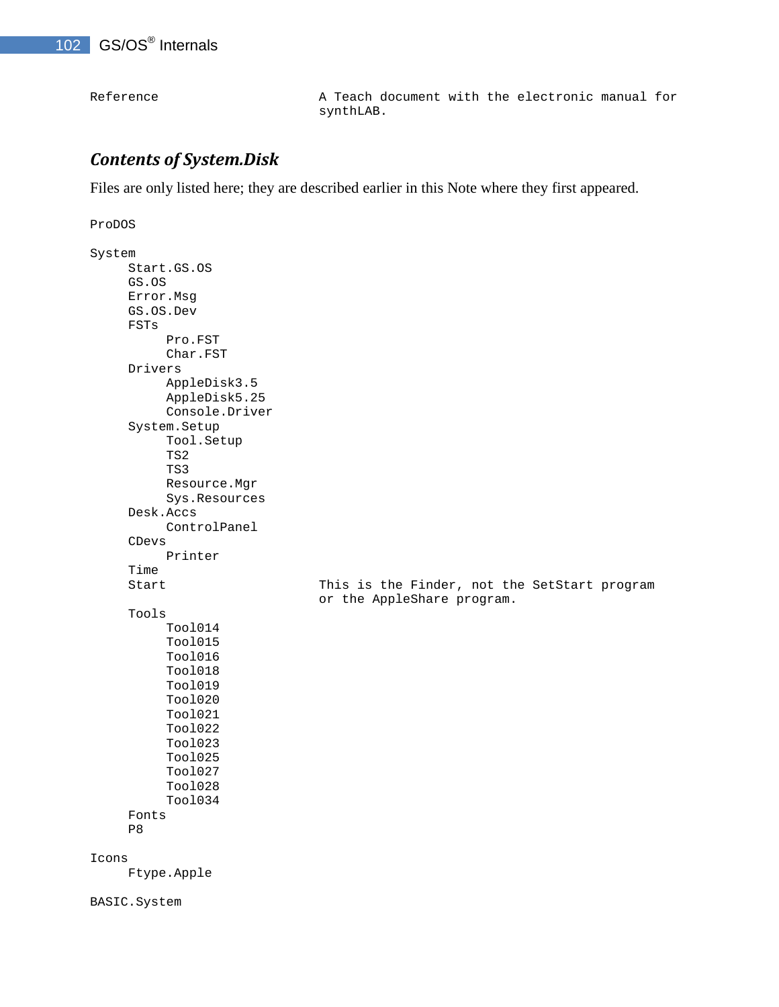Reference A Teach document with the electronic manual for synthLAB.

### *Contents of System.Disk*

Files are only listed here; they are described earlier in this Note where they first appeared.

```
ProDOS 
System 
      Start.GS.OS 
      GS.OS 
      Error.Msg 
      GS.OS.Dev 
      FSTs 
            Pro.FST 
            Char.FST 
      Drivers 
            AppleDisk3.5 
            AppleDisk5.25 
            Console.Driver 
      System.Setup 
            Tool.Setup 
            TS2 
            TS3 
            Resource.Mgr 
            Sys.Resources 
      Desk.Accs 
            ControlPanel 
      CDevs 
            Printer 
      Time 
     Start This is the Finder, not the SetStart program
                                    or the AppleShare program. 
      Tools 
            Tool014 
            Tool015 
            Tool016 
            Tool018 
            Tool019 
            Tool020 
            Tool021 
            Tool022 
            Tool023 
            Tool025 
            Tool027 
            Tool028 
            Tool034 
      Fonts 
      P8 
Icons 
      Ftype.Apple 
BASIC.System
```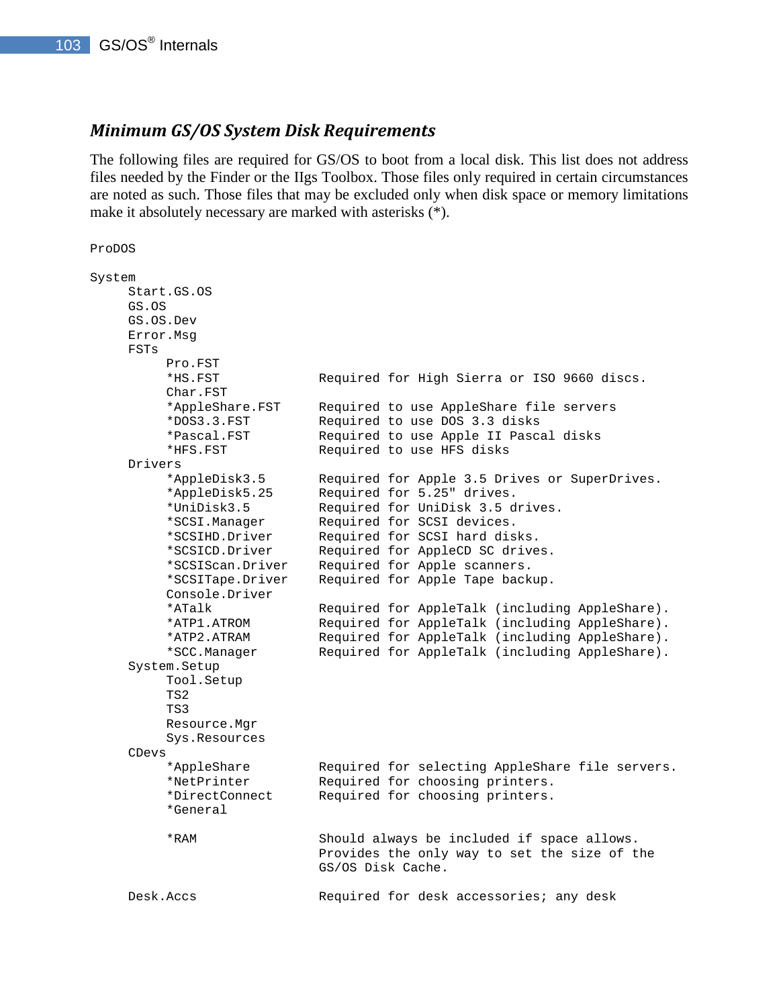#### *Minimum GS/OS System Disk Requirements*

The following files are required for GS/OS to boot from a local disk. This list does not address files needed by the Finder or the IIgs Toolbox. Those files only required in certain circumstances are noted as such. Those files that may be excluded only when disk space or memory limitations make it absolutely necessary are marked with asterisks (\*).

```
ProDOS 
System 
     Start.GS.OS 
     GS.OS 
     GS.OS.Dev 
     Error.Msg 
     FSTs 
          Pro.FST 
          *HS.FST Required for High Sierra or ISO 9660 discs. 
          Char.FST 
          *AppleShare.FST Required to use AppleShare file servers 
          *DOS3.3.FST Required to use DOS 3.3 disks 
          *Pascal.FST Required to use Apple II Pascal disks 
          *HFS.FST Required to use HFS disks 
     Drivers 
          *AppleDisk3.5 Required for Apple 3.5 Drives or SuperDrives. 
          *AppleDisk5.25 Required for 5.25" drives. 
          *UniDisk3.5 Required for UniDisk 3.5 drives. 
          *SCSI.Manager Required for SCSI devices. 
          *SCSIHD.Driver Required for SCSI hard disks. 
          *SCSICD.Driver Required for AppleCD SC drives. 
          *SCSIScan.Driver Required for Apple scanners. 
          *SCSITape.Driver Required for Apple Tape backup. 
          Console.Driver 
          *ATalk Required for AppleTalk (including AppleShare). 
          *ATP1.ATROM Required for AppleTalk (including AppleShare). 
          *ATP2.ATRAM Required for AppleTalk (including AppleShare). 
          *SCC.Manager Required for AppleTalk (including AppleShare). 
     System.Setup 
          Tool.Setup 
          TS2 
          TS3 
          Resource.Mgr 
          Sys.Resources 
     CDevs 
          *AppleShare Required for selecting AppleShare file servers. 
          *NetPrinter Required for choosing printers. 
          *DirectConnect Required for choosing printers. 
          *General 
          *RAM Should always be included if space allows. 
                             Provides the only way to set the size of the 
                             GS/OS Disk Cache. 
    Desk.Accs Required for desk accessories; any desk
```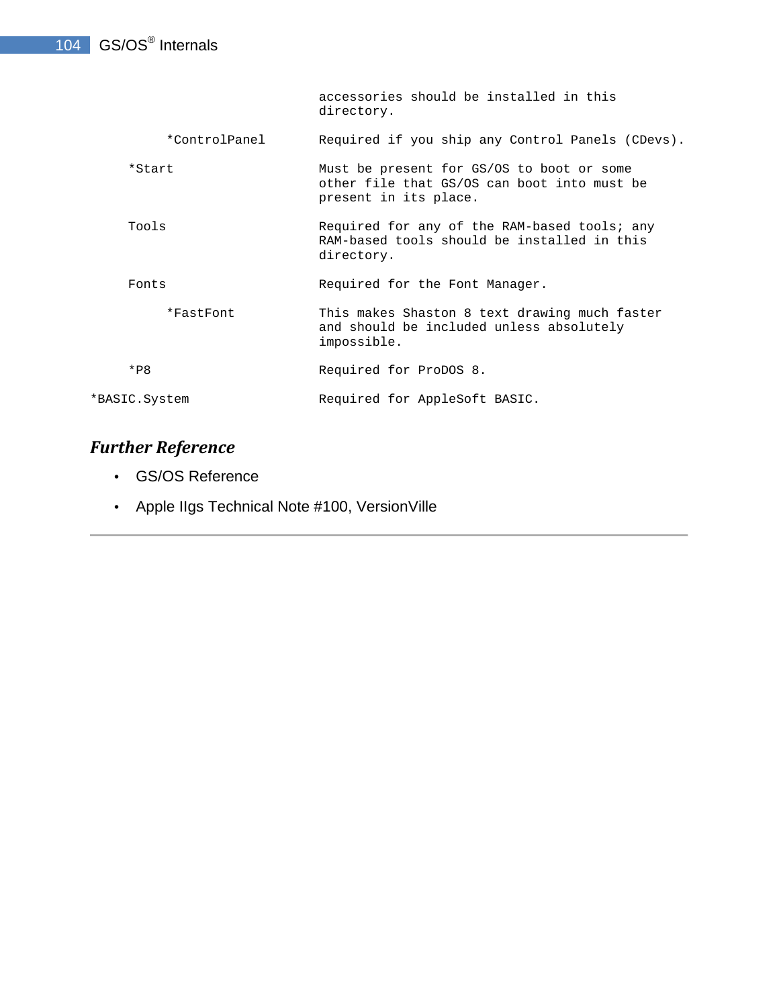accessories should be installed in this directory.

\*ControlPanel Required if you ship any Control Panels (CDevs).

- \*Start Must be present for GS/OS to boot or some other file that GS/OS can boot into must be present in its place.
- Tools Required for any of the RAM-based tools; any RAM-based tools should be installed in this directory.

Fonts **Font State Required** for the Font Manager.

 \*FastFont This makes Shaston 8 text drawing much faster and should be included unless absolutely impossible.

\*P8 Required for ProDOS 8.

\*BASIC.System Required for AppleSoft BASIC.

## *Further Reference*

- GS/OS Reference
- Apple IIgs Technical Note #100, VersionVille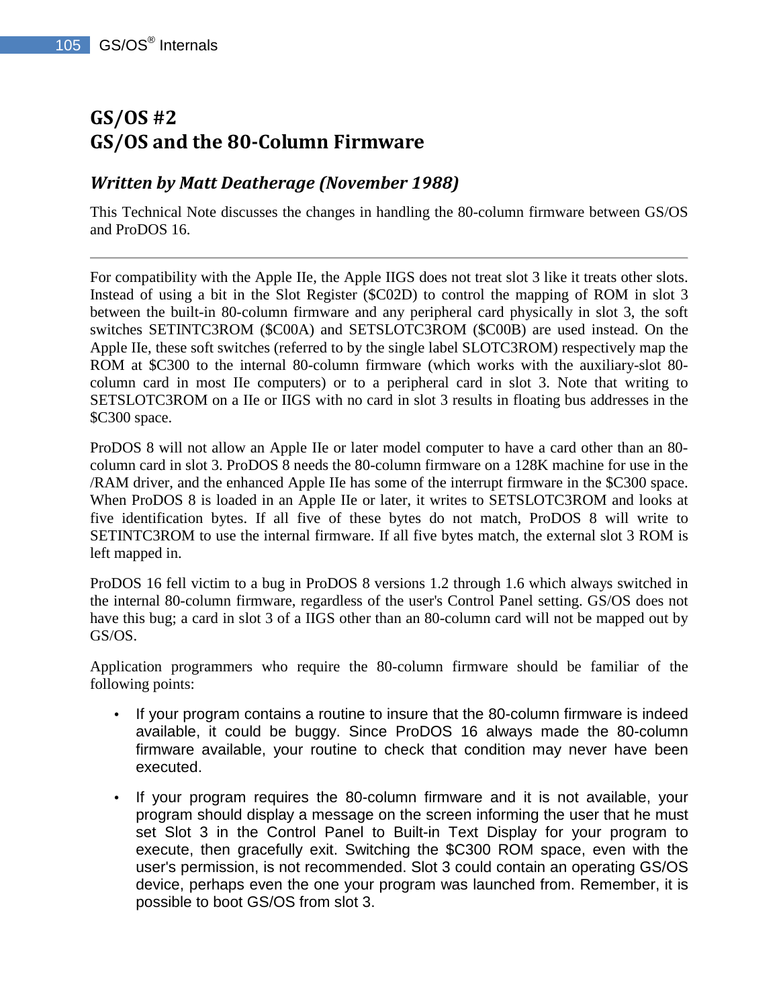## **GS/OS #2 GS/OS and the 80-Column Firmware**

### *Written by Matt Deatherage (November 1988)*

This Technical Note discusses the changes in handling the 80-column firmware between GS/OS and ProDOS 16.

For compatibility with the Apple IIe, the Apple IIGS does not treat slot 3 like it treats other slots. Instead of using a bit in the Slot Register (\$C02D) to control the mapping of ROM in slot 3 between the built-in 80-column firmware and any peripheral card physically in slot 3, the soft switches SETINTC3ROM (\$C00A) and SETSLOTC3ROM (\$C00B) are used instead. On the Apple IIe, these soft switches (referred to by the single label SLOTC3ROM) respectively map the ROM at \$C300 to the internal 80-column firmware (which works with the auxiliary-slot 80 column card in most IIe computers) or to a peripheral card in slot 3. Note that writing to SETSLOTC3ROM on a IIe or IIGS with no card in slot 3 results in floating bus addresses in the \$C300 space.

ProDOS 8 will not allow an Apple IIe or later model computer to have a card other than an 80 column card in slot 3. ProDOS 8 needs the 80-column firmware on a 128K machine for use in the /RAM driver, and the enhanced Apple IIe has some of the interrupt firmware in the \$C300 space. When ProDOS 8 is loaded in an Apple IIe or later, it writes to SETSLOTC3ROM and looks at five identification bytes. If all five of these bytes do not match, ProDOS 8 will write to SETINTC3ROM to use the internal firmware. If all five bytes match, the external slot 3 ROM is left mapped in.

ProDOS 16 fell victim to a bug in ProDOS 8 versions 1.2 through 1.6 which always switched in the internal 80-column firmware, regardless of the user's Control Panel setting. GS/OS does not have this bug; a card in slot 3 of a IIGS other than an 80-column card will not be mapped out by GS/OS.

Application programmers who require the 80-column firmware should be familiar of the following points:

- If your program contains a routine to insure that the 80-column firmware is indeed available, it could be buggy. Since ProDOS 16 always made the 80-column firmware available, your routine to check that condition may never have been executed.
- If your program requires the 80-column firmware and it is not available, your program should display a message on the screen informing the user that he must set Slot 3 in the Control Panel to Built-in Text Display for your program to execute, then gracefully exit. Switching the \$C300 ROM space, even with the user's permission, is not recommended. Slot 3 could contain an operating GS/OS device, perhaps even the one your program was launched from. Remember, it is possible to boot GS/OS from slot 3.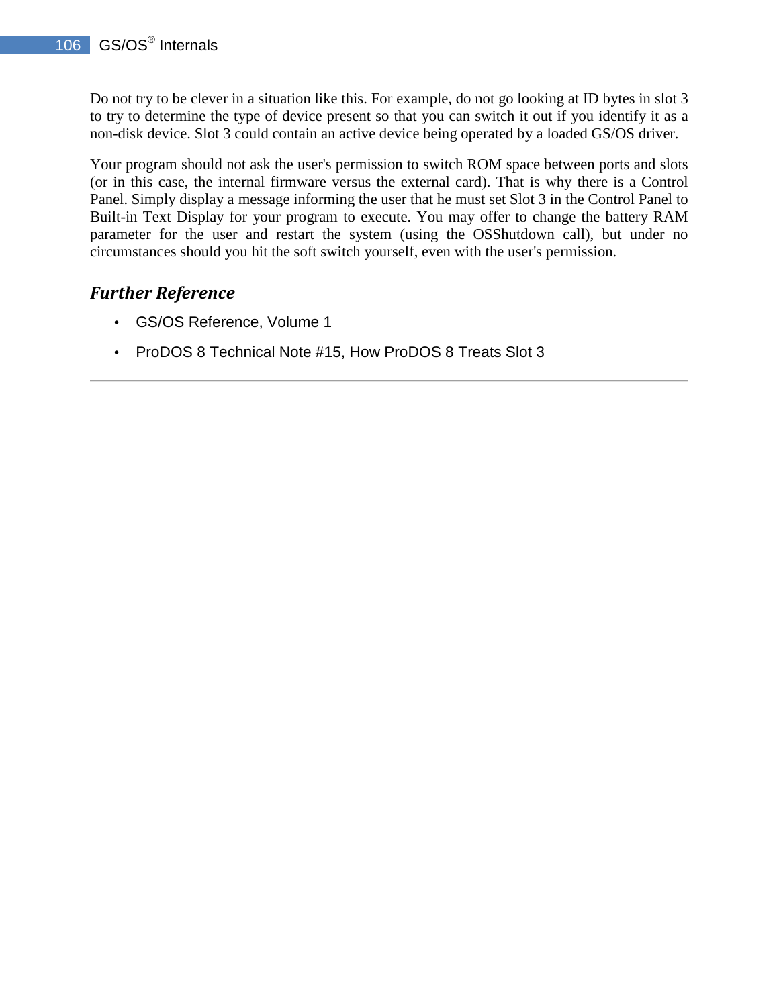Do not try to be clever in a situation like this. For example, do not go looking at ID bytes in slot 3 to try to determine the type of device present so that you can switch it out if you identify it as a non-disk device. Slot 3 could contain an active device being operated by a loaded GS/OS driver.

Your program should not ask the user's permission to switch ROM space between ports and slots (or in this case, the internal firmware versus the external card). That is why there is a Control Panel. Simply display a message informing the user that he must set Slot 3 in the Control Panel to Built-in Text Display for your program to execute. You may offer to change the battery RAM parameter for the user and restart the system (using the OSShutdown call), but under no circumstances should you hit the soft switch yourself, even with the user's permission.

## *Further Reference*

- GS/OS Reference, Volume 1
- ProDOS 8 Technical Note #15, How ProDOS 8 Treats Slot 3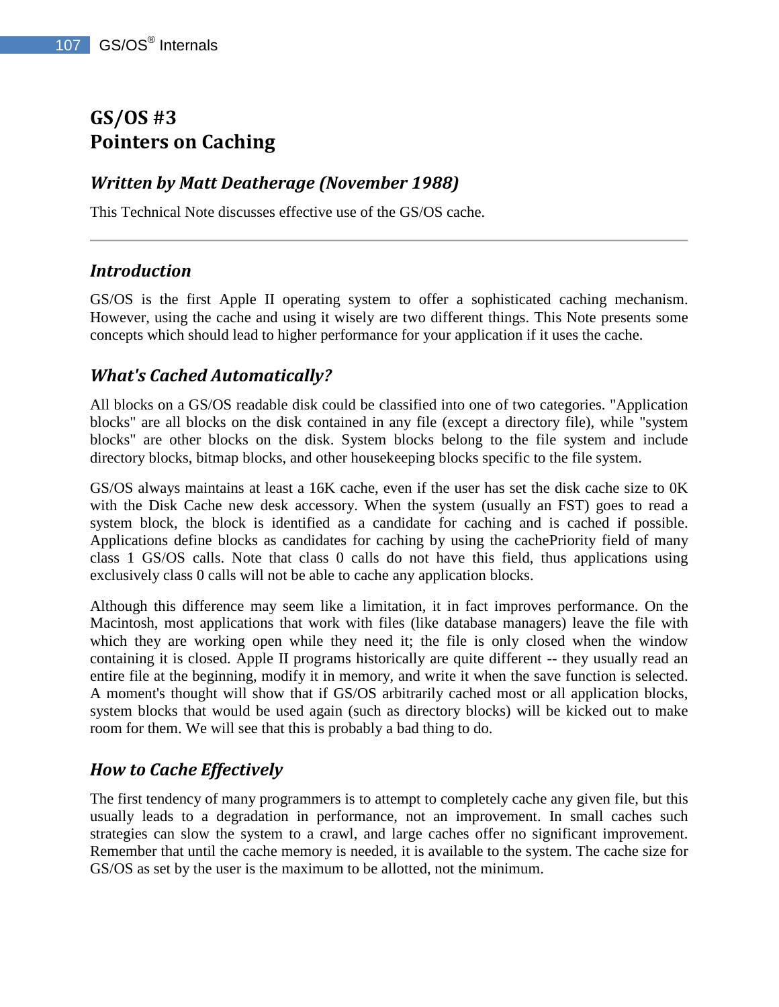## **GS/OS #3 Pointers on Caching**

## *Written by Matt Deatherage (November 1988)*

This Technical Note discusses effective use of the GS/OS cache.

### *Introduction*

GS/OS is the first Apple II operating system to offer a sophisticated caching mechanism. However, using the cache and using it wisely are two different things. This Note presents some concepts which should lead to higher performance for your application if it uses the cache.

## *What's Cached Automatically?*

All blocks on a GS/OS readable disk could be classified into one of two categories. "Application blocks" are all blocks on the disk contained in any file (except a directory file), while "system blocks" are other blocks on the disk. System blocks belong to the file system and include directory blocks, bitmap blocks, and other housekeeping blocks specific to the file system.

GS/OS always maintains at least a 16K cache, even if the user has set the disk cache size to 0K with the Disk Cache new desk accessory. When the system (usually an FST) goes to read a system block, the block is identified as a candidate for caching and is cached if possible. Applications define blocks as candidates for caching by using the cachePriority field of many class 1 GS/OS calls. Note that class 0 calls do not have this field, thus applications using exclusively class 0 calls will not be able to cache any application blocks.

Although this difference may seem like a limitation, it in fact improves performance. On the Macintosh, most applications that work with files (like database managers) leave the file with which they are working open while they need it; the file is only closed when the window containing it is closed. Apple II programs historically are quite different -- they usually read an entire file at the beginning, modify it in memory, and write it when the save function is selected. A moment's thought will show that if GS/OS arbitrarily cached most or all application blocks, system blocks that would be used again (such as directory blocks) will be kicked out to make room for them. We will see that this is probably a bad thing to do.

## *How to Cache Effectively*

The first tendency of many programmers is to attempt to completely cache any given file, but this usually leads to a degradation in performance, not an improvement. In small caches such strategies can slow the system to a crawl, and large caches offer no significant improvement. Remember that until the cache memory is needed, it is available to the system. The cache size for GS/OS as set by the user is the maximum to be allotted, not the minimum.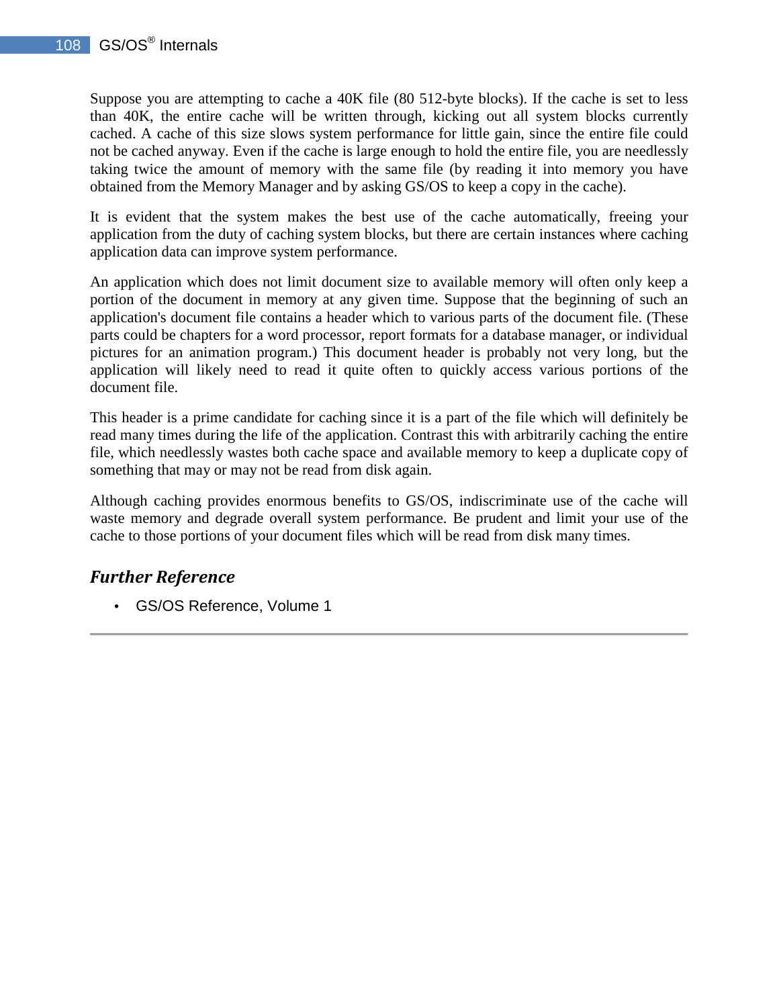Suppose you are attempting to cache a 40K file (80 512-byte blocks). If the cache is set to less than 40K, the entire cache will be written through, kicking out all system blocks currently cached. A cache of this size slows system performance for little gain, since the entire file could not be cached anyway. Even if the cache is large enough to hold the entire file, you are needlessly taking twice the amount of memory with the same file (by reading it into memory you have obtained from the Memory Manager and by asking GS/OS to keep a copy in the cache).

It is evident that the system makes the best use of the cache automatically, freeing your application from the duty of caching system blocks, but there are certain instances where caching application data can improve system performance.

An application which does not limit document size to available memory will often only keep a portion of the document in memory at any given time. Suppose that the beginning of such an application's document file contains a header which to various parts of the document file. (These parts could be chapters for a word processor, report formats for a database manager, or individual pictures for an animation program.) This document header is probably not very long, but the application will likely need to read it quite often to quickly access various portions of the document file.

This header is a prime candidate for caching since it is a part of the file which will definitely be read many times during the life of the application. Contrast this with arbitrarily caching the entire file, which needlessly wastes both cache space and available memory to keep a duplicate copy of something that may or may not be read from disk again.

Although caching provides enormous benefits to GS/OS, indiscriminate use of the cache will waste memory and degrade overall system performance. Be prudent and limit your use of the cache to those portions of your document files which will be read from disk many times.

### *Further Reference*

• GS/OS Reference, Volume 1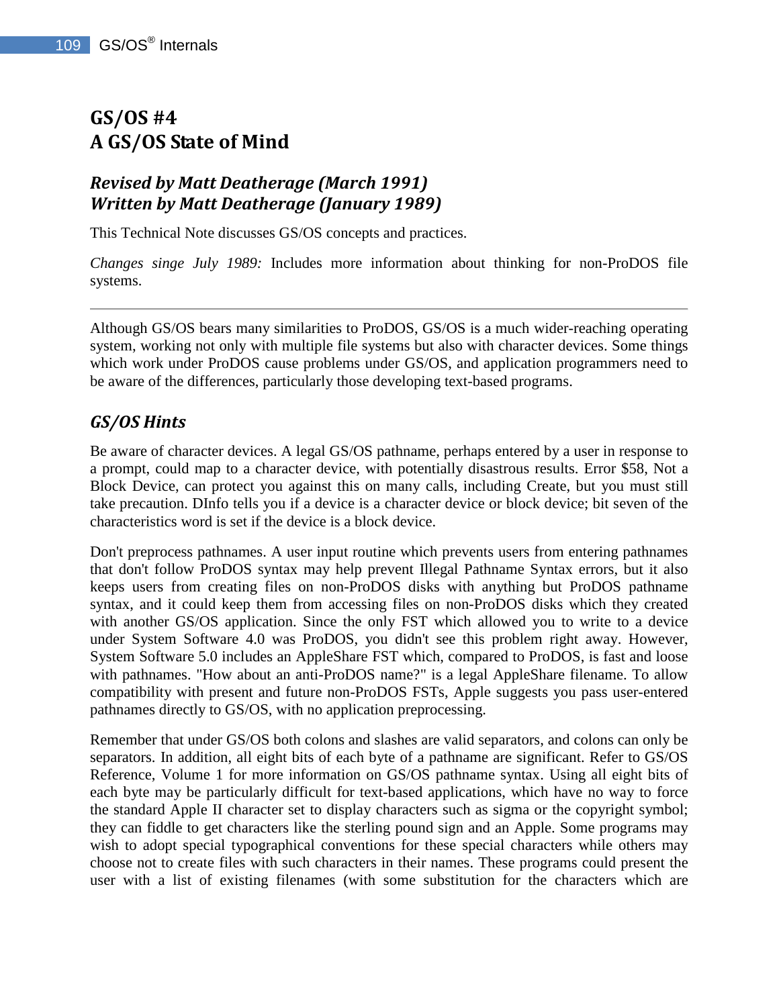# **GS/OS #4 A GS/OS State of Mind**

## *Revised by Matt Deatherage (March 1991) Written by Matt Deatherage (January 1989)*

This Technical Note discusses GS/OS concepts and practices.

*Changes singe July 1989:* Includes more information about thinking for non-ProDOS file systems.

Although GS/OS bears many similarities to ProDOS, GS/OS is a much wider-reaching operating system, working not only with multiple file systems but also with character devices. Some things which work under ProDOS cause problems under GS/OS, and application programmers need to be aware of the differences, particularly those developing text-based programs.

### *GS/OS Hints*

Be aware of character devices. A legal GS/OS pathname, perhaps entered by a user in response to a prompt, could map to a character device, with potentially disastrous results. Error \$58, Not a Block Device, can protect you against this on many calls, including Create, but you must still take precaution. DInfo tells you if a device is a character device or block device; bit seven of the characteristics word is set if the device is a block device.

Don't preprocess pathnames. A user input routine which prevents users from entering pathnames that don't follow ProDOS syntax may help prevent Illegal Pathname Syntax errors, but it also keeps users from creating files on non-ProDOS disks with anything but ProDOS pathname syntax, and it could keep them from accessing files on non-ProDOS disks which they created with another GS/OS application. Since the only FST which allowed you to write to a device under System Software 4.0 was ProDOS, you didn't see this problem right away. However, System Software 5.0 includes an AppleShare FST which, compared to ProDOS, is fast and loose with pathnames. "How about an anti-ProDOS name?" is a legal AppleShare filename. To allow compatibility with present and future non-ProDOS FSTs, Apple suggests you pass user-entered pathnames directly to GS/OS, with no application preprocessing.

Remember that under GS/OS both colons and slashes are valid separators, and colons can only be separators. In addition, all eight bits of each byte of a pathname are significant. Refer to GS/OS Reference, Volume 1 for more information on GS/OS pathname syntax. Using all eight bits of each byte may be particularly difficult for text-based applications, which have no way to force the standard Apple II character set to display characters such as sigma or the copyright symbol; they can fiddle to get characters like the sterling pound sign and an Apple. Some programs may wish to adopt special typographical conventions for these special characters while others may choose not to create files with such characters in their names. These programs could present the user with a list of existing filenames (with some substitution for the characters which are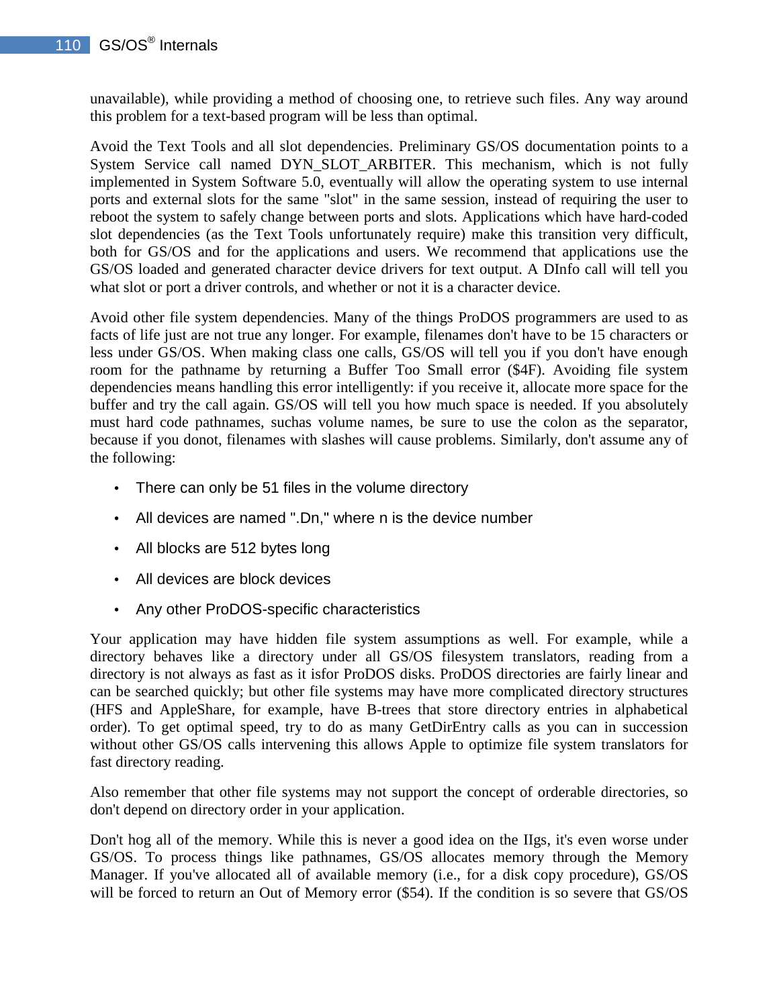unavailable), while providing a method of choosing one, to retrieve such files. Any way around this problem for a text-based program will be less than optimal.

Avoid the Text Tools and all slot dependencies. Preliminary GS/OS documentation points to a System Service call named DYN\_SLOT\_ARBITER. This mechanism, which is not fully implemented in System Software 5.0, eventually will allow the operating system to use internal ports and external slots for the same "slot" in the same session, instead of requiring the user to reboot the system to safely change between ports and slots. Applications which have hard-coded slot dependencies (as the Text Tools unfortunately require) make this transition very difficult, both for GS/OS and for the applications and users. We recommend that applications use the GS/OS loaded and generated character device drivers for text output. A DInfo call will tell you what slot or port a driver controls, and whether or not it is a character device.

Avoid other file system dependencies. Many of the things ProDOS programmers are used to as facts of life just are not true any longer. For example, filenames don't have to be 15 characters or less under GS/OS. When making class one calls, GS/OS will tell you if you don't have enough room for the pathname by returning a Buffer Too Small error (\$4F). Avoiding file system dependencies means handling this error intelligently: if you receive it, allocate more space for the buffer and try the call again. GS/OS will tell you how much space is needed. If you absolutely must hard code pathnames, suchas volume names, be sure to use the colon as the separator, because if you donot, filenames with slashes will cause problems. Similarly, don't assume any of the following:

- There can only be 51 files in the volume directory
- All devices are named ".Dn," where n is the device number
- All blocks are 512 bytes long
- All devices are block devices
- Any other ProDOS-specific characteristics

Your application may have hidden file system assumptions as well. For example, while a directory behaves like a directory under all GS/OS filesystem translators, reading from a directory is not always as fast as it isfor ProDOS disks. ProDOS directories are fairly linear and can be searched quickly; but other file systems may have more complicated directory structures (HFS and AppleShare, for example, have B-trees that store directory entries in alphabetical order). To get optimal speed, try to do as many GetDirEntry calls as you can in succession without other GS/OS calls intervening this allows Apple to optimize file system translators for fast directory reading.

Also remember that other file systems may not support the concept of orderable directories, so don't depend on directory order in your application.

Don't hog all of the memory. While this is never a good idea on the IIgs, it's even worse under GS/OS. To process things like pathnames, GS/OS allocates memory through the Memory Manager. If you've allocated all of available memory (i.e., for a disk copy procedure), GS/OS will be forced to return an Out of Memory error (\$54). If the condition is so severe that GS/OS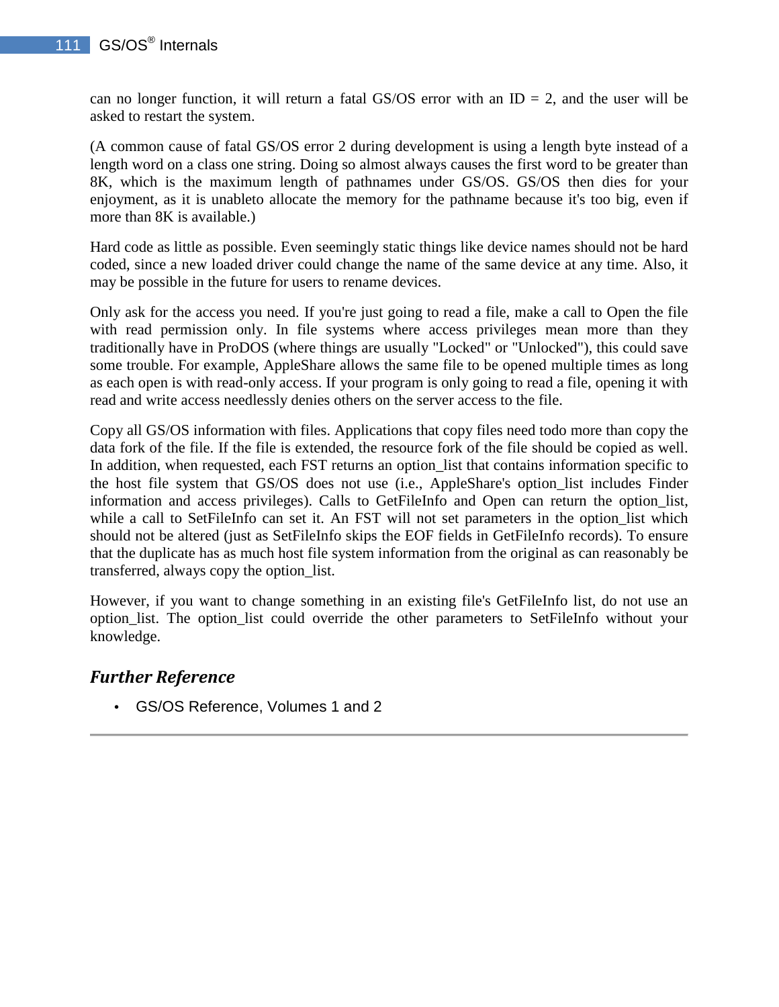can no longer function, it will return a fatal GS/OS error with an  $ID = 2$ , and the user will be asked to restart the system.

(A common cause of fatal GS/OS error 2 during development is using a length byte instead of a length word on a class one string. Doing so almost always causes the first word to be greater than 8K, which is the maximum length of pathnames under GS/OS. GS/OS then dies for your enjoyment, as it is unableto allocate the memory for the pathname because it's too big, even if more than 8K is available.)

Hard code as little as possible. Even seemingly static things like device names should not be hard coded, since a new loaded driver could change the name of the same device at any time. Also, it may be possible in the future for users to rename devices.

Only ask for the access you need. If you're just going to read a file, make a call to Open the file with read permission only. In file systems where access privileges mean more than they traditionally have in ProDOS (where things are usually "Locked" or "Unlocked"), this could save some trouble. For example, AppleShare allows the same file to be opened multiple times as long as each open is with read-only access. If your program is only going to read a file, opening it with read and write access needlessly denies others on the server access to the file.

Copy all GS/OS information with files. Applications that copy files need todo more than copy the data fork of the file. If the file is extended, the resource fork of the file should be copied as well. In addition, when requested, each FST returns an option\_list that contains information specific to the host file system that GS/OS does not use (i.e., AppleShare's option\_list includes Finder information and access privileges). Calls to GetFileInfo and Open can return the option\_list, while a call to SetFileInfo can set it. An FST will not set parameters in the option\_list which should not be altered (just as SetFileInfo skips the EOF fields in GetFileInfo records). To ensure that the duplicate has as much host file system information from the original as can reasonably be transferred, always copy the option\_list.

However, if you want to change something in an existing file's GetFileInfo list, do not use an option\_list. The option\_list could override the other parameters to SetFileInfo without your knowledge.

### *Further Reference*

• GS/OS Reference, Volumes 1 and 2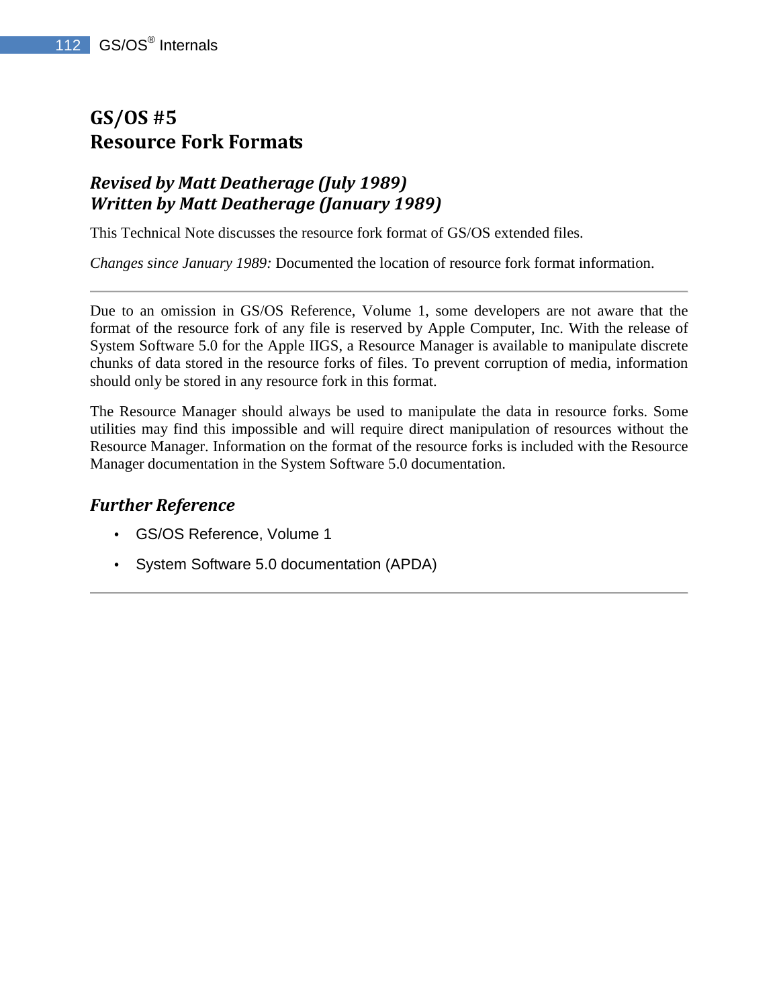# **GS/OS #5 Resource Fork Formats**

## *Revised by Matt Deatherage (July 1989) Written by Matt Deatherage (January 1989)*

This Technical Note discusses the resource fork format of GS/OS extended files.

*Changes since January 1989:* Documented the location of resource fork format information.

Due to an omission in GS/OS Reference, Volume 1, some developers are not aware that the format of the resource fork of any file is reserved by Apple Computer, Inc. With the release of System Software 5.0 for the Apple IIGS, a Resource Manager is available to manipulate discrete chunks of data stored in the resource forks of files. To prevent corruption of media, information should only be stored in any resource fork in this format.

The Resource Manager should always be used to manipulate the data in resource forks. Some utilities may find this impossible and will require direct manipulation of resources without the Resource Manager. Information on the format of the resource forks is included with the Resource Manager documentation in the System Software 5.0 documentation.

- GS/OS Reference, Volume 1
- System Software 5.0 documentation (APDA)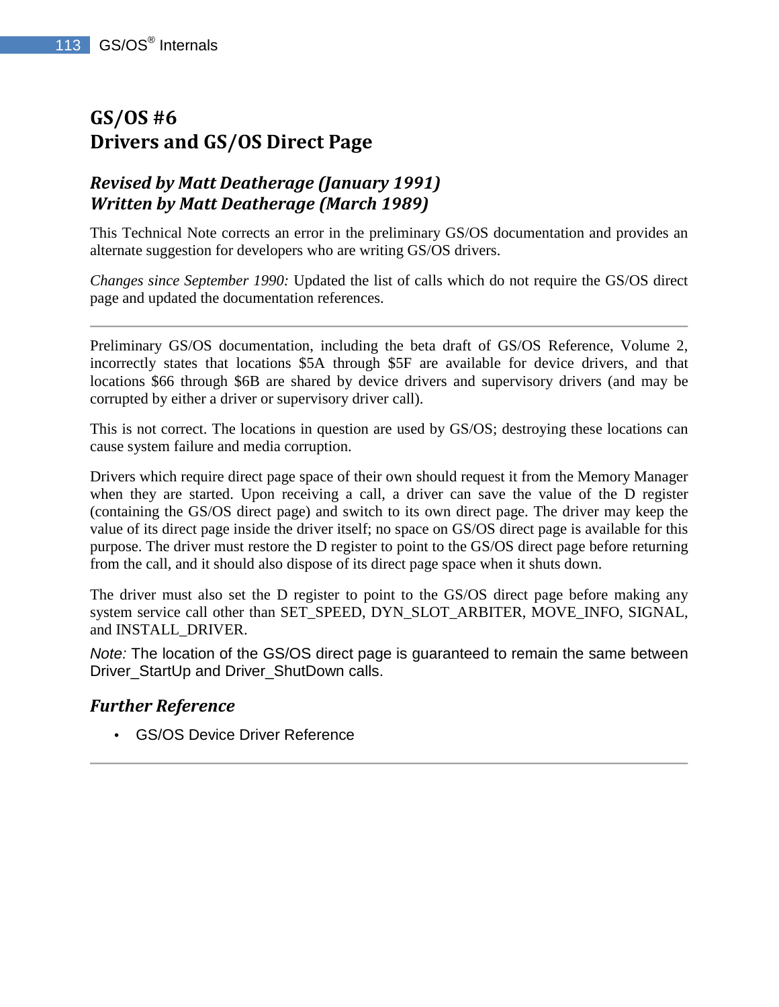# **GS/OS #6 Drivers and GS/OS Direct Page**

# *Revised by Matt Deatherage (January 1991) Written by Matt Deatherage (March 1989)*

This Technical Note corrects an error in the preliminary GS/OS documentation and provides an alternate suggestion for developers who are writing GS/OS drivers.

*Changes since September 1990:* Updated the list of calls which do not require the GS/OS direct page and updated the documentation references.

Preliminary GS/OS documentation, including the beta draft of GS/OS Reference, Volume 2, incorrectly states that locations \$5A through \$5F are available for device drivers, and that locations \$66 through \$6B are shared by device drivers and supervisory drivers (and may be corrupted by either a driver or supervisory driver call).

This is not correct. The locations in question are used by GS/OS; destroying these locations can cause system failure and media corruption.

Drivers which require direct page space of their own should request it from the Memory Manager when they are started. Upon receiving a call, a driver can save the value of the D register (containing the GS/OS direct page) and switch to its own direct page. The driver may keep the value of its direct page inside the driver itself; no space on GS/OS direct page is available for this purpose. The driver must restore the D register to point to the GS/OS direct page before returning from the call, and it should also dispose of its direct page space when it shuts down.

The driver must also set the D register to point to the GS/OS direct page before making any system service call other than SET\_SPEED, DYN\_SLOT\_ARBITER, MOVE\_INFO, SIGNAL, and INSTALL\_DRIVER.

Note: The location of the GS/OS direct page is guaranteed to remain the same between Driver\_StartUp and Driver\_ShutDown calls.

### *Further Reference*

• GS/OS Device Driver Reference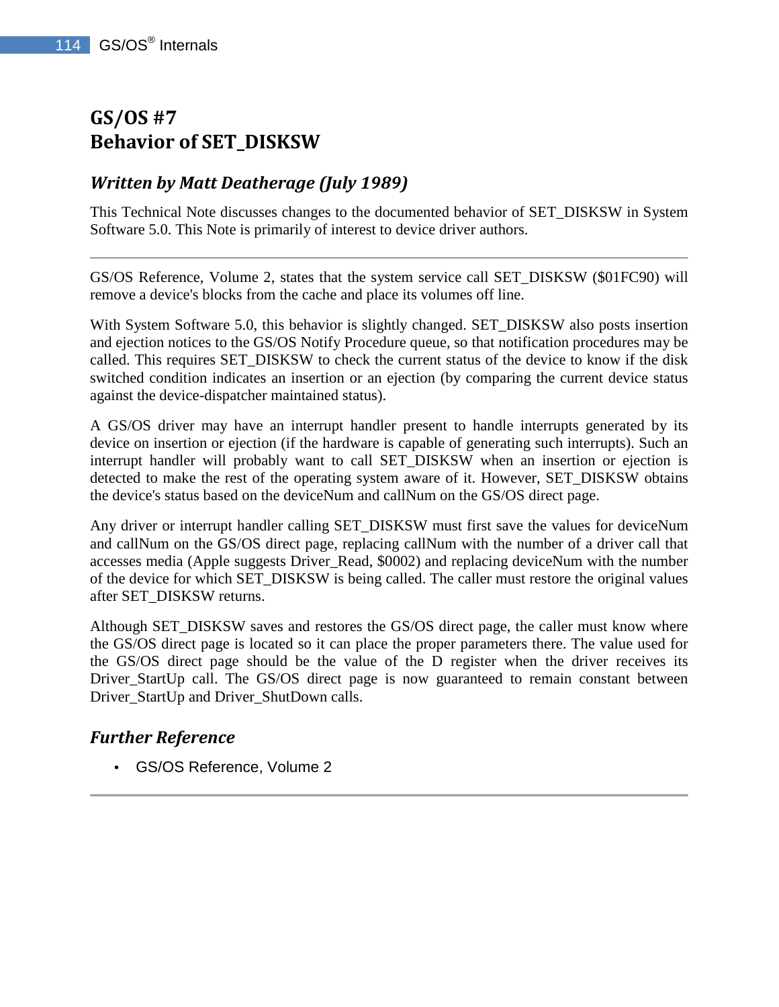# **GS/OS #7 Behavior of SET\_DISKSW**

# *Written by Matt Deatherage (July 1989)*

This Technical Note discusses changes to the documented behavior of SET\_DISKSW in System Software 5.0. This Note is primarily of interest to device driver authors.

GS/OS Reference, Volume 2, states that the system service call SET\_DISKSW (\$01FC90) will remove a device's blocks from the cache and place its volumes off line.

With System Software 5.0, this behavior is slightly changed. SET DISKSW also posts insertion and ejection notices to the GS/OS Notify Procedure queue, so that notification procedures may be called. This requires SET\_DISKSW to check the current status of the device to know if the disk switched condition indicates an insertion or an ejection (by comparing the current device status against the device-dispatcher maintained status).

A GS/OS driver may have an interrupt handler present to handle interrupts generated by its device on insertion or ejection (if the hardware is capable of generating such interrupts). Such an interrupt handler will probably want to call SET\_DISKSW when an insertion or ejection is detected to make the rest of the operating system aware of it. However, SET\_DISKSW obtains the device's status based on the deviceNum and callNum on the GS/OS direct page.

Any driver or interrupt handler calling SET\_DISKSW must first save the values for deviceNum and callNum on the GS/OS direct page, replacing callNum with the number of a driver call that accesses media (Apple suggests Driver\_Read, \$0002) and replacing deviceNum with the number of the device for which SET\_DISKSW is being called. The caller must restore the original values after SET\_DISKSW returns.

Although SET\_DISKSW saves and restores the GS/OS direct page, the caller must know where the GS/OS direct page is located so it can place the proper parameters there. The value used for the GS/OS direct page should be the value of the D register when the driver receives its Driver\_StartUp call. The GS/OS direct page is now guaranteed to remain constant between Driver\_StartUp and Driver\_ShutDown calls.

### *Further Reference*

• GS/OS Reference, Volume 2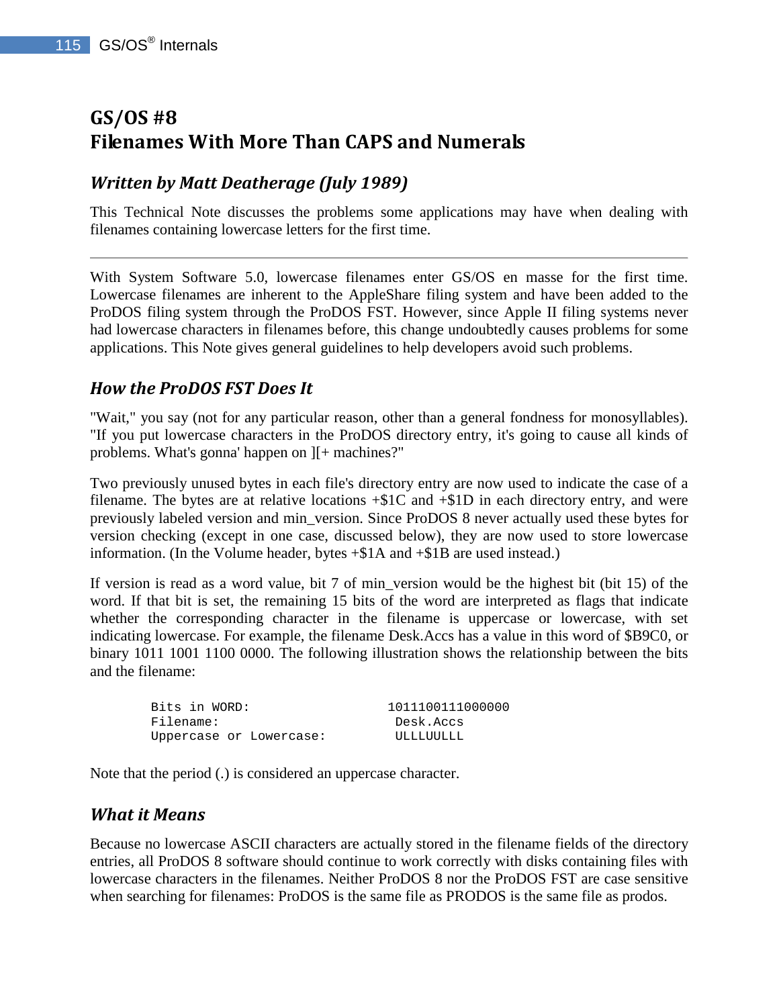# **GS/OS #8 Filenames With More Than CAPS and Numerals**

## *Written by Matt Deatherage (July 1989)*

This Technical Note discusses the problems some applications may have when dealing with filenames containing lowercase letters for the first time.

With System Software 5.0, lowercase filenames enter GS/OS en masse for the first time. Lowercase filenames are inherent to the AppleShare filing system and have been added to the ProDOS filing system through the ProDOS FST. However, since Apple II filing systems never had lowercase characters in filenames before, this change undoubtedly causes problems for some applications. This Note gives general guidelines to help developers avoid such problems.

### *How the ProDOS FST Does It*

"Wait," you say (not for any particular reason, other than a general fondness for monosyllables). "If you put lowercase characters in the ProDOS directory entry, it's going to cause all kinds of problems. What's gonna' happen on ][+ machines?"

Two previously unused bytes in each file's directory entry are now used to indicate the case of a filename. The bytes are at relative locations  $+\$1C$  and  $+\$1D$  in each directory entry, and were previously labeled version and min\_version. Since ProDOS 8 never actually used these bytes for version checking (except in one case, discussed below), they are now used to store lowercase information. (In the Volume header, bytes +\$1A and +\$1B are used instead.)

If version is read as a word value, bit 7 of min version would be the highest bit (bit 15) of the word. If that bit is set, the remaining 15 bits of the word are interpreted as flags that indicate whether the corresponding character in the filename is uppercase or lowercase, with set indicating lowercase. For example, the filename Desk.Accs has a value in this word of \$B9C0, or binary 1011 1001 1100 0000. The following illustration shows the relationship between the bits and the filename:

| Bits in WORD:           | 1011100111000000 |
|-------------------------|------------------|
| Filename:               | Desk.Accs        |
| Uppercase or Lowercase: | ULLLUULLL        |

Note that the period (.) is considered an uppercase character.

#### *What it Means*

Because no lowercase ASCII characters are actually stored in the filename fields of the directory entries, all ProDOS 8 software should continue to work correctly with disks containing files with lowercase characters in the filenames. Neither ProDOS 8 nor the ProDOS FST are case sensitive when searching for filenames: ProDOS is the same file as PRODOS is the same file as prodos.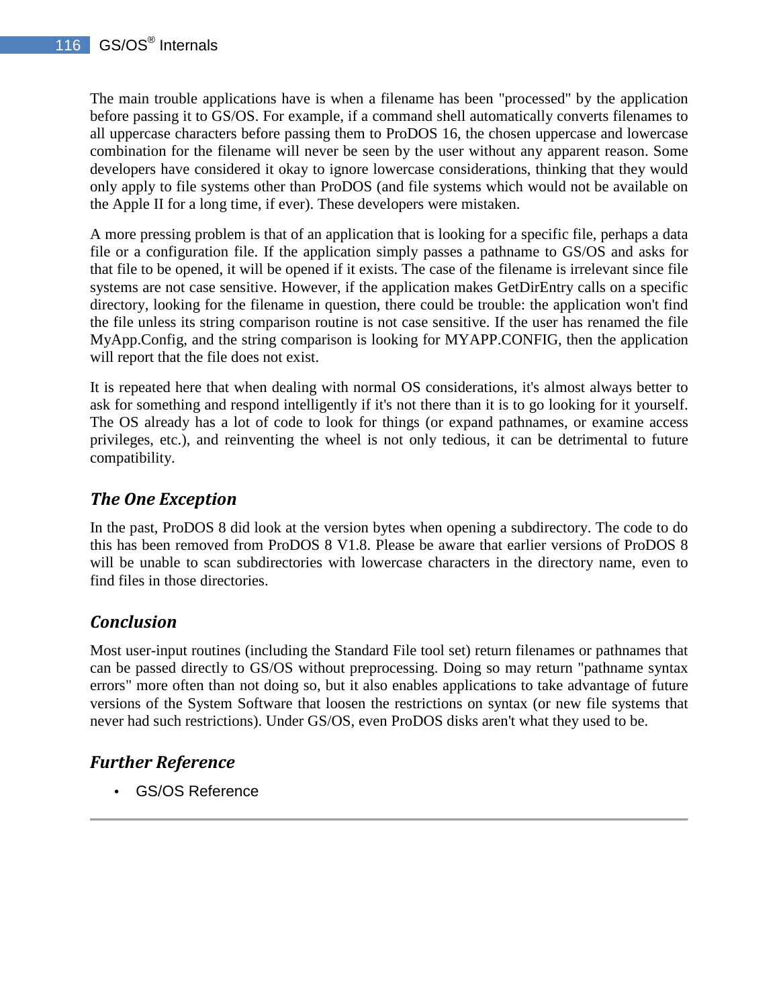The main trouble applications have is when a filename has been "processed" by the application before passing it to GS/OS. For example, if a command shell automatically converts filenames to all uppercase characters before passing them to ProDOS 16, the chosen uppercase and lowercase combination for the filename will never be seen by the user without any apparent reason. Some developers have considered it okay to ignore lowercase considerations, thinking that they would only apply to file systems other than ProDOS (and file systems which would not be available on the Apple II for a long time, if ever). These developers were mistaken.

A more pressing problem is that of an application that is looking for a specific file, perhaps a data file or a configuration file. If the application simply passes a pathname to GS/OS and asks for that file to be opened, it will be opened if it exists. The case of the filename is irrelevant since file systems are not case sensitive. However, if the application makes GetDirEntry calls on a specific directory, looking for the filename in question, there could be trouble: the application won't find the file unless its string comparison routine is not case sensitive. If the user has renamed the file MyApp.Config, and the string comparison is looking for MYAPP.CONFIG, then the application will report that the file does not exist.

It is repeated here that when dealing with normal OS considerations, it's almost always better to ask for something and respond intelligently if it's not there than it is to go looking for it yourself. The OS already has a lot of code to look for things (or expand pathnames, or examine access privileges, etc.), and reinventing the wheel is not only tedious, it can be detrimental to future compatibility.

# *The One Exception*

In the past, ProDOS 8 did look at the version bytes when opening a subdirectory. The code to do this has been removed from ProDOS 8 V1.8. Please be aware that earlier versions of ProDOS 8 will be unable to scan subdirectories with lowercase characters in the directory name, even to find files in those directories.

# *Conclusion*

Most user-input routines (including the Standard File tool set) return filenames or pathnames that can be passed directly to GS/OS without preprocessing. Doing so may return "pathname syntax errors" more often than not doing so, but it also enables applications to take advantage of future versions of the System Software that loosen the restrictions on syntax (or new file systems that never had such restrictions). Under GS/OS, even ProDOS disks aren't what they used to be.

# *Further Reference*

• GS/OS Reference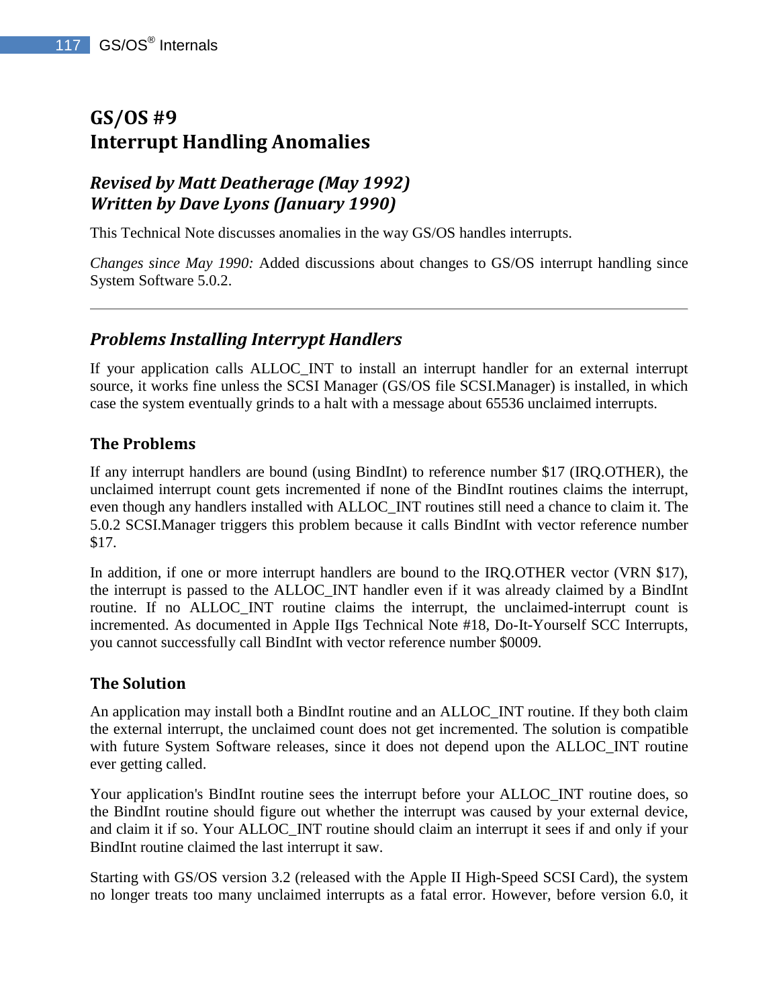# **GS/OS #9 Interrupt Handling Anomalies**

# *Revised by Matt Deatherage (May 1992) Written by Dave Lyons (January 1990)*

This Technical Note discusses anomalies in the way GS/OS handles interrupts.

*Changes since May 1990:* Added discussions about changes to GS/OS interrupt handling since System Software 5.0.2.

## *Problems Installing Interrypt Handlers*

If your application calls ALLOC\_INT to install an interrupt handler for an external interrupt source, it works fine unless the SCSI Manager (GS/OS file SCSI.Manager) is installed, in which case the system eventually grinds to a halt with a message about 65536 unclaimed interrupts.

### **The Problems**

If any interrupt handlers are bound (using BindInt) to reference number \$17 (IRQ.OTHER), the unclaimed interrupt count gets incremented if none of the BindInt routines claims the interrupt, even though any handlers installed with ALLOC\_INT routines still need a chance to claim it. The 5.0.2 SCSI.Manager triggers this problem because it calls BindInt with vector reference number \$17.

In addition, if one or more interrupt handlers are bound to the IRQ.OTHER vector (VRN \$17), the interrupt is passed to the ALLOC\_INT handler even if it was already claimed by a BindInt routine. If no ALLOC\_INT routine claims the interrupt, the unclaimed-interrupt count is incremented. As documented in Apple IIgs Technical Note #18, Do-It-Yourself SCC Interrupts, you cannot successfully call BindInt with vector reference number \$0009.

#### **The Solution**

An application may install both a BindInt routine and an ALLOC\_INT routine. If they both claim the external interrupt, the unclaimed count does not get incremented. The solution is compatible with future System Software releases, since it does not depend upon the ALLOC\_INT routine ever getting called.

Your application's BindInt routine sees the interrupt before your ALLOC\_INT routine does, so the BindInt routine should figure out whether the interrupt was caused by your external device, and claim it if so. Your ALLOC\_INT routine should claim an interrupt it sees if and only if your BindInt routine claimed the last interrupt it saw.

Starting with GS/OS version 3.2 (released with the Apple II High-Speed SCSI Card), the system no longer treats too many unclaimed interrupts as a fatal error. However, before version 6.0, it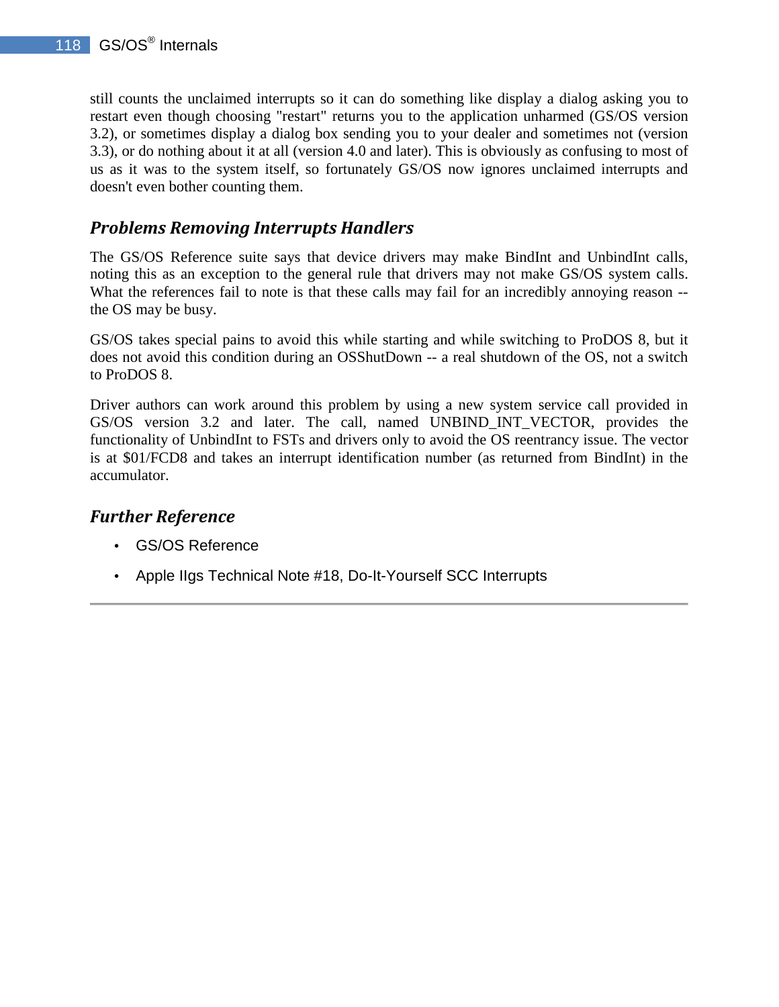still counts the unclaimed interrupts so it can do something like display a dialog asking you to restart even though choosing "restart" returns you to the application unharmed (GS/OS version 3.2), or sometimes display a dialog box sending you to your dealer and sometimes not (version 3.3), or do nothing about it at all (version 4.0 and later). This is obviously as confusing to most of us as it was to the system itself, so fortunately GS/OS now ignores unclaimed interrupts and doesn't even bother counting them.

### *Problems Removing Interrupts Handlers*

The GS/OS Reference suite says that device drivers may make BindInt and UnbindInt calls, noting this as an exception to the general rule that drivers may not make GS/OS system calls. What the references fail to note is that these calls may fail for an incredibly annoying reason -the OS may be busy.

GS/OS takes special pains to avoid this while starting and while switching to ProDOS 8, but it does not avoid this condition during an OSShutDown -- a real shutdown of the OS, not a switch to ProDOS 8.

Driver authors can work around this problem by using a new system service call provided in GS/OS version 3.2 and later. The call, named UNBIND\_INT\_VECTOR, provides the functionality of UnbindInt to FSTs and drivers only to avoid the OS reentrancy issue. The vector is at \$01/FCD8 and takes an interrupt identification number (as returned from BindInt) in the accumulator.

- GS/OS Reference
- Apple IIgs Technical Note #18, Do-It-Yourself SCC Interrupts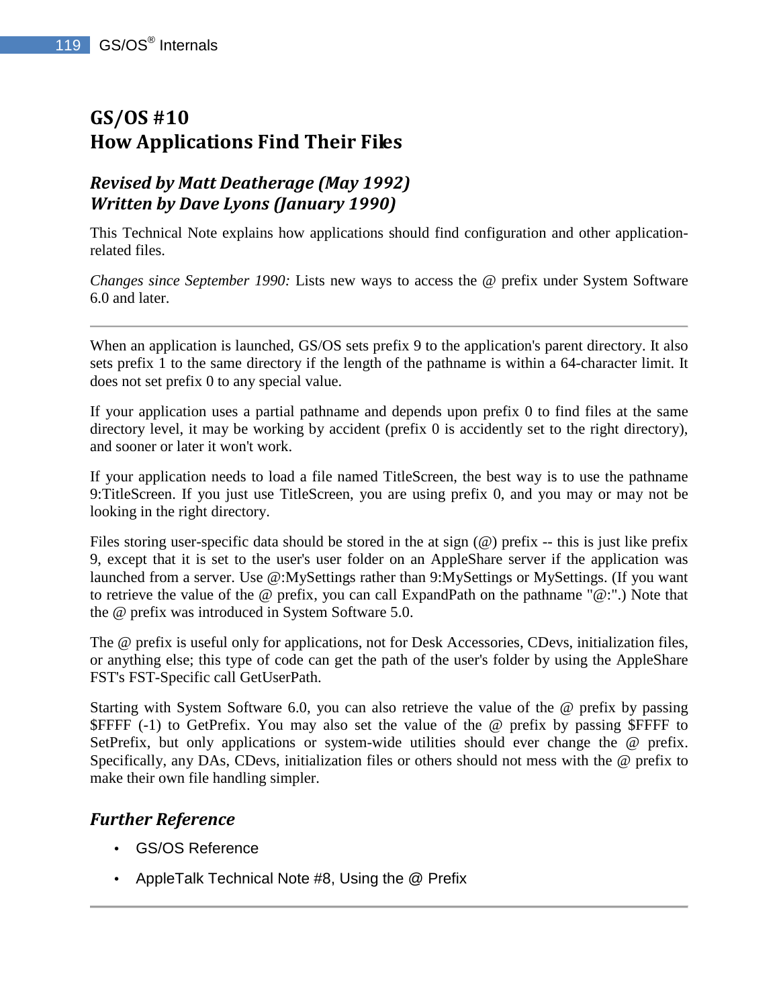# **GS/OS #10 How Applications Find Their Files**

# *Revised by Matt Deatherage (May 1992) Written by Dave Lyons (January 1990)*

This Technical Note explains how applications should find configuration and other applicationrelated files.

*Changes since September 1990:* Lists new ways to access the @ prefix under System Software 6.0 and later.

When an application is launched, GS/OS sets prefix 9 to the application's parent directory. It also sets prefix 1 to the same directory if the length of the pathname is within a 64-character limit. It does not set prefix 0 to any special value.

If your application uses a partial pathname and depends upon prefix 0 to find files at the same directory level, it may be working by accident (prefix 0 is accidently set to the right directory), and sooner or later it won't work.

If your application needs to load a file named TitleScreen, the best way is to use the pathname 9:TitleScreen. If you just use TitleScreen, you are using prefix 0, and you may or may not be looking in the right directory.

Files storing user-specific data should be stored in the at sign (@) prefix -- this is just like prefix 9, except that it is set to the user's user folder on an AppleShare server if the application was launched from a server. Use @:MySettings rather than 9:MySettings or MySettings. (If you want to retrieve the value of the @ prefix, you can call ExpandPath on the pathname "@:".) Note that the @ prefix was introduced in System Software 5.0.

The @ prefix is useful only for applications, not for Desk Accessories, CDevs, initialization files, or anything else; this type of code can get the path of the user's folder by using the AppleShare FST's FST-Specific call GetUserPath.

Starting with System Software 6.0, you can also retrieve the value of the @ prefix by passing \$FFFF (-1) to GetPrefix. You may also set the value of the @ prefix by passing \$FFFF to SetPrefix, but only applications or system-wide utilities should ever change the @ prefix. Specifically, any DAs, CDevs, initialization files or others should not mess with the @ prefix to make their own file handling simpler.

- GS/OS Reference
- AppleTalk Technical Note #8, Using the @ Prefix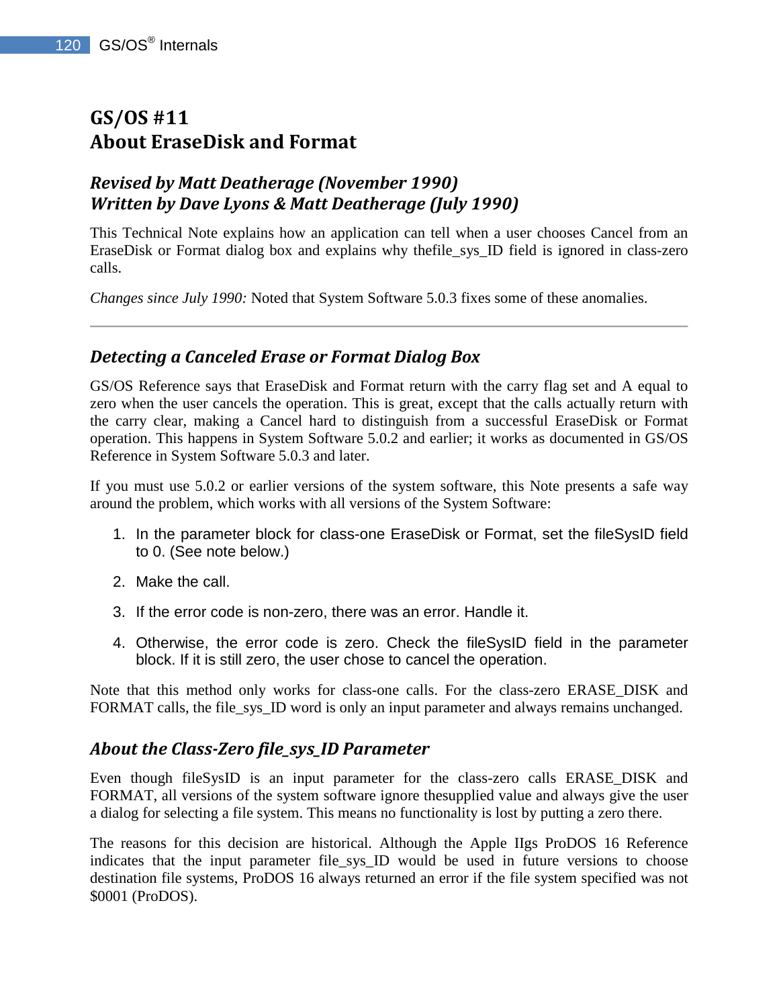# **GS/OS #11 About EraseDisk and Format**

# *Revised by Matt Deatherage (November 1990) Written by Dave Lyons & Matt Deatherage (July 1990)*

This Technical Note explains how an application can tell when a user chooses Cancel from an EraseDisk or Format dialog box and explains why thefile\_sys\_ID field is ignored in class-zero calls.

*Changes since July 1990:* Noted that System Software 5.0.3 fixes some of these anomalies.

### *Detecting a Canceled Erase or Format Dialog Box*

GS/OS Reference says that EraseDisk and Format return with the carry flag set and A equal to zero when the user cancels the operation. This is great, except that the calls actually return with the carry clear, making a Cancel hard to distinguish from a successful EraseDisk or Format operation. This happens in System Software 5.0.2 and earlier; it works as documented in GS/OS Reference in System Software 5.0.3 and later.

If you must use 5.0.2 or earlier versions of the system software, this Note presents a safe way around the problem, which works with all versions of the System Software:

- 1. In the parameter block for class-one EraseDisk or Format, set the fileSysID field to 0. (See note below.)
- 2. Make the call.
- 3. If the error code is non-zero, there was an error. Handle it.
- 4. Otherwise, the error code is zero. Check the fileSysID field in the parameter block. If it is still zero, the user chose to cancel the operation.

Note that this method only works for class-one calls. For the class-zero ERASE\_DISK and FORMAT calls, the file\_sys\_ID word is only an input parameter and always remains unchanged.

### *About the Class-Zero file\_sys\_ID Parameter*

Even though fileSysID is an input parameter for the class-zero calls ERASE\_DISK and FORMAT, all versions of the system software ignore thesupplied value and always give the user a dialog for selecting a file system. This means no functionality is lost by putting a zero there.

The reasons for this decision are historical. Although the Apple IIgs ProDOS 16 Reference indicates that the input parameter file sys ID would be used in future versions to choose destination file systems, ProDOS 16 always returned an error if the file system specified was not \$0001 (ProDOS).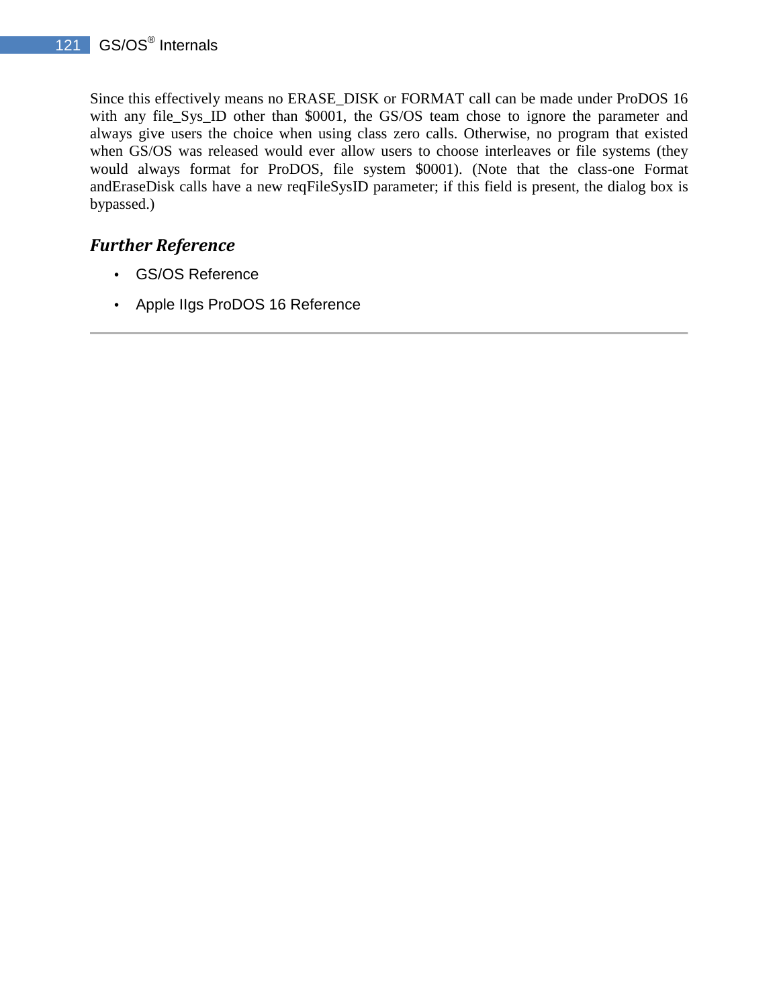Since this effectively means no ERASE\_DISK or FORMAT call can be made under ProDOS 16 with any file\_Sys\_ID other than \$0001, the GS/OS team chose to ignore the parameter and always give users the choice when using class zero calls. Otherwise, no program that existed when GS/OS was released would ever allow users to choose interleaves or file systems (they would always format for ProDOS, file system \$0001). (Note that the class-one Format andEraseDisk calls have a new reqFileSysID parameter; if this field is present, the dialog box is bypassed.)

- GS/OS Reference
- Apple IIgs ProDOS 16 Reference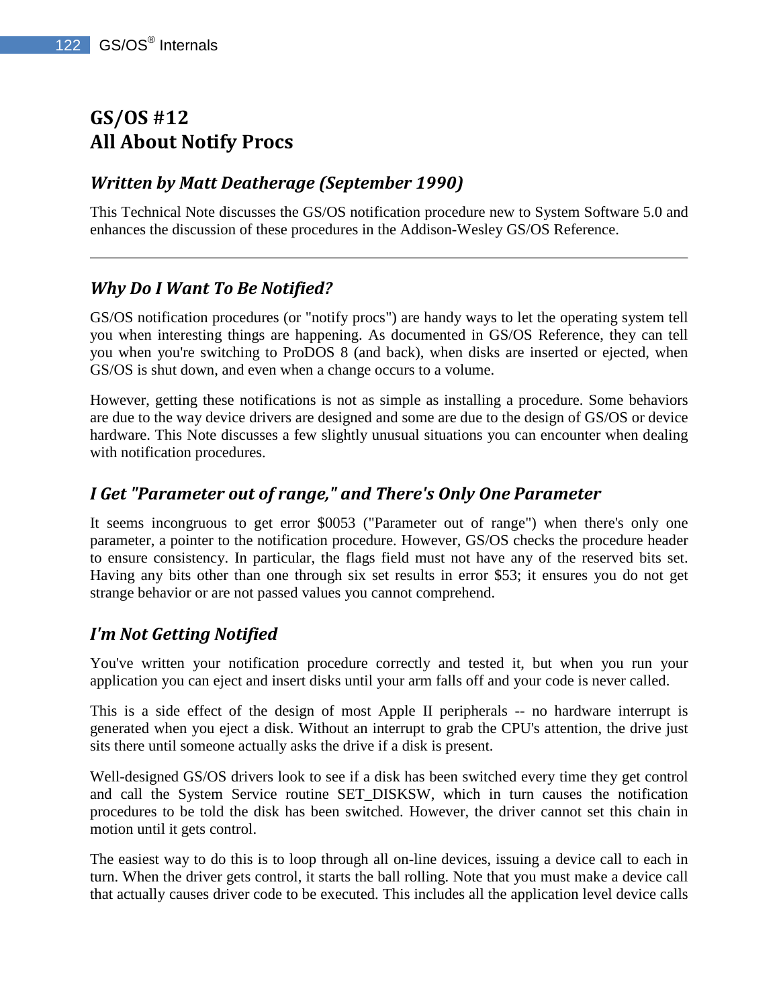# **GS/OS #12 All About Notify Procs**

# *Written by Matt Deatherage (September 1990)*

This Technical Note discusses the GS/OS notification procedure new to System Software 5.0 and enhances the discussion of these procedures in the Addison-Wesley GS/OS Reference.

# *Why Do I Want To Be Notified?*

GS/OS notification procedures (or "notify procs") are handy ways to let the operating system tell you when interesting things are happening. As documented in GS/OS Reference, they can tell you when you're switching to ProDOS 8 (and back), when disks are inserted or ejected, when GS/OS is shut down, and even when a change occurs to a volume.

However, getting these notifications is not as simple as installing a procedure. Some behaviors are due to the way device drivers are designed and some are due to the design of GS/OS or device hardware. This Note discusses a few slightly unusual situations you can encounter when dealing with notification procedures.

## *I Get "Parameter out of range," and There's Only One Parameter*

It seems incongruous to get error \$0053 ("Parameter out of range") when there's only one parameter, a pointer to the notification procedure. However, GS/OS checks the procedure header to ensure consistency. In particular, the flags field must not have any of the reserved bits set. Having any bits other than one through six set results in error \$53; it ensures you do not get strange behavior or are not passed values you cannot comprehend.

# *I'm Not Getting Notified*

You've written your notification procedure correctly and tested it, but when you run your application you can eject and insert disks until your arm falls off and your code is never called.

This is a side effect of the design of most Apple II peripherals -- no hardware interrupt is generated when you eject a disk. Without an interrupt to grab the CPU's attention, the drive just sits there until someone actually asks the drive if a disk is present.

Well-designed GS/OS drivers look to see if a disk has been switched every time they get control and call the System Service routine SET\_DISKSW, which in turn causes the notification procedures to be told the disk has been switched. However, the driver cannot set this chain in motion until it gets control.

The easiest way to do this is to loop through all on-line devices, issuing a device call to each in turn. When the driver gets control, it starts the ball rolling. Note that you must make a device call that actually causes driver code to be executed. This includes all the application level device calls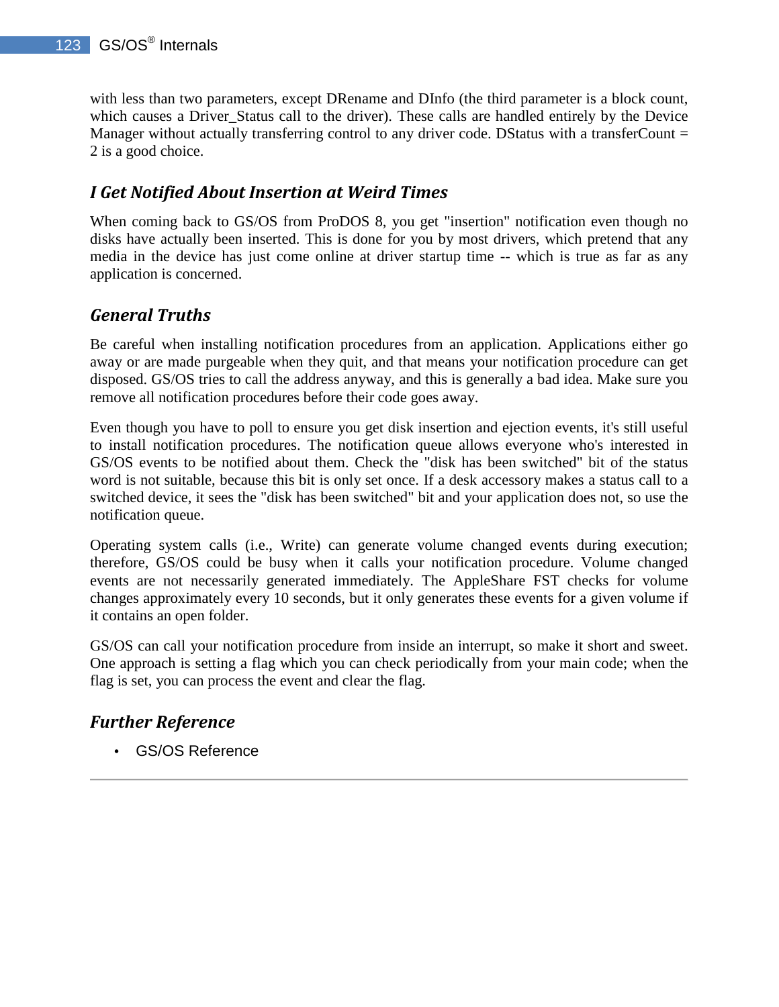with less than two parameters, except DRename and DInfo (the third parameter is a block count, which causes a Driver Status call to the driver). These calls are handled entirely by the Device Manager without actually transferring control to any driver code. DStatus with a transferCount  $=$ 2 is a good choice.

## *I Get Notified About Insertion at Weird Times*

When coming back to GS/OS from ProDOS 8, you get "insertion" notification even though no disks have actually been inserted. This is done for you by most drivers, which pretend that any media in the device has just come online at driver startup time -- which is true as far as any application is concerned.

## *General Truths*

Be careful when installing notification procedures from an application. Applications either go away or are made purgeable when they quit, and that means your notification procedure can get disposed. GS/OS tries to call the address anyway, and this is generally a bad idea. Make sure you remove all notification procedures before their code goes away.

Even though you have to poll to ensure you get disk insertion and ejection events, it's still useful to install notification procedures. The notification queue allows everyone who's interested in GS/OS events to be notified about them. Check the "disk has been switched" bit of the status word is not suitable, because this bit is only set once. If a desk accessory makes a status call to a switched device, it sees the "disk has been switched" bit and your application does not, so use the notification queue.

Operating system calls (i.e., Write) can generate volume changed events during execution; therefore, GS/OS could be busy when it calls your notification procedure. Volume changed events are not necessarily generated immediately. The AppleShare FST checks for volume changes approximately every 10 seconds, but it only generates these events for a given volume if it contains an open folder.

GS/OS can call your notification procedure from inside an interrupt, so make it short and sweet. One approach is setting a flag which you can check periodically from your main code; when the flag is set, you can process the event and clear the flag.

# *Further Reference*

• GS/OS Reference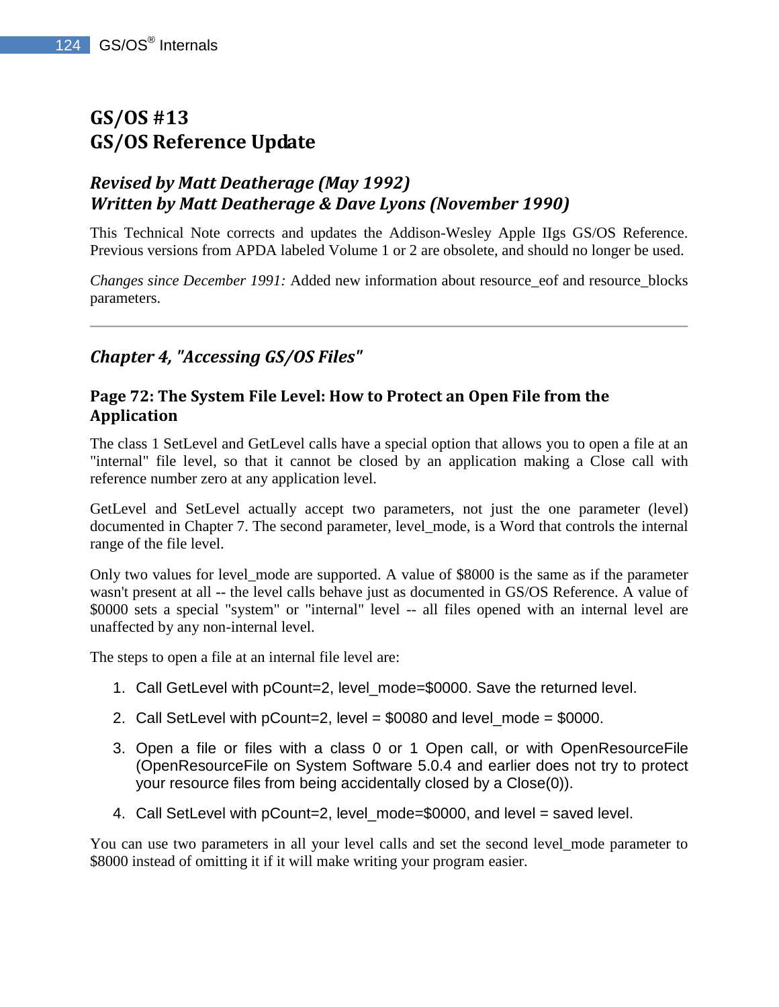# **GS/OS #13 GS/OS Reference Update**

# *Revised by Matt Deatherage (May 1992) Written by Matt Deatherage & Dave Lyons (November 1990)*

This Technical Note corrects and updates the Addison-Wesley Apple IIgs GS/OS Reference. Previous versions from APDA labeled Volume 1 or 2 are obsolete, and should no longer be used.

*Changes since December 1991:* Added new information about resource\_eof and resource\_blocks parameters.

## *Chapter 4, "Accessing GS/OS Files"*

#### **Page 72: The System File Level: How to Protect an Open File from the Application**

The class 1 SetLevel and GetLevel calls have a special option that allows you to open a file at an "internal" file level, so that it cannot be closed by an application making a Close call with reference number zero at any application level.

GetLevel and SetLevel actually accept two parameters, not just the one parameter (level) documented in Chapter 7. The second parameter, level mode, is a Word that controls the internal range of the file level.

Only two values for level\_mode are supported. A value of \$8000 is the same as if the parameter wasn't present at all -- the level calls behave just as documented in GS/OS Reference. A value of \$0000 sets a special "system" or "internal" level -- all files opened with an internal level are unaffected by any non-internal level.

The steps to open a file at an internal file level are:

- 1. Call GetLevel with pCount=2, level\_mode=\$0000. Save the returned level.
- 2. Call SetLevel with  $pCount=2$ , level = \$0080 and level\_mode = \$0000.
- 3. Open a file or files with a class 0 or 1 Open call, or with OpenResourceFile (OpenResourceFile on System Software 5.0.4 and earlier does not try to protect your resource files from being accidentally closed by a Close(0)).
- 4. Call SetLevel with pCount=2, level\_mode=\$0000, and level = saved level.

You can use two parameters in all your level calls and set the second level\_mode parameter to \$8000 instead of omitting it if it will make writing your program easier.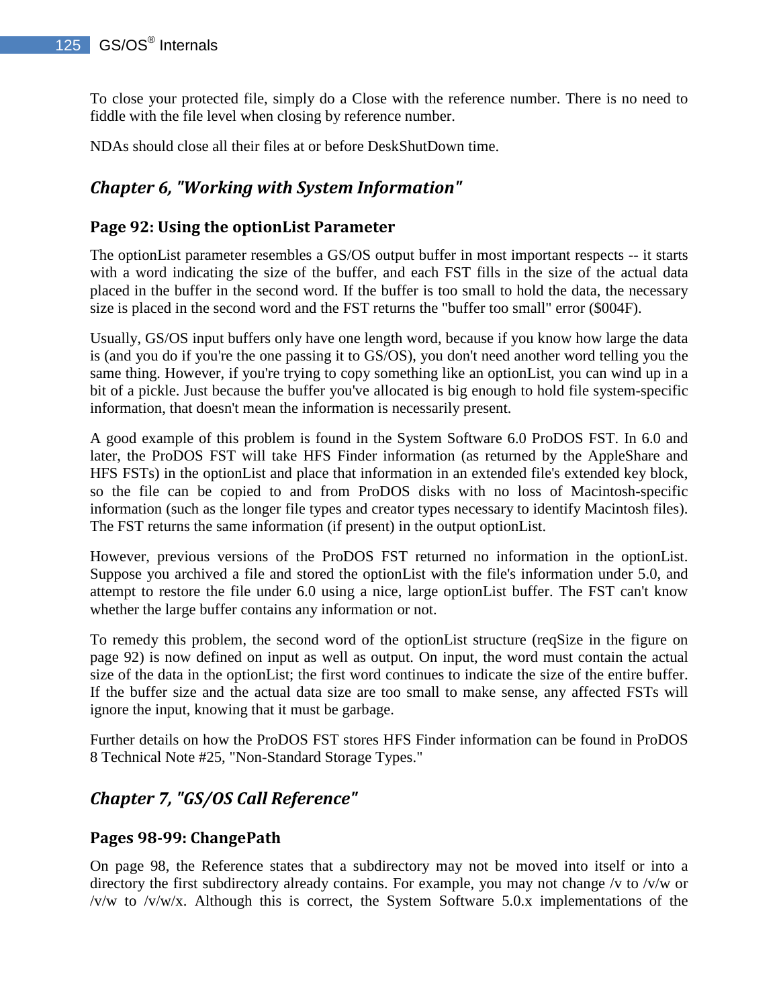To close your protected file, simply do a Close with the reference number. There is no need to fiddle with the file level when closing by reference number.

NDAs should close all their files at or before DeskShutDown time.

# *Chapter 6, "Working with System Information"*

#### **Page 92: Using the optionList Parameter**

The optionList parameter resembles a GS/OS output buffer in most important respects -- it starts with a word indicating the size of the buffer, and each FST fills in the size of the actual data placed in the buffer in the second word. If the buffer is too small to hold the data, the necessary size is placed in the second word and the FST returns the "buffer too small" error (\$004F).

Usually, GS/OS input buffers only have one length word, because if you know how large the data is (and you do if you're the one passing it to GS/OS), you don't need another word telling you the same thing. However, if you're trying to copy something like an optionList, you can wind up in a bit of a pickle. Just because the buffer you've allocated is big enough to hold file system-specific information, that doesn't mean the information is necessarily present.

A good example of this problem is found in the System Software 6.0 ProDOS FST. In 6.0 and later, the ProDOS FST will take HFS Finder information (as returned by the AppleShare and HFS FSTs) in the optionList and place that information in an extended file's extended key block, so the file can be copied to and from ProDOS disks with no loss of Macintosh-specific information (such as the longer file types and creator types necessary to identify Macintosh files). The FST returns the same information (if present) in the output optionList.

However, previous versions of the ProDOS FST returned no information in the optionList. Suppose you archived a file and stored the optionList with the file's information under 5.0, and attempt to restore the file under 6.0 using a nice, large optionList buffer. The FST can't know whether the large buffer contains any information or not.

To remedy this problem, the second word of the optionList structure (reqSize in the figure on page 92) is now defined on input as well as output. On input, the word must contain the actual size of the data in the optionList; the first word continues to indicate the size of the entire buffer. If the buffer size and the actual data size are too small to make sense, any affected FSTs will ignore the input, knowing that it must be garbage.

Further details on how the ProDOS FST stores HFS Finder information can be found in ProDOS 8 Technical Note #25, "Non-Standard Storage Types."

# *Chapter 7, "GS/OS Call Reference"*

#### **Pages 98-99: ChangePath**

On page 98, the Reference states that a subdirectory may not be moved into itself or into a directory the first subdirectory already contains. For example, you may not change /v to /v/w or  $/v/w$  to  $/v/w/x$ . Although this is correct, the System Software 5.0.x implementations of the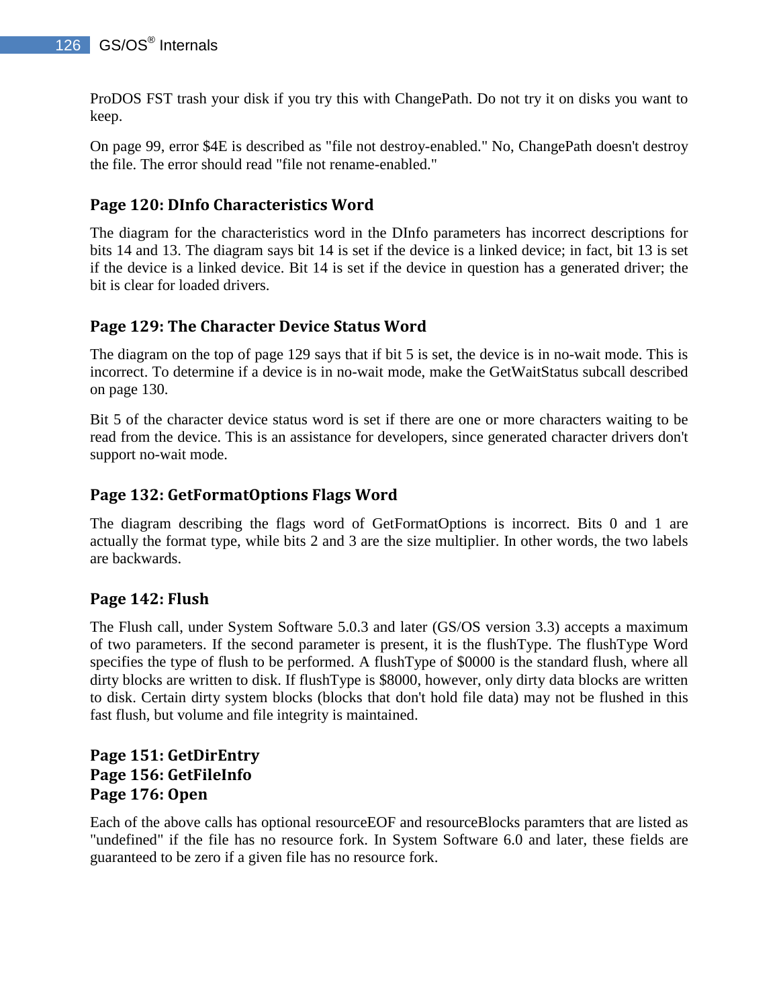ProDOS FST trash your disk if you try this with ChangePath. Do not try it on disks you want to keep.

On page 99, error \$4E is described as "file not destroy-enabled." No, ChangePath doesn't destroy the file. The error should read "file not rename-enabled."

### **Page 120: DInfo Characteristics Word**

The diagram for the characteristics word in the DInfo parameters has incorrect descriptions for bits 14 and 13. The diagram says bit 14 is set if the device is a linked device; in fact, bit 13 is set if the device is a linked device. Bit 14 is set if the device in question has a generated driver; the bit is clear for loaded drivers.

#### **Page 129: The Character Device Status Word**

The diagram on the top of page 129 says that if bit 5 is set, the device is in no-wait mode. This is incorrect. To determine if a device is in no-wait mode, make the GetWaitStatus subcall described on page 130.

Bit 5 of the character device status word is set if there are one or more characters waiting to be read from the device. This is an assistance for developers, since generated character drivers don't support no-wait mode.

#### **Page 132: GetFormatOptions Flags Word**

The diagram describing the flags word of GetFormatOptions is incorrect. Bits 0 and 1 are actually the format type, while bits 2 and 3 are the size multiplier. In other words, the two labels are backwards.

#### **Page 142: Flush**

The Flush call, under System Software 5.0.3 and later (GS/OS version 3.3) accepts a maximum of two parameters. If the second parameter is present, it is the flushType. The flushType Word specifies the type of flush to be performed. A flushType of \$0000 is the standard flush, where all dirty blocks are written to disk. If flushType is \$8000, however, only dirty data blocks are written to disk. Certain dirty system blocks (blocks that don't hold file data) may not be flushed in this fast flush, but volume and file integrity is maintained.

#### **Page 151: GetDirEntry Page 156: GetFileInfo Page 176: Open**

Each of the above calls has optional resourceEOF and resourceBlocks paramters that are listed as "undefined" if the file has no resource fork. In System Software 6.0 and later, these fields are guaranteed to be zero if a given file has no resource fork.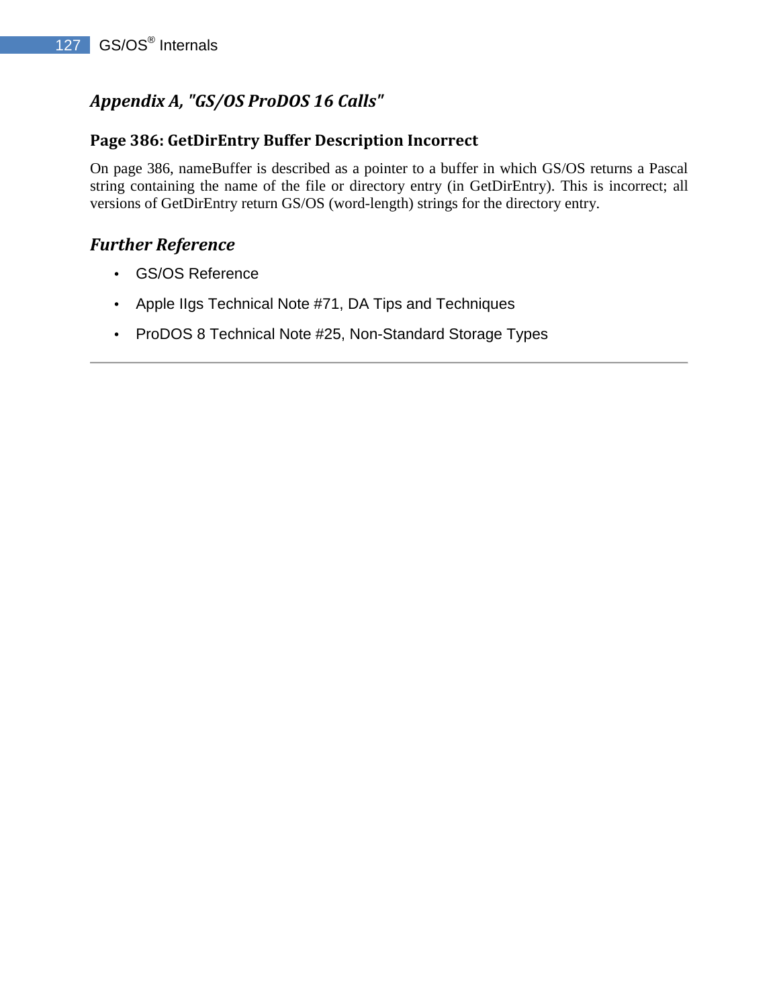# *Appendix A, "GS/OS ProDOS 16 Calls"*

#### **Page 386: GetDirEntry Buffer Description Incorrect**

On page 386, nameBuffer is described as a pointer to a buffer in which GS/OS returns a Pascal string containing the name of the file or directory entry (in GetDirEntry). This is incorrect; all versions of GetDirEntry return GS/OS (word-length) strings for the directory entry.

- GS/OS Reference
- Apple IIgs Technical Note #71, DA Tips and Techniques
- ProDOS 8 Technical Note #25, Non-Standard Storage Types